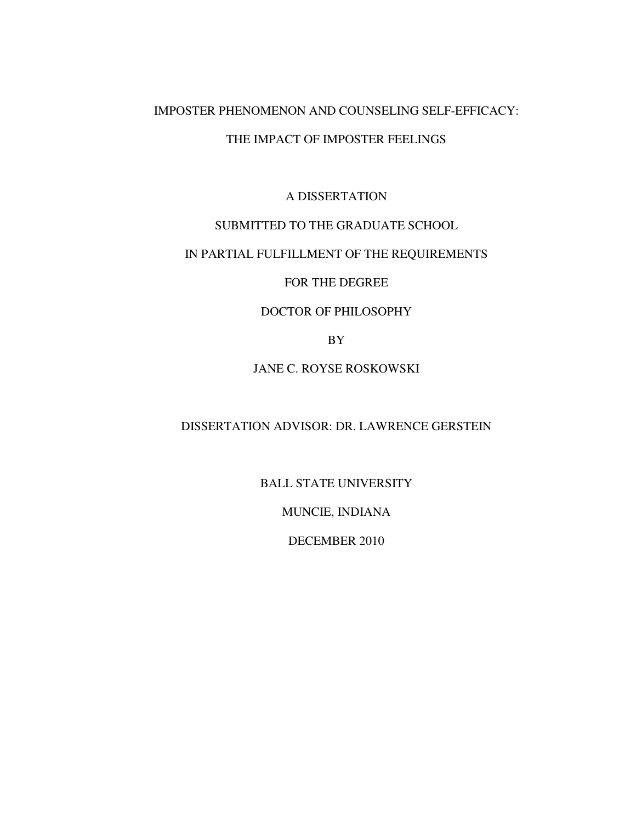## IMPOSTER PHENOMENON AND COUNSELING SELF-EFFICACY:

## THE IMPACT OF IMPOSTER FEELINGS

A DISSERTATION

## SUBMITTED TO THE GRADUATE SCHOOL

## IN PARTIAL FULFILLMENT OF THE REQUIREMENTS

## FOR THE DEGREE

## DOCTOR OF PHILOSOPHY

BY

## JANE C. ROYSE ROSKOWSKI

## DISSERTATION ADVISOR: DR. LAWRENCE GERSTEIN

BALL STATE UNIVERSITY

MUNCIE, INDIANA

DECEMBER 2010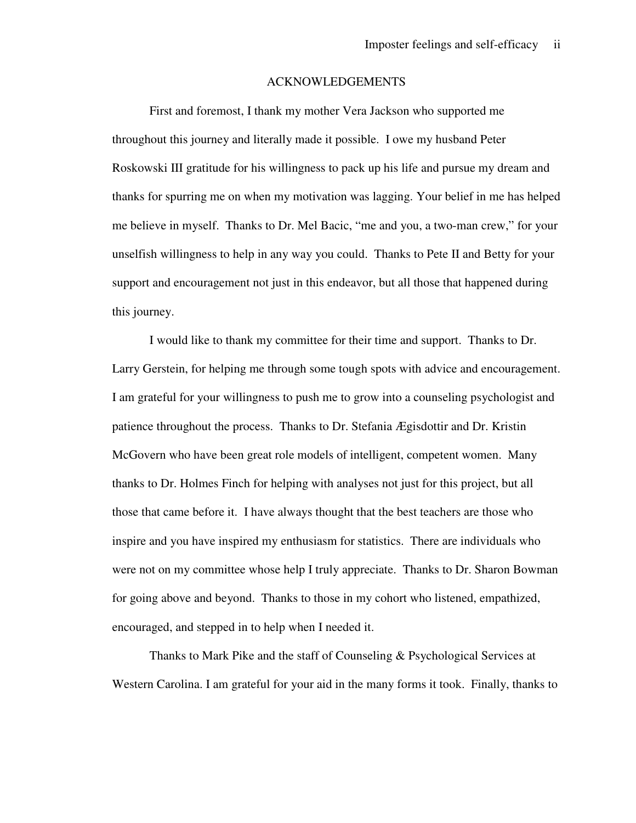#### ACKNOWLEDGEMENTS

First and foremost, I thank my mother Vera Jackson who supported me throughout this journey and literally made it possible. I owe my husband Peter Roskowski III gratitude for his willingness to pack up his life and pursue my dream and thanks for spurring me on when my motivation was lagging. Your belief in me has helped me believe in myself. Thanks to Dr. Mel Bacic, "me and you, a two-man crew," for your unselfish willingness to help in any way you could. Thanks to Pete II and Betty for your support and encouragement not just in this endeavor, but all those that happened during this journey.

I would like to thank my committee for their time and support. Thanks to Dr. Larry Gerstein, for helping me through some tough spots with advice and encouragement. I am grateful for your willingness to push me to grow into a counseling psychologist and patience throughout the process. Thanks to Dr. Stefania Ægisdottir and Dr. Kristin McGovern who have been great role models of intelligent, competent women. Many thanks to Dr. Holmes Finch for helping with analyses not just for this project, but all those that came before it. I have always thought that the best teachers are those who inspire and you have inspired my enthusiasm for statistics. There are individuals who were not on my committee whose help I truly appreciate. Thanks to Dr. Sharon Bowman for going above and beyond. Thanks to those in my cohort who listened, empathized, encouraged, and stepped in to help when I needed it.

Thanks to Mark Pike and the staff of Counseling & Psychological Services at Western Carolina. I am grateful for your aid in the many forms it took. Finally, thanks to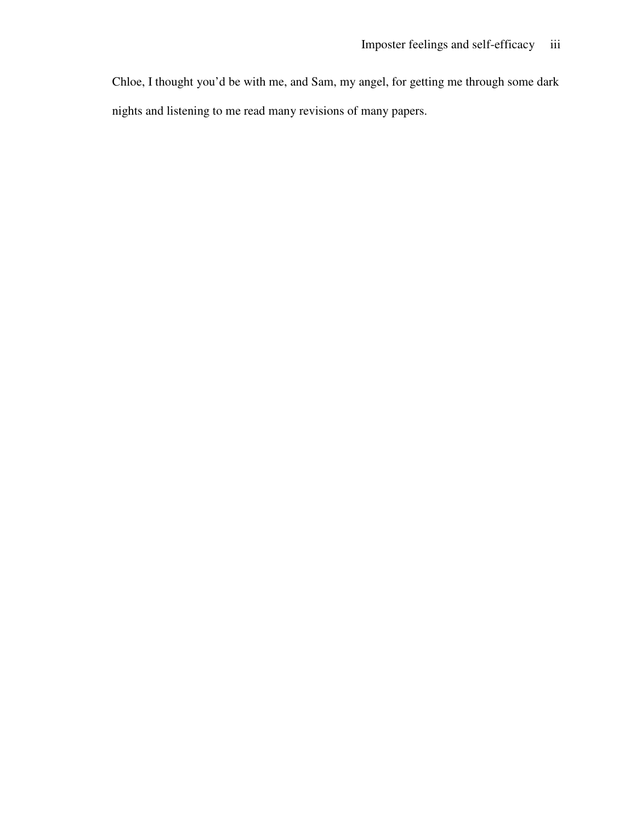Chloe, I thought you'd be with me, and Sam, my angel, for getting me through some dark nights and listening to me read many revisions of many papers.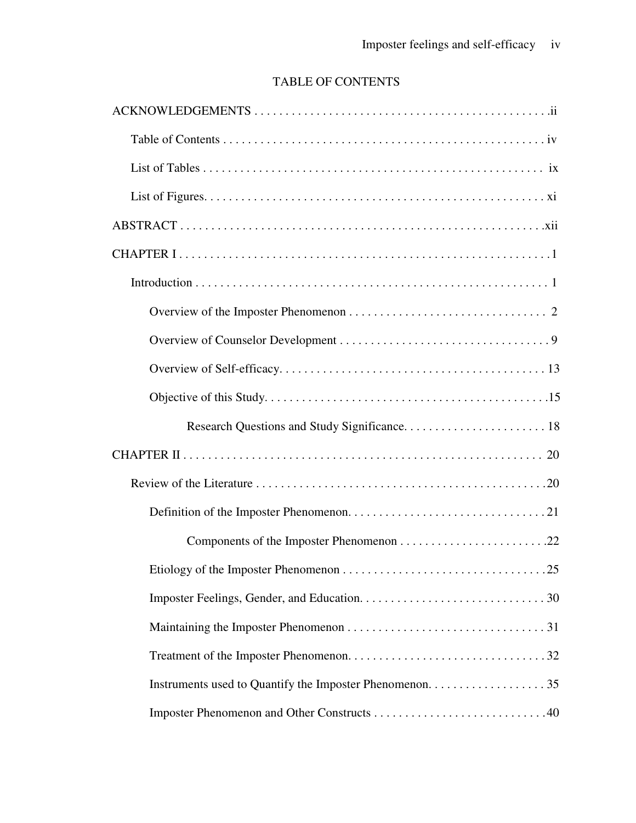# TABLE OF CONTENTS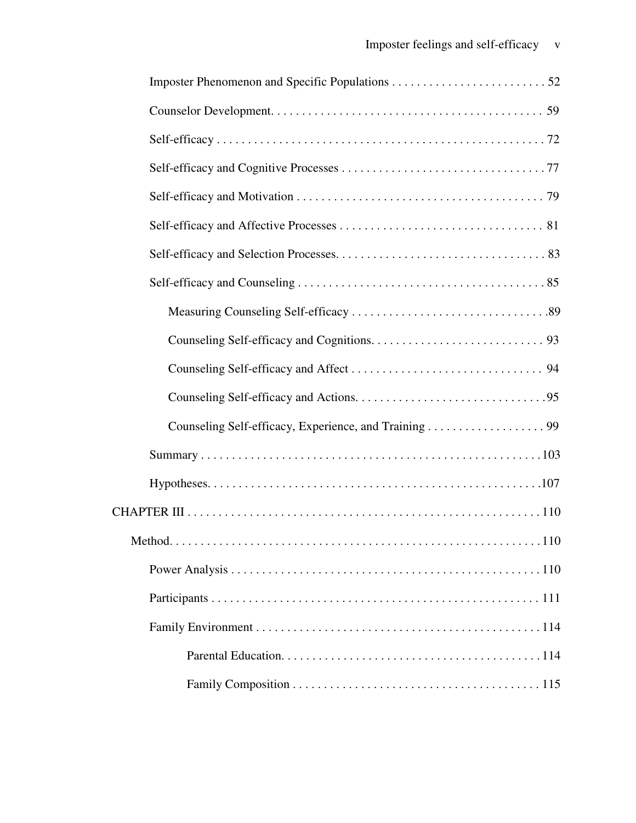| Counseling Self-efficacy, Experience, and Training 99 |
|-------------------------------------------------------|
|                                                       |
|                                                       |
|                                                       |
|                                                       |
|                                                       |
|                                                       |
|                                                       |
|                                                       |
|                                                       |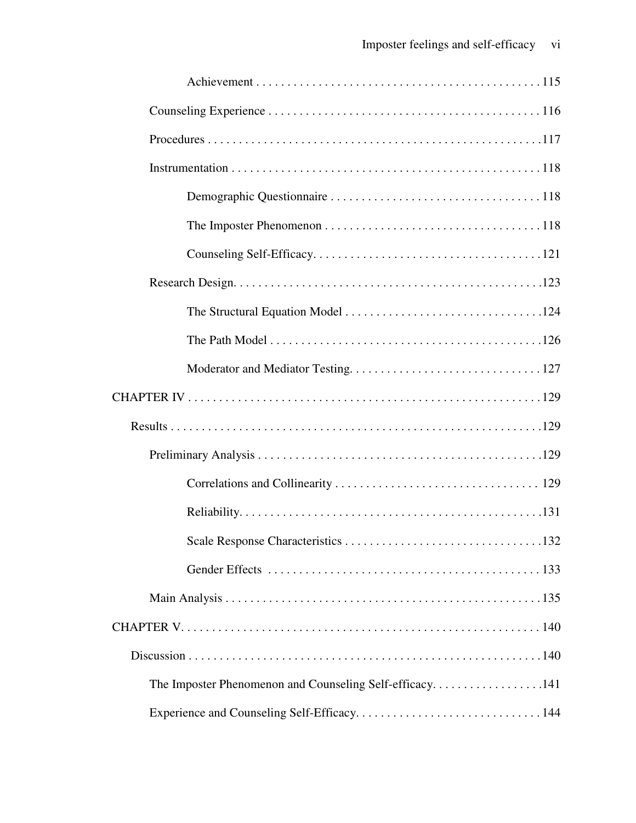| The Imposter Phenomenon and Counseling Self-efficacy141 |
|---------------------------------------------------------|
|                                                         |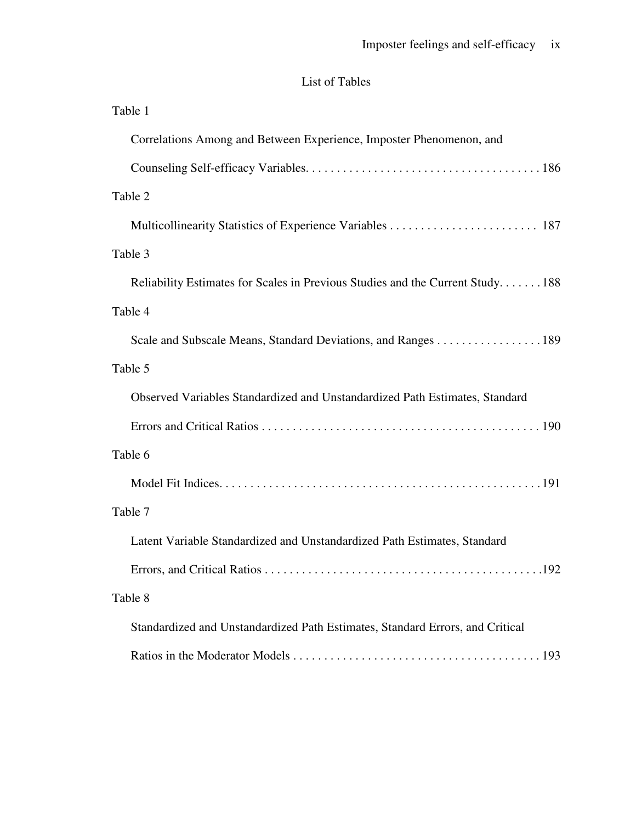# List of Tables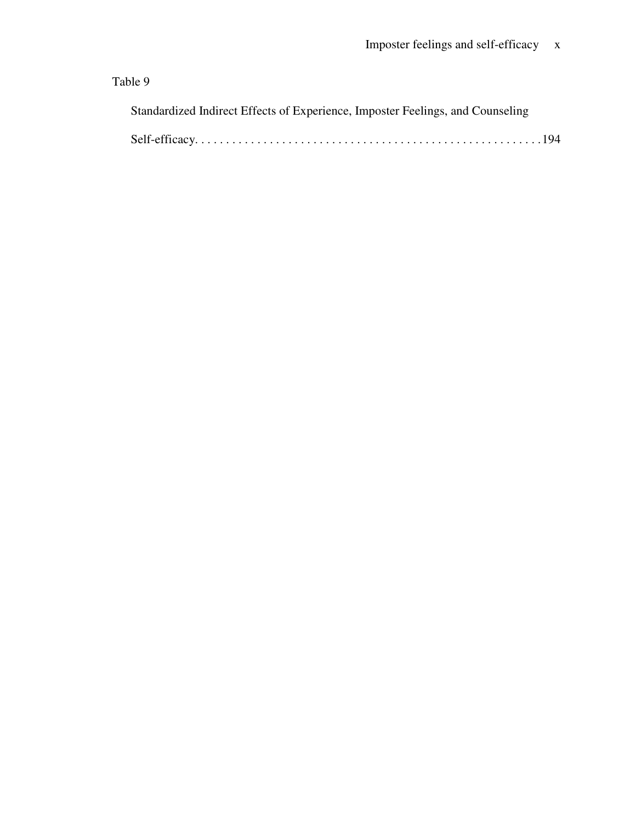## Table 9

Standardized Indirect Effects of Experience, Imposter Feelings, and Counseling

|--|--|--|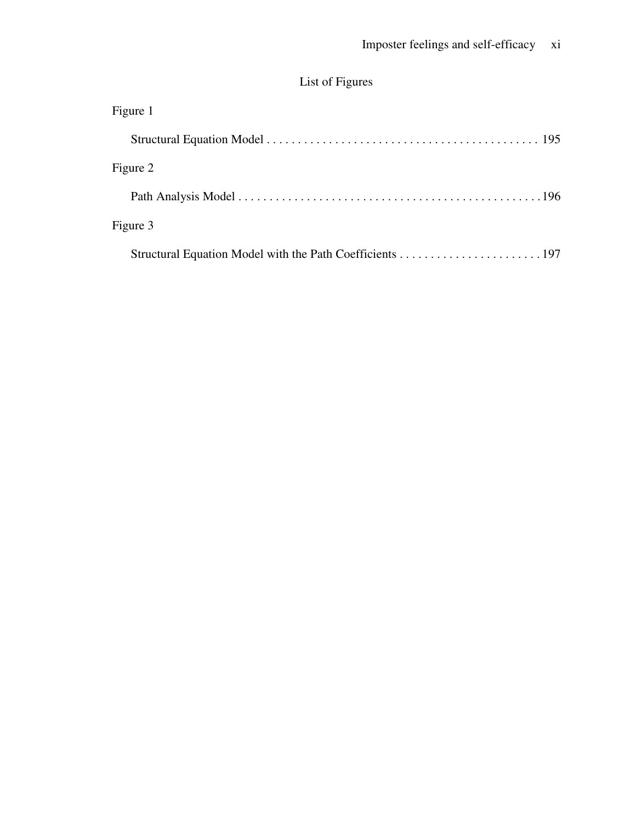# List of Figures

| Figure 1 |
|----------|
|          |
| Figure 2 |
|          |
| Figure 3 |
|          |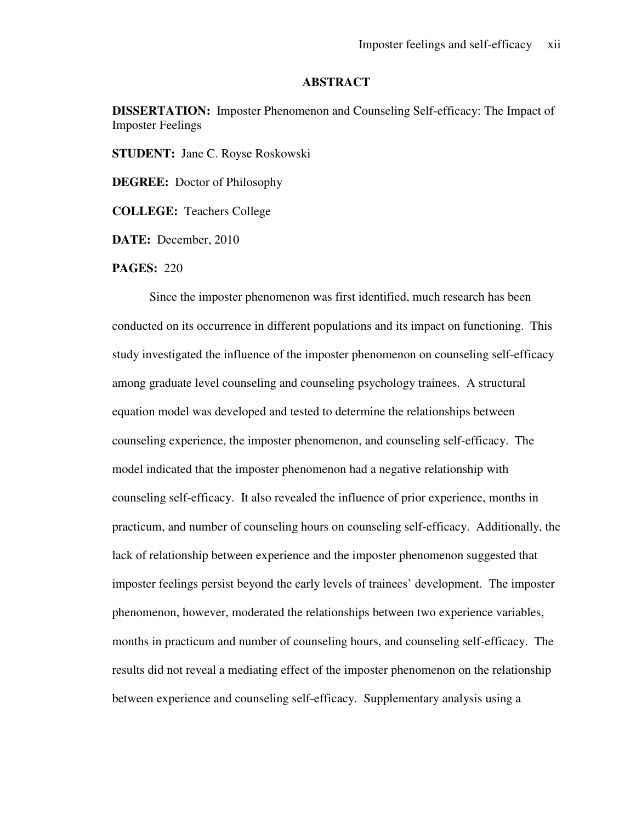#### **ABSTRACT**

**DISSERTATION:** Imposter Phenomenon and Counseling Self-efficacy: The Impact of Imposter Feelings

**STUDENT:** Jane C. Royse Roskowski

**DEGREE:** Doctor of Philosophy

**COLLEGE:** Teachers College

**DATE:** December, 2010

#### **PAGES:** 220

Since the imposter phenomenon was first identified, much research has been conducted on its occurrence in different populations and its impact on functioning. This study investigated the influence of the imposter phenomenon on counseling self-efficacy among graduate level counseling and counseling psychology trainees. A structural equation model was developed and tested to determine the relationships between counseling experience, the imposter phenomenon, and counseling self-efficacy. The model indicated that the imposter phenomenon had a negative relationship with counseling self-efficacy. It also revealed the influence of prior experience, months in practicum, and number of counseling hours on counseling self-efficacy. Additionally, the lack of relationship between experience and the imposter phenomenon suggested that imposter feelings persist beyond the early levels of trainees' development. The imposter phenomenon, however, moderated the relationships between two experience variables, months in practicum and number of counseling hours, and counseling self-efficacy. The results did not reveal a mediating effect of the imposter phenomenon on the relationship between experience and counseling self-efficacy. Supplementary analysis using a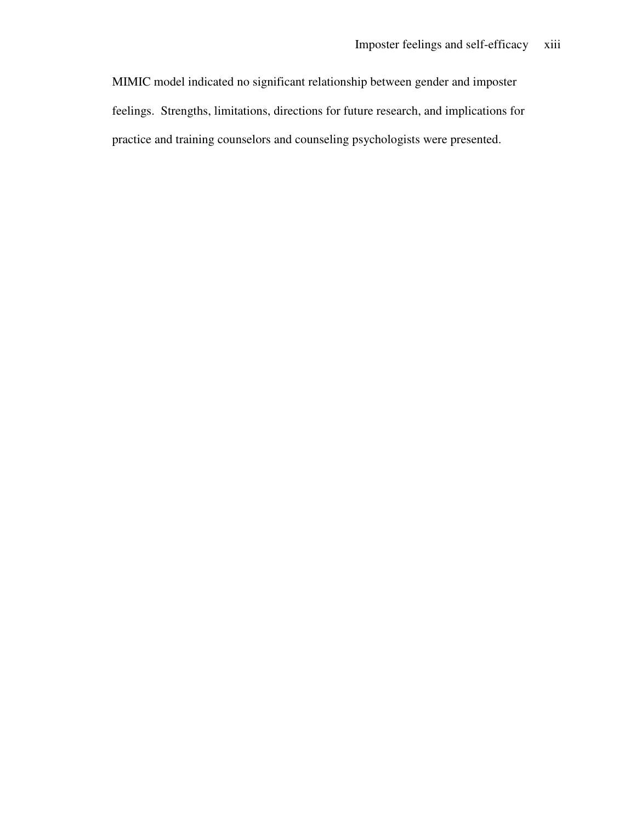MIMIC model indicated no significant relationship between gender and imposter feelings. Strengths, limitations, directions for future research, and implications for practice and training counselors and counseling psychologists were presented.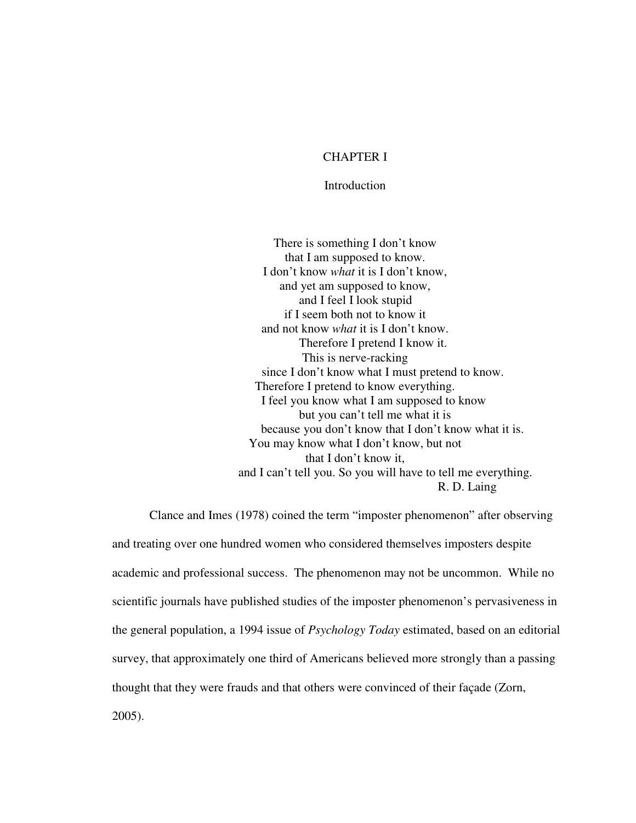## CHAPTER I

#### **Introduction**

There is something I don't know that I am supposed to know. I don't know *what* it is I don't know, and yet am supposed to know, and I feel I look stupid if I seem both not to know it and not know *what* it is I don't know. Therefore I pretend I know it. This is nerve-racking since I don't know what I must pretend to know. Therefore I pretend to know everything. I feel you know what I am supposed to know but you can't tell me what it is because you don't know that I don't know what it is. You may know what I don't know, but not that I don't know it, and I can't tell you. So you will have to tell me everything. R. D. Laing

Clance and Imes (1978) coined the term "imposter phenomenon" after observing and treating over one hundred women who considered themselves imposters despite academic and professional success. The phenomenon may not be uncommon. While no scientific journals have published studies of the imposter phenomenon's pervasiveness in the general population, a 1994 issue of *Psychology Today* estimated, based on an editorial survey, that approximately one third of Americans believed more strongly than a passing thought that they were frauds and that others were convinced of their façade (Zorn, 2005).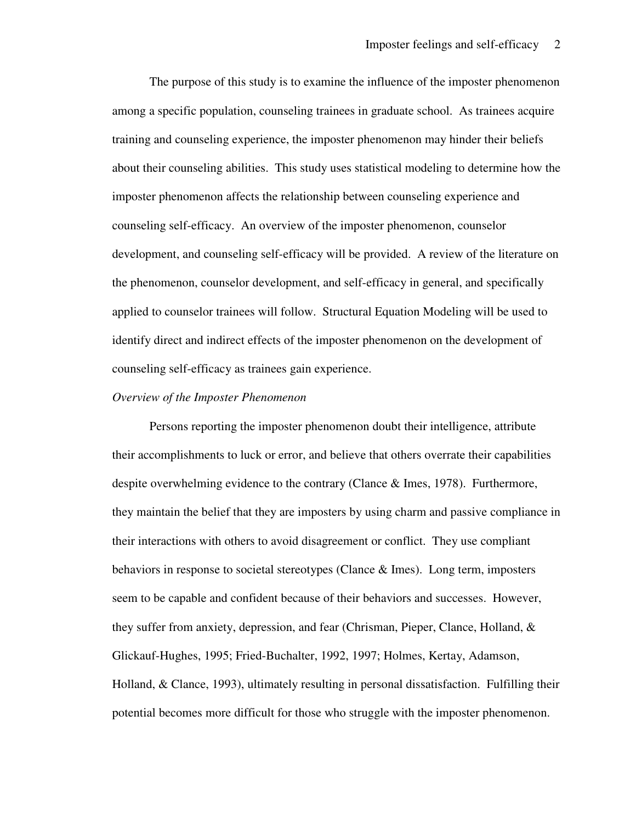The purpose of this study is to examine the influence of the imposter phenomenon among a specific population, counseling trainees in graduate school. As trainees acquire training and counseling experience, the imposter phenomenon may hinder their beliefs about their counseling abilities. This study uses statistical modeling to determine how the imposter phenomenon affects the relationship between counseling experience and counseling self-efficacy. An overview of the imposter phenomenon, counselor development, and counseling self-efficacy will be provided. A review of the literature on the phenomenon, counselor development, and self-efficacy in general, and specifically applied to counselor trainees will follow. Structural Equation Modeling will be used to identify direct and indirect effects of the imposter phenomenon on the development of counseling self-efficacy as trainees gain experience.

#### *Overview of the Imposter Phenomenon*

Persons reporting the imposter phenomenon doubt their intelligence, attribute their accomplishments to luck or error, and believe that others overrate their capabilities despite overwhelming evidence to the contrary (Clance & Imes, 1978). Furthermore, they maintain the belief that they are imposters by using charm and passive compliance in their interactions with others to avoid disagreement or conflict. They use compliant behaviors in response to societal stereotypes (Clance & Imes). Long term, imposters seem to be capable and confident because of their behaviors and successes. However, they suffer from anxiety, depression, and fear (Chrisman, Pieper, Clance, Holland, & Glickauf-Hughes, 1995; Fried-Buchalter, 1992, 1997; Holmes, Kertay, Adamson, Holland, & Clance, 1993), ultimately resulting in personal dissatisfaction. Fulfilling their potential becomes more difficult for those who struggle with the imposter phenomenon.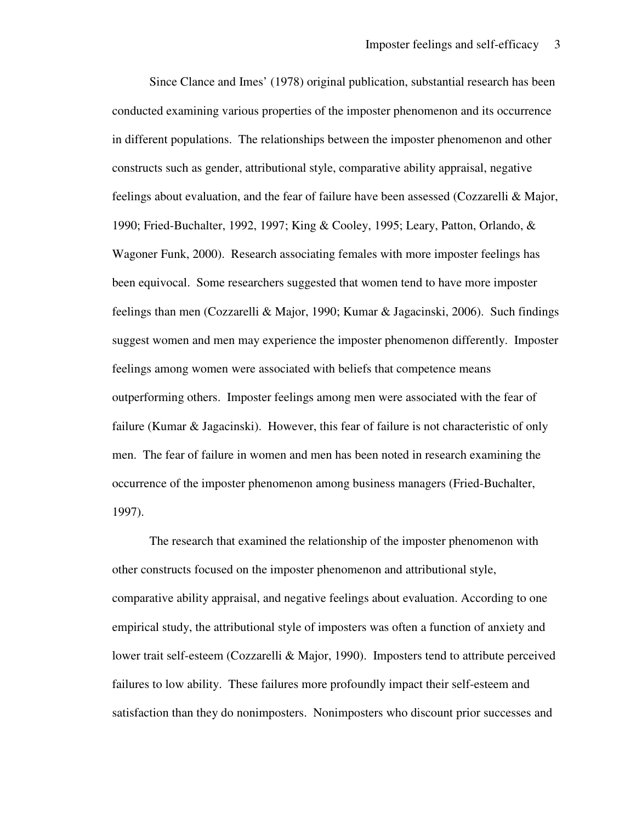Since Clance and Imes' (1978) original publication, substantial research has been conducted examining various properties of the imposter phenomenon and its occurrence in different populations. The relationships between the imposter phenomenon and other constructs such as gender, attributional style, comparative ability appraisal, negative feelings about evaluation, and the fear of failure have been assessed (Cozzarelli & Major, 1990; Fried-Buchalter, 1992, 1997; King & Cooley, 1995; Leary, Patton, Orlando, & Wagoner Funk, 2000). Research associating females with more imposter feelings has been equivocal. Some researchers suggested that women tend to have more imposter feelings than men (Cozzarelli & Major, 1990; Kumar & Jagacinski, 2006). Such findings suggest women and men may experience the imposter phenomenon differently. Imposter feelings among women were associated with beliefs that competence means outperforming others. Imposter feelings among men were associated with the fear of failure (Kumar & Jagacinski). However, this fear of failure is not characteristic of only men. The fear of failure in women and men has been noted in research examining the occurrence of the imposter phenomenon among business managers (Fried-Buchalter, 1997).

The research that examined the relationship of the imposter phenomenon with other constructs focused on the imposter phenomenon and attributional style, comparative ability appraisal, and negative feelings about evaluation. According to one empirical study, the attributional style of imposters was often a function of anxiety and lower trait self-esteem (Cozzarelli & Major, 1990). Imposters tend to attribute perceived failures to low ability. These failures more profoundly impact their self-esteem and satisfaction than they do nonimposters. Nonimposters who discount prior successes and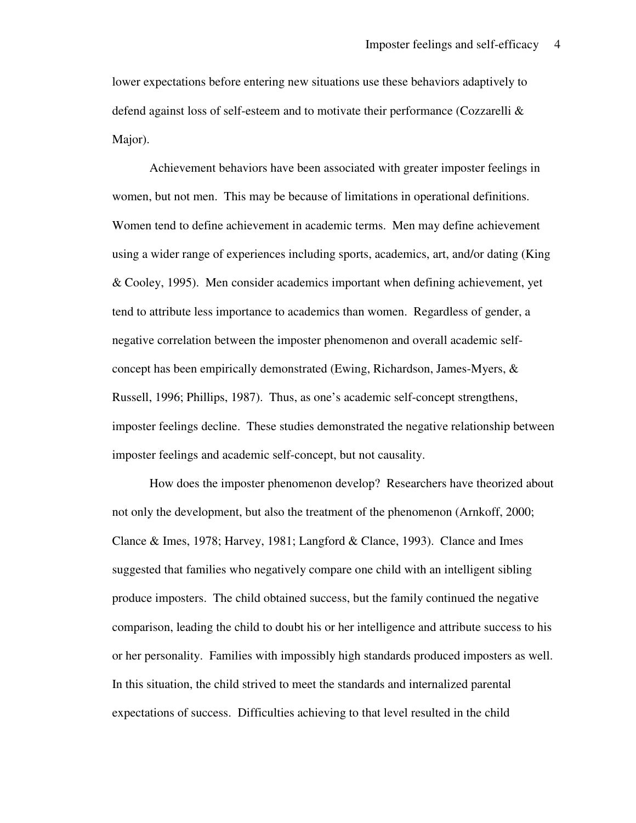lower expectations before entering new situations use these behaviors adaptively to defend against loss of self-esteem and to motivate their performance (Cozzarelli & Major).

Achievement behaviors have been associated with greater imposter feelings in women, but not men. This may be because of limitations in operational definitions. Women tend to define achievement in academic terms. Men may define achievement using a wider range of experiences including sports, academics, art, and/or dating (King & Cooley, 1995). Men consider academics important when defining achievement, yet tend to attribute less importance to academics than women. Regardless of gender, a negative correlation between the imposter phenomenon and overall academic selfconcept has been empirically demonstrated (Ewing, Richardson, James-Myers, & Russell, 1996; Phillips, 1987). Thus, as one's academic self-concept strengthens, imposter feelings decline. These studies demonstrated the negative relationship between imposter feelings and academic self-concept, but not causality.

How does the imposter phenomenon develop? Researchers have theorized about not only the development, but also the treatment of the phenomenon (Arnkoff, 2000; Clance & Imes, 1978; Harvey, 1981; Langford & Clance, 1993). Clance and Imes suggested that families who negatively compare one child with an intelligent sibling produce imposters. The child obtained success, but the family continued the negative comparison, leading the child to doubt his or her intelligence and attribute success to his or her personality. Families with impossibly high standards produced imposters as well. In this situation, the child strived to meet the standards and internalized parental expectations of success. Difficulties achieving to that level resulted in the child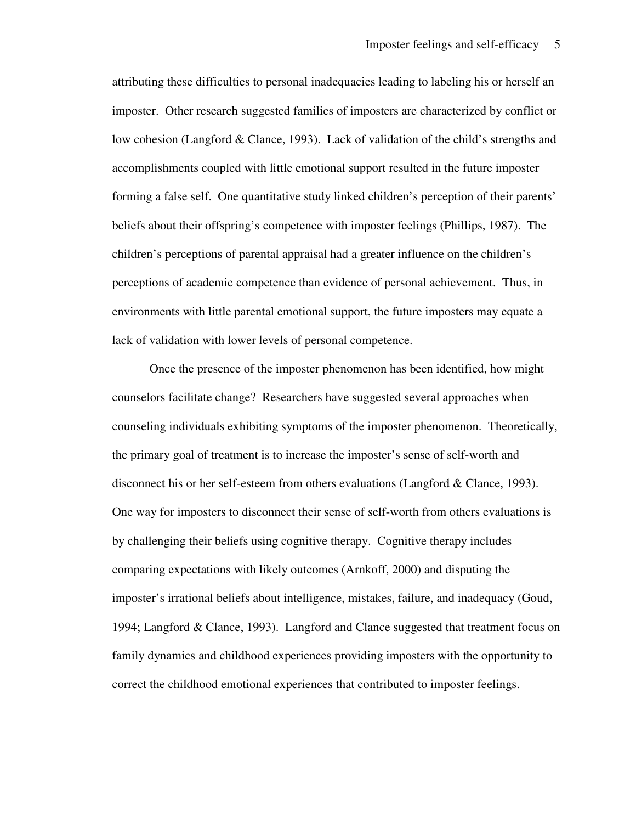attributing these difficulties to personal inadequacies leading to labeling his or herself an imposter. Other research suggested families of imposters are characterized by conflict or low cohesion (Langford & Clance, 1993). Lack of validation of the child's strengths and accomplishments coupled with little emotional support resulted in the future imposter forming a false self. One quantitative study linked children's perception of their parents' beliefs about their offspring's competence with imposter feelings (Phillips, 1987). The children's perceptions of parental appraisal had a greater influence on the children's perceptions of academic competence than evidence of personal achievement. Thus, in environments with little parental emotional support, the future imposters may equate a lack of validation with lower levels of personal competence.

Once the presence of the imposter phenomenon has been identified, how might counselors facilitate change? Researchers have suggested several approaches when counseling individuals exhibiting symptoms of the imposter phenomenon. Theoretically, the primary goal of treatment is to increase the imposter's sense of self-worth and disconnect his or her self-esteem from others evaluations (Langford & Clance, 1993). One way for imposters to disconnect their sense of self-worth from others evaluations is by challenging their beliefs using cognitive therapy. Cognitive therapy includes comparing expectations with likely outcomes (Arnkoff, 2000) and disputing the imposter's irrational beliefs about intelligence, mistakes, failure, and inadequacy (Goud, 1994; Langford & Clance, 1993). Langford and Clance suggested that treatment focus on family dynamics and childhood experiences providing imposters with the opportunity to correct the childhood emotional experiences that contributed to imposter feelings.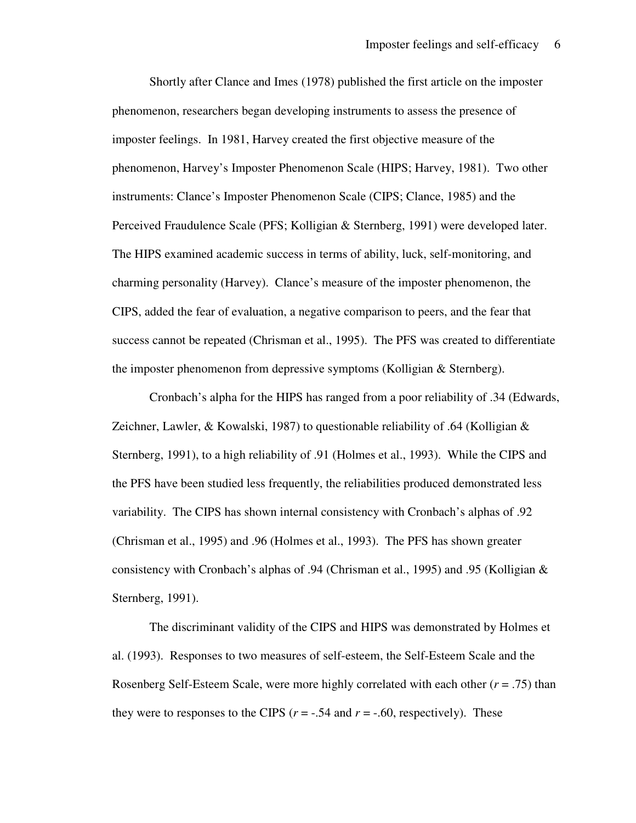Shortly after Clance and Imes (1978) published the first article on the imposter phenomenon, researchers began developing instruments to assess the presence of imposter feelings. In 1981, Harvey created the first objective measure of the phenomenon, Harvey's Imposter Phenomenon Scale (HIPS; Harvey, 1981). Two other instruments: Clance's Imposter Phenomenon Scale (CIPS; Clance, 1985) and the Perceived Fraudulence Scale (PFS; Kolligian & Sternberg, 1991) were developed later. The HIPS examined academic success in terms of ability, luck, self-monitoring, and charming personality (Harvey). Clance's measure of the imposter phenomenon, the CIPS, added the fear of evaluation, a negative comparison to peers, and the fear that success cannot be repeated (Chrisman et al., 1995). The PFS was created to differentiate the imposter phenomenon from depressive symptoms (Kolligian & Sternberg).

Cronbach's alpha for the HIPS has ranged from a poor reliability of .34 (Edwards, Zeichner, Lawler, & Kowalski, 1987) to questionable reliability of .64 (Kolligian & Sternberg, 1991), to a high reliability of .91 (Holmes et al., 1993). While the CIPS and the PFS have been studied less frequently, the reliabilities produced demonstrated less variability. The CIPS has shown internal consistency with Cronbach's alphas of .92 (Chrisman et al., 1995) and .96 (Holmes et al., 1993). The PFS has shown greater consistency with Cronbach's alphas of .94 (Chrisman et al., 1995) and .95 (Kolligian & Sternberg, 1991).

The discriminant validity of the CIPS and HIPS was demonstrated by Holmes et al. (1993). Responses to two measures of self-esteem, the Self-Esteem Scale and the Rosenberg Self-Esteem Scale, were more highly correlated with each other (*r* = .75) than they were to responses to the CIPS  $(r = -.54$  and  $r = -.60$ , respectively). These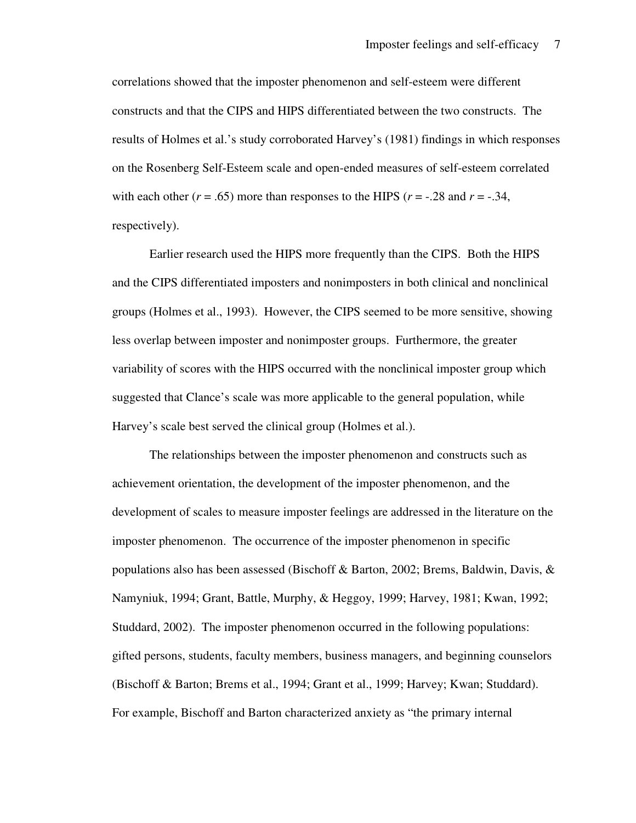correlations showed that the imposter phenomenon and self-esteem were different constructs and that the CIPS and HIPS differentiated between the two constructs. The results of Holmes et al.'s study corroborated Harvey's (1981) findings in which responses on the Rosenberg Self-Esteem scale and open-ended measures of self-esteem correlated with each other  $(r = .65)$  more than responses to the HIPS  $(r = -.28$  and  $r = -.34$ , respectively).

Earlier research used the HIPS more frequently than the CIPS. Both the HIPS and the CIPS differentiated imposters and nonimposters in both clinical and nonclinical groups (Holmes et al., 1993). However, the CIPS seemed to be more sensitive, showing less overlap between imposter and nonimposter groups. Furthermore, the greater variability of scores with the HIPS occurred with the nonclinical imposter group which suggested that Clance's scale was more applicable to the general population, while Harvey's scale best served the clinical group (Holmes et al.).

The relationships between the imposter phenomenon and constructs such as achievement orientation, the development of the imposter phenomenon, and the development of scales to measure imposter feelings are addressed in the literature on the imposter phenomenon. The occurrence of the imposter phenomenon in specific populations also has been assessed (Bischoff & Barton, 2002; Brems, Baldwin, Davis, & Namyniuk, 1994; Grant, Battle, Murphy, & Heggoy, 1999; Harvey, 1981; Kwan, 1992; Studdard, 2002). The imposter phenomenon occurred in the following populations: gifted persons, students, faculty members, business managers, and beginning counselors (Bischoff & Barton; Brems et al., 1994; Grant et al., 1999; Harvey; Kwan; Studdard). For example, Bischoff and Barton characterized anxiety as "the primary internal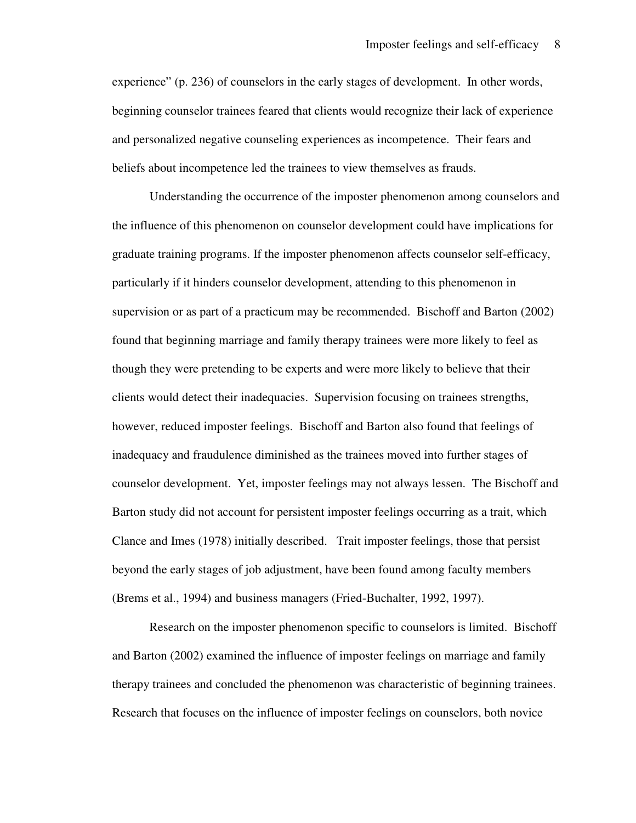experience" (p. 236) of counselors in the early stages of development. In other words, beginning counselor trainees feared that clients would recognize their lack of experience and personalized negative counseling experiences as incompetence. Their fears and beliefs about incompetence led the trainees to view themselves as frauds.

Understanding the occurrence of the imposter phenomenon among counselors and the influence of this phenomenon on counselor development could have implications for graduate training programs. If the imposter phenomenon affects counselor self-efficacy, particularly if it hinders counselor development, attending to this phenomenon in supervision or as part of a practicum may be recommended. Bischoff and Barton (2002) found that beginning marriage and family therapy trainees were more likely to feel as though they were pretending to be experts and were more likely to believe that their clients would detect their inadequacies. Supervision focusing on trainees strengths, however, reduced imposter feelings. Bischoff and Barton also found that feelings of inadequacy and fraudulence diminished as the trainees moved into further stages of counselor development. Yet, imposter feelings may not always lessen. The Bischoff and Barton study did not account for persistent imposter feelings occurring as a trait, which Clance and Imes (1978) initially described. Trait imposter feelings, those that persist beyond the early stages of job adjustment, have been found among faculty members (Brems et al., 1994) and business managers (Fried-Buchalter, 1992, 1997).

Research on the imposter phenomenon specific to counselors is limited. Bischoff and Barton (2002) examined the influence of imposter feelings on marriage and family therapy trainees and concluded the phenomenon was characteristic of beginning trainees. Research that focuses on the influence of imposter feelings on counselors, both novice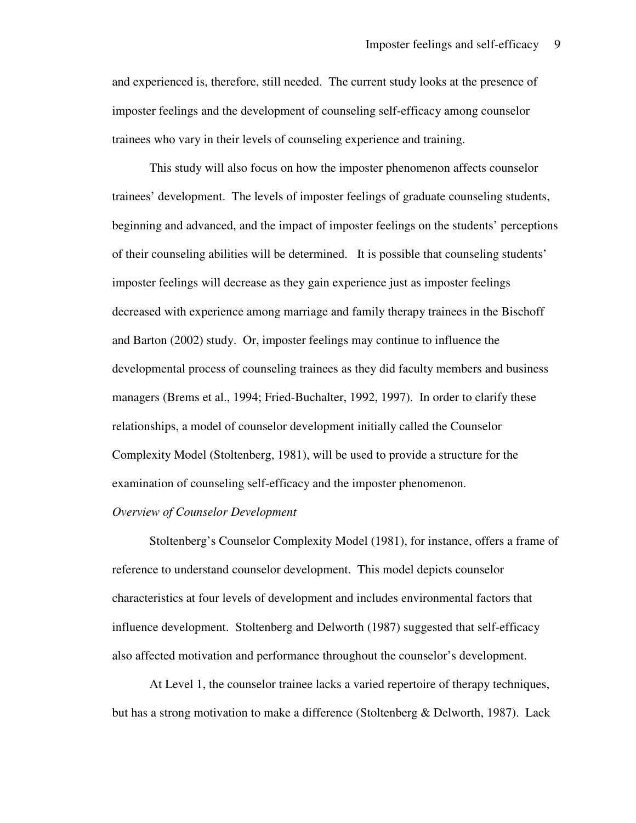and experienced is, therefore, still needed. The current study looks at the presence of imposter feelings and the development of counseling self-efficacy among counselor trainees who vary in their levels of counseling experience and training.

 This study will also focus on how the imposter phenomenon affects counselor trainees' development. The levels of imposter feelings of graduate counseling students, beginning and advanced, and the impact of imposter feelings on the students' perceptions of their counseling abilities will be determined. It is possible that counseling students' imposter feelings will decrease as they gain experience just as imposter feelings decreased with experience among marriage and family therapy trainees in the Bischoff and Barton (2002) study. Or, imposter feelings may continue to influence the developmental process of counseling trainees as they did faculty members and business managers (Brems et al., 1994; Fried-Buchalter, 1992, 1997). In order to clarify these relationships, a model of counselor development initially called the Counselor Complexity Model (Stoltenberg, 1981), will be used to provide a structure for the examination of counseling self-efficacy and the imposter phenomenon.

#### *Overview of Counselor Development*

 Stoltenberg's Counselor Complexity Model (1981), for instance, offers a frame of reference to understand counselor development. This model depicts counselor characteristics at four levels of development and includes environmental factors that influence development. Stoltenberg and Delworth (1987) suggested that self-efficacy also affected motivation and performance throughout the counselor's development.

 At Level 1, the counselor trainee lacks a varied repertoire of therapy techniques, but has a strong motivation to make a difference (Stoltenberg & Delworth, 1987). Lack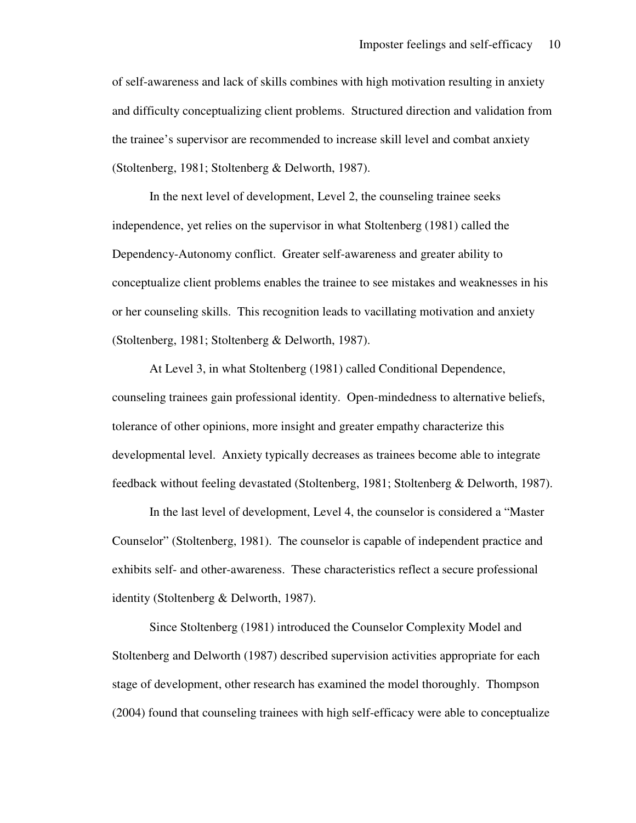of self-awareness and lack of skills combines with high motivation resulting in anxiety and difficulty conceptualizing client problems. Structured direction and validation from the trainee's supervisor are recommended to increase skill level and combat anxiety (Stoltenberg, 1981; Stoltenberg & Delworth, 1987).

 In the next level of development, Level 2, the counseling trainee seeks independence, yet relies on the supervisor in what Stoltenberg (1981) called the Dependency-Autonomy conflict. Greater self-awareness and greater ability to conceptualize client problems enables the trainee to see mistakes and weaknesses in his or her counseling skills. This recognition leads to vacillating motivation and anxiety (Stoltenberg, 1981; Stoltenberg & Delworth, 1987).

 At Level 3, in what Stoltenberg (1981) called Conditional Dependence, counseling trainees gain professional identity. Open-mindedness to alternative beliefs, tolerance of other opinions, more insight and greater empathy characterize this developmental level. Anxiety typically decreases as trainees become able to integrate feedback without feeling devastated (Stoltenberg, 1981; Stoltenberg & Delworth, 1987).

 In the last level of development, Level 4, the counselor is considered a "Master Counselor" (Stoltenberg, 1981). The counselor is capable of independent practice and exhibits self- and other-awareness. These characteristics reflect a secure professional identity (Stoltenberg & Delworth, 1987).

 Since Stoltenberg (1981) introduced the Counselor Complexity Model and Stoltenberg and Delworth (1987) described supervision activities appropriate for each stage of development, other research has examined the model thoroughly. Thompson (2004) found that counseling trainees with high self-efficacy were able to conceptualize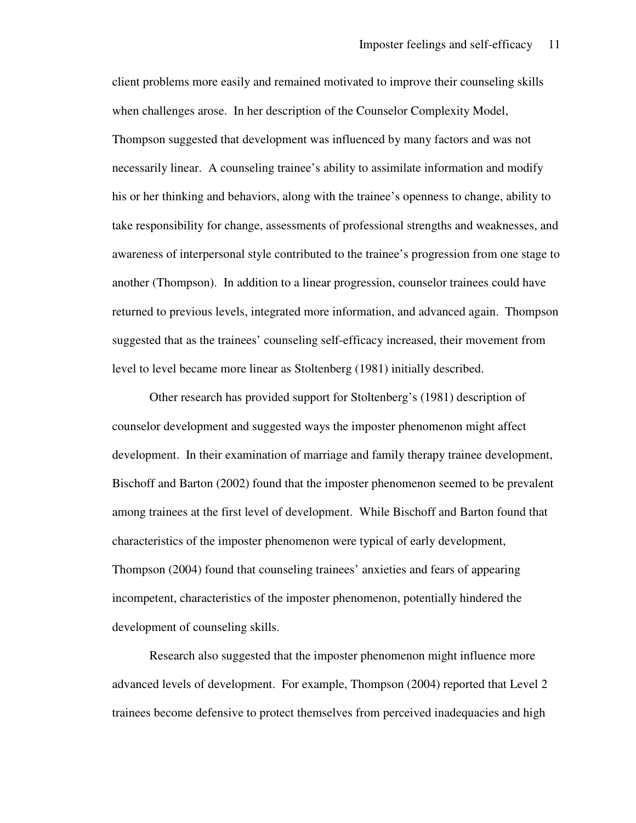client problems more easily and remained motivated to improve their counseling skills when challenges arose. In her description of the Counselor Complexity Model, Thompson suggested that development was influenced by many factors and was not necessarily linear. A counseling trainee's ability to assimilate information and modify his or her thinking and behaviors, along with the trainee's openness to change, ability to take responsibility for change, assessments of professional strengths and weaknesses, and awareness of interpersonal style contributed to the trainee's progression from one stage to another (Thompson). In addition to a linear progression, counselor trainees could have returned to previous levels, integrated more information, and advanced again. Thompson suggested that as the trainees' counseling self-efficacy increased, their movement from level to level became more linear as Stoltenberg (1981) initially described.

 Other research has provided support for Stoltenberg's (1981) description of counselor development and suggested ways the imposter phenomenon might affect development. In their examination of marriage and family therapy trainee development, Bischoff and Barton (2002) found that the imposter phenomenon seemed to be prevalent among trainees at the first level of development. While Bischoff and Barton found that characteristics of the imposter phenomenon were typical of early development, Thompson (2004) found that counseling trainees' anxieties and fears of appearing incompetent, characteristics of the imposter phenomenon, potentially hindered the development of counseling skills.

 Research also suggested that the imposter phenomenon might influence more advanced levels of development. For example, Thompson (2004) reported that Level 2 trainees become defensive to protect themselves from perceived inadequacies and high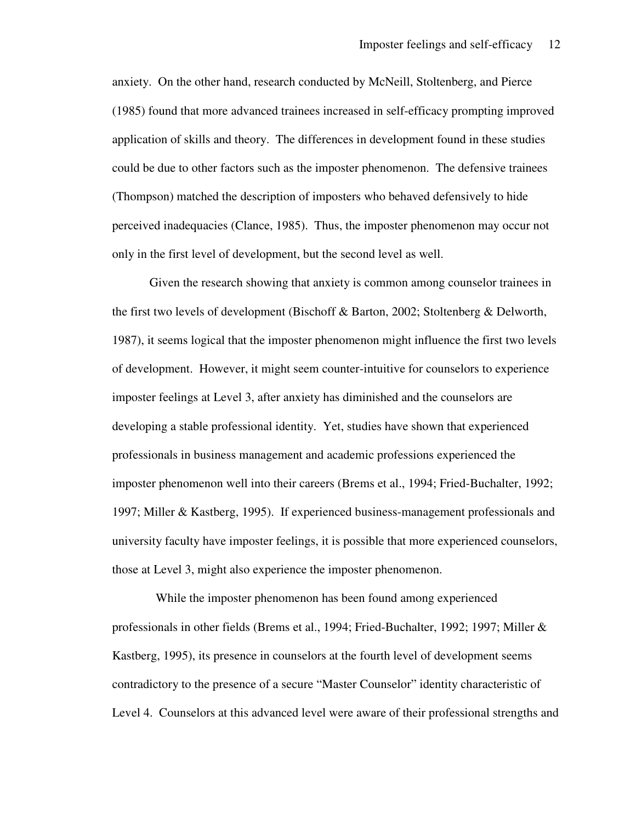anxiety. On the other hand, research conducted by McNeill, Stoltenberg, and Pierce (1985) found that more advanced trainees increased in self-efficacy prompting improved application of skills and theory. The differences in development found in these studies could be due to other factors such as the imposter phenomenon. The defensive trainees (Thompson) matched the description of imposters who behaved defensively to hide perceived inadequacies (Clance, 1985). Thus, the imposter phenomenon may occur not only in the first level of development, but the second level as well.

 Given the research showing that anxiety is common among counselor trainees in the first two levels of development (Bischoff & Barton, 2002; Stoltenberg & Delworth, 1987), it seems logical that the imposter phenomenon might influence the first two levels of development. However, it might seem counter-intuitive for counselors to experience imposter feelings at Level 3, after anxiety has diminished and the counselors are developing a stable professional identity. Yet, studies have shown that experienced professionals in business management and academic professions experienced the imposter phenomenon well into their careers (Brems et al., 1994; Fried-Buchalter, 1992; 1997; Miller & Kastberg, 1995). If experienced business-management professionals and university faculty have imposter feelings, it is possible that more experienced counselors, those at Level 3, might also experience the imposter phenomenon.

 While the imposter phenomenon has been found among experienced professionals in other fields (Brems et al., 1994; Fried-Buchalter, 1992; 1997; Miller & Kastberg, 1995), its presence in counselors at the fourth level of development seems contradictory to the presence of a secure "Master Counselor" identity characteristic of Level 4. Counselors at this advanced level were aware of their professional strengths and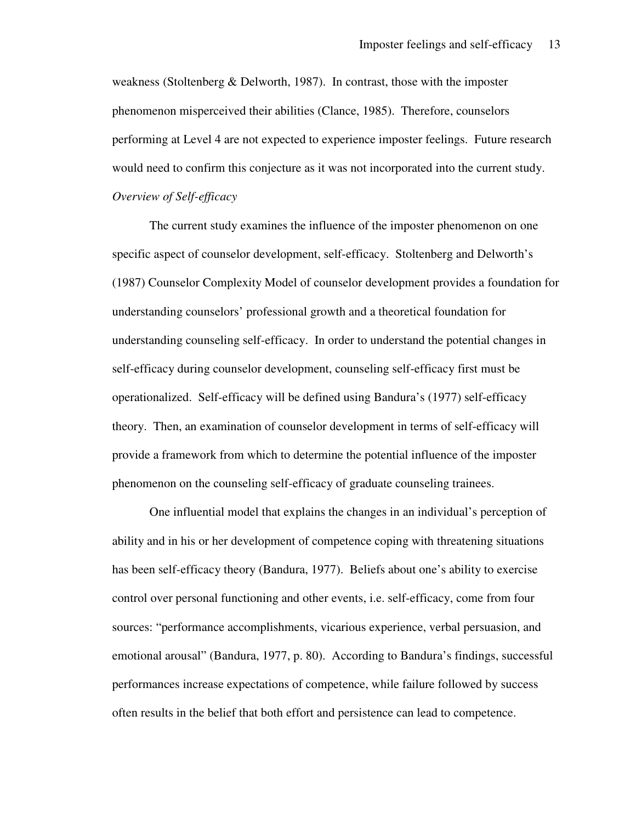weakness (Stoltenberg & Delworth, 1987). In contrast, those with the imposter phenomenon misperceived their abilities (Clance, 1985). Therefore, counselors performing at Level 4 are not expected to experience imposter feelings. Future research would need to confirm this conjecture as it was not incorporated into the current study. *Overview of Self-efficacy* 

 The current study examines the influence of the imposter phenomenon on one specific aspect of counselor development, self-efficacy. Stoltenberg and Delworth's (1987) Counselor Complexity Model of counselor development provides a foundation for understanding counselors' professional growth and a theoretical foundation for understanding counseling self-efficacy. In order to understand the potential changes in self-efficacy during counselor development, counseling self-efficacy first must be operationalized. Self-efficacy will be defined using Bandura's (1977) self-efficacy theory. Then, an examination of counselor development in terms of self-efficacy will provide a framework from which to determine the potential influence of the imposter phenomenon on the counseling self-efficacy of graduate counseling trainees.

One influential model that explains the changes in an individual's perception of ability and in his or her development of competence coping with threatening situations has been self-efficacy theory (Bandura, 1977). Beliefs about one's ability to exercise control over personal functioning and other events, i.e. self-efficacy, come from four sources: "performance accomplishments, vicarious experience, verbal persuasion, and emotional arousal" (Bandura, 1977, p. 80). According to Bandura's findings, successful performances increase expectations of competence, while failure followed by success often results in the belief that both effort and persistence can lead to competence.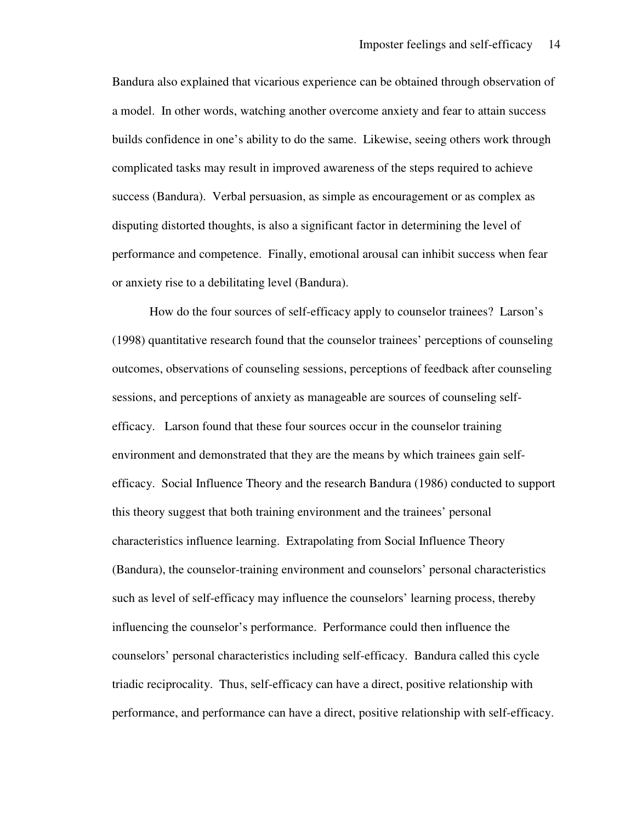Bandura also explained that vicarious experience can be obtained through observation of a model. In other words, watching another overcome anxiety and fear to attain success builds confidence in one's ability to do the same. Likewise, seeing others work through complicated tasks may result in improved awareness of the steps required to achieve success (Bandura). Verbal persuasion, as simple as encouragement or as complex as disputing distorted thoughts, is also a significant factor in determining the level of performance and competence. Finally, emotional arousal can inhibit success when fear or anxiety rise to a debilitating level (Bandura).

How do the four sources of self-efficacy apply to counselor trainees? Larson's (1998) quantitative research found that the counselor trainees' perceptions of counseling outcomes, observations of counseling sessions, perceptions of feedback after counseling sessions, and perceptions of anxiety as manageable are sources of counseling selfefficacy. Larson found that these four sources occur in the counselor training environment and demonstrated that they are the means by which trainees gain selfefficacy. Social Influence Theory and the research Bandura (1986) conducted to support this theory suggest that both training environment and the trainees' personal characteristics influence learning. Extrapolating from Social Influence Theory (Bandura), the counselor-training environment and counselors' personal characteristics such as level of self-efficacy may influence the counselors' learning process, thereby influencing the counselor's performance. Performance could then influence the counselors' personal characteristics including self-efficacy. Bandura called this cycle triadic reciprocality. Thus, self-efficacy can have a direct, positive relationship with performance, and performance can have a direct, positive relationship with self-efficacy.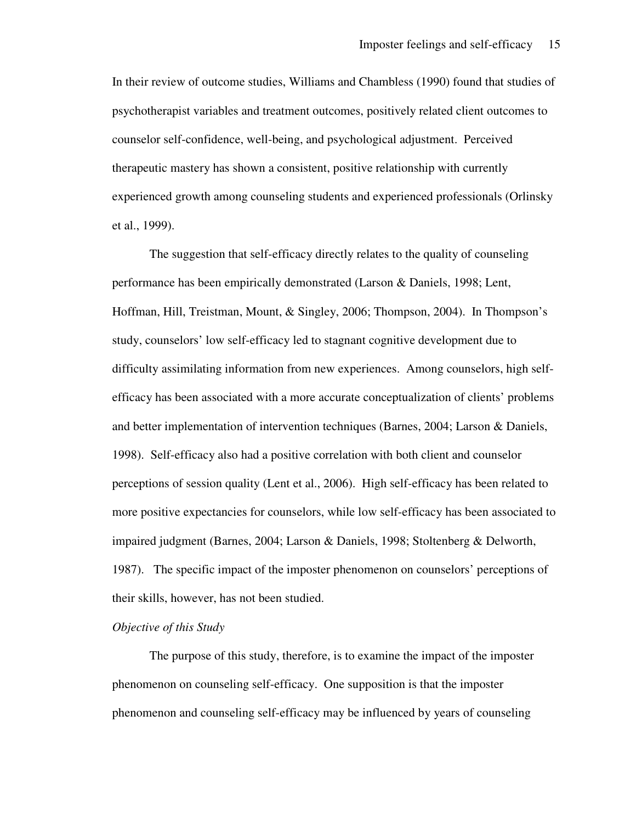In their review of outcome studies, Williams and Chambless (1990) found that studies of psychotherapist variables and treatment outcomes, positively related client outcomes to counselor self-confidence, well-being, and psychological adjustment. Perceived therapeutic mastery has shown a consistent, positive relationship with currently experienced growth among counseling students and experienced professionals (Orlinsky et al., 1999).

The suggestion that self-efficacy directly relates to the quality of counseling performance has been empirically demonstrated (Larson & Daniels, 1998; Lent, Hoffman, Hill, Treistman, Mount, & Singley, 2006; Thompson, 2004). In Thompson's study, counselors' low self-efficacy led to stagnant cognitive development due to difficulty assimilating information from new experiences. Among counselors, high selfefficacy has been associated with a more accurate conceptualization of clients' problems and better implementation of intervention techniques (Barnes, 2004; Larson & Daniels, 1998). Self-efficacy also had a positive correlation with both client and counselor perceptions of session quality (Lent et al., 2006). High self-efficacy has been related to more positive expectancies for counselors, while low self-efficacy has been associated to impaired judgment (Barnes, 2004; Larson & Daniels, 1998; Stoltenberg & Delworth, 1987). The specific impact of the imposter phenomenon on counselors' perceptions of their skills, however, has not been studied.

#### *Objective of this Study*

The purpose of this study, therefore, is to examine the impact of the imposter phenomenon on counseling self-efficacy. One supposition is that the imposter phenomenon and counseling self-efficacy may be influenced by years of counseling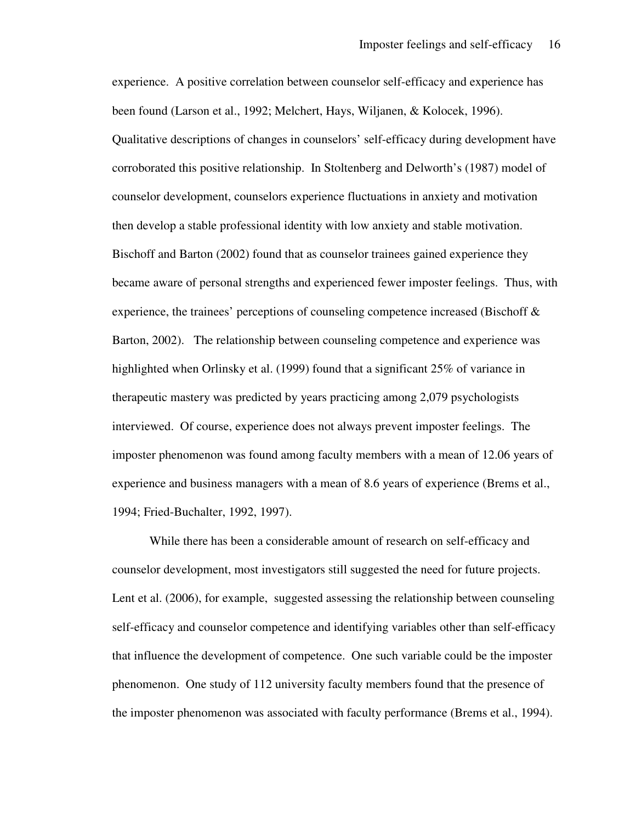experience. A positive correlation between counselor self-efficacy and experience has been found (Larson et al., 1992; Melchert, Hays, Wiljanen, & Kolocek, 1996). Qualitative descriptions of changes in counselors' self-efficacy during development have corroborated this positive relationship. In Stoltenberg and Delworth's (1987) model of counselor development, counselors experience fluctuations in anxiety and motivation then develop a stable professional identity with low anxiety and stable motivation. Bischoff and Barton (2002) found that as counselor trainees gained experience they became aware of personal strengths and experienced fewer imposter feelings. Thus, with experience, the trainees' perceptions of counseling competence increased (Bischoff & Barton, 2002). The relationship between counseling competence and experience was highlighted when Orlinsky et al. (1999) found that a significant 25% of variance in therapeutic mastery was predicted by years practicing among 2,079 psychologists interviewed. Of course, experience does not always prevent imposter feelings. The imposter phenomenon was found among faculty members with a mean of 12.06 years of experience and business managers with a mean of 8.6 years of experience (Brems et al., 1994; Fried-Buchalter, 1992, 1997).

While there has been a considerable amount of research on self-efficacy and counselor development, most investigators still suggested the need for future projects. Lent et al. (2006), for example, suggested assessing the relationship between counseling self-efficacy and counselor competence and identifying variables other than self-efficacy that influence the development of competence. One such variable could be the imposter phenomenon. One study of 112 university faculty members found that the presence of the imposter phenomenon was associated with faculty performance (Brems et al., 1994).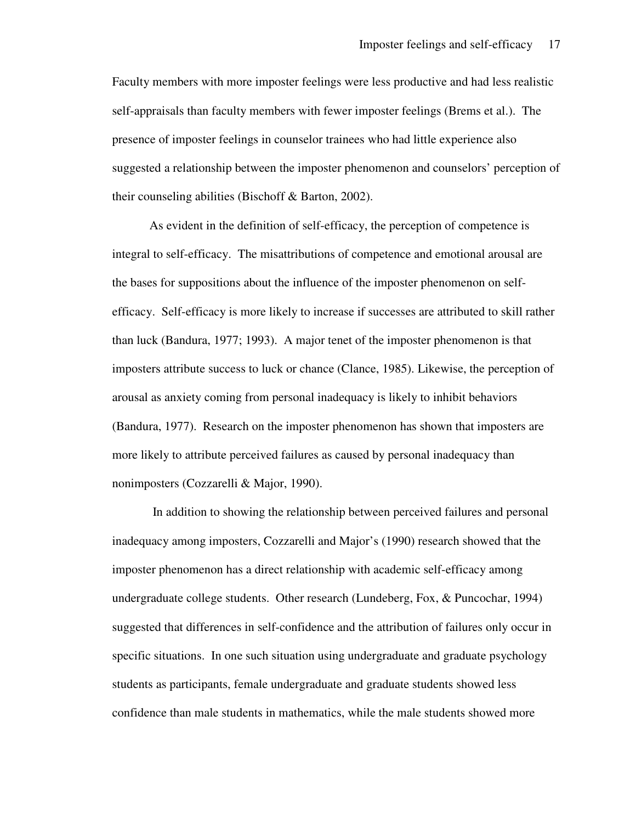Faculty members with more imposter feelings were less productive and had less realistic self-appraisals than faculty members with fewer imposter feelings (Brems et al.). The presence of imposter feelings in counselor trainees who had little experience also suggested a relationship between the imposter phenomenon and counselors' perception of their counseling abilities (Bischoff & Barton, 2002).

As evident in the definition of self-efficacy, the perception of competence is integral to self-efficacy. The misattributions of competence and emotional arousal are the bases for suppositions about the influence of the imposter phenomenon on selfefficacy. Self-efficacy is more likely to increase if successes are attributed to skill rather than luck (Bandura, 1977; 1993). A major tenet of the imposter phenomenon is that imposters attribute success to luck or chance (Clance, 1985). Likewise, the perception of arousal as anxiety coming from personal inadequacy is likely to inhibit behaviors (Bandura, 1977). Research on the imposter phenomenon has shown that imposters are more likely to attribute perceived failures as caused by personal inadequacy than nonimposters (Cozzarelli & Major, 1990).

 In addition to showing the relationship between perceived failures and personal inadequacy among imposters, Cozzarelli and Major's (1990) research showed that the imposter phenomenon has a direct relationship with academic self-efficacy among undergraduate college students. Other research (Lundeberg, Fox, & Puncochar, 1994) suggested that differences in self-confidence and the attribution of failures only occur in specific situations. In one such situation using undergraduate and graduate psychology students as participants, female undergraduate and graduate students showed less confidence than male students in mathematics, while the male students showed more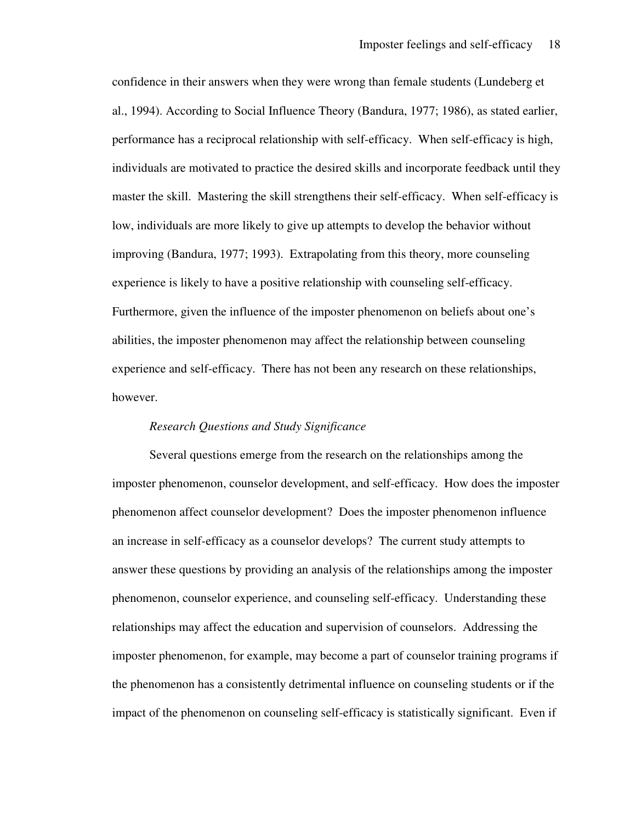confidence in their answers when they were wrong than female students (Lundeberg et al., 1994). According to Social Influence Theory (Bandura, 1977; 1986), as stated earlier, performance has a reciprocal relationship with self-efficacy. When self-efficacy is high, individuals are motivated to practice the desired skills and incorporate feedback until they master the skill. Mastering the skill strengthens their self-efficacy. When self-efficacy is low, individuals are more likely to give up attempts to develop the behavior without improving (Bandura, 1977; 1993). Extrapolating from this theory, more counseling experience is likely to have a positive relationship with counseling self-efficacy. Furthermore, given the influence of the imposter phenomenon on beliefs about one's abilities, the imposter phenomenon may affect the relationship between counseling experience and self-efficacy. There has not been any research on these relationships, however.

#### *Research Questions and Study Significance*

Several questions emerge from the research on the relationships among the imposter phenomenon, counselor development, and self-efficacy. How does the imposter phenomenon affect counselor development? Does the imposter phenomenon influence an increase in self-efficacy as a counselor develops? The current study attempts to answer these questions by providing an analysis of the relationships among the imposter phenomenon, counselor experience, and counseling self-efficacy. Understanding these relationships may affect the education and supervision of counselors. Addressing the imposter phenomenon, for example, may become a part of counselor training programs if the phenomenon has a consistently detrimental influence on counseling students or if the impact of the phenomenon on counseling self-efficacy is statistically significant. Even if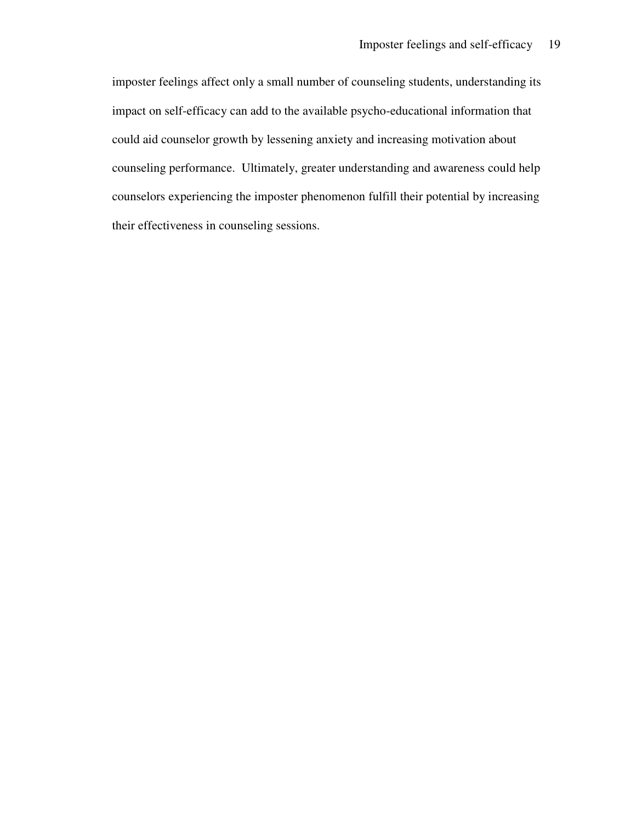imposter feelings affect only a small number of counseling students, understanding its impact on self-efficacy can add to the available psycho-educational information that could aid counselor growth by lessening anxiety and increasing motivation about counseling performance. Ultimately, greater understanding and awareness could help counselors experiencing the imposter phenomenon fulfill their potential by increasing their effectiveness in counseling sessions.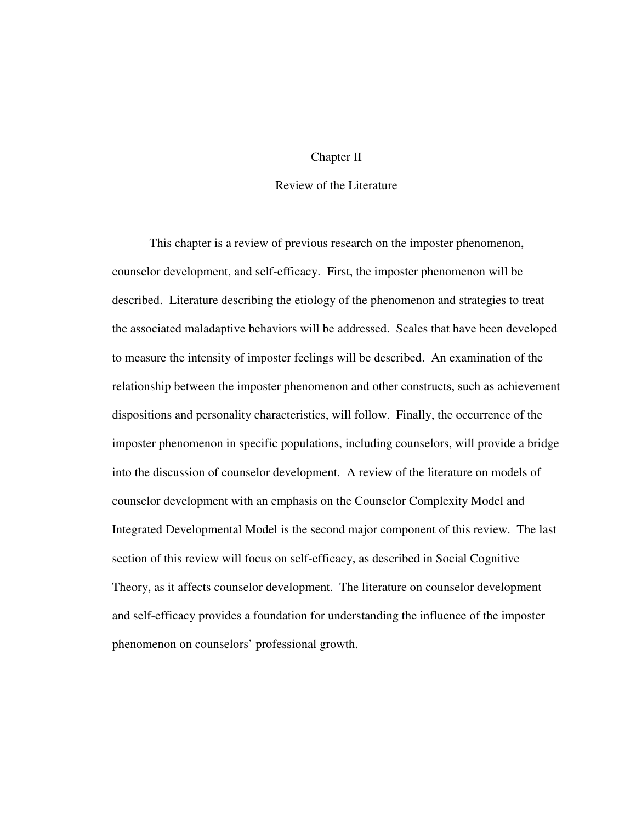#### Chapter II

### Review of the Literature

This chapter is a review of previous research on the imposter phenomenon, counselor development, and self-efficacy. First, the imposter phenomenon will be described. Literature describing the etiology of the phenomenon and strategies to treat the associated maladaptive behaviors will be addressed. Scales that have been developed to measure the intensity of imposter feelings will be described. An examination of the relationship between the imposter phenomenon and other constructs, such as achievement dispositions and personality characteristics, will follow. Finally, the occurrence of the imposter phenomenon in specific populations, including counselors, will provide a bridge into the discussion of counselor development. A review of the literature on models of counselor development with an emphasis on the Counselor Complexity Model and Integrated Developmental Model is the second major component of this review. The last section of this review will focus on self-efficacy, as described in Social Cognitive Theory, as it affects counselor development. The literature on counselor development and self-efficacy provides a foundation for understanding the influence of the imposter phenomenon on counselors' professional growth.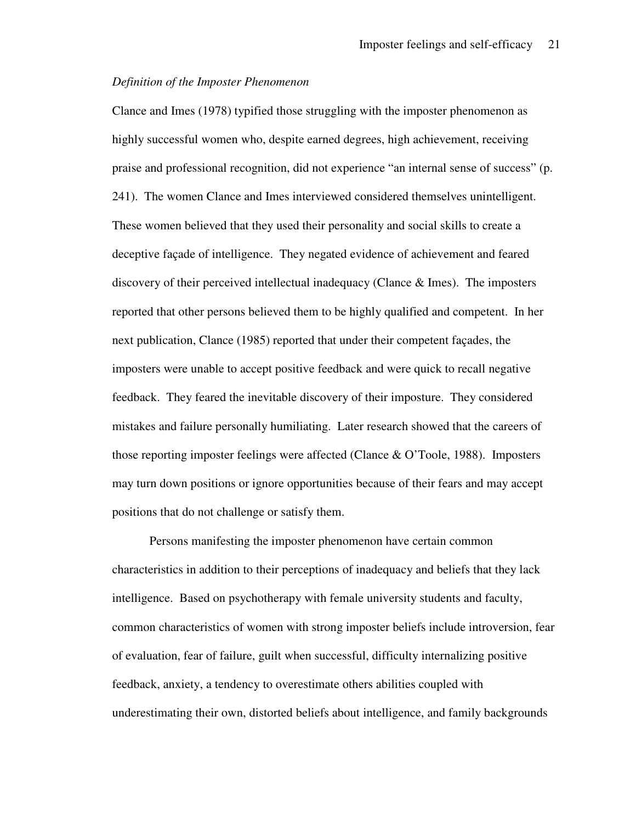#### *Definition of the Imposter Phenomenon*

Clance and Imes (1978) typified those struggling with the imposter phenomenon as highly successful women who, despite earned degrees, high achievement, receiving praise and professional recognition, did not experience "an internal sense of success" (p. 241). The women Clance and Imes interviewed considered themselves unintelligent. These women believed that they used their personality and social skills to create a deceptive façade of intelligence. They negated evidence of achievement and feared discovery of their perceived intellectual inadequacy (Clance & Imes). The imposters reported that other persons believed them to be highly qualified and competent. In her next publication, Clance (1985) reported that under their competent façades, the imposters were unable to accept positive feedback and were quick to recall negative feedback. They feared the inevitable discovery of their imposture. They considered mistakes and failure personally humiliating. Later research showed that the careers of those reporting imposter feelings were affected (Clance & O'Toole, 1988). Imposters may turn down positions or ignore opportunities because of their fears and may accept positions that do not challenge or satisfy them.

Persons manifesting the imposter phenomenon have certain common characteristics in addition to their perceptions of inadequacy and beliefs that they lack intelligence. Based on psychotherapy with female university students and faculty, common characteristics of women with strong imposter beliefs include introversion, fear of evaluation, fear of failure, guilt when successful, difficulty internalizing positive feedback, anxiety, a tendency to overestimate others abilities coupled with underestimating their own, distorted beliefs about intelligence, and family backgrounds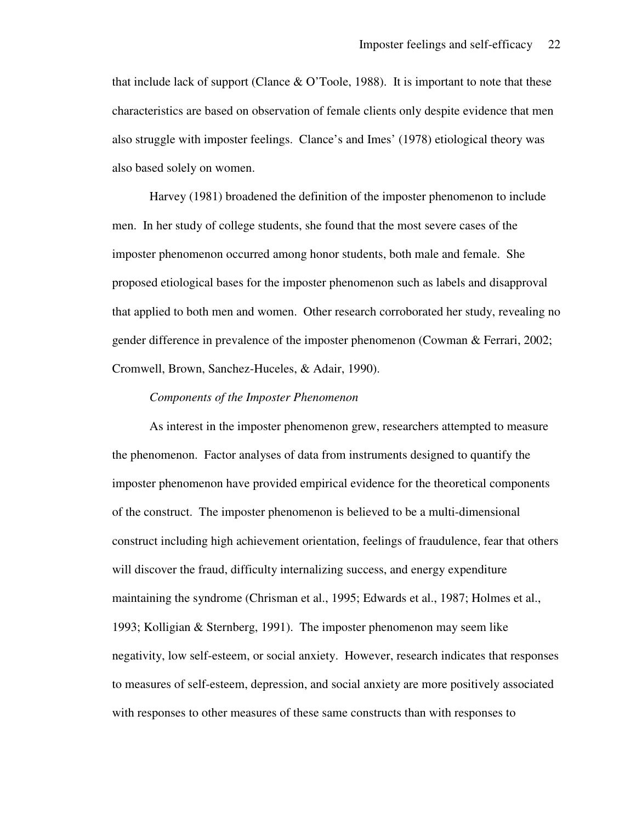that include lack of support (Clance  $& O'Toole$ , 1988). It is important to note that these characteristics are based on observation of female clients only despite evidence that men also struggle with imposter feelings. Clance's and Imes' (1978) etiological theory was also based solely on women.

Harvey (1981) broadened the definition of the imposter phenomenon to include men. In her study of college students, she found that the most severe cases of the imposter phenomenon occurred among honor students, both male and female. She proposed etiological bases for the imposter phenomenon such as labels and disapproval that applied to both men and women. Other research corroborated her study, revealing no gender difference in prevalence of the imposter phenomenon (Cowman & Ferrari, 2002; Cromwell, Brown, Sanchez-Huceles, & Adair, 1990).

#### *Components of the Imposter Phenomenon*

As interest in the imposter phenomenon grew, researchers attempted to measure the phenomenon. Factor analyses of data from instruments designed to quantify the imposter phenomenon have provided empirical evidence for the theoretical components of the construct. The imposter phenomenon is believed to be a multi-dimensional construct including high achievement orientation, feelings of fraudulence, fear that others will discover the fraud, difficulty internalizing success, and energy expenditure maintaining the syndrome (Chrisman et al., 1995; Edwards et al., 1987; Holmes et al., 1993; Kolligian & Sternberg, 1991). The imposter phenomenon may seem like negativity, low self-esteem, or social anxiety. However, research indicates that responses to measures of self-esteem, depression, and social anxiety are more positively associated with responses to other measures of these same constructs than with responses to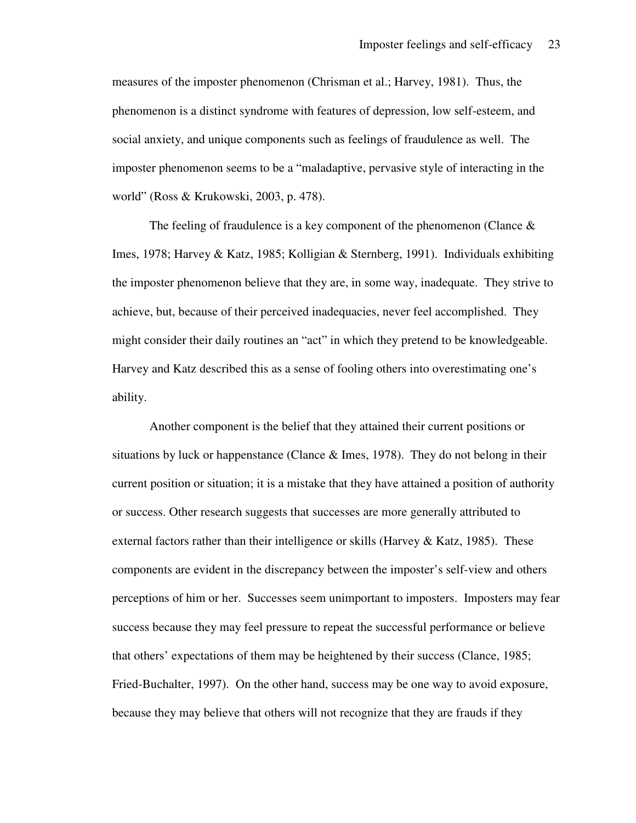measures of the imposter phenomenon (Chrisman et al.; Harvey, 1981). Thus, the phenomenon is a distinct syndrome with features of depression, low self-esteem, and social anxiety, and unique components such as feelings of fraudulence as well. The imposter phenomenon seems to be a "maladaptive, pervasive style of interacting in the world" (Ross & Krukowski, 2003, p. 478).

The feeling of fraudulence is a key component of the phenomenon (Clance  $\&$ Imes, 1978; Harvey & Katz, 1985; Kolligian & Sternberg, 1991). Individuals exhibiting the imposter phenomenon believe that they are, in some way, inadequate. They strive to achieve, but, because of their perceived inadequacies, never feel accomplished. They might consider their daily routines an "act" in which they pretend to be knowledgeable. Harvey and Katz described this as a sense of fooling others into overestimating one's ability.

Another component is the belief that they attained their current positions or situations by luck or happenstance (Clance  $\&$  Imes, 1978). They do not belong in their current position or situation; it is a mistake that they have attained a position of authority or success. Other research suggests that successes are more generally attributed to external factors rather than their intelligence or skills (Harvey & Katz, 1985). These components are evident in the discrepancy between the imposter's self-view and others perceptions of him or her. Successes seem unimportant to imposters. Imposters may fear success because they may feel pressure to repeat the successful performance or believe that others' expectations of them may be heightened by their success (Clance, 1985; Fried-Buchalter, 1997). On the other hand, success may be one way to avoid exposure, because they may believe that others will not recognize that they are frauds if they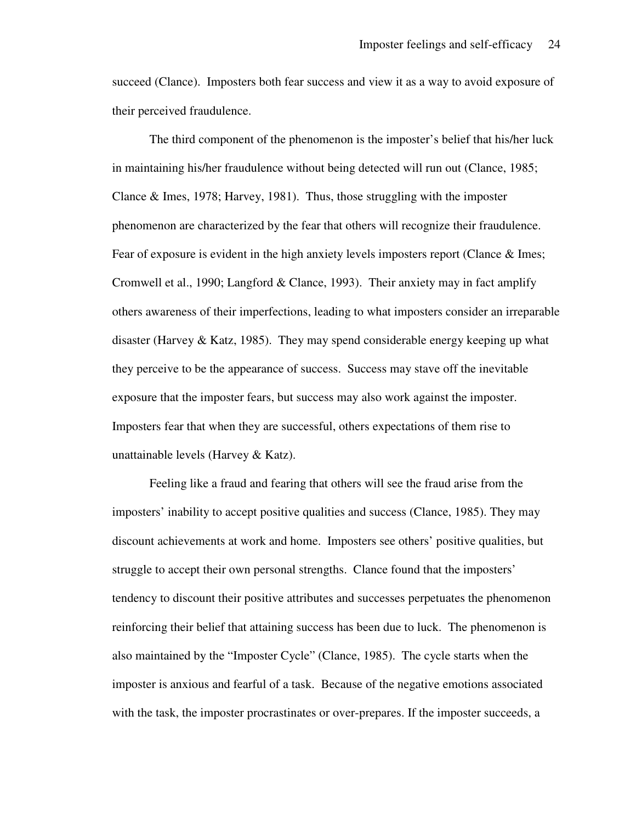succeed (Clance). Imposters both fear success and view it as a way to avoid exposure of their perceived fraudulence.

The third component of the phenomenon is the imposter's belief that his/her luck in maintaining his/her fraudulence without being detected will run out (Clance, 1985; Clance & Imes, 1978; Harvey, 1981). Thus, those struggling with the imposter phenomenon are characterized by the fear that others will recognize their fraudulence. Fear of exposure is evident in the high anxiety levels imposters report (Clance & Imes; Cromwell et al., 1990; Langford & Clance, 1993). Their anxiety may in fact amplify others awareness of their imperfections, leading to what imposters consider an irreparable disaster (Harvey & Katz, 1985). They may spend considerable energy keeping up what they perceive to be the appearance of success. Success may stave off the inevitable exposure that the imposter fears, but success may also work against the imposter. Imposters fear that when they are successful, others expectations of them rise to unattainable levels (Harvey & Katz).

 Feeling like a fraud and fearing that others will see the fraud arise from the imposters' inability to accept positive qualities and success (Clance, 1985). They may discount achievements at work and home. Imposters see others' positive qualities, but struggle to accept their own personal strengths. Clance found that the imposters' tendency to discount their positive attributes and successes perpetuates the phenomenon reinforcing their belief that attaining success has been due to luck. The phenomenon is also maintained by the "Imposter Cycle" (Clance, 1985). The cycle starts when the imposter is anxious and fearful of a task. Because of the negative emotions associated with the task, the imposter procrastinates or over-prepares. If the imposter succeeds, a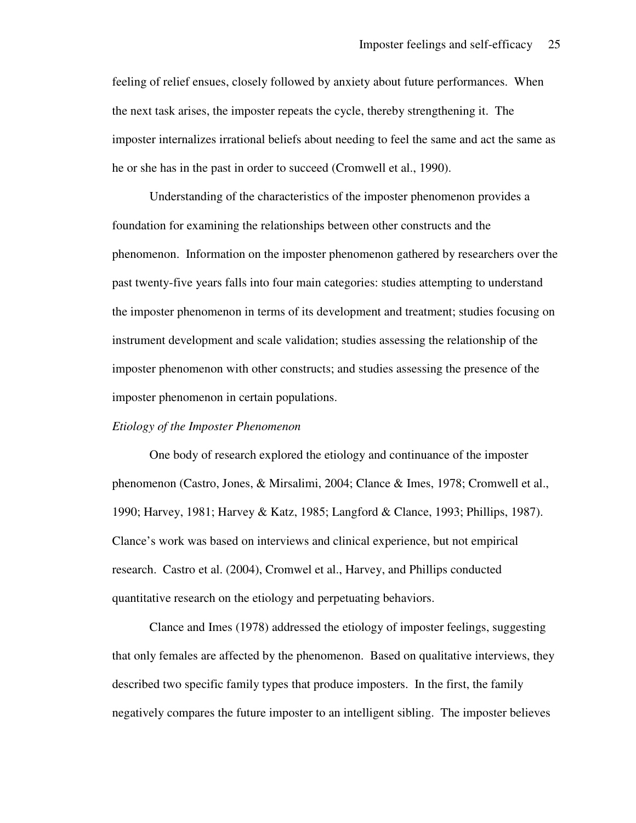feeling of relief ensues, closely followed by anxiety about future performances. When the next task arises, the imposter repeats the cycle, thereby strengthening it. The imposter internalizes irrational beliefs about needing to feel the same and act the same as he or she has in the past in order to succeed (Cromwell et al., 1990).

 Understanding of the characteristics of the imposter phenomenon provides a foundation for examining the relationships between other constructs and the phenomenon. Information on the imposter phenomenon gathered by researchers over the past twenty-five years falls into four main categories: studies attempting to understand the imposter phenomenon in terms of its development and treatment; studies focusing on instrument development and scale validation; studies assessing the relationship of the imposter phenomenon with other constructs; and studies assessing the presence of the imposter phenomenon in certain populations.

## *Etiology of the Imposter Phenomenon*

One body of research explored the etiology and continuance of the imposter phenomenon (Castro, Jones, & Mirsalimi, 2004; Clance & Imes, 1978; Cromwell et al., 1990; Harvey, 1981; Harvey & Katz, 1985; Langford & Clance, 1993; Phillips, 1987). Clance's work was based on interviews and clinical experience, but not empirical research. Castro et al. (2004), Cromwel et al., Harvey, and Phillips conducted quantitative research on the etiology and perpetuating behaviors.

Clance and Imes (1978) addressed the etiology of imposter feelings, suggesting that only females are affected by the phenomenon. Based on qualitative interviews, they described two specific family types that produce imposters. In the first, the family negatively compares the future imposter to an intelligent sibling. The imposter believes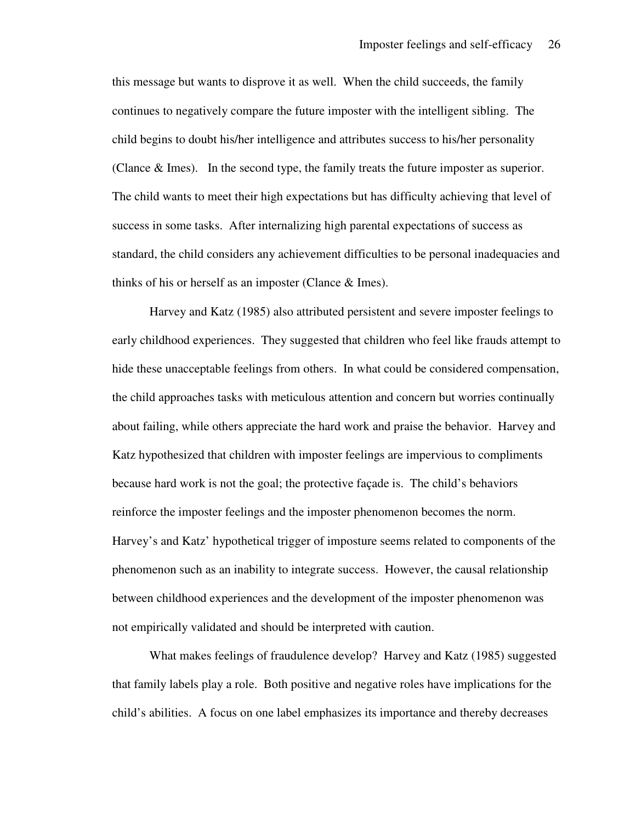this message but wants to disprove it as well. When the child succeeds, the family continues to negatively compare the future imposter with the intelligent sibling. The child begins to doubt his/her intelligence and attributes success to his/her personality (Clance & Imes). In the second type, the family treats the future imposter as superior. The child wants to meet their high expectations but has difficulty achieving that level of success in some tasks. After internalizing high parental expectations of success as standard, the child considers any achievement difficulties to be personal inadequacies and thinks of his or herself as an imposter (Clance & Imes).

Harvey and Katz (1985) also attributed persistent and severe imposter feelings to early childhood experiences. They suggested that children who feel like frauds attempt to hide these unacceptable feelings from others. In what could be considered compensation, the child approaches tasks with meticulous attention and concern but worries continually about failing, while others appreciate the hard work and praise the behavior. Harvey and Katz hypothesized that children with imposter feelings are impervious to compliments because hard work is not the goal; the protective façade is. The child's behaviors reinforce the imposter feelings and the imposter phenomenon becomes the norm. Harvey's and Katz' hypothetical trigger of imposture seems related to components of the phenomenon such as an inability to integrate success. However, the causal relationship between childhood experiences and the development of the imposter phenomenon was not empirically validated and should be interpreted with caution.

 What makes feelings of fraudulence develop? Harvey and Katz (1985) suggested that family labels play a role. Both positive and negative roles have implications for the child's abilities. A focus on one label emphasizes its importance and thereby decreases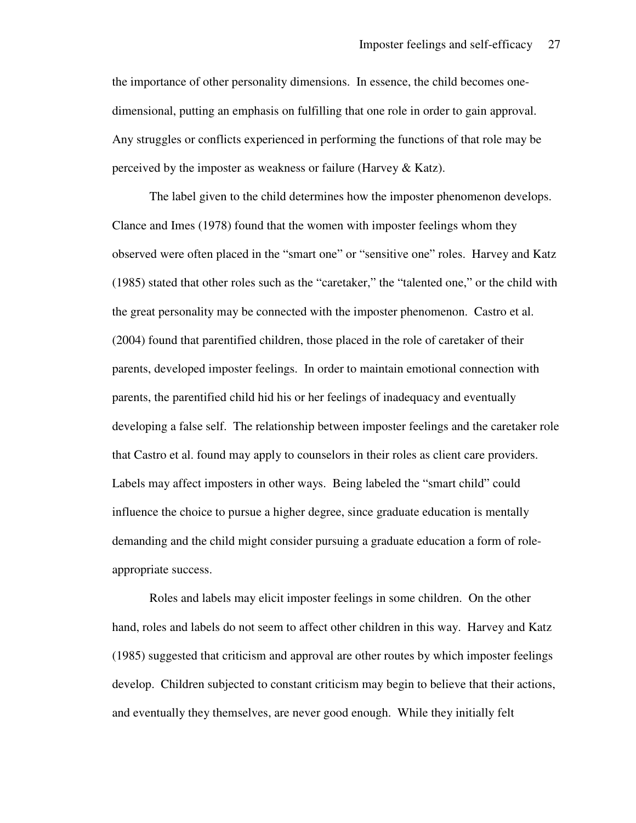the importance of other personality dimensions. In essence, the child becomes onedimensional, putting an emphasis on fulfilling that one role in order to gain approval. Any struggles or conflicts experienced in performing the functions of that role may be perceived by the imposter as weakness or failure (Harvey & Katz).

The label given to the child determines how the imposter phenomenon develops. Clance and Imes (1978) found that the women with imposter feelings whom they observed were often placed in the "smart one" or "sensitive one" roles. Harvey and Katz (1985) stated that other roles such as the "caretaker," the "talented one," or the child with the great personality may be connected with the imposter phenomenon. Castro et al. (2004) found that parentified children, those placed in the role of caretaker of their parents, developed imposter feelings. In order to maintain emotional connection with parents, the parentified child hid his or her feelings of inadequacy and eventually developing a false self. The relationship between imposter feelings and the caretaker role that Castro et al. found may apply to counselors in their roles as client care providers. Labels may affect imposters in other ways. Being labeled the "smart child" could influence the choice to pursue a higher degree, since graduate education is mentally demanding and the child might consider pursuing a graduate education a form of roleappropriate success.

Roles and labels may elicit imposter feelings in some children. On the other hand, roles and labels do not seem to affect other children in this way. Harvey and Katz (1985) suggested that criticism and approval are other routes by which imposter feelings develop. Children subjected to constant criticism may begin to believe that their actions, and eventually they themselves, are never good enough. While they initially felt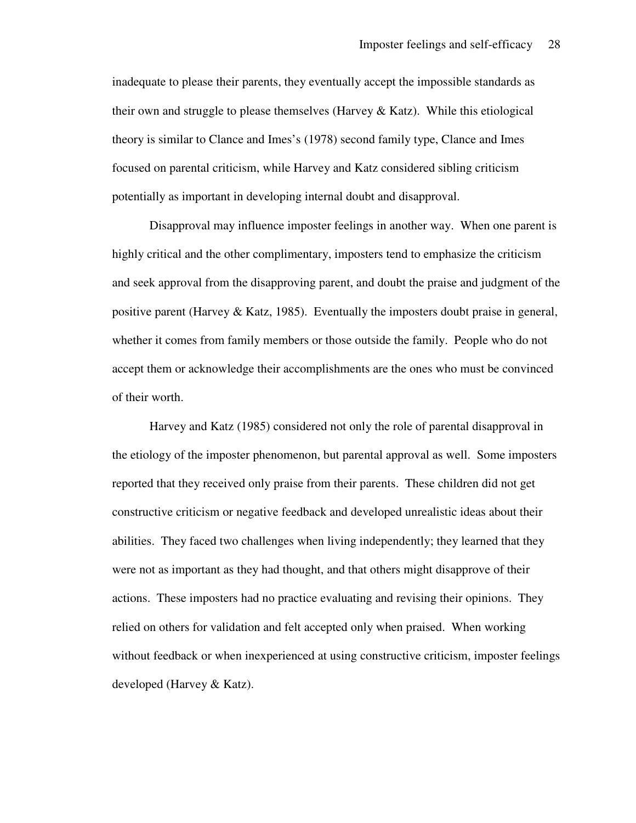inadequate to please their parents, they eventually accept the impossible standards as their own and struggle to please themselves (Harvey & Katz). While this etiological theory is similar to Clance and Imes's (1978) second family type, Clance and Imes focused on parental criticism, while Harvey and Katz considered sibling criticism potentially as important in developing internal doubt and disapproval.

Disapproval may influence imposter feelings in another way. When one parent is highly critical and the other complimentary, imposters tend to emphasize the criticism and seek approval from the disapproving parent, and doubt the praise and judgment of the positive parent (Harvey & Katz, 1985). Eventually the imposters doubt praise in general, whether it comes from family members or those outside the family. People who do not accept them or acknowledge their accomplishments are the ones who must be convinced of their worth.

Harvey and Katz (1985) considered not only the role of parental disapproval in the etiology of the imposter phenomenon, but parental approval as well. Some imposters reported that they received only praise from their parents. These children did not get constructive criticism or negative feedback and developed unrealistic ideas about their abilities. They faced two challenges when living independently; they learned that they were not as important as they had thought, and that others might disapprove of their actions. These imposters had no practice evaluating and revising their opinions. They relied on others for validation and felt accepted only when praised. When working without feedback or when inexperienced at using constructive criticism, imposter feelings developed (Harvey & Katz).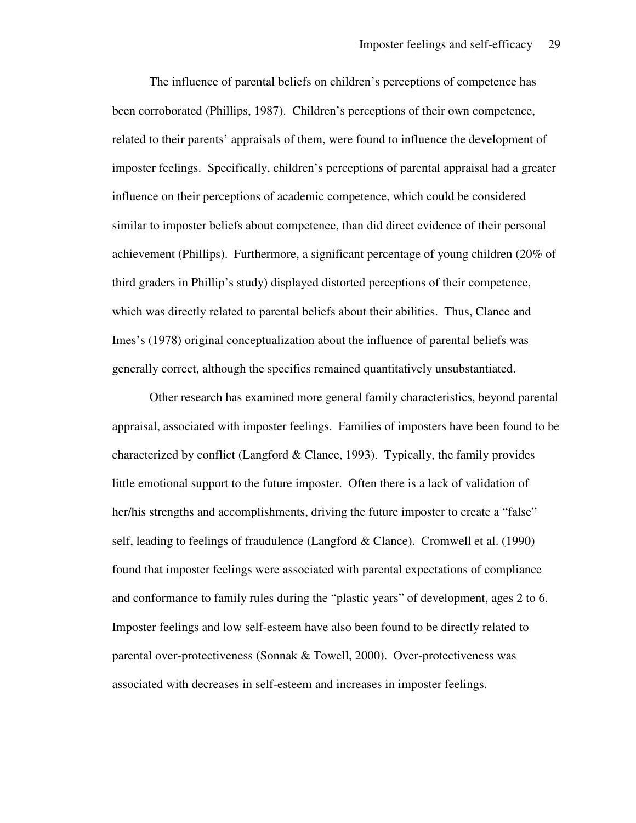The influence of parental beliefs on children's perceptions of competence has been corroborated (Phillips, 1987). Children's perceptions of their own competence, related to their parents' appraisals of them, were found to influence the development of imposter feelings. Specifically, children's perceptions of parental appraisal had a greater influence on their perceptions of academic competence, which could be considered similar to imposter beliefs about competence, than did direct evidence of their personal achievement (Phillips). Furthermore, a significant percentage of young children (20% of third graders in Phillip's study) displayed distorted perceptions of their competence, which was directly related to parental beliefs about their abilities. Thus, Clance and Imes's (1978) original conceptualization about the influence of parental beliefs was generally correct, although the specifics remained quantitatively unsubstantiated.

Other research has examined more general family characteristics, beyond parental appraisal, associated with imposter feelings. Families of imposters have been found to be characterized by conflict (Langford & Clance, 1993). Typically, the family provides little emotional support to the future imposter. Often there is a lack of validation of her/his strengths and accomplishments, driving the future imposter to create a "false" self, leading to feelings of fraudulence (Langford & Clance). Cromwell et al. (1990) found that imposter feelings were associated with parental expectations of compliance and conformance to family rules during the "plastic years" of development, ages 2 to 6. Imposter feelings and low self-esteem have also been found to be directly related to parental over-protectiveness (Sonnak & Towell, 2000). Over-protectiveness was associated with decreases in self-esteem and increases in imposter feelings.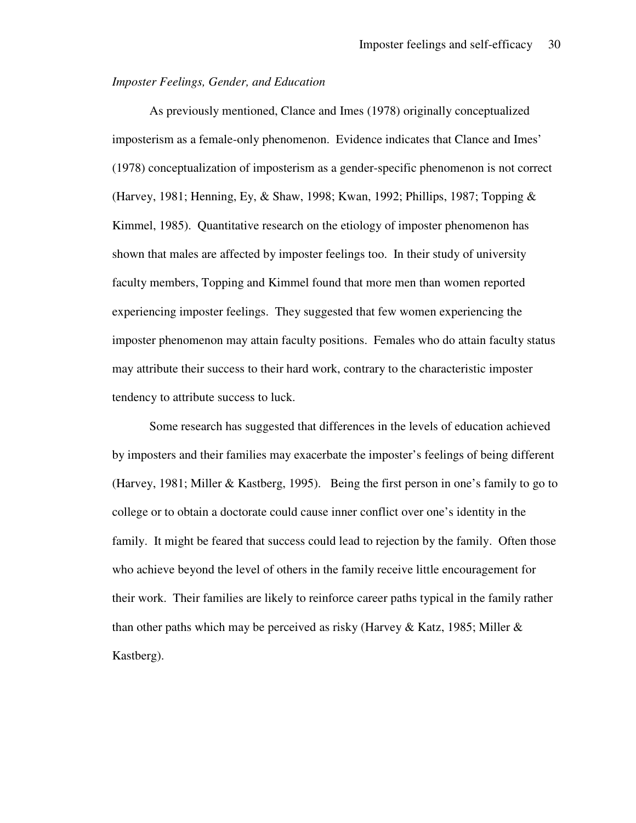# *Imposter Feelings, Gender, and Education*

As previously mentioned, Clance and Imes (1978) originally conceptualized imposterism as a female-only phenomenon. Evidence indicates that Clance and Imes' (1978) conceptualization of imposterism as a gender-specific phenomenon is not correct (Harvey, 1981; Henning, Ey, & Shaw, 1998; Kwan, 1992; Phillips, 1987; Topping & Kimmel, 1985). Quantitative research on the etiology of imposter phenomenon has shown that males are affected by imposter feelings too. In their study of university faculty members, Topping and Kimmel found that more men than women reported experiencing imposter feelings. They suggested that few women experiencing the imposter phenomenon may attain faculty positions. Females who do attain faculty status may attribute their success to their hard work, contrary to the characteristic imposter tendency to attribute success to luck.

Some research has suggested that differences in the levels of education achieved by imposters and their families may exacerbate the imposter's feelings of being different (Harvey, 1981; Miller & Kastberg, 1995). Being the first person in one's family to go to college or to obtain a doctorate could cause inner conflict over one's identity in the family. It might be feared that success could lead to rejection by the family. Often those who achieve beyond the level of others in the family receive little encouragement for their work. Their families are likely to reinforce career paths typical in the family rather than other paths which may be perceived as risky (Harvey & Katz, 1985; Miller  $\&$ Kastberg).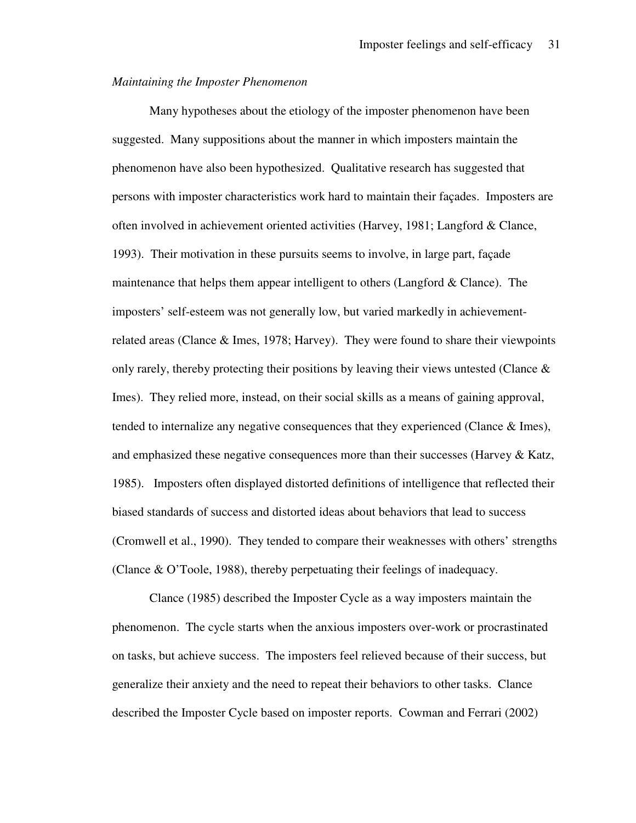## *Maintaining the Imposter Phenomenon*

Many hypotheses about the etiology of the imposter phenomenon have been suggested. Many suppositions about the manner in which imposters maintain the phenomenon have also been hypothesized. Qualitative research has suggested that persons with imposter characteristics work hard to maintain their façades. Imposters are often involved in achievement oriented activities (Harvey, 1981; Langford & Clance, 1993). Their motivation in these pursuits seems to involve, in large part, façade maintenance that helps them appear intelligent to others (Langford  $&$  Clance). The imposters' self-esteem was not generally low, but varied markedly in achievementrelated areas (Clance & Imes, 1978; Harvey). They were found to share their viewpoints only rarely, thereby protecting their positions by leaving their views untested (Clance & Imes). They relied more, instead, on their social skills as a means of gaining approval, tended to internalize any negative consequences that they experienced (Clance & Imes), and emphasized these negative consequences more than their successes (Harvey  $\&$  Katz, 1985). Imposters often displayed distorted definitions of intelligence that reflected their biased standards of success and distorted ideas about behaviors that lead to success (Cromwell et al., 1990). They tended to compare their weaknesses with others' strengths (Clance & O'Toole, 1988), thereby perpetuating their feelings of inadequacy.

Clance (1985) described the Imposter Cycle as a way imposters maintain the phenomenon. The cycle starts when the anxious imposters over-work or procrastinated on tasks, but achieve success. The imposters feel relieved because of their success, but generalize their anxiety and the need to repeat their behaviors to other tasks. Clance described the Imposter Cycle based on imposter reports. Cowman and Ferrari (2002)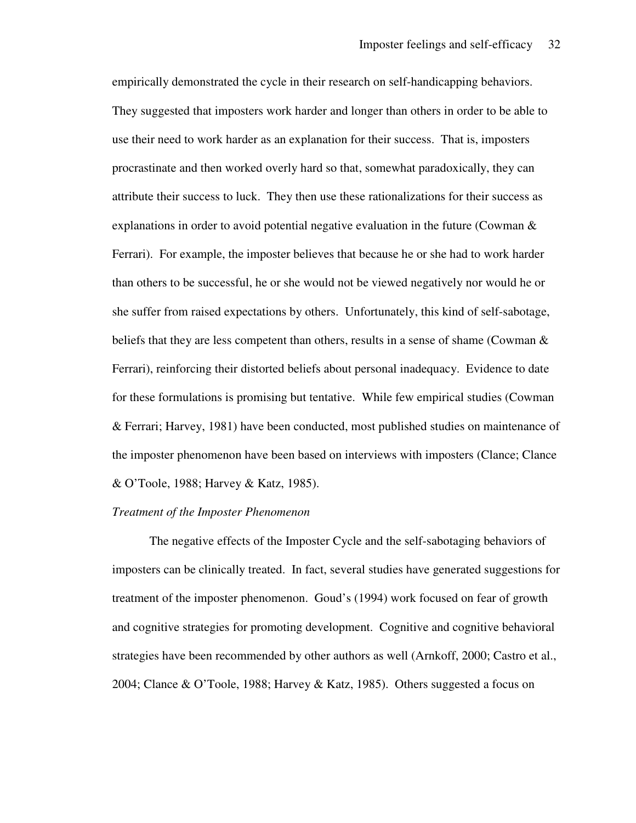empirically demonstrated the cycle in their research on self-handicapping behaviors. They suggested that imposters work harder and longer than others in order to be able to use their need to work harder as an explanation for their success. That is, imposters procrastinate and then worked overly hard so that, somewhat paradoxically, they can attribute their success to luck. They then use these rationalizations for their success as explanations in order to avoid potential negative evaluation in the future (Cowman  $\&$ Ferrari). For example, the imposter believes that because he or she had to work harder than others to be successful, he or she would not be viewed negatively nor would he or she suffer from raised expectations by others. Unfortunately, this kind of self-sabotage, beliefs that they are less competent than others, results in a sense of shame (Cowman & Ferrari), reinforcing their distorted beliefs about personal inadequacy. Evidence to date for these formulations is promising but tentative. While few empirical studies (Cowman & Ferrari; Harvey, 1981) have been conducted, most published studies on maintenance of the imposter phenomenon have been based on interviews with imposters (Clance; Clance & O'Toole, 1988; Harvey & Katz, 1985).

### *Treatment of the Imposter Phenomenon*

The negative effects of the Imposter Cycle and the self-sabotaging behaviors of imposters can be clinically treated. In fact, several studies have generated suggestions for treatment of the imposter phenomenon. Goud's (1994) work focused on fear of growth and cognitive strategies for promoting development. Cognitive and cognitive behavioral strategies have been recommended by other authors as well (Arnkoff, 2000; Castro et al., 2004; Clance & O'Toole, 1988; Harvey & Katz, 1985). Others suggested a focus on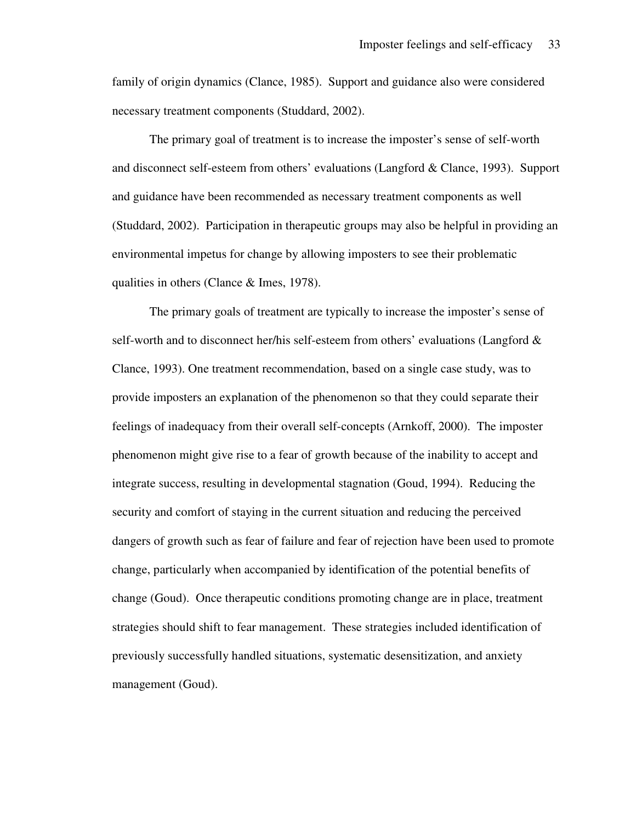family of origin dynamics (Clance, 1985). Support and guidance also were considered necessary treatment components (Studdard, 2002).

The primary goal of treatment is to increase the imposter's sense of self-worth and disconnect self-esteem from others' evaluations (Langford & Clance, 1993). Support and guidance have been recommended as necessary treatment components as well (Studdard, 2002). Participation in therapeutic groups may also be helpful in providing an environmental impetus for change by allowing imposters to see their problematic qualities in others (Clance & Imes, 1978).

The primary goals of treatment are typically to increase the imposter's sense of self-worth and to disconnect her/his self-esteem from others' evaluations (Langford & Clance, 1993). One treatment recommendation, based on a single case study, was to provide imposters an explanation of the phenomenon so that they could separate their feelings of inadequacy from their overall self-concepts (Arnkoff, 2000). The imposter phenomenon might give rise to a fear of growth because of the inability to accept and integrate success, resulting in developmental stagnation (Goud, 1994). Reducing the security and comfort of staying in the current situation and reducing the perceived dangers of growth such as fear of failure and fear of rejection have been used to promote change, particularly when accompanied by identification of the potential benefits of change (Goud). Once therapeutic conditions promoting change are in place, treatment strategies should shift to fear management. These strategies included identification of previously successfully handled situations, systematic desensitization, and anxiety management (Goud).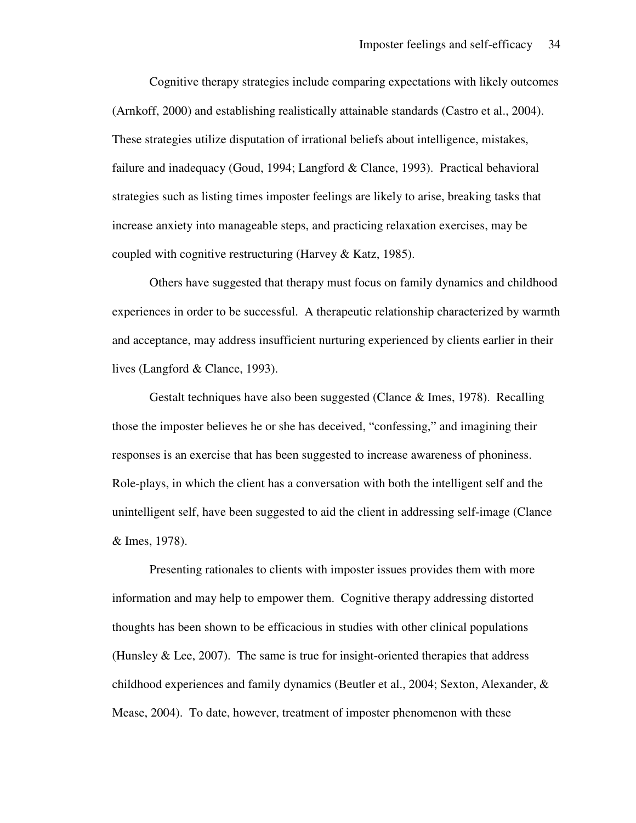Cognitive therapy strategies include comparing expectations with likely outcomes (Arnkoff, 2000) and establishing realistically attainable standards (Castro et al., 2004). These strategies utilize disputation of irrational beliefs about intelligence, mistakes, failure and inadequacy (Goud, 1994; Langford & Clance, 1993). Practical behavioral strategies such as listing times imposter feelings are likely to arise, breaking tasks that increase anxiety into manageable steps, and practicing relaxation exercises, may be coupled with cognitive restructuring (Harvey & Katz, 1985).

Others have suggested that therapy must focus on family dynamics and childhood experiences in order to be successful. A therapeutic relationship characterized by warmth and acceptance, may address insufficient nurturing experienced by clients earlier in their lives (Langford & Clance, 1993).

Gestalt techniques have also been suggested (Clance & Imes, 1978). Recalling those the imposter believes he or she has deceived, "confessing," and imagining their responses is an exercise that has been suggested to increase awareness of phoniness. Role-plays, in which the client has a conversation with both the intelligent self and the unintelligent self, have been suggested to aid the client in addressing self-image (Clance & Imes, 1978).

Presenting rationales to clients with imposter issues provides them with more information and may help to empower them. Cognitive therapy addressing distorted thoughts has been shown to be efficacious in studies with other clinical populations (Hunsley  $& Lee, 2007$ ). The same is true for insight-oriented therapies that address childhood experiences and family dynamics (Beutler et al., 2004; Sexton, Alexander, & Mease, 2004). To date, however, treatment of imposter phenomenon with these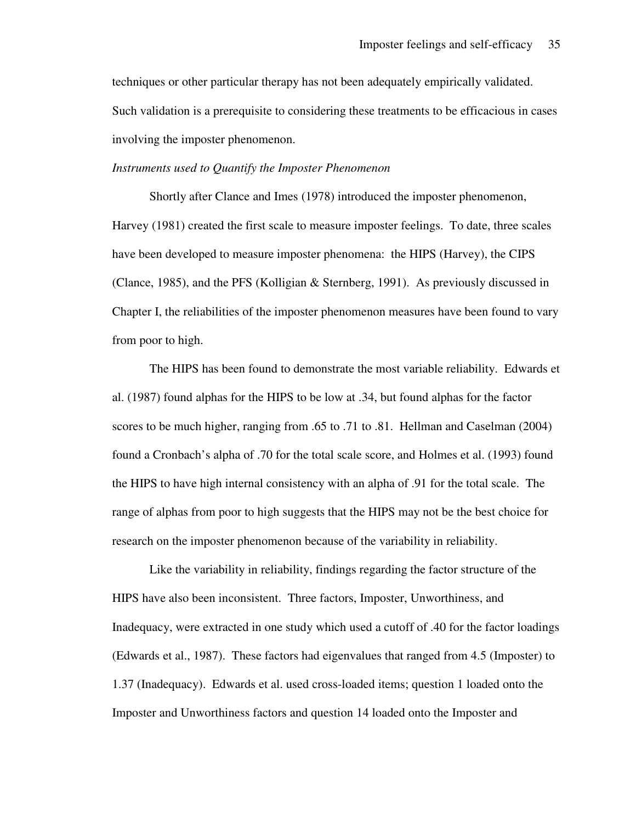techniques or other particular therapy has not been adequately empirically validated. Such validation is a prerequisite to considering these treatments to be efficacious in cases involving the imposter phenomenon.

## *Instruments used to Quantify the Imposter Phenomenon*

 Shortly after Clance and Imes (1978) introduced the imposter phenomenon, Harvey (1981) created the first scale to measure imposter feelings. To date, three scales have been developed to measure imposter phenomena: the HIPS (Harvey), the CIPS (Clance, 1985), and the PFS (Kolligian & Sternberg, 1991). As previously discussed in Chapter I, the reliabilities of the imposter phenomenon measures have been found to vary from poor to high.

The HIPS has been found to demonstrate the most variable reliability. Edwards et al. (1987) found alphas for the HIPS to be low at .34, but found alphas for the factor scores to be much higher, ranging from .65 to .71 to .81. Hellman and Caselman (2004) found a Cronbach's alpha of .70 for the total scale score, and Holmes et al. (1993) found the HIPS to have high internal consistency with an alpha of .91 for the total scale. The range of alphas from poor to high suggests that the HIPS may not be the best choice for research on the imposter phenomenon because of the variability in reliability.

Like the variability in reliability, findings regarding the factor structure of the HIPS have also been inconsistent. Three factors, Imposter, Unworthiness, and Inadequacy, were extracted in one study which used a cutoff of .40 for the factor loadings (Edwards et al., 1987). These factors had eigenvalues that ranged from 4.5 (Imposter) to 1.37 (Inadequacy). Edwards et al. used cross-loaded items; question 1 loaded onto the Imposter and Unworthiness factors and question 14 loaded onto the Imposter and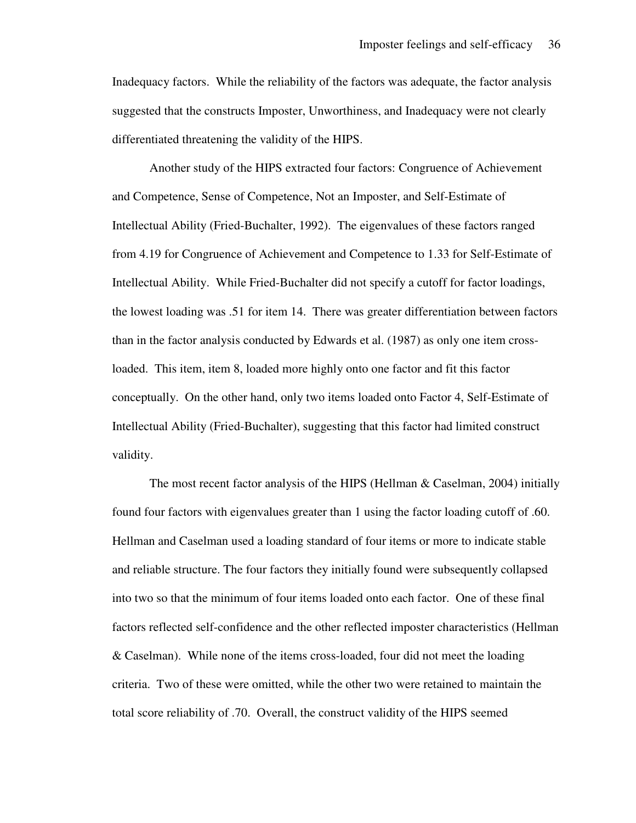Inadequacy factors. While the reliability of the factors was adequate, the factor analysis suggested that the constructs Imposter, Unworthiness, and Inadequacy were not clearly differentiated threatening the validity of the HIPS.

Another study of the HIPS extracted four factors: Congruence of Achievement and Competence, Sense of Competence, Not an Imposter, and Self-Estimate of Intellectual Ability (Fried-Buchalter, 1992). The eigenvalues of these factors ranged from 4.19 for Congruence of Achievement and Competence to 1.33 for Self-Estimate of Intellectual Ability. While Fried-Buchalter did not specify a cutoff for factor loadings, the lowest loading was .51 for item 14. There was greater differentiation between factors than in the factor analysis conducted by Edwards et al. (1987) as only one item crossloaded. This item, item 8, loaded more highly onto one factor and fit this factor conceptually. On the other hand, only two items loaded onto Factor 4, Self-Estimate of Intellectual Ability (Fried-Buchalter), suggesting that this factor had limited construct validity.

The most recent factor analysis of the HIPS (Hellman & Caselman, 2004) initially found four factors with eigenvalues greater than 1 using the factor loading cutoff of .60. Hellman and Caselman used a loading standard of four items or more to indicate stable and reliable structure. The four factors they initially found were subsequently collapsed into two so that the minimum of four items loaded onto each factor. One of these final factors reflected self-confidence and the other reflected imposter characteristics (Hellman & Caselman). While none of the items cross-loaded, four did not meet the loading criteria. Two of these were omitted, while the other two were retained to maintain the total score reliability of .70. Overall, the construct validity of the HIPS seemed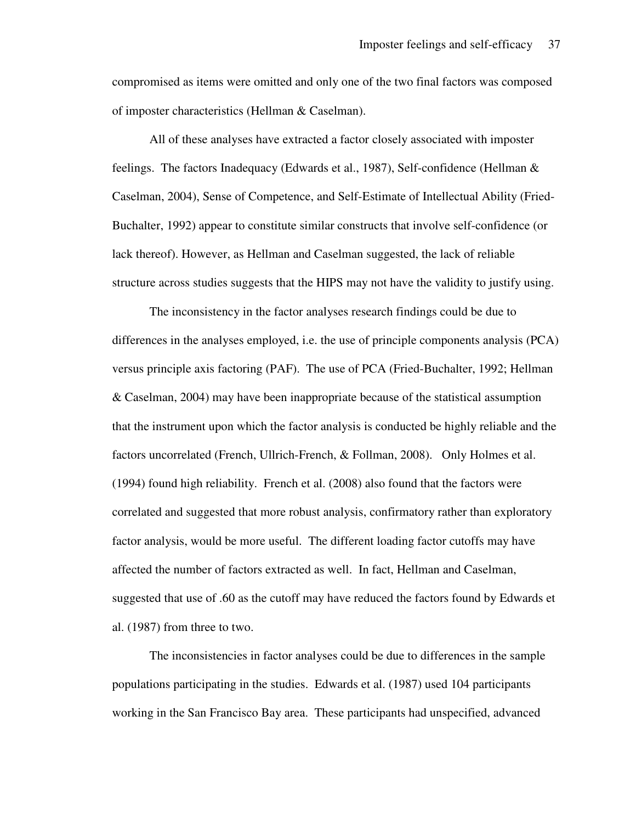compromised as items were omitted and only one of the two final factors was composed of imposter characteristics (Hellman & Caselman).

All of these analyses have extracted a factor closely associated with imposter feelings. The factors Inadequacy (Edwards et al., 1987), Self-confidence (Hellman & Caselman, 2004), Sense of Competence, and Self-Estimate of Intellectual Ability (Fried-Buchalter, 1992) appear to constitute similar constructs that involve self-confidence (or lack thereof). However, as Hellman and Caselman suggested, the lack of reliable structure across studies suggests that the HIPS may not have the validity to justify using.

The inconsistency in the factor analyses research findings could be due to differences in the analyses employed, i.e. the use of principle components analysis (PCA) versus principle axis factoring (PAF). The use of PCA (Fried-Buchalter, 1992; Hellman & Caselman, 2004) may have been inappropriate because of the statistical assumption that the instrument upon which the factor analysis is conducted be highly reliable and the factors uncorrelated (French, Ullrich-French, & Follman, 2008). Only Holmes et al. (1994) found high reliability. French et al. (2008) also found that the factors were correlated and suggested that more robust analysis, confirmatory rather than exploratory factor analysis, would be more useful. The different loading factor cutoffs may have affected the number of factors extracted as well. In fact, Hellman and Caselman, suggested that use of .60 as the cutoff may have reduced the factors found by Edwards et al. (1987) from three to two.

The inconsistencies in factor analyses could be due to differences in the sample populations participating in the studies. Edwards et al. (1987) used 104 participants working in the San Francisco Bay area. These participants had unspecified, advanced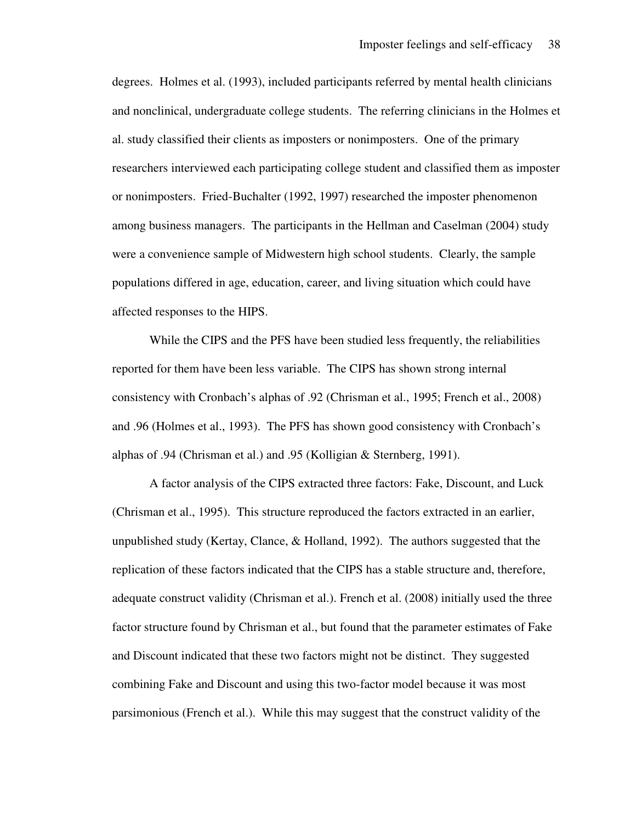degrees. Holmes et al. (1993), included participants referred by mental health clinicians and nonclinical, undergraduate college students. The referring clinicians in the Holmes et al. study classified their clients as imposters or nonimposters. One of the primary researchers interviewed each participating college student and classified them as imposter or nonimposters. Fried-Buchalter (1992, 1997) researched the imposter phenomenon among business managers. The participants in the Hellman and Caselman (2004) study were a convenience sample of Midwestern high school students. Clearly, the sample populations differed in age, education, career, and living situation which could have affected responses to the HIPS.

 While the CIPS and the PFS have been studied less frequently, the reliabilities reported for them have been less variable. The CIPS has shown strong internal consistency with Cronbach's alphas of .92 (Chrisman et al., 1995; French et al., 2008) and .96 (Holmes et al., 1993). The PFS has shown good consistency with Cronbach's alphas of .94 (Chrisman et al.) and .95 (Kolligian & Sternberg, 1991).

A factor analysis of the CIPS extracted three factors: Fake, Discount, and Luck (Chrisman et al., 1995). This structure reproduced the factors extracted in an earlier, unpublished study (Kertay, Clance, & Holland, 1992). The authors suggested that the replication of these factors indicated that the CIPS has a stable structure and, therefore, adequate construct validity (Chrisman et al.). French et al. (2008) initially used the three factor structure found by Chrisman et al., but found that the parameter estimates of Fake and Discount indicated that these two factors might not be distinct. They suggested combining Fake and Discount and using this two-factor model because it was most parsimonious (French et al.). While this may suggest that the construct validity of the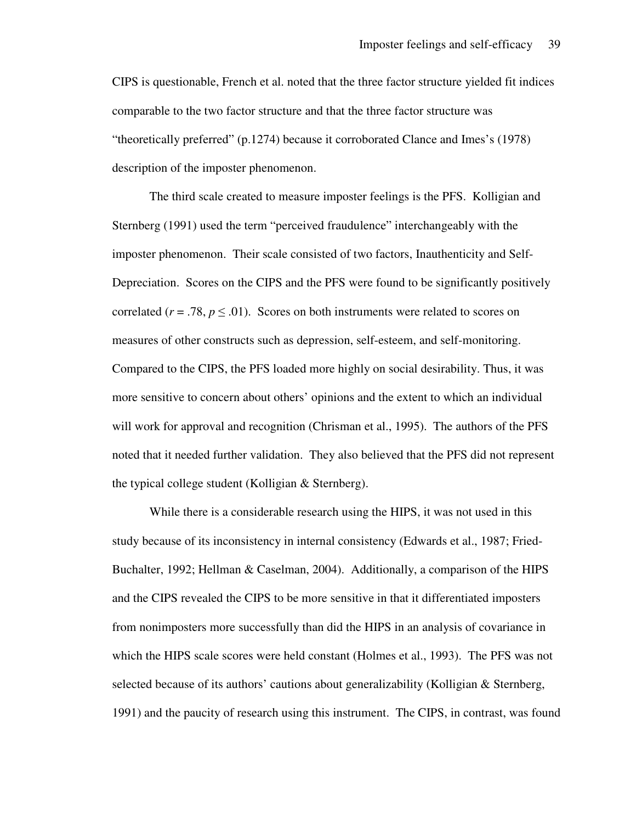CIPS is questionable, French et al. noted that the three factor structure yielded fit indices comparable to the two factor structure and that the three factor structure was "theoretically preferred" (p.1274) because it corroborated Clance and Imes's (1978) description of the imposter phenomenon.

The third scale created to measure imposter feelings is the PFS. Kolligian and Sternberg (1991) used the term "perceived fraudulence" interchangeably with the imposter phenomenon. Their scale consisted of two factors, Inauthenticity and Self-Depreciation. Scores on the CIPS and the PFS were found to be significantly positively correlated ( $r = .78$ ,  $p \le .01$ ). Scores on both instruments were related to scores on measures of other constructs such as depression, self-esteem, and self-monitoring. Compared to the CIPS, the PFS loaded more highly on social desirability. Thus, it was more sensitive to concern about others' opinions and the extent to which an individual will work for approval and recognition (Chrisman et al., 1995). The authors of the PFS noted that it needed further validation. They also believed that the PFS did not represent the typical college student (Kolligian & Sternberg).

While there is a considerable research using the HIPS, it was not used in this study because of its inconsistency in internal consistency (Edwards et al., 1987; Fried-Buchalter, 1992; Hellman & Caselman, 2004). Additionally, a comparison of the HIPS and the CIPS revealed the CIPS to be more sensitive in that it differentiated imposters from nonimposters more successfully than did the HIPS in an analysis of covariance in which the HIPS scale scores were held constant (Holmes et al., 1993). The PFS was not selected because of its authors' cautions about generalizability (Kolligian & Sternberg, 1991) and the paucity of research using this instrument. The CIPS, in contrast, was found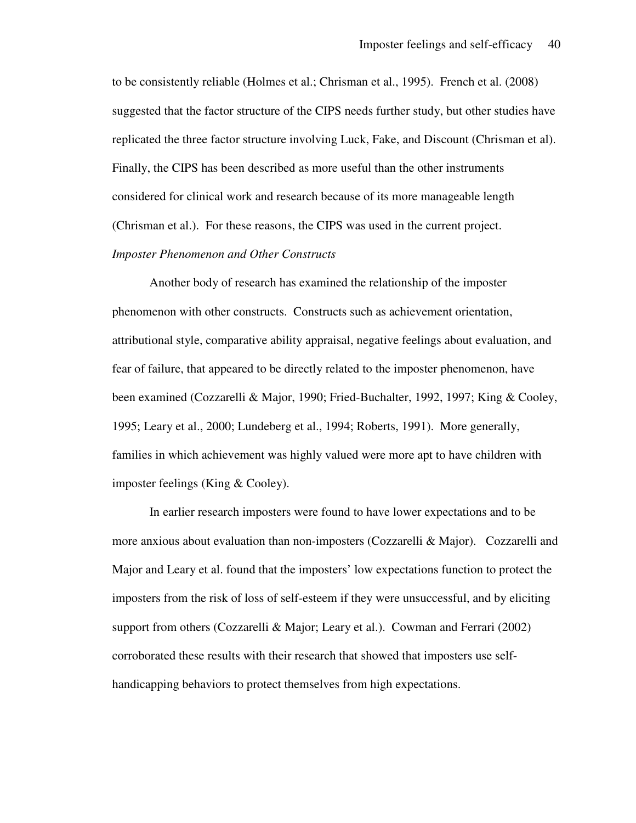to be consistently reliable (Holmes et al.; Chrisman et al., 1995). French et al. (2008) suggested that the factor structure of the CIPS needs further study, but other studies have replicated the three factor structure involving Luck, Fake, and Discount (Chrisman et al). Finally, the CIPS has been described as more useful than the other instruments considered for clinical work and research because of its more manageable length (Chrisman et al.). For these reasons, the CIPS was used in the current project. *Imposter Phenomenon and Other Constructs* 

Another body of research has examined the relationship of the imposter phenomenon with other constructs. Constructs such as achievement orientation, attributional style, comparative ability appraisal, negative feelings about evaluation, and fear of failure, that appeared to be directly related to the imposter phenomenon, have been examined (Cozzarelli & Major, 1990; Fried-Buchalter, 1992, 1997; King & Cooley, 1995; Leary et al., 2000; Lundeberg et al., 1994; Roberts, 1991). More generally, families in which achievement was highly valued were more apt to have children with imposter feelings (King & Cooley).

In earlier research imposters were found to have lower expectations and to be more anxious about evaluation than non-imposters (Cozzarelli & Major). Cozzarelli and Major and Leary et al. found that the imposters' low expectations function to protect the imposters from the risk of loss of self-esteem if they were unsuccessful, and by eliciting support from others (Cozzarelli & Major; Leary et al.). Cowman and Ferrari (2002) corroborated these results with their research that showed that imposters use selfhandicapping behaviors to protect themselves from high expectations.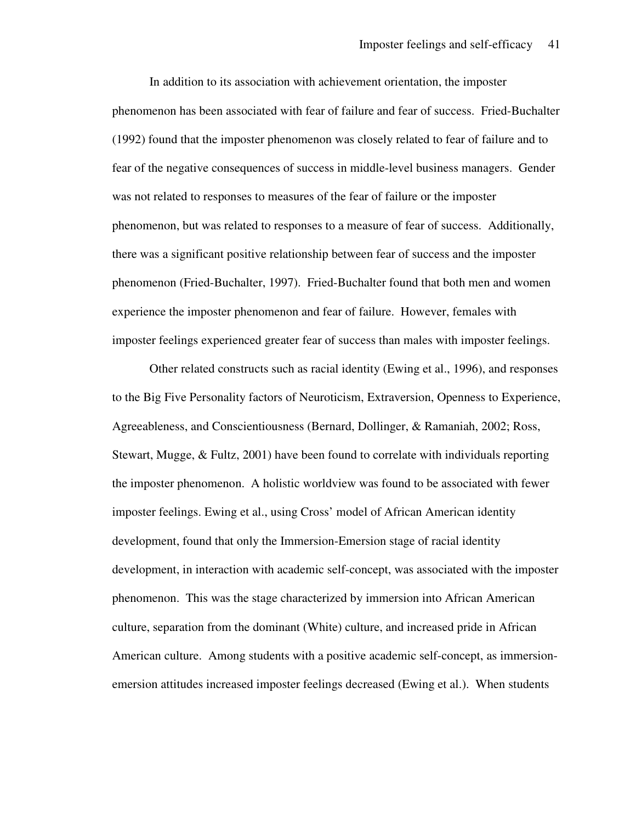In addition to its association with achievement orientation, the imposter phenomenon has been associated with fear of failure and fear of success. Fried-Buchalter (1992) found that the imposter phenomenon was closely related to fear of failure and to fear of the negative consequences of success in middle-level business managers. Gender was not related to responses to measures of the fear of failure or the imposter phenomenon, but was related to responses to a measure of fear of success. Additionally, there was a significant positive relationship between fear of success and the imposter phenomenon (Fried-Buchalter, 1997). Fried-Buchalter found that both men and women experience the imposter phenomenon and fear of failure. However, females with imposter feelings experienced greater fear of success than males with imposter feelings.

Other related constructs such as racial identity (Ewing et al., 1996), and responses to the Big Five Personality factors of Neuroticism, Extraversion, Openness to Experience, Agreeableness, and Conscientiousness (Bernard, Dollinger, & Ramaniah, 2002; Ross, Stewart, Mugge, & Fultz, 2001) have been found to correlate with individuals reporting the imposter phenomenon. A holistic worldview was found to be associated with fewer imposter feelings. Ewing et al., using Cross' model of African American identity development, found that only the Immersion-Emersion stage of racial identity development, in interaction with academic self-concept, was associated with the imposter phenomenon. This was the stage characterized by immersion into African American culture, separation from the dominant (White) culture, and increased pride in African American culture. Among students with a positive academic self-concept, as immersionemersion attitudes increased imposter feelings decreased (Ewing et al.). When students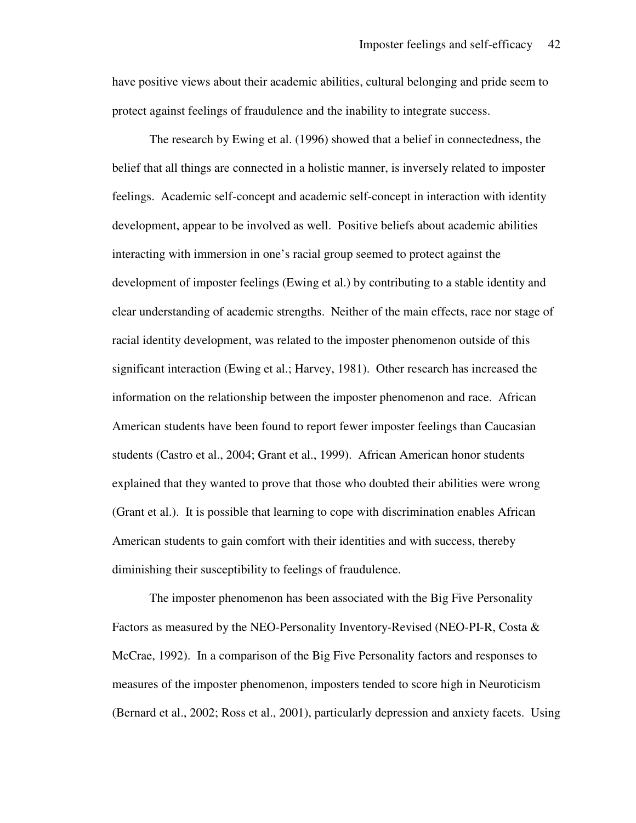have positive views about their academic abilities, cultural belonging and pride seem to protect against feelings of fraudulence and the inability to integrate success.

The research by Ewing et al. (1996) showed that a belief in connectedness, the belief that all things are connected in a holistic manner, is inversely related to imposter feelings. Academic self-concept and academic self-concept in interaction with identity development, appear to be involved as well. Positive beliefs about academic abilities interacting with immersion in one's racial group seemed to protect against the development of imposter feelings (Ewing et al.) by contributing to a stable identity and clear understanding of academic strengths. Neither of the main effects, race nor stage of racial identity development, was related to the imposter phenomenon outside of this significant interaction (Ewing et al.; Harvey, 1981). Other research has increased the information on the relationship between the imposter phenomenon and race. African American students have been found to report fewer imposter feelings than Caucasian students (Castro et al., 2004; Grant et al., 1999). African American honor students explained that they wanted to prove that those who doubted their abilities were wrong (Grant et al.). It is possible that learning to cope with discrimination enables African American students to gain comfort with their identities and with success, thereby diminishing their susceptibility to feelings of fraudulence.

The imposter phenomenon has been associated with the Big Five Personality Factors as measured by the NEO-Personality Inventory-Revised (NEO-PI-R, Costa & McCrae, 1992). In a comparison of the Big Five Personality factors and responses to measures of the imposter phenomenon, imposters tended to score high in Neuroticism (Bernard et al., 2002; Ross et al., 2001), particularly depression and anxiety facets. Using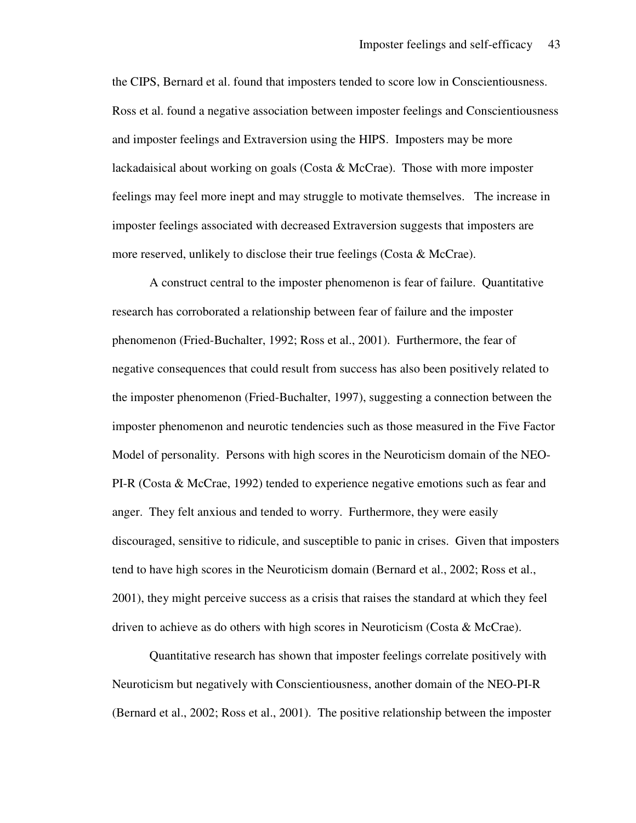the CIPS, Bernard et al. found that imposters tended to score low in Conscientiousness. Ross et al. found a negative association between imposter feelings and Conscientiousness and imposter feelings and Extraversion using the HIPS. Imposters may be more lackadaisical about working on goals (Costa & McCrae). Those with more imposter feelings may feel more inept and may struggle to motivate themselves. The increase in imposter feelings associated with decreased Extraversion suggests that imposters are more reserved, unlikely to disclose their true feelings (Costa & McCrae).

A construct central to the imposter phenomenon is fear of failure. Quantitative research has corroborated a relationship between fear of failure and the imposter phenomenon (Fried-Buchalter, 1992; Ross et al., 2001). Furthermore, the fear of negative consequences that could result from success has also been positively related to the imposter phenomenon (Fried-Buchalter, 1997), suggesting a connection between the imposter phenomenon and neurotic tendencies such as those measured in the Five Factor Model of personality. Persons with high scores in the Neuroticism domain of the NEO-PI-R (Costa & McCrae, 1992) tended to experience negative emotions such as fear and anger. They felt anxious and tended to worry. Furthermore, they were easily discouraged, sensitive to ridicule, and susceptible to panic in crises. Given that imposters tend to have high scores in the Neuroticism domain (Bernard et al., 2002; Ross et al., 2001), they might perceive success as a crisis that raises the standard at which they feel driven to achieve as do others with high scores in Neuroticism (Costa & McCrae).

 Quantitative research has shown that imposter feelings correlate positively with Neuroticism but negatively with Conscientiousness, another domain of the NEO-PI-R (Bernard et al., 2002; Ross et al., 2001). The positive relationship between the imposter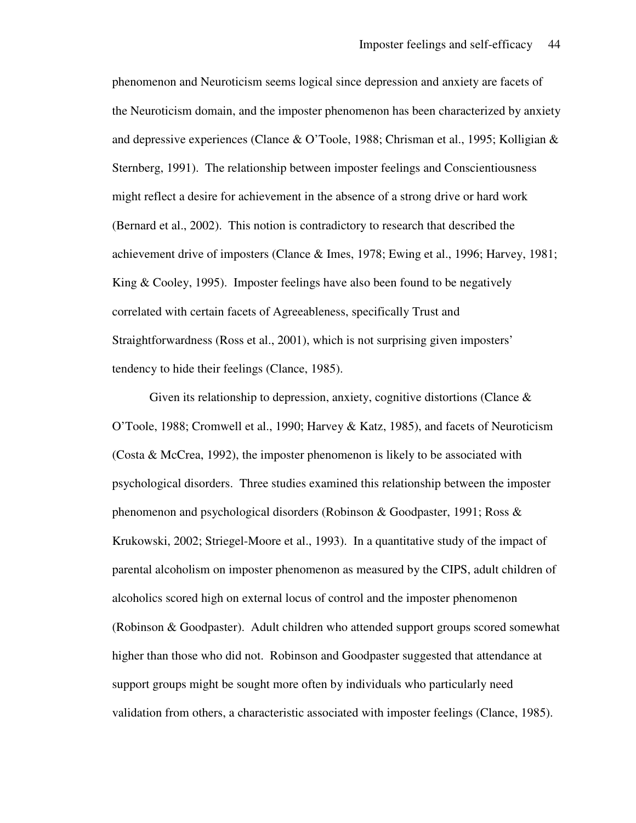phenomenon and Neuroticism seems logical since depression and anxiety are facets of the Neuroticism domain, and the imposter phenomenon has been characterized by anxiety and depressive experiences (Clance & O'Toole, 1988; Chrisman et al., 1995; Kolligian & Sternberg, 1991). The relationship between imposter feelings and Conscientiousness might reflect a desire for achievement in the absence of a strong drive or hard work (Bernard et al., 2002). This notion is contradictory to research that described the achievement drive of imposters (Clance & Imes, 1978; Ewing et al., 1996; Harvey, 1981; King  $& \text{Cooley}, 1995$ . Imposter feelings have also been found to be negatively correlated with certain facets of Agreeableness, specifically Trust and Straightforwardness (Ross et al., 2001), which is not surprising given imposters' tendency to hide their feelings (Clance, 1985).

Given its relationship to depression, anxiety, cognitive distortions (Clance & O'Toole, 1988; Cromwell et al., 1990; Harvey & Katz, 1985), and facets of Neuroticism (Costa & McCrea, 1992), the imposter phenomenon is likely to be associated with psychological disorders. Three studies examined this relationship between the imposter phenomenon and psychological disorders (Robinson & Goodpaster, 1991; Ross & Krukowski, 2002; Striegel-Moore et al., 1993). In a quantitative study of the impact of parental alcoholism on imposter phenomenon as measured by the CIPS, adult children of alcoholics scored high on external locus of control and the imposter phenomenon (Robinson & Goodpaster). Adult children who attended support groups scored somewhat higher than those who did not. Robinson and Goodpaster suggested that attendance at support groups might be sought more often by individuals who particularly need validation from others, a characteristic associated with imposter feelings (Clance, 1985).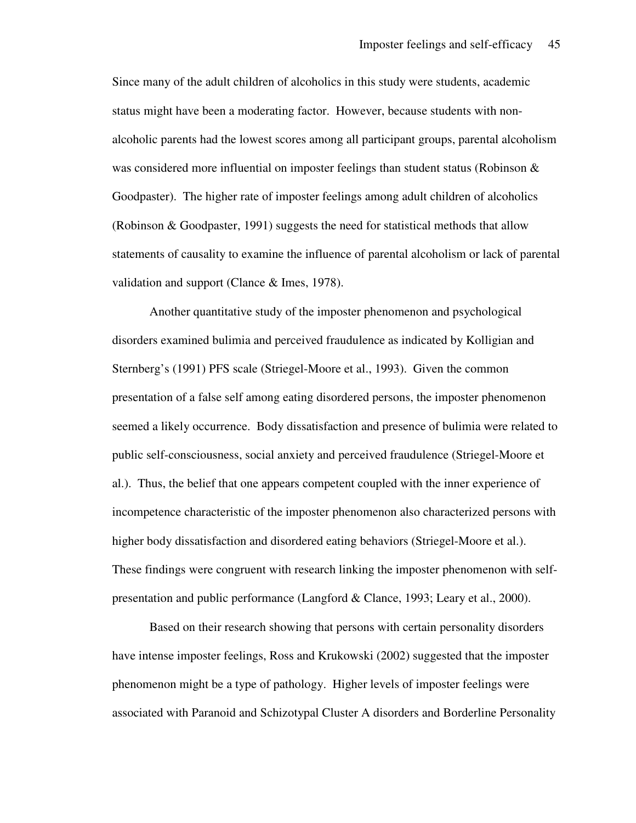Since many of the adult children of alcoholics in this study were students, academic status might have been a moderating factor. However, because students with nonalcoholic parents had the lowest scores among all participant groups, parental alcoholism was considered more influential on imposter feelings than student status (Robinson & Goodpaster). The higher rate of imposter feelings among adult children of alcoholics (Robinson & Goodpaster, 1991) suggests the need for statistical methods that allow statements of causality to examine the influence of parental alcoholism or lack of parental validation and support (Clance & Imes, 1978).

Another quantitative study of the imposter phenomenon and psychological disorders examined bulimia and perceived fraudulence as indicated by Kolligian and Sternberg's (1991) PFS scale (Striegel-Moore et al., 1993). Given the common presentation of a false self among eating disordered persons, the imposter phenomenon seemed a likely occurrence. Body dissatisfaction and presence of bulimia were related to public self-consciousness, social anxiety and perceived fraudulence (Striegel-Moore et al.). Thus, the belief that one appears competent coupled with the inner experience of incompetence characteristic of the imposter phenomenon also characterized persons with higher body dissatisfaction and disordered eating behaviors (Striegel-Moore et al.). These findings were congruent with research linking the imposter phenomenon with selfpresentation and public performance (Langford & Clance, 1993; Leary et al., 2000).

Based on their research showing that persons with certain personality disorders have intense imposter feelings, Ross and Krukowski (2002) suggested that the imposter phenomenon might be a type of pathology. Higher levels of imposter feelings were associated with Paranoid and Schizotypal Cluster A disorders and Borderline Personality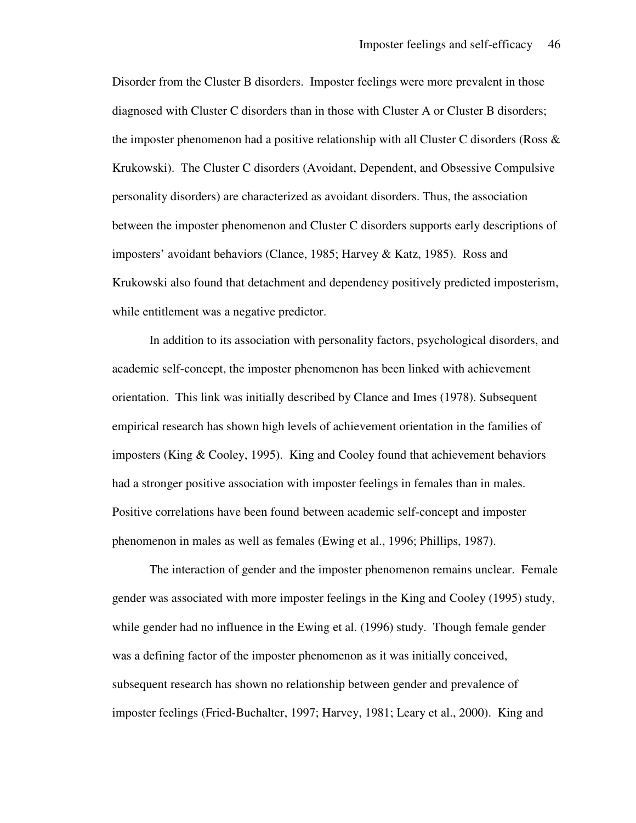Disorder from the Cluster B disorders. Imposter feelings were more prevalent in those diagnosed with Cluster C disorders than in those with Cluster A or Cluster B disorders; the imposter phenomenon had a positive relationship with all Cluster C disorders (Ross  $\&$ Krukowski). The Cluster C disorders (Avoidant, Dependent, and Obsessive Compulsive personality disorders) are characterized as avoidant disorders. Thus, the association between the imposter phenomenon and Cluster C disorders supports early descriptions of imposters' avoidant behaviors (Clance, 1985; Harvey & Katz, 1985). Ross and Krukowski also found that detachment and dependency positively predicted imposterism, while entitlement was a negative predictor.

 In addition to its association with personality factors, psychological disorders, and academic self-concept, the imposter phenomenon has been linked with achievement orientation. This link was initially described by Clance and Imes (1978). Subsequent empirical research has shown high levels of achievement orientation in the families of imposters (King & Cooley, 1995). King and Cooley found that achievement behaviors had a stronger positive association with imposter feelings in females than in males. Positive correlations have been found between academic self-concept and imposter phenomenon in males as well as females (Ewing et al., 1996; Phillips, 1987).

The interaction of gender and the imposter phenomenon remains unclear. Female gender was associated with more imposter feelings in the King and Cooley (1995) study, while gender had no influence in the Ewing et al. (1996) study. Though female gender was a defining factor of the imposter phenomenon as it was initially conceived, subsequent research has shown no relationship between gender and prevalence of imposter feelings (Fried-Buchalter, 1997; Harvey, 1981; Leary et al., 2000). King and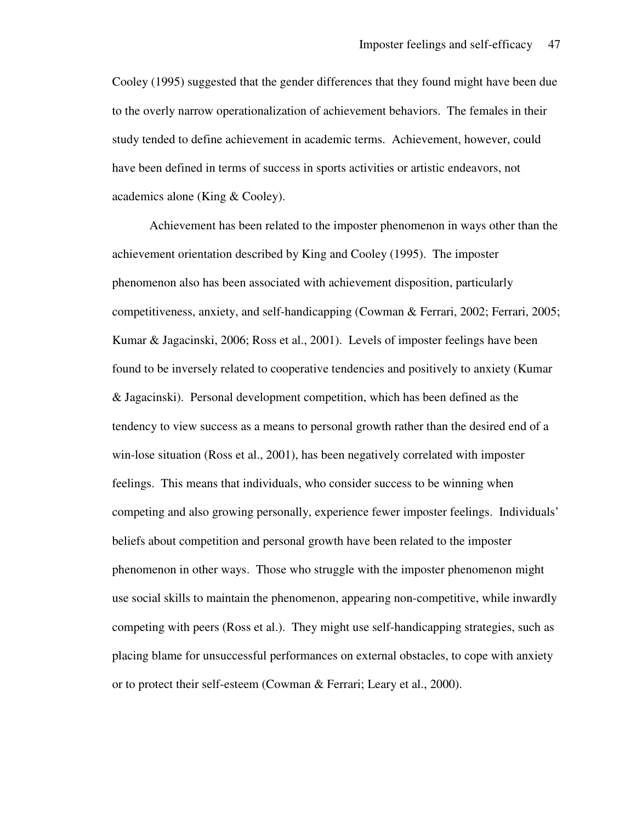Cooley (1995) suggested that the gender differences that they found might have been due to the overly narrow operationalization of achievement behaviors. The females in their study tended to define achievement in academic terms. Achievement, however, could have been defined in terms of success in sports activities or artistic endeavors, not academics alone (King & Cooley).

 Achievement has been related to the imposter phenomenon in ways other than the achievement orientation described by King and Cooley (1995). The imposter phenomenon also has been associated with achievement disposition, particularly competitiveness, anxiety, and self-handicapping (Cowman & Ferrari, 2002; Ferrari, 2005; Kumar & Jagacinski, 2006; Ross et al., 2001). Levels of imposter feelings have been found to be inversely related to cooperative tendencies and positively to anxiety (Kumar & Jagacinski). Personal development competition, which has been defined as the tendency to view success as a means to personal growth rather than the desired end of a win-lose situation (Ross et al., 2001), has been negatively correlated with imposter feelings. This means that individuals, who consider success to be winning when competing and also growing personally, experience fewer imposter feelings. Individuals' beliefs about competition and personal growth have been related to the imposter phenomenon in other ways. Those who struggle with the imposter phenomenon might use social skills to maintain the phenomenon, appearing non-competitive, while inwardly competing with peers (Ross et al.). They might use self-handicapping strategies, such as placing blame for unsuccessful performances on external obstacles, to cope with anxiety or to protect their self-esteem (Cowman & Ferrari; Leary et al., 2000).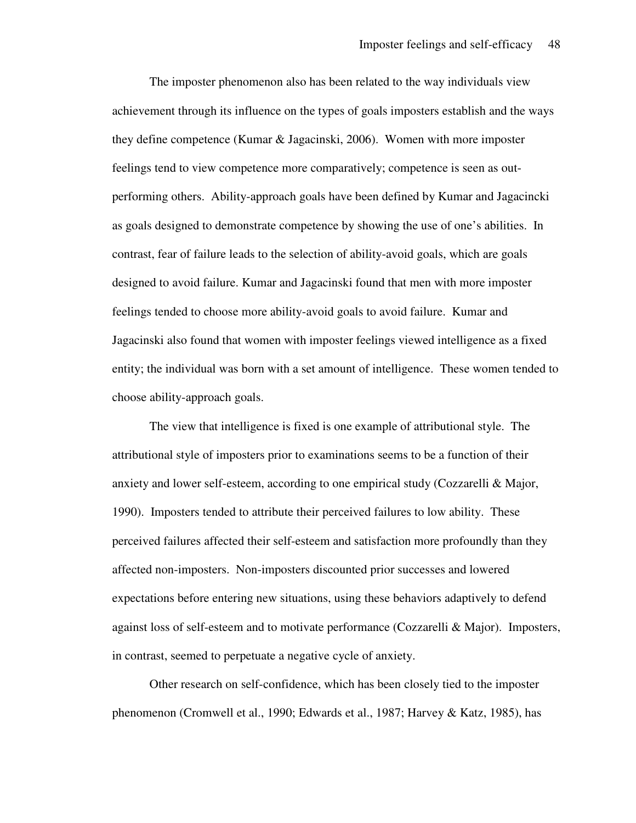The imposter phenomenon also has been related to the way individuals view achievement through its influence on the types of goals imposters establish and the ways they define competence (Kumar & Jagacinski, 2006). Women with more imposter feelings tend to view competence more comparatively; competence is seen as outperforming others. Ability-approach goals have been defined by Kumar and Jagacincki as goals designed to demonstrate competence by showing the use of one's abilities. In contrast, fear of failure leads to the selection of ability-avoid goals, which are goals designed to avoid failure. Kumar and Jagacinski found that men with more imposter feelings tended to choose more ability-avoid goals to avoid failure. Kumar and Jagacinski also found that women with imposter feelings viewed intelligence as a fixed entity; the individual was born with a set amount of intelligence. These women tended to choose ability-approach goals.

The view that intelligence is fixed is one example of attributional style. The attributional style of imposters prior to examinations seems to be a function of their anxiety and lower self-esteem, according to one empirical study (Cozzarelli & Major, 1990). Imposters tended to attribute their perceived failures to low ability. These perceived failures affected their self-esteem and satisfaction more profoundly than they affected non-imposters. Non-imposters discounted prior successes and lowered expectations before entering new situations, using these behaviors adaptively to defend against loss of self-esteem and to motivate performance (Cozzarelli & Major). Imposters, in contrast, seemed to perpetuate a negative cycle of anxiety.

Other research on self-confidence, which has been closely tied to the imposter phenomenon (Cromwell et al., 1990; Edwards et al., 1987; Harvey & Katz, 1985), has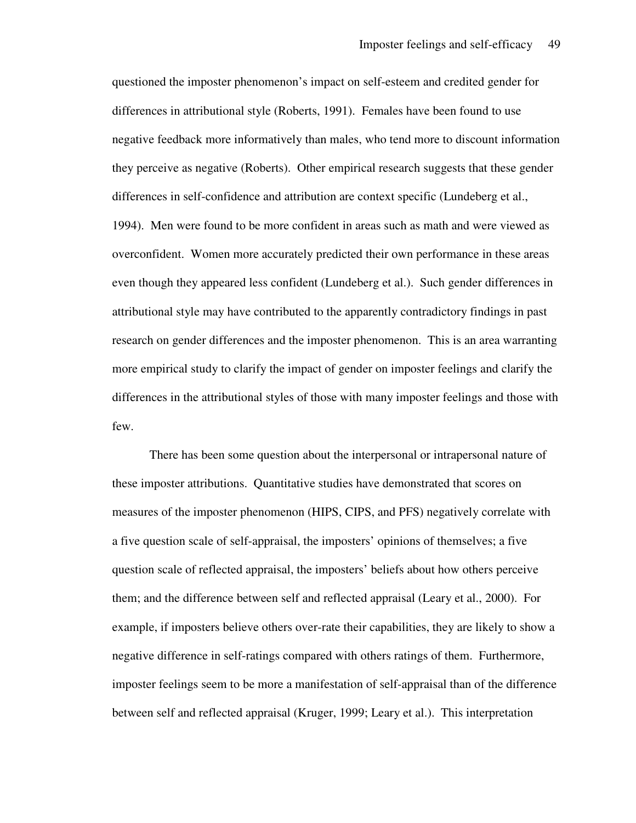questioned the imposter phenomenon's impact on self-esteem and credited gender for differences in attributional style (Roberts, 1991). Females have been found to use negative feedback more informatively than males, who tend more to discount information they perceive as negative (Roberts). Other empirical research suggests that these gender differences in self-confidence and attribution are context specific (Lundeberg et al., 1994). Men were found to be more confident in areas such as math and were viewed as overconfident. Women more accurately predicted their own performance in these areas even though they appeared less confident (Lundeberg et al.). Such gender differences in attributional style may have contributed to the apparently contradictory findings in past research on gender differences and the imposter phenomenon. This is an area warranting more empirical study to clarify the impact of gender on imposter feelings and clarify the differences in the attributional styles of those with many imposter feelings and those with few.

There has been some question about the interpersonal or intrapersonal nature of these imposter attributions. Quantitative studies have demonstrated that scores on measures of the imposter phenomenon (HIPS, CIPS, and PFS) negatively correlate with a five question scale of self-appraisal, the imposters' opinions of themselves; a five question scale of reflected appraisal, the imposters' beliefs about how others perceive them; and the difference between self and reflected appraisal (Leary et al., 2000). For example, if imposters believe others over-rate their capabilities, they are likely to show a negative difference in self-ratings compared with others ratings of them. Furthermore, imposter feelings seem to be more a manifestation of self-appraisal than of the difference between self and reflected appraisal (Kruger, 1999; Leary et al.). This interpretation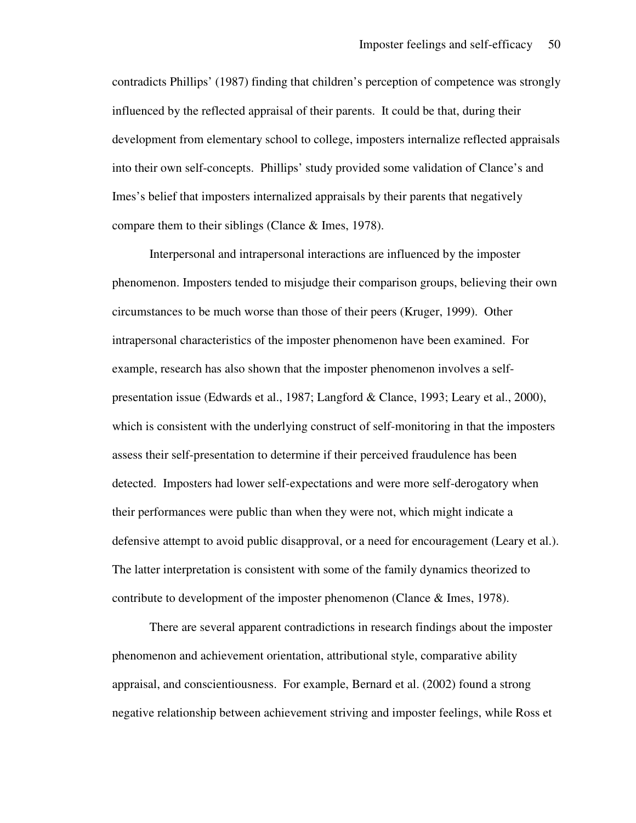contradicts Phillips' (1987) finding that children's perception of competence was strongly influenced by the reflected appraisal of their parents. It could be that, during their development from elementary school to college, imposters internalize reflected appraisals into their own self-concepts. Phillips' study provided some validation of Clance's and Imes's belief that imposters internalized appraisals by their parents that negatively compare them to their siblings (Clance & Imes, 1978).

Interpersonal and intrapersonal interactions are influenced by the imposter phenomenon. Imposters tended to misjudge their comparison groups, believing their own circumstances to be much worse than those of their peers (Kruger, 1999). Other intrapersonal characteristics of the imposter phenomenon have been examined. For example, research has also shown that the imposter phenomenon involves a selfpresentation issue (Edwards et al., 1987; Langford & Clance, 1993; Leary et al., 2000), which is consistent with the underlying construct of self-monitoring in that the imposters assess their self-presentation to determine if their perceived fraudulence has been detected. Imposters had lower self-expectations and were more self-derogatory when their performances were public than when they were not, which might indicate a defensive attempt to avoid public disapproval, or a need for encouragement (Leary et al.). The latter interpretation is consistent with some of the family dynamics theorized to contribute to development of the imposter phenomenon (Clance & Imes, 1978).

 There are several apparent contradictions in research findings about the imposter phenomenon and achievement orientation, attributional style, comparative ability appraisal, and conscientiousness. For example, Bernard et al. (2002) found a strong negative relationship between achievement striving and imposter feelings, while Ross et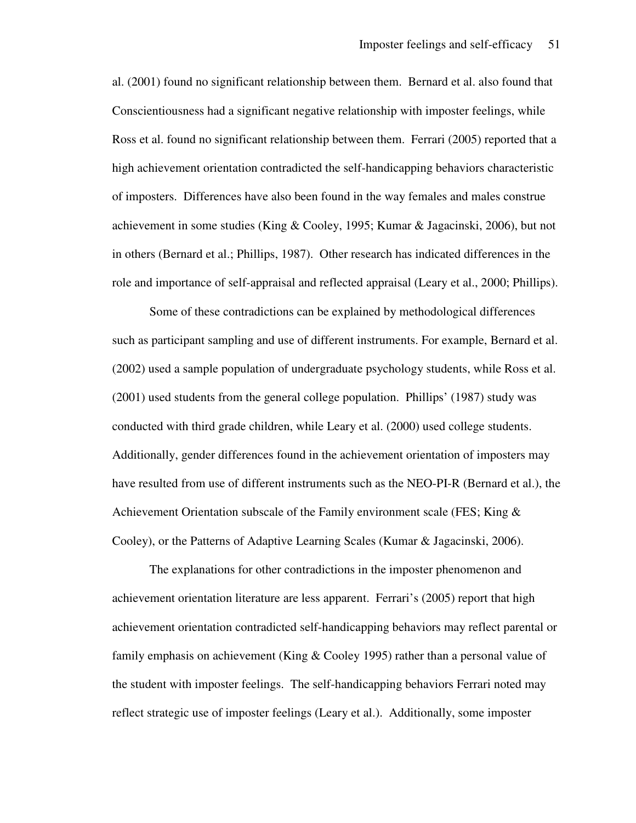al. (2001) found no significant relationship between them. Bernard et al. also found that Conscientiousness had a significant negative relationship with imposter feelings, while Ross et al. found no significant relationship between them. Ferrari (2005) reported that a high achievement orientation contradicted the self-handicapping behaviors characteristic of imposters. Differences have also been found in the way females and males construe achievement in some studies (King & Cooley, 1995; Kumar & Jagacinski, 2006), but not in others (Bernard et al.; Phillips, 1987). Other research has indicated differences in the role and importance of self-appraisal and reflected appraisal (Leary et al., 2000; Phillips).

Some of these contradictions can be explained by methodological differences such as participant sampling and use of different instruments. For example, Bernard et al. (2002) used a sample population of undergraduate psychology students, while Ross et al. (2001) used students from the general college population. Phillips' (1987) study was conducted with third grade children, while Leary et al. (2000) used college students. Additionally, gender differences found in the achievement orientation of imposters may have resulted from use of different instruments such as the NEO-PI-R (Bernard et al.), the Achievement Orientation subscale of the Family environment scale (FES; King & Cooley), or the Patterns of Adaptive Learning Scales (Kumar & Jagacinski, 2006).

The explanations for other contradictions in the imposter phenomenon and achievement orientation literature are less apparent. Ferrari's (2005) report that high achievement orientation contradicted self-handicapping behaviors may reflect parental or family emphasis on achievement (King  $&$  Cooley 1995) rather than a personal value of the student with imposter feelings. The self-handicapping behaviors Ferrari noted may reflect strategic use of imposter feelings (Leary et al.). Additionally, some imposter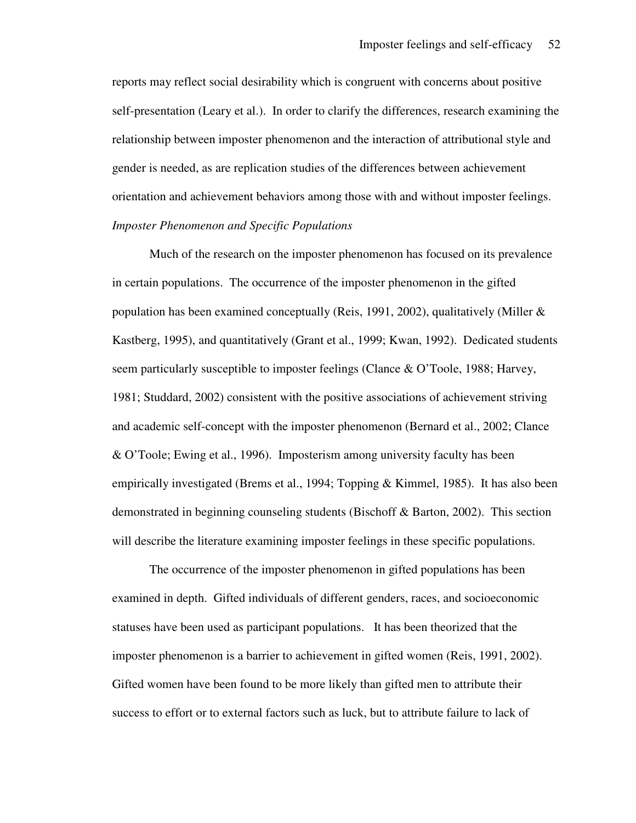reports may reflect social desirability which is congruent with concerns about positive self-presentation (Leary et al.). In order to clarify the differences, research examining the relationship between imposter phenomenon and the interaction of attributional style and gender is needed, as are replication studies of the differences between achievement orientation and achievement behaviors among those with and without imposter feelings. *Imposter Phenomenon and Specific Populations* 

Much of the research on the imposter phenomenon has focused on its prevalence in certain populations. The occurrence of the imposter phenomenon in the gifted population has been examined conceptually (Reis, 1991, 2002), qualitatively (Miller  $&$ Kastberg, 1995), and quantitatively (Grant et al., 1999; Kwan, 1992). Dedicated students seem particularly susceptible to imposter feelings (Clance & O'Toole, 1988; Harvey, 1981; Studdard, 2002) consistent with the positive associations of achievement striving and academic self-concept with the imposter phenomenon (Bernard et al., 2002; Clance & O'Toole; Ewing et al., 1996). Imposterism among university faculty has been empirically investigated (Brems et al., 1994; Topping & Kimmel, 1985). It has also been demonstrated in beginning counseling students (Bischoff & Barton, 2002). This section will describe the literature examining imposter feelings in these specific populations.

The occurrence of the imposter phenomenon in gifted populations has been examined in depth. Gifted individuals of different genders, races, and socioeconomic statuses have been used as participant populations. It has been theorized that the imposter phenomenon is a barrier to achievement in gifted women (Reis, 1991, 2002). Gifted women have been found to be more likely than gifted men to attribute their success to effort or to external factors such as luck, but to attribute failure to lack of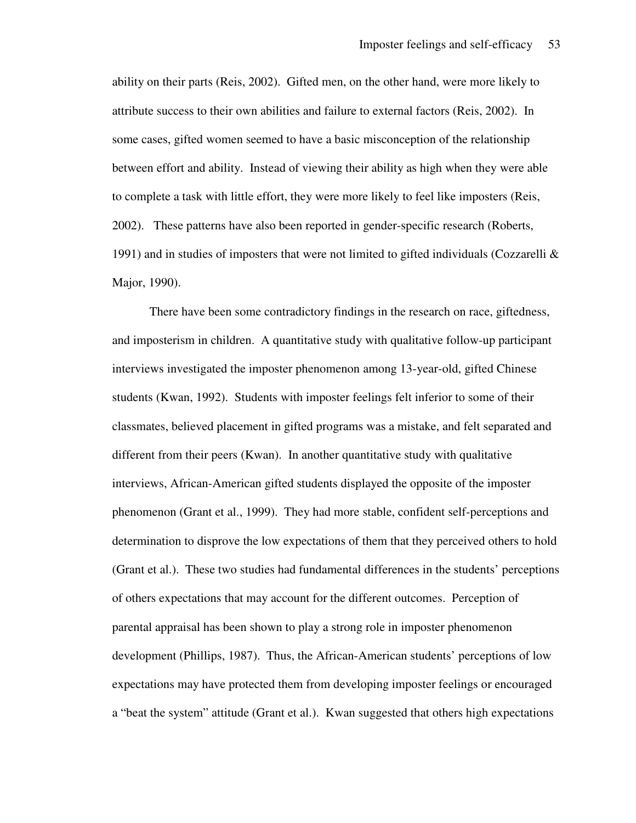ability on their parts (Reis, 2002). Gifted men, on the other hand, were more likely to attribute success to their own abilities and failure to external factors (Reis, 2002). In some cases, gifted women seemed to have a basic misconception of the relationship between effort and ability. Instead of viewing their ability as high when they were able to complete a task with little effort, they were more likely to feel like imposters (Reis, 2002). These patterns have also been reported in gender-specific research (Roberts, 1991) and in studies of imposters that were not limited to gifted individuals (Cozzarelli & Major, 1990).

There have been some contradictory findings in the research on race, giftedness, and imposterism in children. A quantitative study with qualitative follow-up participant interviews investigated the imposter phenomenon among 13-year-old, gifted Chinese students (Kwan, 1992). Students with imposter feelings felt inferior to some of their classmates, believed placement in gifted programs was a mistake, and felt separated and different from their peers (Kwan). In another quantitative study with qualitative interviews, African-American gifted students displayed the opposite of the imposter phenomenon (Grant et al., 1999). They had more stable, confident self-perceptions and determination to disprove the low expectations of them that they perceived others to hold (Grant et al.). These two studies had fundamental differences in the students' perceptions of others expectations that may account for the different outcomes. Perception of parental appraisal has been shown to play a strong role in imposter phenomenon development (Phillips, 1987). Thus, the African-American students' perceptions of low expectations may have protected them from developing imposter feelings or encouraged a "beat the system" attitude (Grant et al.). Kwan suggested that others high expectations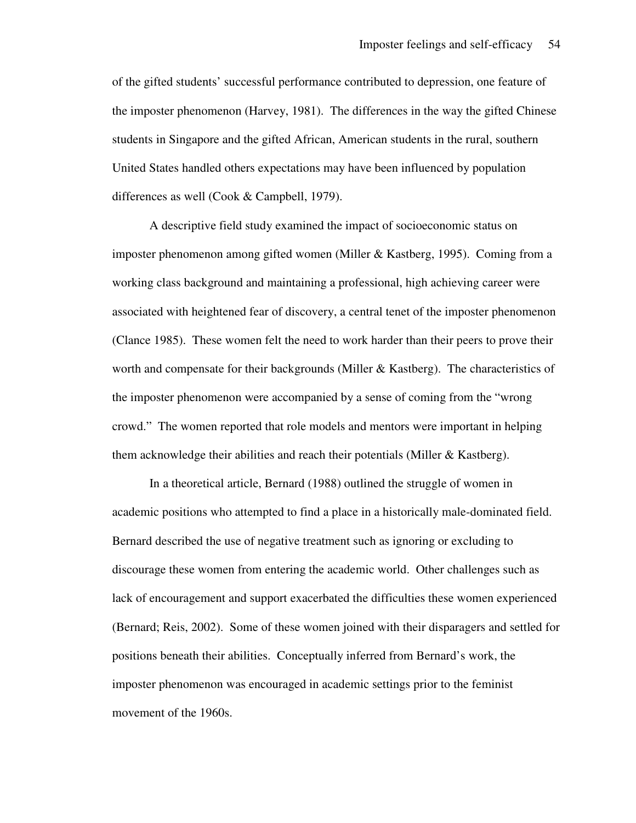of the gifted students' successful performance contributed to depression, one feature of the imposter phenomenon (Harvey, 1981). The differences in the way the gifted Chinese students in Singapore and the gifted African, American students in the rural, southern United States handled others expectations may have been influenced by population differences as well (Cook & Campbell, 1979).

A descriptive field study examined the impact of socioeconomic status on imposter phenomenon among gifted women (Miller & Kastberg, 1995). Coming from a working class background and maintaining a professional, high achieving career were associated with heightened fear of discovery, a central tenet of the imposter phenomenon (Clance 1985). These women felt the need to work harder than their peers to prove their worth and compensate for their backgrounds (Miller  $&$  Kastberg). The characteristics of the imposter phenomenon were accompanied by a sense of coming from the "wrong crowd." The women reported that role models and mentors were important in helping them acknowledge their abilities and reach their potentials (Miller & Kastberg).

 In a theoretical article, Bernard (1988) outlined the struggle of women in academic positions who attempted to find a place in a historically male-dominated field. Bernard described the use of negative treatment such as ignoring or excluding to discourage these women from entering the academic world. Other challenges such as lack of encouragement and support exacerbated the difficulties these women experienced (Bernard; Reis, 2002). Some of these women joined with their disparagers and settled for positions beneath their abilities. Conceptually inferred from Bernard's work, the imposter phenomenon was encouraged in academic settings prior to the feminist movement of the 1960s.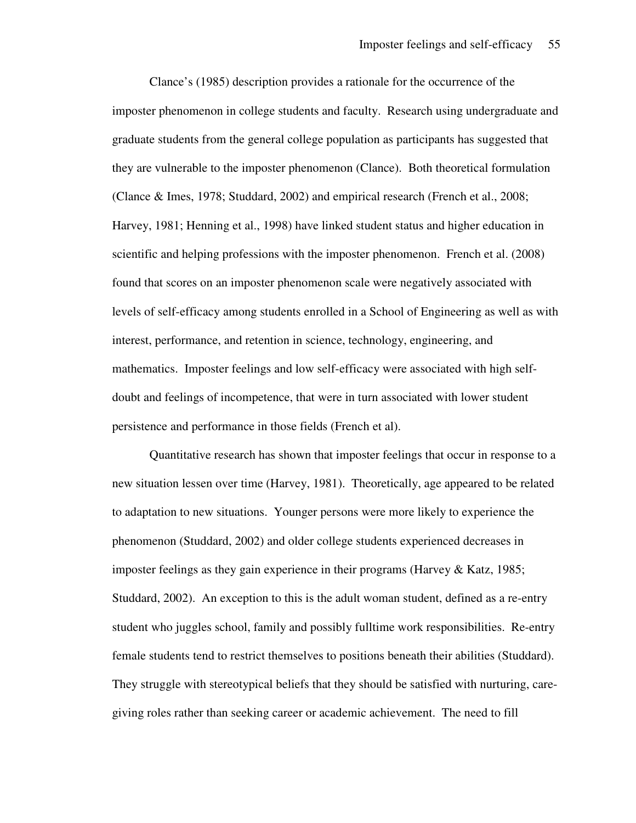Clance's (1985) description provides a rationale for the occurrence of the imposter phenomenon in college students and faculty. Research using undergraduate and graduate students from the general college population as participants has suggested that they are vulnerable to the imposter phenomenon (Clance). Both theoretical formulation (Clance & Imes, 1978; Studdard, 2002) and empirical research (French et al., 2008; Harvey, 1981; Henning et al., 1998) have linked student status and higher education in scientific and helping professions with the imposter phenomenon. French et al. (2008) found that scores on an imposter phenomenon scale were negatively associated with levels of self-efficacy among students enrolled in a School of Engineering as well as with interest, performance, and retention in science, technology, engineering, and mathematics. Imposter feelings and low self-efficacy were associated with high selfdoubt and feelings of incompetence, that were in turn associated with lower student persistence and performance in those fields (French et al).

Quantitative research has shown that imposter feelings that occur in response to a new situation lessen over time (Harvey, 1981). Theoretically, age appeared to be related to adaptation to new situations. Younger persons were more likely to experience the phenomenon (Studdard, 2002) and older college students experienced decreases in imposter feelings as they gain experience in their programs (Harvey & Katz, 1985; Studdard, 2002). An exception to this is the adult woman student, defined as a re-entry student who juggles school, family and possibly fulltime work responsibilities. Re-entry female students tend to restrict themselves to positions beneath their abilities (Studdard). They struggle with stereotypical beliefs that they should be satisfied with nurturing, caregiving roles rather than seeking career or academic achievement. The need to fill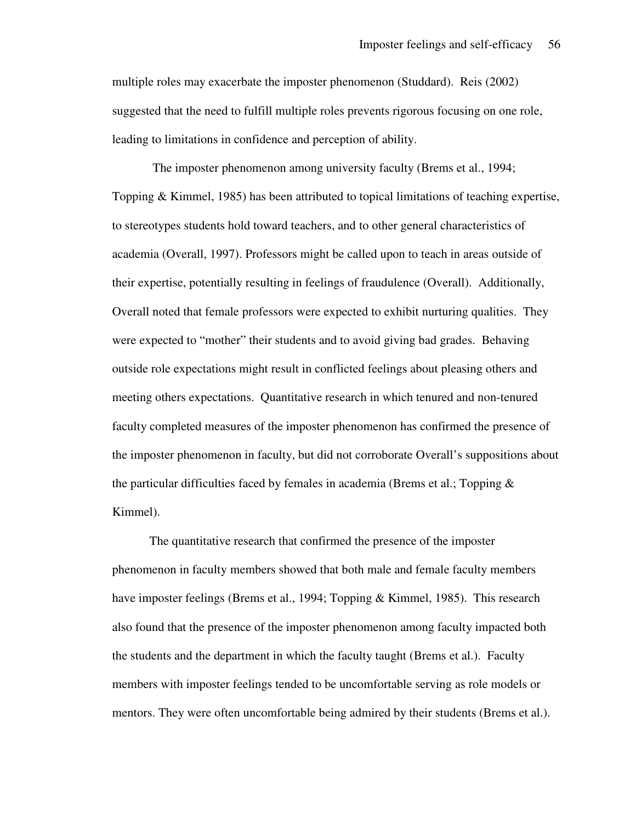multiple roles may exacerbate the imposter phenomenon (Studdard). Reis (2002) suggested that the need to fulfill multiple roles prevents rigorous focusing on one role, leading to limitations in confidence and perception of ability.

 The imposter phenomenon among university faculty (Brems et al., 1994; Topping  $\&$  Kimmel, 1985) has been attributed to topical limitations of teaching expertise, to stereotypes students hold toward teachers, and to other general characteristics of academia (Overall, 1997). Professors might be called upon to teach in areas outside of their expertise, potentially resulting in feelings of fraudulence (Overall). Additionally, Overall noted that female professors were expected to exhibit nurturing qualities. They were expected to "mother" their students and to avoid giving bad grades. Behaving outside role expectations might result in conflicted feelings about pleasing others and meeting others expectations. Quantitative research in which tenured and non-tenured faculty completed measures of the imposter phenomenon has confirmed the presence of the imposter phenomenon in faculty, but did not corroborate Overall's suppositions about the particular difficulties faced by females in academia (Brems et al.; Topping  $\&$ Kimmel).

The quantitative research that confirmed the presence of the imposter phenomenon in faculty members showed that both male and female faculty members have imposter feelings (Brems et al., 1994; Topping & Kimmel, 1985). This research also found that the presence of the imposter phenomenon among faculty impacted both the students and the department in which the faculty taught (Brems et al.). Faculty members with imposter feelings tended to be uncomfortable serving as role models or mentors. They were often uncomfortable being admired by their students (Brems et al.).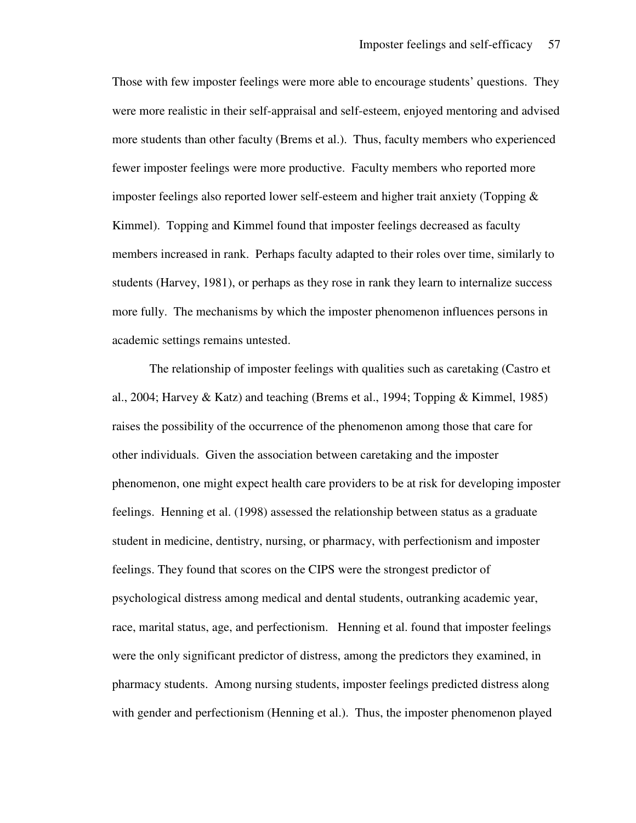Those with few imposter feelings were more able to encourage students' questions. They were more realistic in their self-appraisal and self-esteem, enjoyed mentoring and advised more students than other faculty (Brems et al.). Thus, faculty members who experienced fewer imposter feelings were more productive. Faculty members who reported more imposter feelings also reported lower self-esteem and higher trait anxiety (Topping & Kimmel). Topping and Kimmel found that imposter feelings decreased as faculty members increased in rank. Perhaps faculty adapted to their roles over time, similarly to students (Harvey, 1981), or perhaps as they rose in rank they learn to internalize success more fully. The mechanisms by which the imposter phenomenon influences persons in academic settings remains untested.

 The relationship of imposter feelings with qualities such as caretaking (Castro et al., 2004; Harvey & Katz) and teaching (Brems et al., 1994; Topping & Kimmel, 1985) raises the possibility of the occurrence of the phenomenon among those that care for other individuals. Given the association between caretaking and the imposter phenomenon, one might expect health care providers to be at risk for developing imposter feelings. Henning et al. (1998) assessed the relationship between status as a graduate student in medicine, dentistry, nursing, or pharmacy, with perfectionism and imposter feelings. They found that scores on the CIPS were the strongest predictor of psychological distress among medical and dental students, outranking academic year, race, marital status, age, and perfectionism. Henning et al. found that imposter feelings were the only significant predictor of distress, among the predictors they examined, in pharmacy students. Among nursing students, imposter feelings predicted distress along with gender and perfectionism (Henning et al.). Thus, the imposter phenomenon played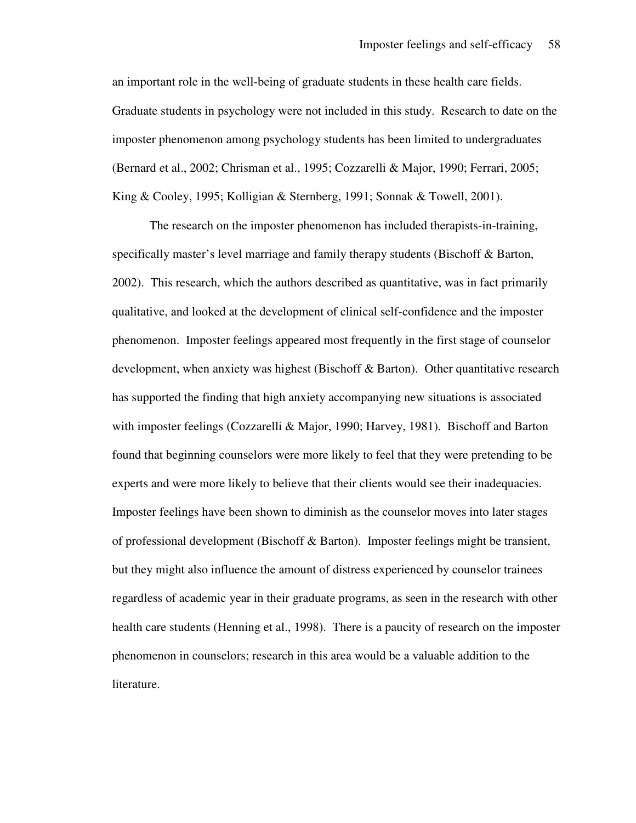an important role in the well-being of graduate students in these health care fields. Graduate students in psychology were not included in this study. Research to date on the imposter phenomenon among psychology students has been limited to undergraduates (Bernard et al., 2002; Chrisman et al., 1995; Cozzarelli & Major, 1990; Ferrari, 2005; King & Cooley, 1995; Kolligian & Sternberg, 1991; Sonnak & Towell, 2001).

The research on the imposter phenomenon has included therapists-in-training, specifically master's level marriage and family therapy students (Bischoff & Barton, 2002). This research, which the authors described as quantitative, was in fact primarily qualitative, and looked at the development of clinical self-confidence and the imposter phenomenon. Imposter feelings appeared most frequently in the first stage of counselor development, when anxiety was highest (Bischoff & Barton). Other quantitative research has supported the finding that high anxiety accompanying new situations is associated with imposter feelings (Cozzarelli & Major, 1990; Harvey, 1981). Bischoff and Barton found that beginning counselors were more likely to feel that they were pretending to be experts and were more likely to believe that their clients would see their inadequacies. Imposter feelings have been shown to diminish as the counselor moves into later stages of professional development (Bischoff & Barton). Imposter feelings might be transient, but they might also influence the amount of distress experienced by counselor trainees regardless of academic year in their graduate programs, as seen in the research with other health care students (Henning et al., 1998). There is a paucity of research on the imposter phenomenon in counselors; research in this area would be a valuable addition to the literature.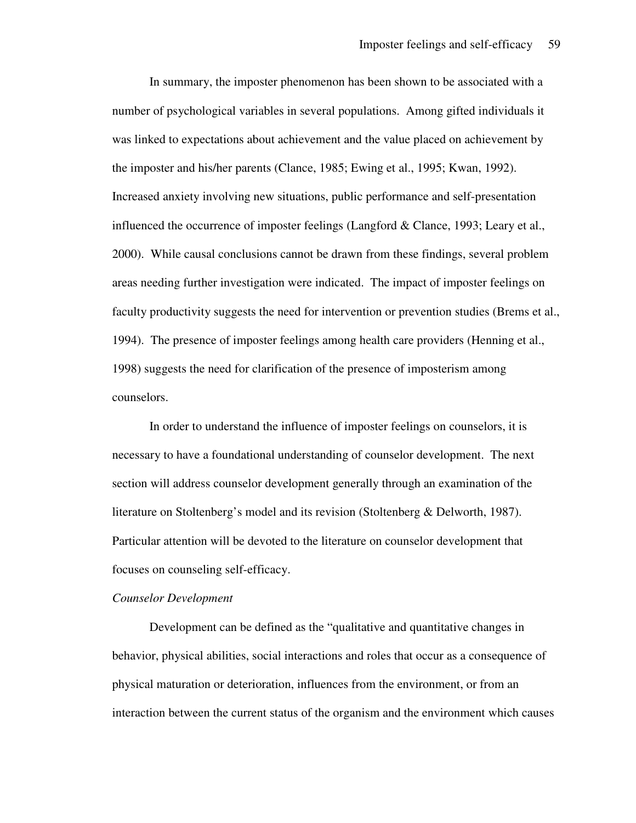In summary, the imposter phenomenon has been shown to be associated with a number of psychological variables in several populations. Among gifted individuals it was linked to expectations about achievement and the value placed on achievement by the imposter and his/her parents (Clance, 1985; Ewing et al., 1995; Kwan, 1992). Increased anxiety involving new situations, public performance and self-presentation influenced the occurrence of imposter feelings (Langford & Clance, 1993; Leary et al., 2000). While causal conclusions cannot be drawn from these findings, several problem areas needing further investigation were indicated. The impact of imposter feelings on faculty productivity suggests the need for intervention or prevention studies (Brems et al., 1994). The presence of imposter feelings among health care providers (Henning et al., 1998) suggests the need for clarification of the presence of imposterism among counselors.

In order to understand the influence of imposter feelings on counselors, it is necessary to have a foundational understanding of counselor development. The next section will address counselor development generally through an examination of the literature on Stoltenberg's model and its revision (Stoltenberg & Delworth, 1987). Particular attention will be devoted to the literature on counselor development that focuses on counseling self-efficacy.

#### *Counselor Development*

 Development can be defined as the "qualitative and quantitative changes in behavior, physical abilities, social interactions and roles that occur as a consequence of physical maturation or deterioration, influences from the environment, or from an interaction between the current status of the organism and the environment which causes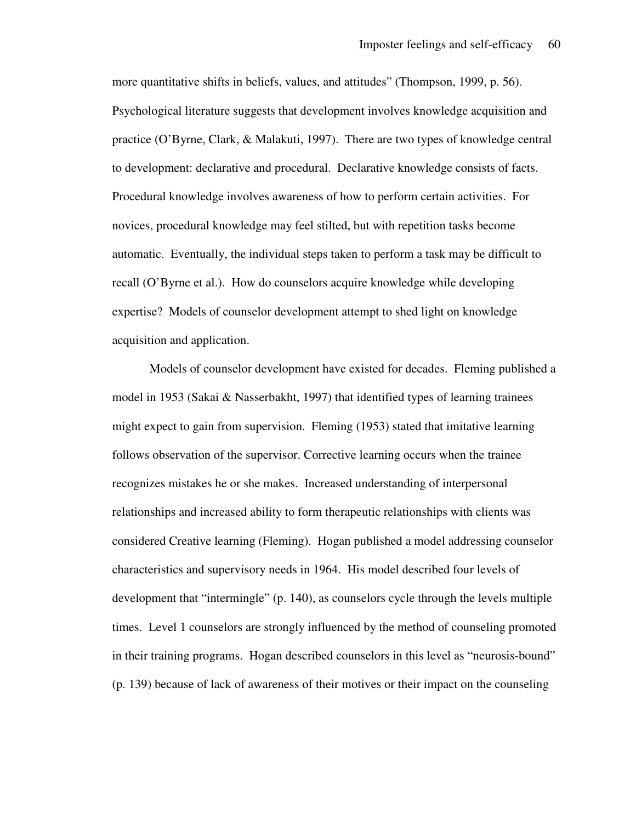more quantitative shifts in beliefs, values, and attitudes" (Thompson, 1999, p. 56). Psychological literature suggests that development involves knowledge acquisition and practice (O'Byrne, Clark, & Malakuti, 1997). There are two types of knowledge central to development: declarative and procedural. Declarative knowledge consists of facts. Procedural knowledge involves awareness of how to perform certain activities. For novices, procedural knowledge may feel stilted, but with repetition tasks become automatic. Eventually, the individual steps taken to perform a task may be difficult to recall (O'Byrne et al.). How do counselors acquire knowledge while developing expertise? Models of counselor development attempt to shed light on knowledge acquisition and application.

 Models of counselor development have existed for decades. Fleming published a model in 1953 (Sakai & Nasserbakht, 1997) that identified types of learning trainees might expect to gain from supervision. Fleming (1953) stated that imitative learning follows observation of the supervisor. Corrective learning occurs when the trainee recognizes mistakes he or she makes. Increased understanding of interpersonal relationships and increased ability to form therapeutic relationships with clients was considered Creative learning (Fleming). Hogan published a model addressing counselor characteristics and supervisory needs in 1964. His model described four levels of development that "intermingle" (p. 140), as counselors cycle through the levels multiple times. Level 1 counselors are strongly influenced by the method of counseling promoted in their training programs. Hogan described counselors in this level as "neurosis-bound" (p. 139) because of lack of awareness of their motives or their impact on the counseling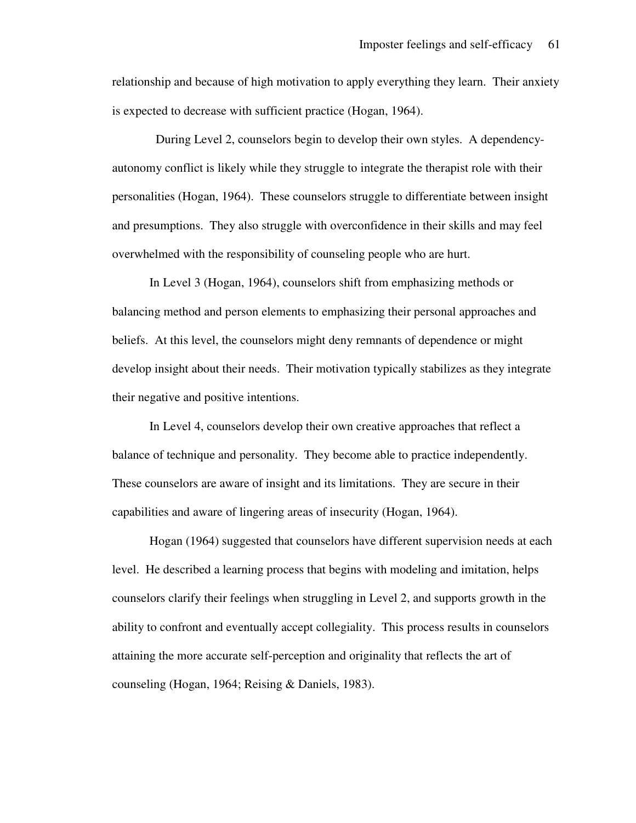relationship and because of high motivation to apply everything they learn. Their anxiety is expected to decrease with sufficient practice (Hogan, 1964).

 During Level 2, counselors begin to develop their own styles. A dependencyautonomy conflict is likely while they struggle to integrate the therapist role with their personalities (Hogan, 1964). These counselors struggle to differentiate between insight and presumptions. They also struggle with overconfidence in their skills and may feel overwhelmed with the responsibility of counseling people who are hurt.

 In Level 3 (Hogan, 1964), counselors shift from emphasizing methods or balancing method and person elements to emphasizing their personal approaches and beliefs. At this level, the counselors might deny remnants of dependence or might develop insight about their needs. Their motivation typically stabilizes as they integrate their negative and positive intentions.

 In Level 4, counselors develop their own creative approaches that reflect a balance of technique and personality. They become able to practice independently. These counselors are aware of insight and its limitations. They are secure in their capabilities and aware of lingering areas of insecurity (Hogan, 1964).

 Hogan (1964) suggested that counselors have different supervision needs at each level. He described a learning process that begins with modeling and imitation, helps counselors clarify their feelings when struggling in Level 2, and supports growth in the ability to confront and eventually accept collegiality. This process results in counselors attaining the more accurate self-perception and originality that reflects the art of counseling (Hogan, 1964; Reising & Daniels, 1983).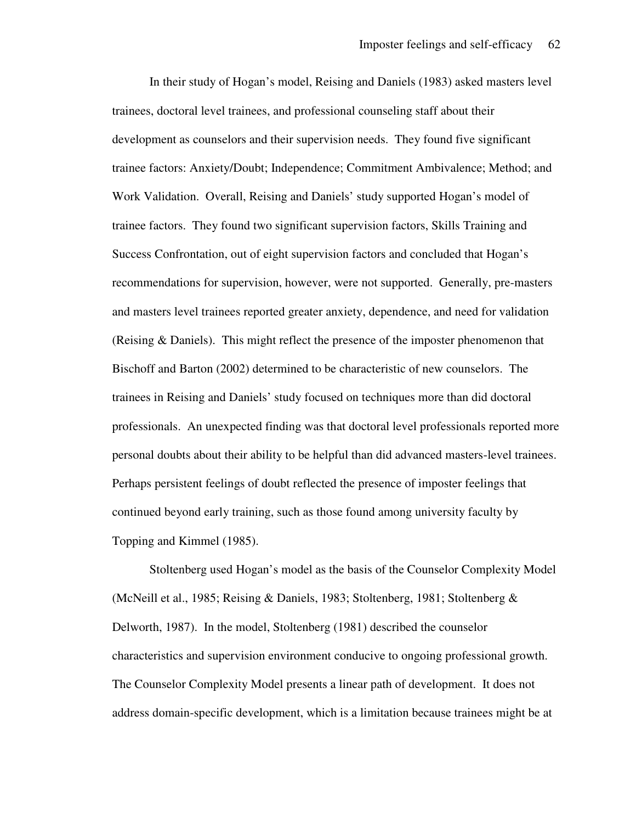In their study of Hogan's model, Reising and Daniels (1983) asked masters level trainees, doctoral level trainees, and professional counseling staff about their development as counselors and their supervision needs. They found five significant trainee factors: Anxiety/Doubt; Independence; Commitment Ambivalence; Method; and Work Validation. Overall, Reising and Daniels' study supported Hogan's model of trainee factors. They found two significant supervision factors, Skills Training and Success Confrontation, out of eight supervision factors and concluded that Hogan's recommendations for supervision, however, were not supported. Generally, pre-masters and masters level trainees reported greater anxiety, dependence, and need for validation (Reising & Daniels). This might reflect the presence of the imposter phenomenon that Bischoff and Barton (2002) determined to be characteristic of new counselors. The trainees in Reising and Daniels' study focused on techniques more than did doctoral professionals. An unexpected finding was that doctoral level professionals reported more personal doubts about their ability to be helpful than did advanced masters-level trainees. Perhaps persistent feelings of doubt reflected the presence of imposter feelings that continued beyond early training, such as those found among university faculty by Topping and Kimmel (1985).

 Stoltenberg used Hogan's model as the basis of the Counselor Complexity Model (McNeill et al., 1985; Reising & Daniels, 1983; Stoltenberg, 1981; Stoltenberg & Delworth, 1987). In the model, Stoltenberg (1981) described the counselor characteristics and supervision environment conducive to ongoing professional growth. The Counselor Complexity Model presents a linear path of development. It does not address domain-specific development, which is a limitation because trainees might be at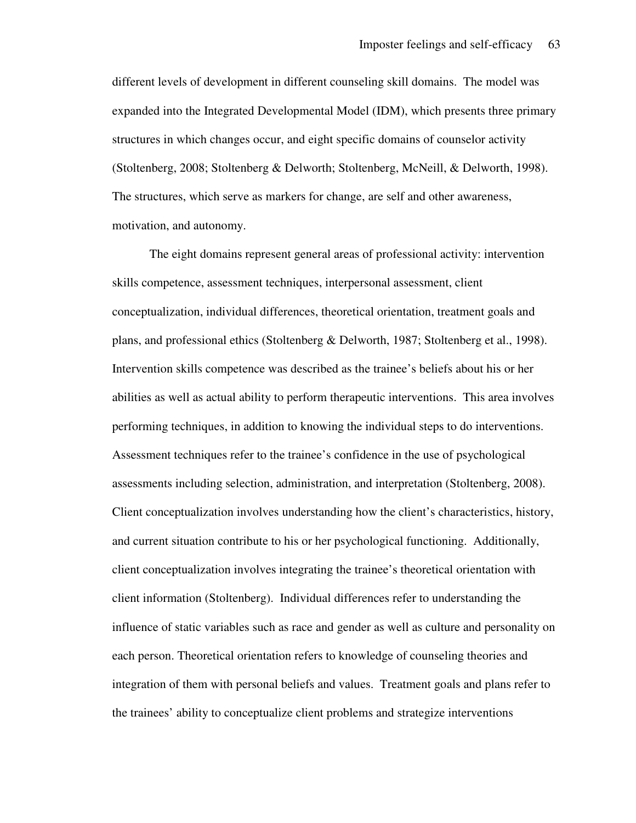different levels of development in different counseling skill domains. The model was expanded into the Integrated Developmental Model (IDM), which presents three primary structures in which changes occur, and eight specific domains of counselor activity (Stoltenberg, 2008; Stoltenberg & Delworth; Stoltenberg, McNeill, & Delworth, 1998). The structures, which serve as markers for change, are self and other awareness, motivation, and autonomy.

 The eight domains represent general areas of professional activity: intervention skills competence, assessment techniques, interpersonal assessment, client conceptualization, individual differences, theoretical orientation, treatment goals and plans, and professional ethics (Stoltenberg & Delworth, 1987; Stoltenberg et al., 1998). Intervention skills competence was described as the trainee's beliefs about his or her abilities as well as actual ability to perform therapeutic interventions. This area involves performing techniques, in addition to knowing the individual steps to do interventions. Assessment techniques refer to the trainee's confidence in the use of psychological assessments including selection, administration, and interpretation (Stoltenberg, 2008). Client conceptualization involves understanding how the client's characteristics, history, and current situation contribute to his or her psychological functioning. Additionally, client conceptualization involves integrating the trainee's theoretical orientation with client information (Stoltenberg). Individual differences refer to understanding the influence of static variables such as race and gender as well as culture and personality on each person. Theoretical orientation refers to knowledge of counseling theories and integration of them with personal beliefs and values. Treatment goals and plans refer to the trainees' ability to conceptualize client problems and strategize interventions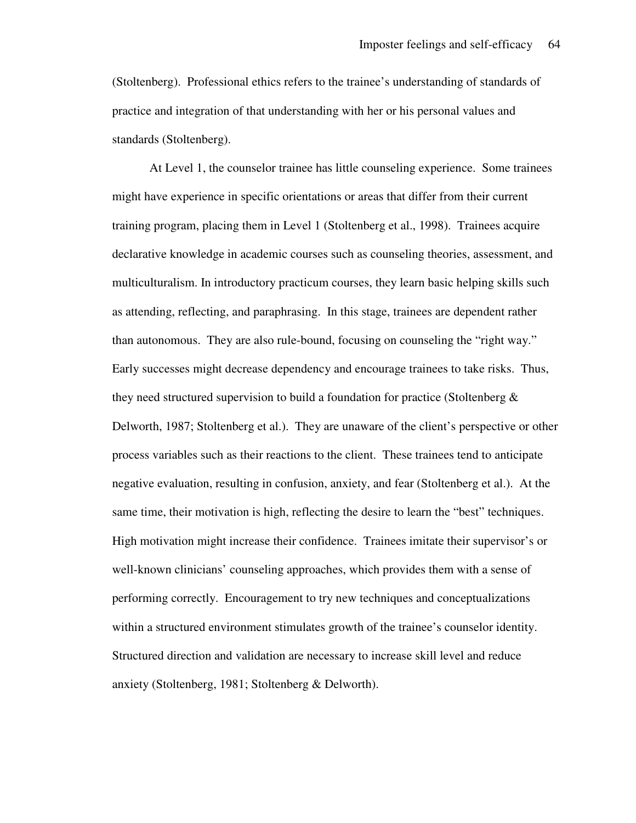(Stoltenberg). Professional ethics refers to the trainee's understanding of standards of practice and integration of that understanding with her or his personal values and standards (Stoltenberg).

 At Level 1, the counselor trainee has little counseling experience. Some trainees might have experience in specific orientations or areas that differ from their current training program, placing them in Level 1 (Stoltenberg et al., 1998). Trainees acquire declarative knowledge in academic courses such as counseling theories, assessment, and multiculturalism. In introductory practicum courses, they learn basic helping skills such as attending, reflecting, and paraphrasing. In this stage, trainees are dependent rather than autonomous. They are also rule-bound, focusing on counseling the "right way." Early successes might decrease dependency and encourage trainees to take risks. Thus, they need structured supervision to build a foundation for practice (Stoltenberg  $\&$ Delworth, 1987; Stoltenberg et al.). They are unaware of the client's perspective or other process variables such as their reactions to the client. These trainees tend to anticipate negative evaluation, resulting in confusion, anxiety, and fear (Stoltenberg et al.). At the same time, their motivation is high, reflecting the desire to learn the "best" techniques. High motivation might increase their confidence. Trainees imitate their supervisor's or well-known clinicians' counseling approaches, which provides them with a sense of performing correctly. Encouragement to try new techniques and conceptualizations within a structured environment stimulates growth of the trainee's counselor identity. Structured direction and validation are necessary to increase skill level and reduce anxiety (Stoltenberg, 1981; Stoltenberg & Delworth).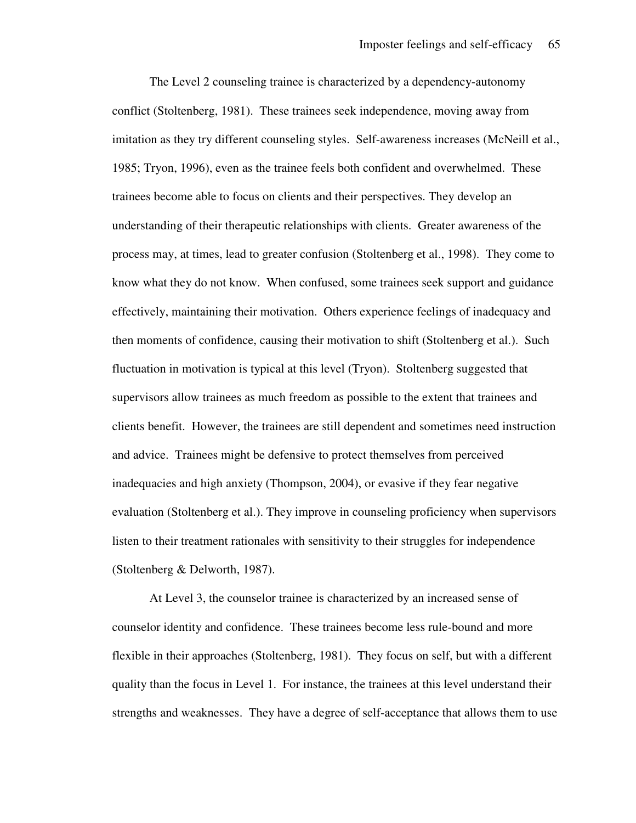The Level 2 counseling trainee is characterized by a dependency-autonomy conflict (Stoltenberg, 1981). These trainees seek independence, moving away from imitation as they try different counseling styles. Self-awareness increases (McNeill et al., 1985; Tryon, 1996), even as the trainee feels both confident and overwhelmed. These trainees become able to focus on clients and their perspectives. They develop an understanding of their therapeutic relationships with clients. Greater awareness of the process may, at times, lead to greater confusion (Stoltenberg et al., 1998). They come to know what they do not know. When confused, some trainees seek support and guidance effectively, maintaining their motivation. Others experience feelings of inadequacy and then moments of confidence, causing their motivation to shift (Stoltenberg et al.). Such fluctuation in motivation is typical at this level (Tryon). Stoltenberg suggested that supervisors allow trainees as much freedom as possible to the extent that trainees and clients benefit. However, the trainees are still dependent and sometimes need instruction and advice. Trainees might be defensive to protect themselves from perceived inadequacies and high anxiety (Thompson, 2004), or evasive if they fear negative evaluation (Stoltenberg et al.). They improve in counseling proficiency when supervisors listen to their treatment rationales with sensitivity to their struggles for independence (Stoltenberg & Delworth, 1987).

 At Level 3, the counselor trainee is characterized by an increased sense of counselor identity and confidence. These trainees become less rule-bound and more flexible in their approaches (Stoltenberg, 1981). They focus on self, but with a different quality than the focus in Level 1. For instance, the trainees at this level understand their strengths and weaknesses. They have a degree of self-acceptance that allows them to use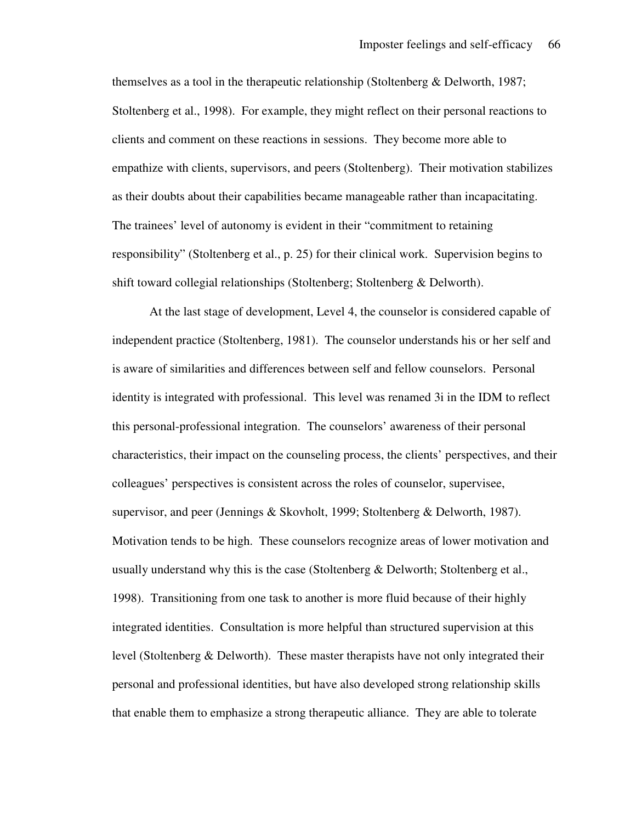themselves as a tool in the therapeutic relationship (Stoltenberg & Delworth, 1987; Stoltenberg et al., 1998). For example, they might reflect on their personal reactions to clients and comment on these reactions in sessions. They become more able to empathize with clients, supervisors, and peers (Stoltenberg). Their motivation stabilizes as their doubts about their capabilities became manageable rather than incapacitating. The trainees' level of autonomy is evident in their "commitment to retaining responsibility" (Stoltenberg et al., p. 25) for their clinical work. Supervision begins to shift toward collegial relationships (Stoltenberg; Stoltenberg & Delworth).

 At the last stage of development, Level 4, the counselor is considered capable of independent practice (Stoltenberg, 1981). The counselor understands his or her self and is aware of similarities and differences between self and fellow counselors. Personal identity is integrated with professional. This level was renamed 3i in the IDM to reflect this personal-professional integration. The counselors' awareness of their personal characteristics, their impact on the counseling process, the clients' perspectives, and their colleagues' perspectives is consistent across the roles of counselor, supervisee, supervisor, and peer (Jennings & Skovholt, 1999; Stoltenberg & Delworth, 1987). Motivation tends to be high. These counselors recognize areas of lower motivation and usually understand why this is the case (Stoltenberg  $\&$  Delworth; Stoltenberg et al., 1998). Transitioning from one task to another is more fluid because of their highly integrated identities. Consultation is more helpful than structured supervision at this level (Stoltenberg & Delworth). These master therapists have not only integrated their personal and professional identities, but have also developed strong relationship skills that enable them to emphasize a strong therapeutic alliance. They are able to tolerate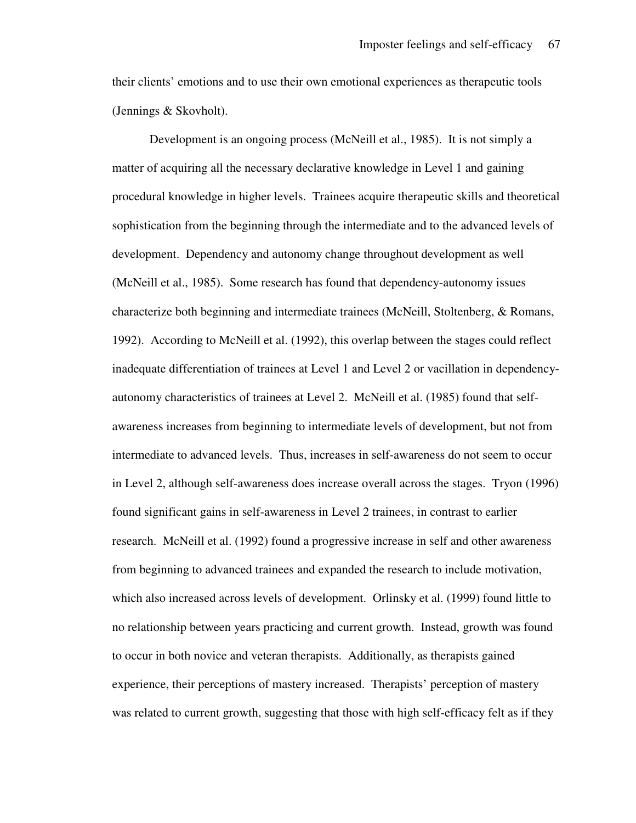their clients' emotions and to use their own emotional experiences as therapeutic tools (Jennings & Skovholt).

 Development is an ongoing process (McNeill et al., 1985). It is not simply a matter of acquiring all the necessary declarative knowledge in Level 1 and gaining procedural knowledge in higher levels. Trainees acquire therapeutic skills and theoretical sophistication from the beginning through the intermediate and to the advanced levels of development. Dependency and autonomy change throughout development as well (McNeill et al., 1985). Some research has found that dependency-autonomy issues characterize both beginning and intermediate trainees (McNeill, Stoltenberg, & Romans, 1992). According to McNeill et al. (1992), this overlap between the stages could reflect inadequate differentiation of trainees at Level 1 and Level 2 or vacillation in dependencyautonomy characteristics of trainees at Level 2. McNeill et al. (1985) found that selfawareness increases from beginning to intermediate levels of development, but not from intermediate to advanced levels. Thus, increases in self-awareness do not seem to occur in Level 2, although self-awareness does increase overall across the stages. Tryon (1996) found significant gains in self-awareness in Level 2 trainees, in contrast to earlier research. McNeill et al. (1992) found a progressive increase in self and other awareness from beginning to advanced trainees and expanded the research to include motivation, which also increased across levels of development. Orlinsky et al. (1999) found little to no relationship between years practicing and current growth. Instead, growth was found to occur in both novice and veteran therapists. Additionally, as therapists gained experience, their perceptions of mastery increased. Therapists' perception of mastery was related to current growth, suggesting that those with high self-efficacy felt as if they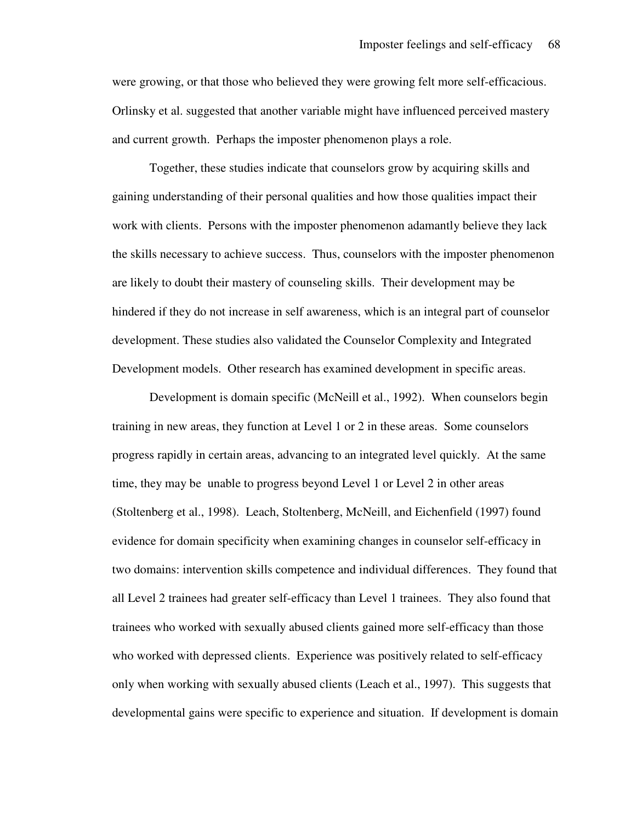were growing, or that those who believed they were growing felt more self-efficacious. Orlinsky et al. suggested that another variable might have influenced perceived mastery and current growth. Perhaps the imposter phenomenon plays a role.

 Together, these studies indicate that counselors grow by acquiring skills and gaining understanding of their personal qualities and how those qualities impact their work with clients. Persons with the imposter phenomenon adamantly believe they lack the skills necessary to achieve success. Thus, counselors with the imposter phenomenon are likely to doubt their mastery of counseling skills. Their development may be hindered if they do not increase in self awareness, which is an integral part of counselor development. These studies also validated the Counselor Complexity and Integrated Development models. Other research has examined development in specific areas.

 Development is domain specific (McNeill et al., 1992). When counselors begin training in new areas, they function at Level 1 or 2 in these areas. Some counselors progress rapidly in certain areas, advancing to an integrated level quickly. At the same time, they may be unable to progress beyond Level 1 or Level 2 in other areas (Stoltenberg et al., 1998). Leach, Stoltenberg, McNeill, and Eichenfield (1997) found evidence for domain specificity when examining changes in counselor self-efficacy in two domains: intervention skills competence and individual differences. They found that all Level 2 trainees had greater self-efficacy than Level 1 trainees. They also found that trainees who worked with sexually abused clients gained more self-efficacy than those who worked with depressed clients. Experience was positively related to self-efficacy only when working with sexually abused clients (Leach et al., 1997). This suggests that developmental gains were specific to experience and situation. If development is domain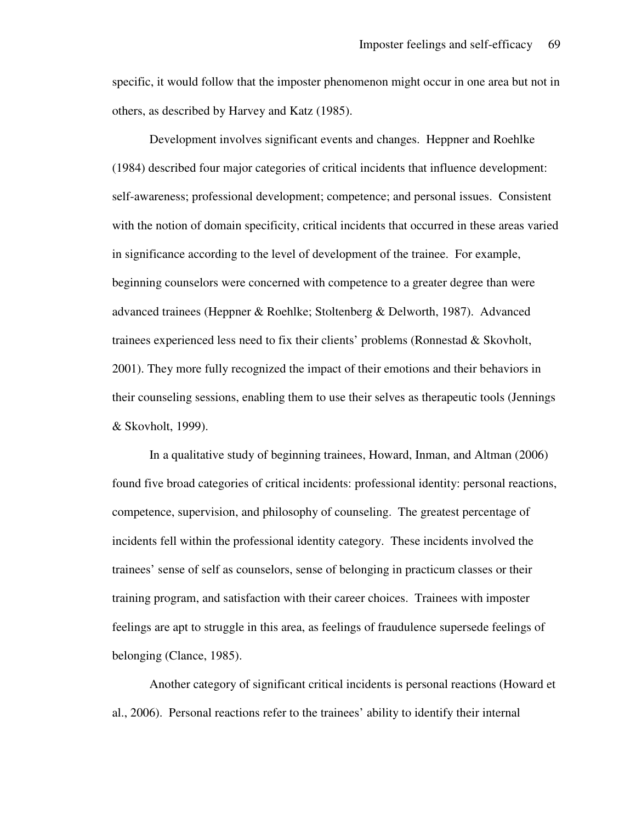specific, it would follow that the imposter phenomenon might occur in one area but not in others, as described by Harvey and Katz (1985).

 Development involves significant events and changes. Heppner and Roehlke (1984) described four major categories of critical incidents that influence development: self-awareness; professional development; competence; and personal issues. Consistent with the notion of domain specificity, critical incidents that occurred in these areas varied in significance according to the level of development of the trainee. For example, beginning counselors were concerned with competence to a greater degree than were advanced trainees (Heppner & Roehlke; Stoltenberg & Delworth, 1987). Advanced trainees experienced less need to fix their clients' problems (Ronnestad & Skovholt, 2001). They more fully recognized the impact of their emotions and their behaviors in their counseling sessions, enabling them to use their selves as therapeutic tools (Jennings & Skovholt, 1999).

 In a qualitative study of beginning trainees, Howard, Inman, and Altman (2006) found five broad categories of critical incidents: professional identity: personal reactions, competence, supervision, and philosophy of counseling. The greatest percentage of incidents fell within the professional identity category. These incidents involved the trainees' sense of self as counselors, sense of belonging in practicum classes or their training program, and satisfaction with their career choices. Trainees with imposter feelings are apt to struggle in this area, as feelings of fraudulence supersede feelings of belonging (Clance, 1985).

 Another category of significant critical incidents is personal reactions (Howard et al., 2006). Personal reactions refer to the trainees' ability to identify their internal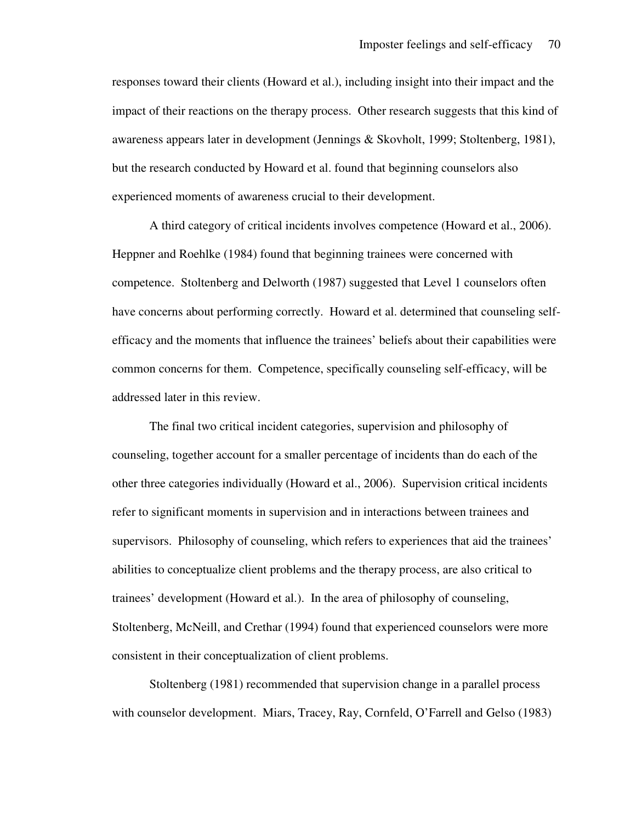responses toward their clients (Howard et al.), including insight into their impact and the impact of their reactions on the therapy process. Other research suggests that this kind of awareness appears later in development (Jennings & Skovholt, 1999; Stoltenberg, 1981), but the research conducted by Howard et al. found that beginning counselors also experienced moments of awareness crucial to their development.

 A third category of critical incidents involves competence (Howard et al., 2006). Heppner and Roehlke (1984) found that beginning trainees were concerned with competence. Stoltenberg and Delworth (1987) suggested that Level 1 counselors often have concerns about performing correctly. Howard et al. determined that counseling selfefficacy and the moments that influence the trainees' beliefs about their capabilities were common concerns for them. Competence, specifically counseling self-efficacy, will be addressed later in this review.

 The final two critical incident categories, supervision and philosophy of counseling, together account for a smaller percentage of incidents than do each of the other three categories individually (Howard et al., 2006). Supervision critical incidents refer to significant moments in supervision and in interactions between trainees and supervisors. Philosophy of counseling, which refers to experiences that aid the trainees' abilities to conceptualize client problems and the therapy process, are also critical to trainees' development (Howard et al.). In the area of philosophy of counseling, Stoltenberg, McNeill, and Crethar (1994) found that experienced counselors were more consistent in their conceptualization of client problems.

 Stoltenberg (1981) recommended that supervision change in a parallel process with counselor development. Miars, Tracey, Ray, Cornfeld, O'Farrell and Gelso (1983)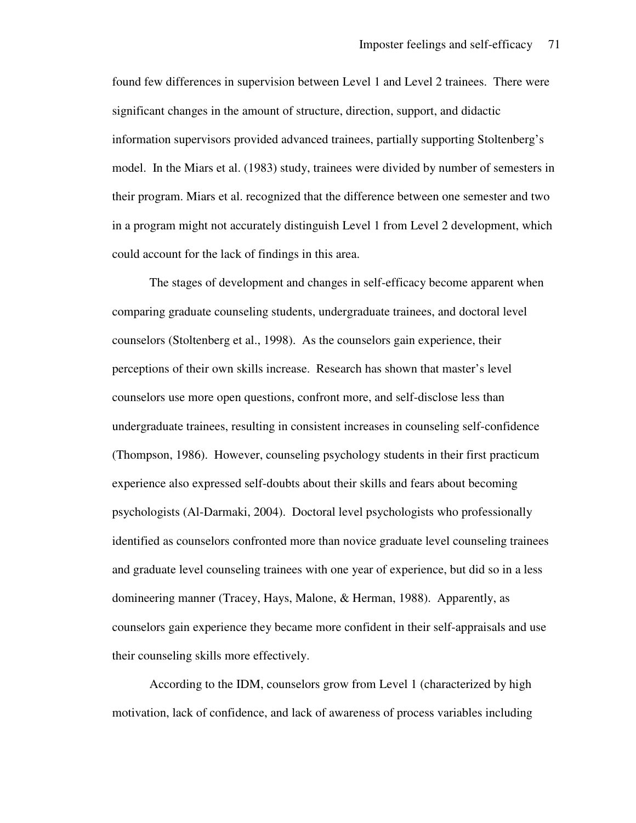found few differences in supervision between Level 1 and Level 2 trainees. There were significant changes in the amount of structure, direction, support, and didactic information supervisors provided advanced trainees, partially supporting Stoltenberg's model. In the Miars et al. (1983) study, trainees were divided by number of semesters in their program. Miars et al. recognized that the difference between one semester and two in a program might not accurately distinguish Level 1 from Level 2 development, which could account for the lack of findings in this area.

 The stages of development and changes in self-efficacy become apparent when comparing graduate counseling students, undergraduate trainees, and doctoral level counselors (Stoltenberg et al., 1998). As the counselors gain experience, their perceptions of their own skills increase. Research has shown that master's level counselors use more open questions, confront more, and self-disclose less than undergraduate trainees, resulting in consistent increases in counseling self-confidence (Thompson, 1986). However, counseling psychology students in their first practicum experience also expressed self-doubts about their skills and fears about becoming psychologists (Al-Darmaki, 2004). Doctoral level psychologists who professionally identified as counselors confronted more than novice graduate level counseling trainees and graduate level counseling trainees with one year of experience, but did so in a less domineering manner (Tracey, Hays, Malone, & Herman, 1988). Apparently, as counselors gain experience they became more confident in their self-appraisals and use their counseling skills more effectively.

According to the IDM, counselors grow from Level 1 (characterized by high motivation, lack of confidence, and lack of awareness of process variables including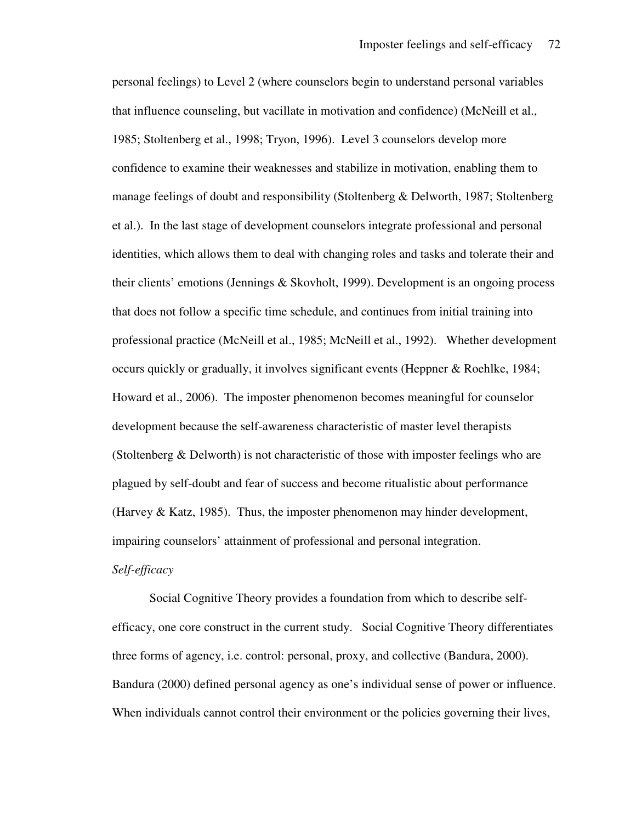personal feelings) to Level 2 (where counselors begin to understand personal variables that influence counseling, but vacillate in motivation and confidence) (McNeill et al., 1985; Stoltenberg et al., 1998; Tryon, 1996). Level 3 counselors develop more confidence to examine their weaknesses and stabilize in motivation, enabling them to manage feelings of doubt and responsibility (Stoltenberg & Delworth, 1987; Stoltenberg et al.). In the last stage of development counselors integrate professional and personal identities, which allows them to deal with changing roles and tasks and tolerate their and their clients' emotions (Jennings & Skovholt, 1999). Development is an ongoing process that does not follow a specific time schedule, and continues from initial training into professional practice (McNeill et al., 1985; McNeill et al., 1992). Whether development occurs quickly or gradually, it involves significant events (Heppner & Roehlke, 1984; Howard et al., 2006). The imposter phenomenon becomes meaningful for counselor development because the self-awareness characteristic of master level therapists (Stoltenberg & Delworth) is not characteristic of those with imposter feelings who are plagued by self-doubt and fear of success and become ritualistic about performance (Harvey & Katz, 1985). Thus, the imposter phenomenon may hinder development, impairing counselors' attainment of professional and personal integration.

# *Self-efficacy*

Social Cognitive Theory provides a foundation from which to describe selfefficacy, one core construct in the current study. Social Cognitive Theory differentiates three forms of agency, i.e. control: personal, proxy, and collective (Bandura, 2000). Bandura (2000) defined personal agency as one's individual sense of power or influence. When individuals cannot control their environment or the policies governing their lives,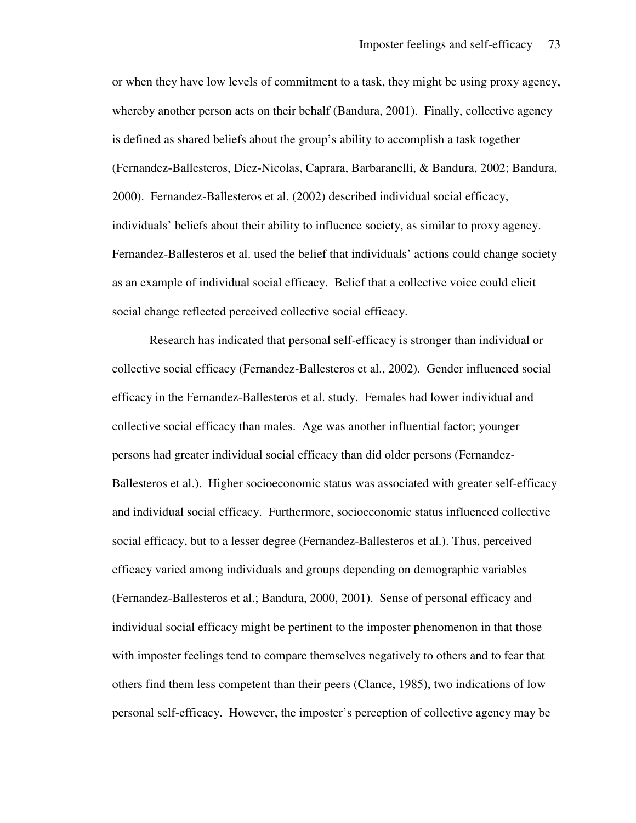or when they have low levels of commitment to a task, they might be using proxy agency, whereby another person acts on their behalf (Bandura, 2001). Finally, collective agency is defined as shared beliefs about the group's ability to accomplish a task together (Fernandez-Ballesteros, Diez-Nicolas, Caprara, Barbaranelli, & Bandura, 2002; Bandura, 2000). Fernandez-Ballesteros et al. (2002) described individual social efficacy, individuals' beliefs about their ability to influence society, as similar to proxy agency. Fernandez-Ballesteros et al. used the belief that individuals' actions could change society as an example of individual social efficacy. Belief that a collective voice could elicit social change reflected perceived collective social efficacy.

Research has indicated that personal self-efficacy is stronger than individual or collective social efficacy (Fernandez-Ballesteros et al., 2002). Gender influenced social efficacy in the Fernandez-Ballesteros et al. study. Females had lower individual and collective social efficacy than males. Age was another influential factor; younger persons had greater individual social efficacy than did older persons (Fernandez-Ballesteros et al.). Higher socioeconomic status was associated with greater self-efficacy and individual social efficacy. Furthermore, socioeconomic status influenced collective social efficacy, but to a lesser degree (Fernandez-Ballesteros et al.). Thus, perceived efficacy varied among individuals and groups depending on demographic variables (Fernandez-Ballesteros et al.; Bandura, 2000, 2001). Sense of personal efficacy and individual social efficacy might be pertinent to the imposter phenomenon in that those with imposter feelings tend to compare themselves negatively to others and to fear that others find them less competent than their peers (Clance, 1985), two indications of low personal self-efficacy. However, the imposter's perception of collective agency may be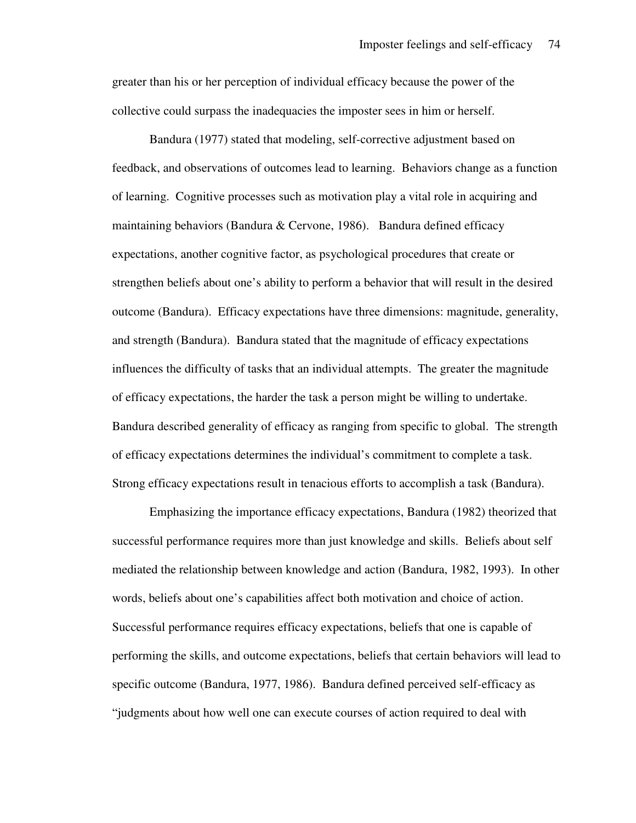greater than his or her perception of individual efficacy because the power of the collective could surpass the inadequacies the imposter sees in him or herself.

 Bandura (1977) stated that modeling, self-corrective adjustment based on feedback, and observations of outcomes lead to learning. Behaviors change as a function of learning. Cognitive processes such as motivation play a vital role in acquiring and maintaining behaviors (Bandura & Cervone, 1986). Bandura defined efficacy expectations, another cognitive factor, as psychological procedures that create or strengthen beliefs about one's ability to perform a behavior that will result in the desired outcome (Bandura). Efficacy expectations have three dimensions: magnitude, generality, and strength (Bandura). Bandura stated that the magnitude of efficacy expectations influences the difficulty of tasks that an individual attempts. The greater the magnitude of efficacy expectations, the harder the task a person might be willing to undertake. Bandura described generality of efficacy as ranging from specific to global. The strength of efficacy expectations determines the individual's commitment to complete a task. Strong efficacy expectations result in tenacious efforts to accomplish a task (Bandura).

Emphasizing the importance efficacy expectations, Bandura (1982) theorized that successful performance requires more than just knowledge and skills. Beliefs about self mediated the relationship between knowledge and action (Bandura, 1982, 1993). In other words, beliefs about one's capabilities affect both motivation and choice of action. Successful performance requires efficacy expectations, beliefs that one is capable of performing the skills, and outcome expectations, beliefs that certain behaviors will lead to specific outcome (Bandura, 1977, 1986). Bandura defined perceived self-efficacy as "judgments about how well one can execute courses of action required to deal with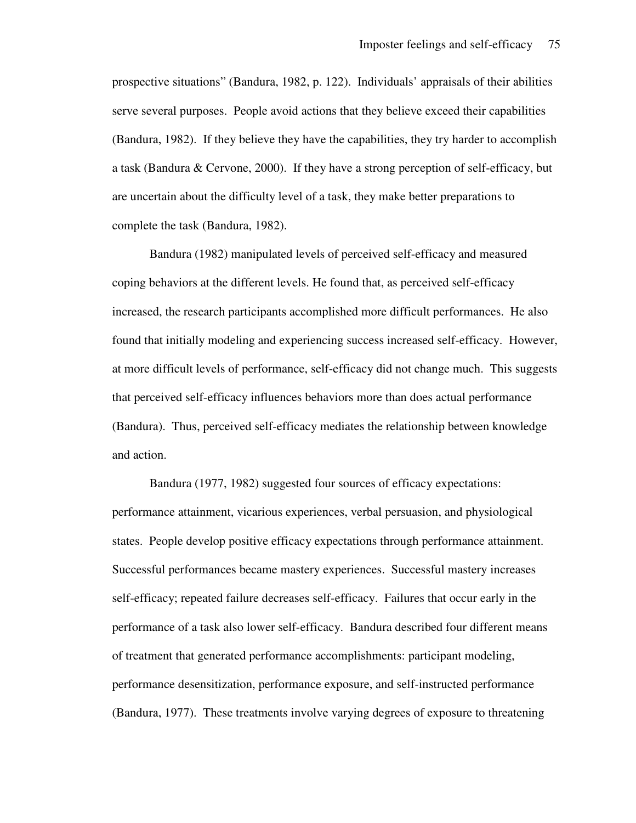prospective situations" (Bandura, 1982, p. 122). Individuals' appraisals of their abilities serve several purposes. People avoid actions that they believe exceed their capabilities (Bandura, 1982). If they believe they have the capabilities, they try harder to accomplish a task (Bandura & Cervone, 2000). If they have a strong perception of self-efficacy, but are uncertain about the difficulty level of a task, they make better preparations to complete the task (Bandura, 1982).

Bandura (1982) manipulated levels of perceived self-efficacy and measured coping behaviors at the different levels. He found that, as perceived self-efficacy increased, the research participants accomplished more difficult performances. He also found that initially modeling and experiencing success increased self-efficacy. However, at more difficult levels of performance, self-efficacy did not change much. This suggests that perceived self-efficacy influences behaviors more than does actual performance (Bandura). Thus, perceived self-efficacy mediates the relationship between knowledge and action.

Bandura (1977, 1982) suggested four sources of efficacy expectations: performance attainment, vicarious experiences, verbal persuasion, and physiological states. People develop positive efficacy expectations through performance attainment. Successful performances became mastery experiences. Successful mastery increases self-efficacy; repeated failure decreases self-efficacy. Failures that occur early in the performance of a task also lower self-efficacy. Bandura described four different means of treatment that generated performance accomplishments: participant modeling, performance desensitization, performance exposure, and self-instructed performance (Bandura, 1977). These treatments involve varying degrees of exposure to threatening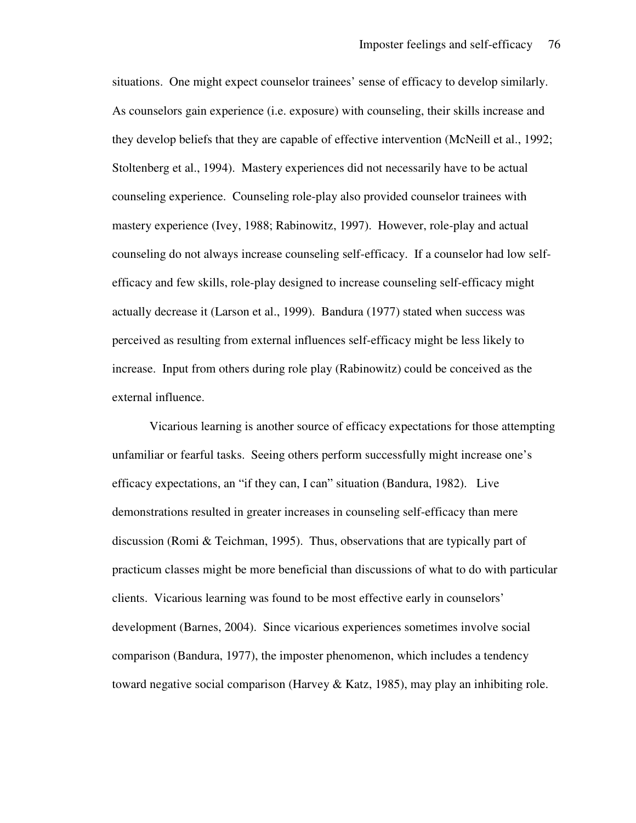situations. One might expect counselor trainees' sense of efficacy to develop similarly. As counselors gain experience (i.e. exposure) with counseling, their skills increase and they develop beliefs that they are capable of effective intervention (McNeill et al., 1992; Stoltenberg et al., 1994). Mastery experiences did not necessarily have to be actual counseling experience. Counseling role-play also provided counselor trainees with mastery experience (Ivey, 1988; Rabinowitz, 1997). However, role-play and actual counseling do not always increase counseling self-efficacy. If a counselor had low selfefficacy and few skills, role-play designed to increase counseling self-efficacy might actually decrease it (Larson et al., 1999). Bandura (1977) stated when success was perceived as resulting from external influences self-efficacy might be less likely to increase. Input from others during role play (Rabinowitz) could be conceived as the external influence.

 Vicarious learning is another source of efficacy expectations for those attempting unfamiliar or fearful tasks. Seeing others perform successfully might increase one's efficacy expectations, an "if they can, I can" situation (Bandura, 1982). Live demonstrations resulted in greater increases in counseling self-efficacy than mere discussion (Romi  $\&$  Teichman, 1995). Thus, observations that are typically part of practicum classes might be more beneficial than discussions of what to do with particular clients. Vicarious learning was found to be most effective early in counselors' development (Barnes, 2004). Since vicarious experiences sometimes involve social comparison (Bandura, 1977), the imposter phenomenon, which includes a tendency toward negative social comparison (Harvey & Katz, 1985), may play an inhibiting role.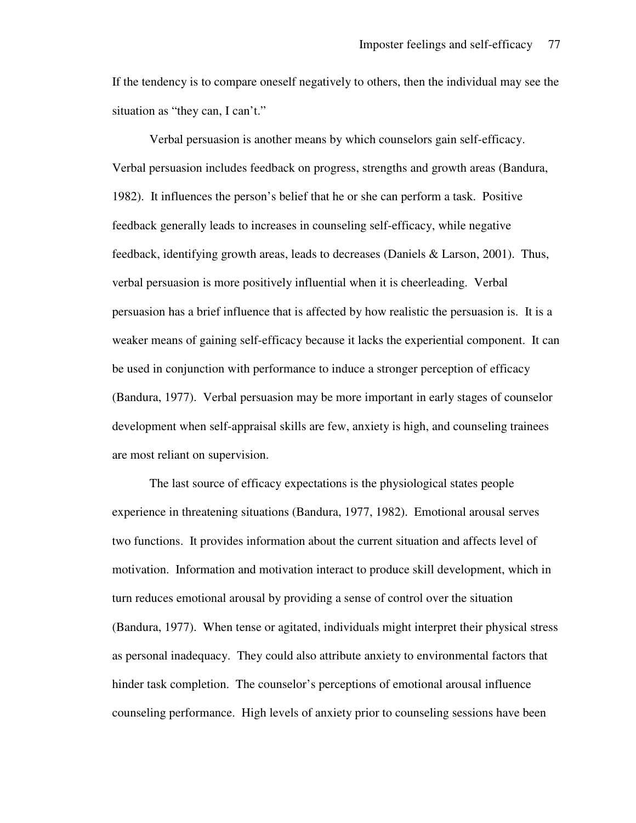If the tendency is to compare oneself negatively to others, then the individual may see the situation as "they can, I can't."

 Verbal persuasion is another means by which counselors gain self-efficacy. Verbal persuasion includes feedback on progress, strengths and growth areas (Bandura, 1982). It influences the person's belief that he or she can perform a task. Positive feedback generally leads to increases in counseling self-efficacy, while negative feedback, identifying growth areas, leads to decreases (Daniels & Larson, 2001). Thus, verbal persuasion is more positively influential when it is cheerleading. Verbal persuasion has a brief influence that is affected by how realistic the persuasion is. It is a weaker means of gaining self-efficacy because it lacks the experiential component. It can be used in conjunction with performance to induce a stronger perception of efficacy (Bandura, 1977). Verbal persuasion may be more important in early stages of counselor development when self-appraisal skills are few, anxiety is high, and counseling trainees are most reliant on supervision.

 The last source of efficacy expectations is the physiological states people experience in threatening situations (Bandura, 1977, 1982). Emotional arousal serves two functions. It provides information about the current situation and affects level of motivation. Information and motivation interact to produce skill development, which in turn reduces emotional arousal by providing a sense of control over the situation (Bandura, 1977). When tense or agitated, individuals might interpret their physical stress as personal inadequacy. They could also attribute anxiety to environmental factors that hinder task completion. The counselor's perceptions of emotional arousal influence counseling performance. High levels of anxiety prior to counseling sessions have been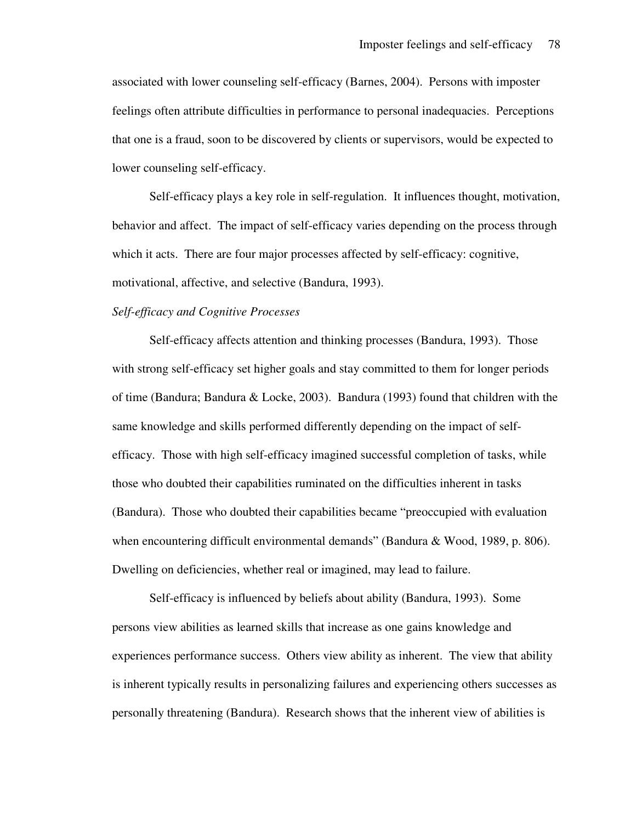associated with lower counseling self-efficacy (Barnes, 2004). Persons with imposter feelings often attribute difficulties in performance to personal inadequacies. Perceptions that one is a fraud, soon to be discovered by clients or supervisors, would be expected to lower counseling self-efficacy.

Self-efficacy plays a key role in self-regulation. It influences thought, motivation, behavior and affect. The impact of self-efficacy varies depending on the process through which it acts. There are four major processes affected by self-efficacy: cognitive, motivational, affective, and selective (Bandura, 1993).

#### *Self-efficacy and Cognitive Processes*

Self-efficacy affects attention and thinking processes (Bandura, 1993). Those with strong self-efficacy set higher goals and stay committed to them for longer periods of time (Bandura; Bandura & Locke, 2003). Bandura (1993) found that children with the same knowledge and skills performed differently depending on the impact of selfefficacy. Those with high self-efficacy imagined successful completion of tasks, while those who doubted their capabilities ruminated on the difficulties inherent in tasks (Bandura). Those who doubted their capabilities became "preoccupied with evaluation when encountering difficult environmental demands" (Bandura & Wood, 1989, p. 806). Dwelling on deficiencies, whether real or imagined, may lead to failure.

Self-efficacy is influenced by beliefs about ability (Bandura, 1993). Some persons view abilities as learned skills that increase as one gains knowledge and experiences performance success. Others view ability as inherent. The view that ability is inherent typically results in personalizing failures and experiencing others successes as personally threatening (Bandura). Research shows that the inherent view of abilities is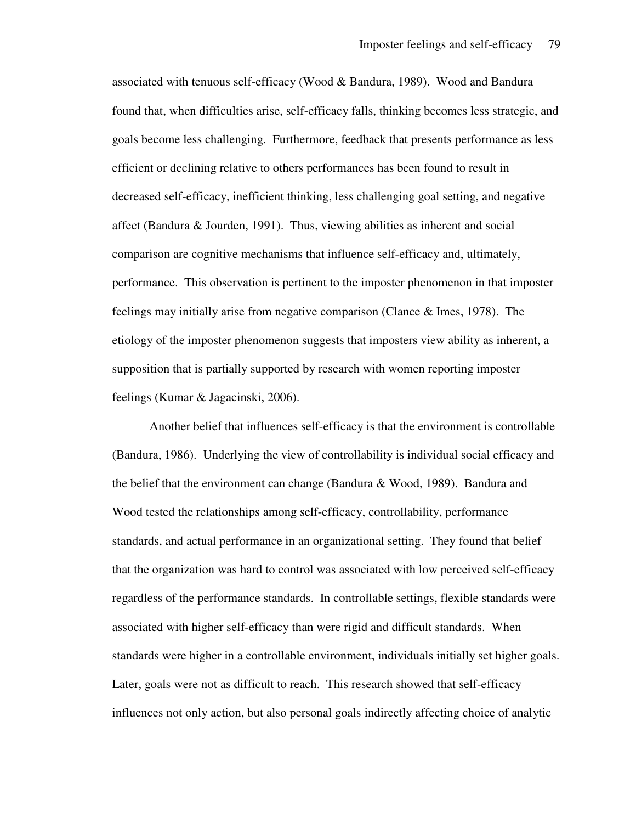associated with tenuous self-efficacy (Wood & Bandura, 1989). Wood and Bandura found that, when difficulties arise, self-efficacy falls, thinking becomes less strategic, and goals become less challenging. Furthermore, feedback that presents performance as less efficient or declining relative to others performances has been found to result in decreased self-efficacy, inefficient thinking, less challenging goal setting, and negative affect (Bandura & Jourden, 1991). Thus, viewing abilities as inherent and social comparison are cognitive mechanisms that influence self-efficacy and, ultimately, performance. This observation is pertinent to the imposter phenomenon in that imposter feelings may initially arise from negative comparison (Clance & Imes, 1978). The etiology of the imposter phenomenon suggests that imposters view ability as inherent, a supposition that is partially supported by research with women reporting imposter feelings (Kumar & Jagacinski, 2006).

Another belief that influences self-efficacy is that the environment is controllable (Bandura, 1986). Underlying the view of controllability is individual social efficacy and the belief that the environment can change (Bandura & Wood, 1989). Bandura and Wood tested the relationships among self-efficacy, controllability, performance standards, and actual performance in an organizational setting. They found that belief that the organization was hard to control was associated with low perceived self-efficacy regardless of the performance standards. In controllable settings, flexible standards were associated with higher self-efficacy than were rigid and difficult standards. When standards were higher in a controllable environment, individuals initially set higher goals. Later, goals were not as difficult to reach. This research showed that self-efficacy influences not only action, but also personal goals indirectly affecting choice of analytic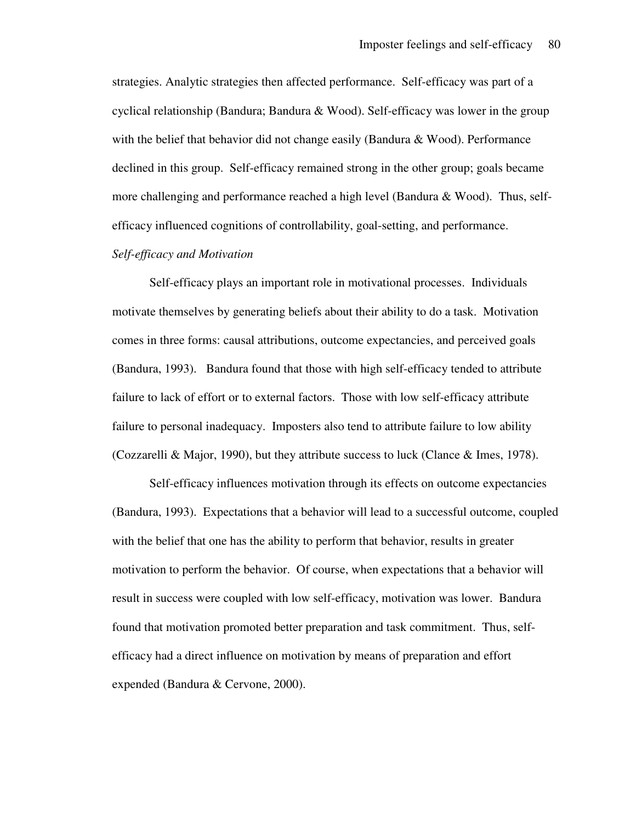strategies. Analytic strategies then affected performance. Self-efficacy was part of a cyclical relationship (Bandura; Bandura & Wood). Self-efficacy was lower in the group with the belief that behavior did not change easily (Bandura & Wood). Performance declined in this group. Self-efficacy remained strong in the other group; goals became more challenging and performance reached a high level (Bandura & Wood). Thus, selfefficacy influenced cognitions of controllability, goal-setting, and performance.

# *Self-efficacy and Motivation*

Self-efficacy plays an important role in motivational processes. Individuals motivate themselves by generating beliefs about their ability to do a task. Motivation comes in three forms: causal attributions, outcome expectancies, and perceived goals (Bandura, 1993). Bandura found that those with high self-efficacy tended to attribute failure to lack of effort or to external factors. Those with low self-efficacy attribute failure to personal inadequacy. Imposters also tend to attribute failure to low ability (Cozzarelli & Major, 1990), but they attribute success to luck (Clance & Imes, 1978).

Self-efficacy influences motivation through its effects on outcome expectancies (Bandura, 1993). Expectations that a behavior will lead to a successful outcome, coupled with the belief that one has the ability to perform that behavior, results in greater motivation to perform the behavior. Of course, when expectations that a behavior will result in success were coupled with low self-efficacy, motivation was lower. Bandura found that motivation promoted better preparation and task commitment. Thus, selfefficacy had a direct influence on motivation by means of preparation and effort expended (Bandura & Cervone, 2000).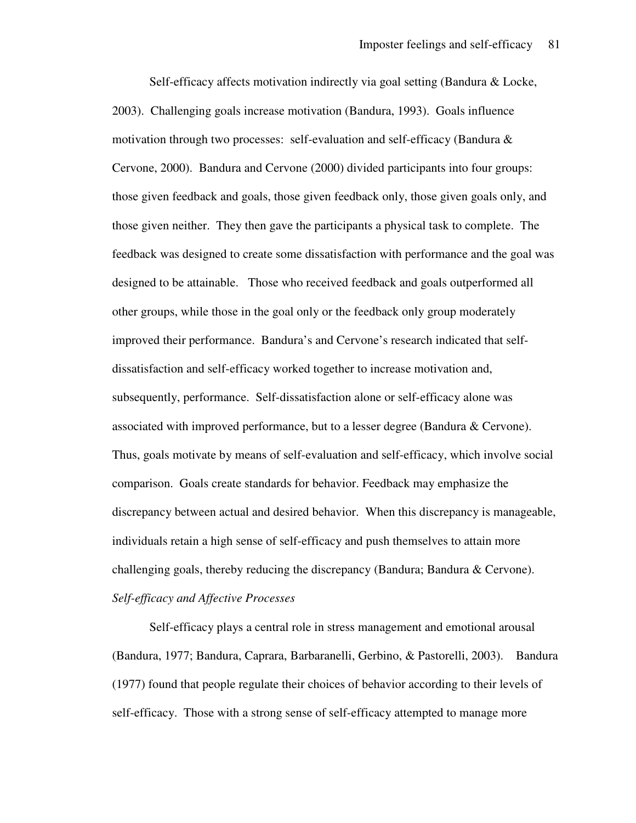Self-efficacy affects motivation indirectly via goal setting (Bandura & Locke, 2003). Challenging goals increase motivation (Bandura, 1993). Goals influence motivation through two processes: self-evaluation and self-efficacy (Bandura  $\&$ Cervone, 2000). Bandura and Cervone (2000) divided participants into four groups: those given feedback and goals, those given feedback only, those given goals only, and those given neither. They then gave the participants a physical task to complete. The feedback was designed to create some dissatisfaction with performance and the goal was designed to be attainable. Those who received feedback and goals outperformed all other groups, while those in the goal only or the feedback only group moderately improved their performance. Bandura's and Cervone's research indicated that selfdissatisfaction and self-efficacy worked together to increase motivation and, subsequently, performance. Self-dissatisfaction alone or self-efficacy alone was associated with improved performance, but to a lesser degree (Bandura & Cervone). Thus, goals motivate by means of self-evaluation and self-efficacy, which involve social comparison. Goals create standards for behavior. Feedback may emphasize the discrepancy between actual and desired behavior. When this discrepancy is manageable, individuals retain a high sense of self-efficacy and push themselves to attain more challenging goals, thereby reducing the discrepancy (Bandura; Bandura & Cervone). *Self-efficacy and Affective Processes* 

Self-efficacy plays a central role in stress management and emotional arousal (Bandura, 1977; Bandura, Caprara, Barbaranelli, Gerbino, & Pastorelli, 2003). Bandura (1977) found that people regulate their choices of behavior according to their levels of self-efficacy. Those with a strong sense of self-efficacy attempted to manage more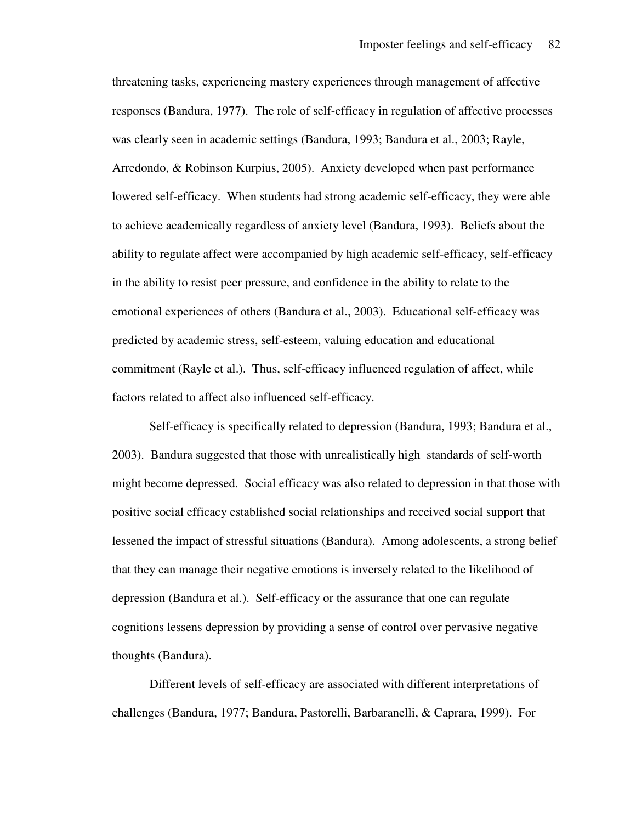threatening tasks, experiencing mastery experiences through management of affective responses (Bandura, 1977). The role of self-efficacy in regulation of affective processes was clearly seen in academic settings (Bandura, 1993; Bandura et al., 2003; Rayle, Arredondo, & Robinson Kurpius, 2005). Anxiety developed when past performance lowered self-efficacy. When students had strong academic self-efficacy, they were able to achieve academically regardless of anxiety level (Bandura, 1993). Beliefs about the ability to regulate affect were accompanied by high academic self-efficacy, self-efficacy in the ability to resist peer pressure, and confidence in the ability to relate to the emotional experiences of others (Bandura et al., 2003). Educational self-efficacy was predicted by academic stress, self-esteem, valuing education and educational commitment (Rayle et al.). Thus, self-efficacy influenced regulation of affect, while factors related to affect also influenced self-efficacy.

 Self-efficacy is specifically related to depression (Bandura, 1993; Bandura et al., 2003). Bandura suggested that those with unrealistically high standards of self-worth might become depressed. Social efficacy was also related to depression in that those with positive social efficacy established social relationships and received social support that lessened the impact of stressful situations (Bandura). Among adolescents, a strong belief that they can manage their negative emotions is inversely related to the likelihood of depression (Bandura et al.). Self-efficacy or the assurance that one can regulate cognitions lessens depression by providing a sense of control over pervasive negative thoughts (Bandura).

 Different levels of self-efficacy are associated with different interpretations of challenges (Bandura, 1977; Bandura, Pastorelli, Barbaranelli, & Caprara, 1999). For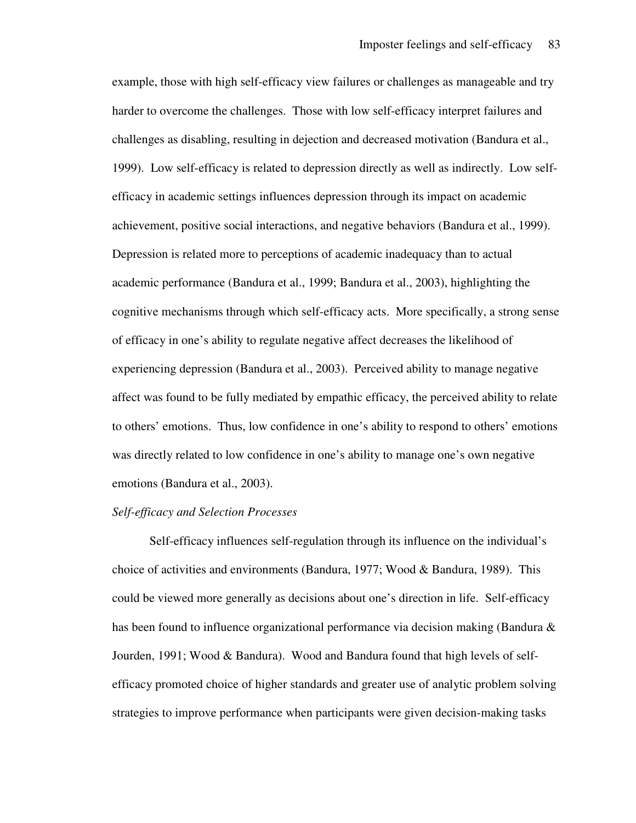example, those with high self-efficacy view failures or challenges as manageable and try harder to overcome the challenges. Those with low self-efficacy interpret failures and challenges as disabling, resulting in dejection and decreased motivation (Bandura et al., 1999). Low self-efficacy is related to depression directly as well as indirectly. Low selfefficacy in academic settings influences depression through its impact on academic achievement, positive social interactions, and negative behaviors (Bandura et al., 1999). Depression is related more to perceptions of academic inadequacy than to actual academic performance (Bandura et al., 1999; Bandura et al., 2003), highlighting the cognitive mechanisms through which self-efficacy acts. More specifically, a strong sense of efficacy in one's ability to regulate negative affect decreases the likelihood of experiencing depression (Bandura et al., 2003). Perceived ability to manage negative affect was found to be fully mediated by empathic efficacy, the perceived ability to relate to others' emotions. Thus, low confidence in one's ability to respond to others' emotions was directly related to low confidence in one's ability to manage one's own negative emotions (Bandura et al., 2003).

#### *Self-efficacy and Selection Processes*

Self-efficacy influences self-regulation through its influence on the individual's choice of activities and environments (Bandura, 1977; Wood & Bandura, 1989). This could be viewed more generally as decisions about one's direction in life. Self-efficacy has been found to influence organizational performance via decision making (Bandura & Jourden, 1991; Wood & Bandura). Wood and Bandura found that high levels of selfefficacy promoted choice of higher standards and greater use of analytic problem solving strategies to improve performance when participants were given decision-making tasks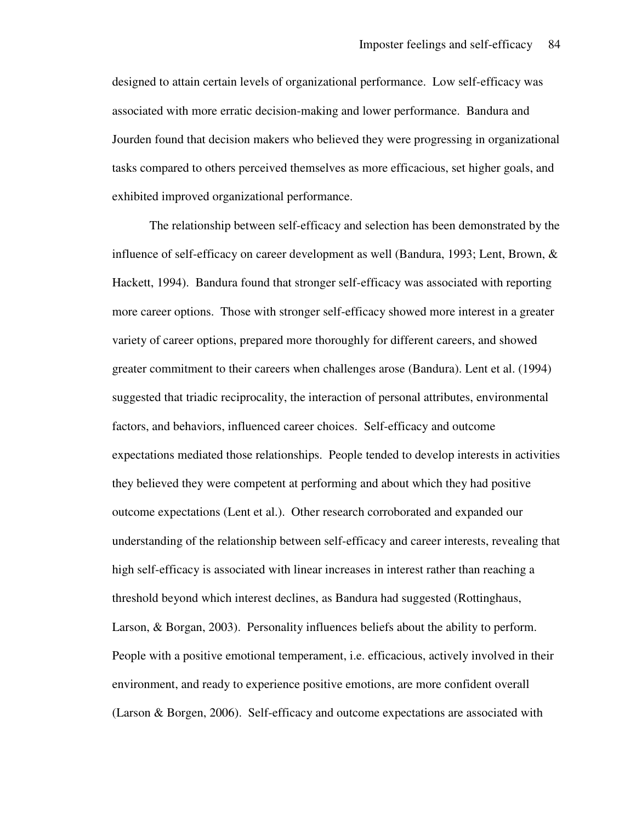designed to attain certain levels of organizational performance. Low self-efficacy was associated with more erratic decision-making and lower performance. Bandura and Jourden found that decision makers who believed they were progressing in organizational tasks compared to others perceived themselves as more efficacious, set higher goals, and exhibited improved organizational performance.

The relationship between self-efficacy and selection has been demonstrated by the influence of self-efficacy on career development as well (Bandura, 1993; Lent, Brown, & Hackett, 1994). Bandura found that stronger self-efficacy was associated with reporting more career options. Those with stronger self-efficacy showed more interest in a greater variety of career options, prepared more thoroughly for different careers, and showed greater commitment to their careers when challenges arose (Bandura). Lent et al. (1994) suggested that triadic reciprocality, the interaction of personal attributes, environmental factors, and behaviors, influenced career choices. Self-efficacy and outcome expectations mediated those relationships. People tended to develop interests in activities they believed they were competent at performing and about which they had positive outcome expectations (Lent et al.). Other research corroborated and expanded our understanding of the relationship between self-efficacy and career interests, revealing that high self-efficacy is associated with linear increases in interest rather than reaching a threshold beyond which interest declines, as Bandura had suggested (Rottinghaus, Larson, & Borgan, 2003). Personality influences beliefs about the ability to perform. People with a positive emotional temperament, i.e. efficacious, actively involved in their environment, and ready to experience positive emotions, are more confident overall (Larson & Borgen, 2006). Self-efficacy and outcome expectations are associated with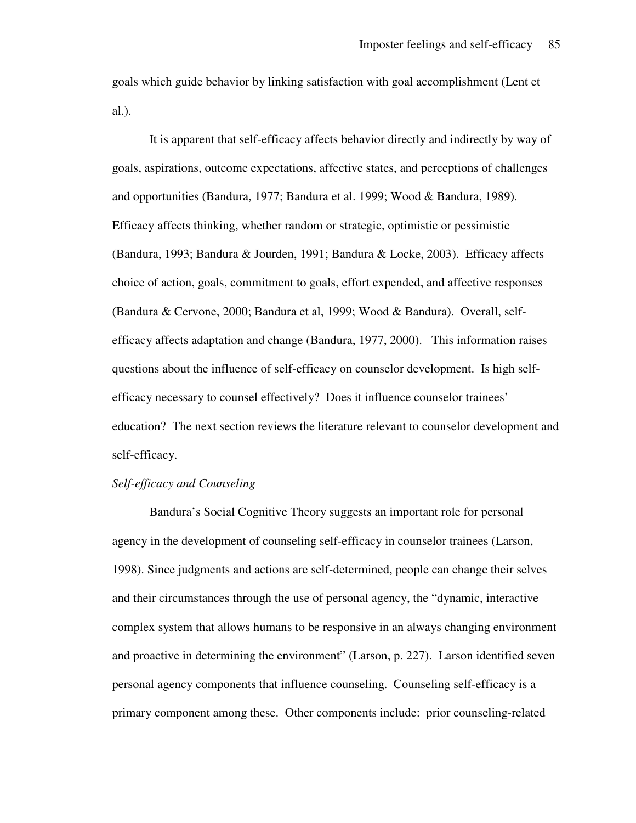goals which guide behavior by linking satisfaction with goal accomplishment (Lent et al.).

It is apparent that self-efficacy affects behavior directly and indirectly by way of goals, aspirations, outcome expectations, affective states, and perceptions of challenges and opportunities (Bandura, 1977; Bandura et al. 1999; Wood & Bandura, 1989). Efficacy affects thinking, whether random or strategic, optimistic or pessimistic (Bandura, 1993; Bandura & Jourden, 1991; Bandura & Locke, 2003). Efficacy affects choice of action, goals, commitment to goals, effort expended, and affective responses (Bandura & Cervone, 2000; Bandura et al, 1999; Wood & Bandura). Overall, selfefficacy affects adaptation and change (Bandura, 1977, 2000). This information raises questions about the influence of self-efficacy on counselor development. Is high selfefficacy necessary to counsel effectively? Does it influence counselor trainees' education? The next section reviews the literature relevant to counselor development and self-efficacy.

### *Self-efficacy and Counseling*

Bandura's Social Cognitive Theory suggests an important role for personal agency in the development of counseling self-efficacy in counselor trainees (Larson, 1998). Since judgments and actions are self-determined, people can change their selves and their circumstances through the use of personal agency, the "dynamic, interactive complex system that allows humans to be responsive in an always changing environment and proactive in determining the environment" (Larson, p. 227). Larson identified seven personal agency components that influence counseling. Counseling self-efficacy is a primary component among these. Other components include: prior counseling-related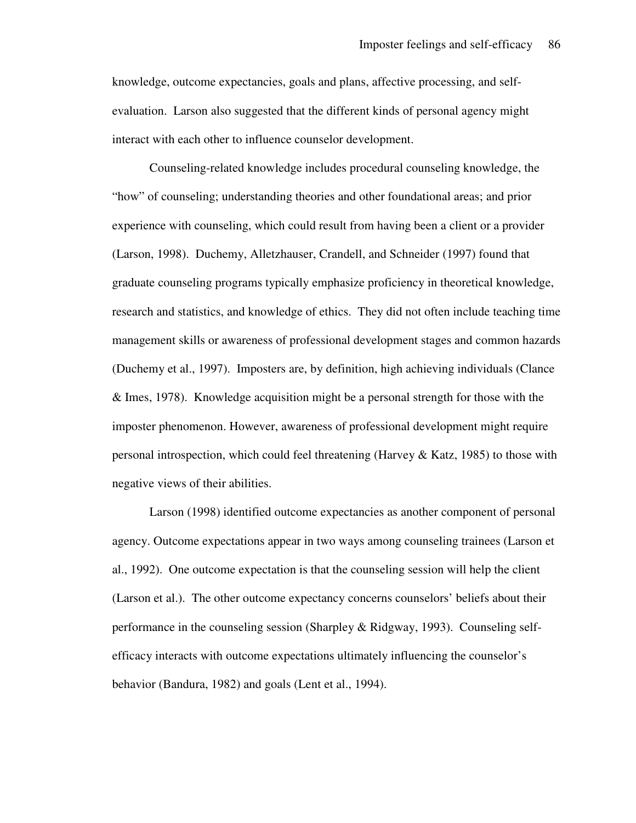knowledge, outcome expectancies, goals and plans, affective processing, and selfevaluation. Larson also suggested that the different kinds of personal agency might interact with each other to influence counselor development.

Counseling-related knowledge includes procedural counseling knowledge, the "how" of counseling; understanding theories and other foundational areas; and prior experience with counseling, which could result from having been a client or a provider (Larson, 1998). Duchemy, Alletzhauser, Crandell, and Schneider (1997) found that graduate counseling programs typically emphasize proficiency in theoretical knowledge, research and statistics, and knowledge of ethics. They did not often include teaching time management skills or awareness of professional development stages and common hazards (Duchemy et al., 1997). Imposters are, by definition, high achieving individuals (Clance & Imes, 1978). Knowledge acquisition might be a personal strength for those with the imposter phenomenon. However, awareness of professional development might require personal introspection, which could feel threatening (Harvey  $\&$  Katz, 1985) to those with negative views of their abilities.

 Larson (1998) identified outcome expectancies as another component of personal agency. Outcome expectations appear in two ways among counseling trainees (Larson et al., 1992). One outcome expectation is that the counseling session will help the client (Larson et al.). The other outcome expectancy concerns counselors' beliefs about their performance in the counseling session (Sharpley & Ridgway, 1993). Counseling selfefficacy interacts with outcome expectations ultimately influencing the counselor's behavior (Bandura, 1982) and goals (Lent et al., 1994).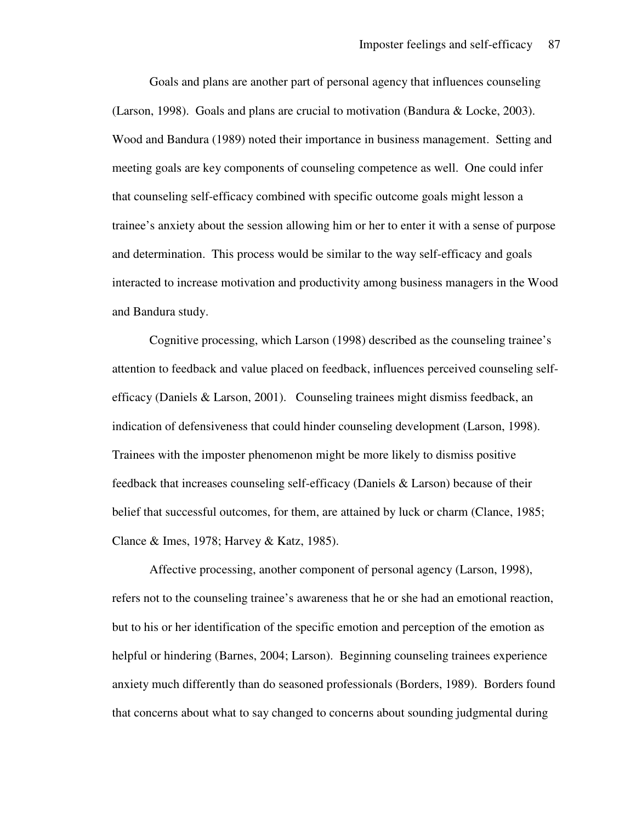Goals and plans are another part of personal agency that influences counseling (Larson, 1998). Goals and plans are crucial to motivation (Bandura & Locke, 2003). Wood and Bandura (1989) noted their importance in business management. Setting and meeting goals are key components of counseling competence as well. One could infer that counseling self-efficacy combined with specific outcome goals might lesson a trainee's anxiety about the session allowing him or her to enter it with a sense of purpose and determination. This process would be similar to the way self-efficacy and goals interacted to increase motivation and productivity among business managers in the Wood and Bandura study.

Cognitive processing, which Larson (1998) described as the counseling trainee's attention to feedback and value placed on feedback, influences perceived counseling selfefficacy (Daniels & Larson, 2001). Counseling trainees might dismiss feedback, an indication of defensiveness that could hinder counseling development (Larson, 1998). Trainees with the imposter phenomenon might be more likely to dismiss positive feedback that increases counseling self-efficacy (Daniels & Larson) because of their belief that successful outcomes, for them, are attained by luck or charm (Clance, 1985; Clance & Imes, 1978; Harvey & Katz, 1985).

Affective processing, another component of personal agency (Larson, 1998), refers not to the counseling trainee's awareness that he or she had an emotional reaction, but to his or her identification of the specific emotion and perception of the emotion as helpful or hindering (Barnes, 2004; Larson). Beginning counseling trainees experience anxiety much differently than do seasoned professionals (Borders, 1989). Borders found that concerns about what to say changed to concerns about sounding judgmental during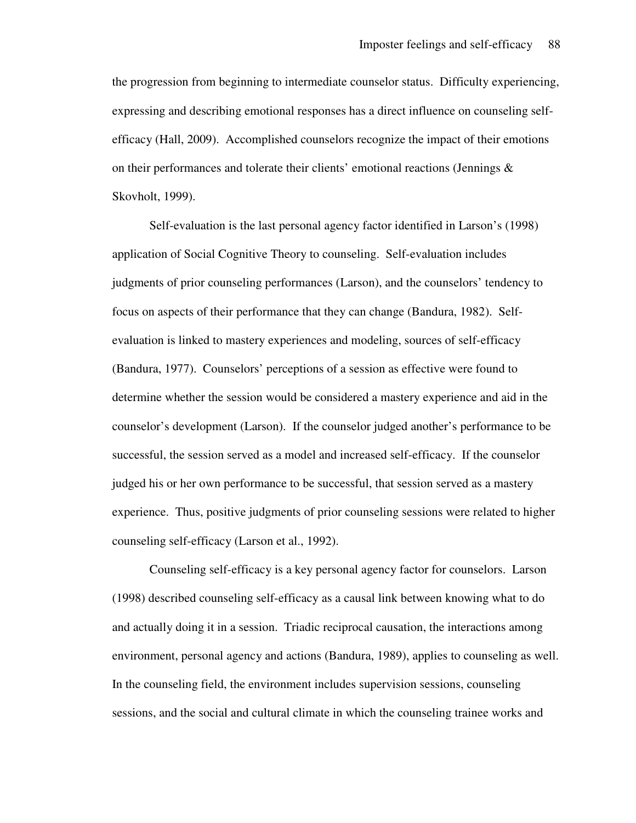the progression from beginning to intermediate counselor status. Difficulty experiencing, expressing and describing emotional responses has a direct influence on counseling selfefficacy (Hall, 2009). Accomplished counselors recognize the impact of their emotions on their performances and tolerate their clients' emotional reactions (Jennings  $\&$ Skovholt, 1999).

 Self-evaluation is the last personal agency factor identified in Larson's (1998) application of Social Cognitive Theory to counseling. Self-evaluation includes judgments of prior counseling performances (Larson), and the counselors' tendency to focus on aspects of their performance that they can change (Bandura, 1982). Selfevaluation is linked to mastery experiences and modeling, sources of self-efficacy (Bandura, 1977). Counselors' perceptions of a session as effective were found to determine whether the session would be considered a mastery experience and aid in the counselor's development (Larson). If the counselor judged another's performance to be successful, the session served as a model and increased self-efficacy. If the counselor judged his or her own performance to be successful, that session served as a mastery experience. Thus, positive judgments of prior counseling sessions were related to higher counseling self-efficacy (Larson et al., 1992).

Counseling self-efficacy is a key personal agency factor for counselors. Larson (1998) described counseling self-efficacy as a causal link between knowing what to do and actually doing it in a session. Triadic reciprocal causation, the interactions among environment, personal agency and actions (Bandura, 1989), applies to counseling as well. In the counseling field, the environment includes supervision sessions, counseling sessions, and the social and cultural climate in which the counseling trainee works and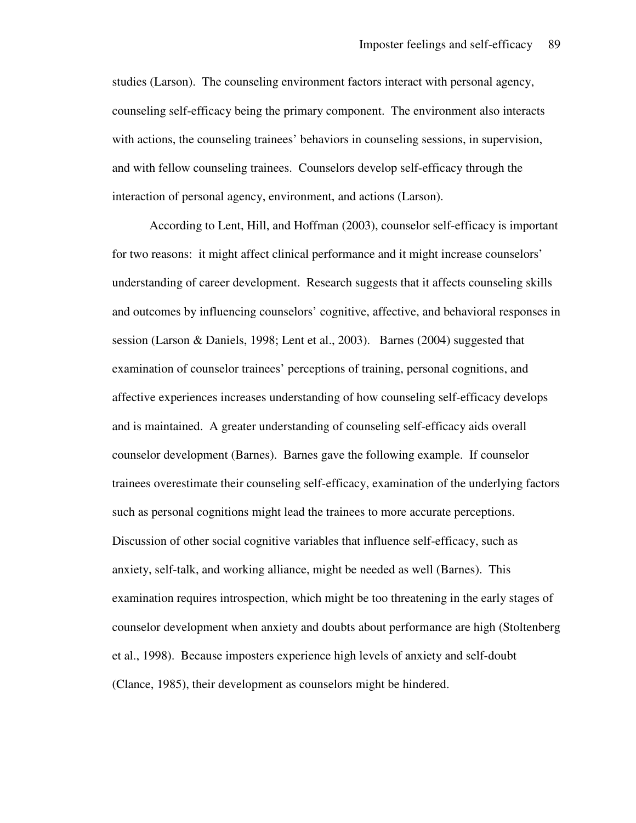studies (Larson). The counseling environment factors interact with personal agency, counseling self-efficacy being the primary component. The environment also interacts with actions, the counseling trainees' behaviors in counseling sessions, in supervision, and with fellow counseling trainees. Counselors develop self-efficacy through the interaction of personal agency, environment, and actions (Larson).

According to Lent, Hill, and Hoffman (2003), counselor self-efficacy is important for two reasons: it might affect clinical performance and it might increase counselors' understanding of career development. Research suggests that it affects counseling skills and outcomes by influencing counselors' cognitive, affective, and behavioral responses in session (Larson & Daniels, 1998; Lent et al., 2003). Barnes (2004) suggested that examination of counselor trainees' perceptions of training, personal cognitions, and affective experiences increases understanding of how counseling self-efficacy develops and is maintained. A greater understanding of counseling self-efficacy aids overall counselor development (Barnes). Barnes gave the following example. If counselor trainees overestimate their counseling self-efficacy, examination of the underlying factors such as personal cognitions might lead the trainees to more accurate perceptions. Discussion of other social cognitive variables that influence self-efficacy, such as anxiety, self-talk, and working alliance, might be needed as well (Barnes). This examination requires introspection, which might be too threatening in the early stages of counselor development when anxiety and doubts about performance are high (Stoltenberg et al., 1998). Because imposters experience high levels of anxiety and self-doubt (Clance, 1985), their development as counselors might be hindered.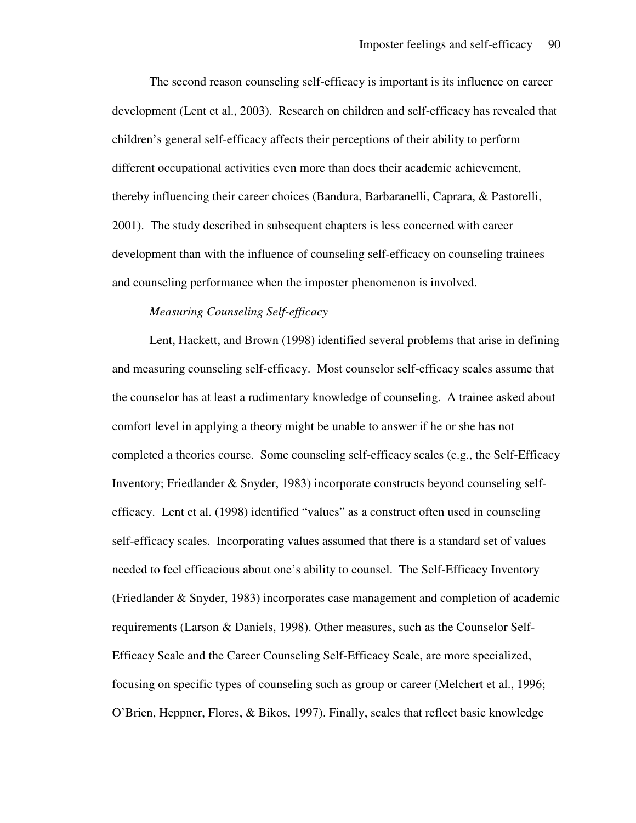The second reason counseling self-efficacy is important is its influence on career development (Lent et al., 2003). Research on children and self-efficacy has revealed that children's general self-efficacy affects their perceptions of their ability to perform different occupational activities even more than does their academic achievement, thereby influencing their career choices (Bandura, Barbaranelli, Caprara, & Pastorelli, 2001). The study described in subsequent chapters is less concerned with career development than with the influence of counseling self-efficacy on counseling trainees and counseling performance when the imposter phenomenon is involved.

# *Measuring Counseling Self-efficacy*

Lent, Hackett, and Brown (1998) identified several problems that arise in defining and measuring counseling self-efficacy. Most counselor self-efficacy scales assume that the counselor has at least a rudimentary knowledge of counseling. A trainee asked about comfort level in applying a theory might be unable to answer if he or she has not completed a theories course. Some counseling self-efficacy scales (e.g., the Self-Efficacy Inventory; Friedlander & Snyder, 1983) incorporate constructs beyond counseling selfefficacy. Lent et al. (1998) identified "values" as a construct often used in counseling self-efficacy scales. Incorporating values assumed that there is a standard set of values needed to feel efficacious about one's ability to counsel. The Self-Efficacy Inventory (Friedlander & Snyder, 1983) incorporates case management and completion of academic requirements (Larson & Daniels, 1998). Other measures, such as the Counselor Self-Efficacy Scale and the Career Counseling Self-Efficacy Scale, are more specialized, focusing on specific types of counseling such as group or career (Melchert et al., 1996; O'Brien, Heppner, Flores, & Bikos, 1997). Finally, scales that reflect basic knowledge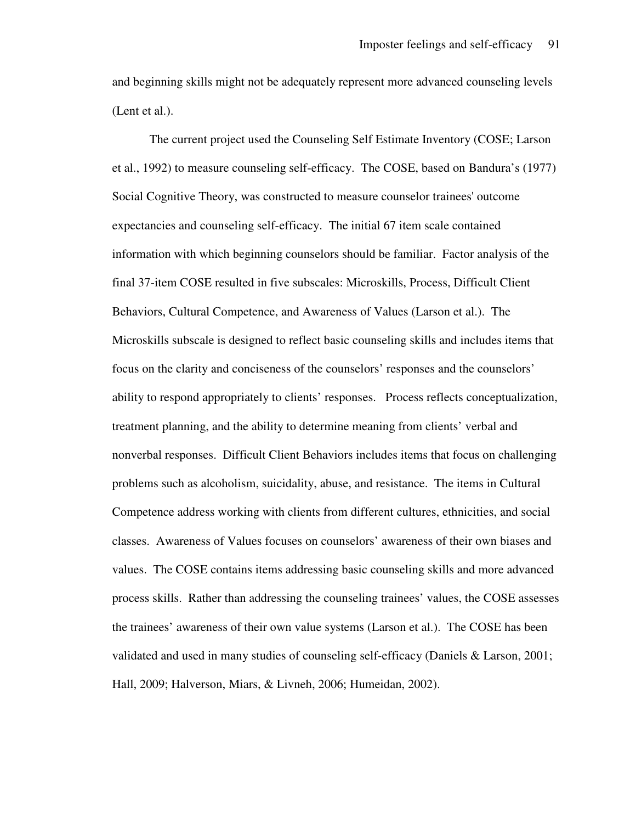and beginning skills might not be adequately represent more advanced counseling levels (Lent et al.).

 The current project used the Counseling Self Estimate Inventory (COSE; Larson et al., 1992) to measure counseling self-efficacy. The COSE, based on Bandura's (1977) Social Cognitive Theory, was constructed to measure counselor trainees' outcome expectancies and counseling self-efficacy. The initial 67 item scale contained information with which beginning counselors should be familiar. Factor analysis of the final 37-item COSE resulted in five subscales: Microskills, Process, Difficult Client Behaviors, Cultural Competence, and Awareness of Values (Larson et al.). The Microskills subscale is designed to reflect basic counseling skills and includes items that focus on the clarity and conciseness of the counselors' responses and the counselors' ability to respond appropriately to clients' responses. Process reflects conceptualization, treatment planning, and the ability to determine meaning from clients' verbal and nonverbal responses. Difficult Client Behaviors includes items that focus on challenging problems such as alcoholism, suicidality, abuse, and resistance. The items in Cultural Competence address working with clients from different cultures, ethnicities, and social classes. Awareness of Values focuses on counselors' awareness of their own biases and values. The COSE contains items addressing basic counseling skills and more advanced process skills. Rather than addressing the counseling trainees' values, the COSE assesses the trainees' awareness of their own value systems (Larson et al.). The COSE has been validated and used in many studies of counseling self-efficacy (Daniels & Larson, 2001; Hall, 2009; Halverson, Miars, & Livneh, 2006; Humeidan, 2002).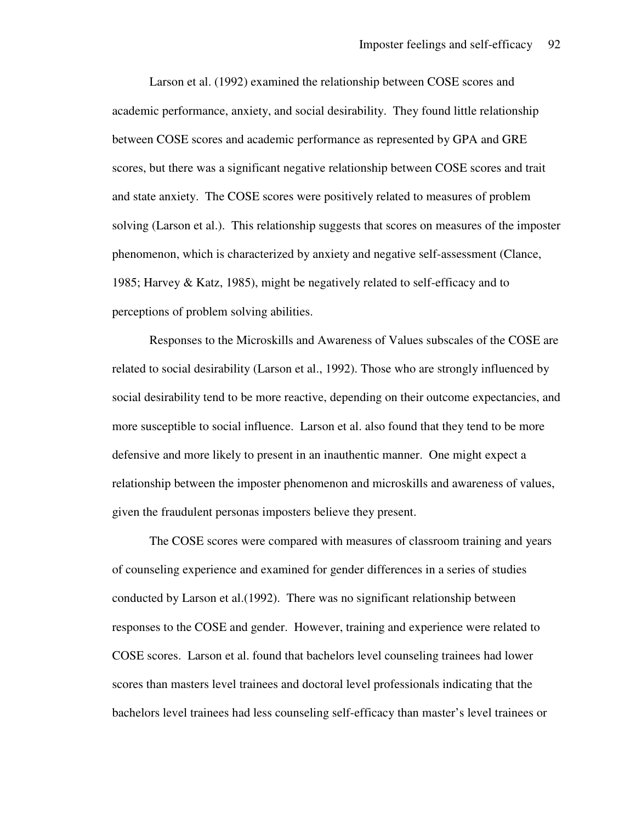Larson et al. (1992) examined the relationship between COSE scores and academic performance, anxiety, and social desirability. They found little relationship between COSE scores and academic performance as represented by GPA and GRE scores, but there was a significant negative relationship between COSE scores and trait and state anxiety. The COSE scores were positively related to measures of problem solving (Larson et al.). This relationship suggests that scores on measures of the imposter phenomenon, which is characterized by anxiety and negative self-assessment (Clance, 1985; Harvey & Katz, 1985), might be negatively related to self-efficacy and to perceptions of problem solving abilities.

Responses to the Microskills and Awareness of Values subscales of the COSE are related to social desirability (Larson et al., 1992). Those who are strongly influenced by social desirability tend to be more reactive, depending on their outcome expectancies, and more susceptible to social influence. Larson et al. also found that they tend to be more defensive and more likely to present in an inauthentic manner. One might expect a relationship between the imposter phenomenon and microskills and awareness of values, given the fraudulent personas imposters believe they present.

The COSE scores were compared with measures of classroom training and years of counseling experience and examined for gender differences in a series of studies conducted by Larson et al.(1992). There was no significant relationship between responses to the COSE and gender. However, training and experience were related to COSE scores. Larson et al. found that bachelors level counseling trainees had lower scores than masters level trainees and doctoral level professionals indicating that the bachelors level trainees had less counseling self-efficacy than master's level trainees or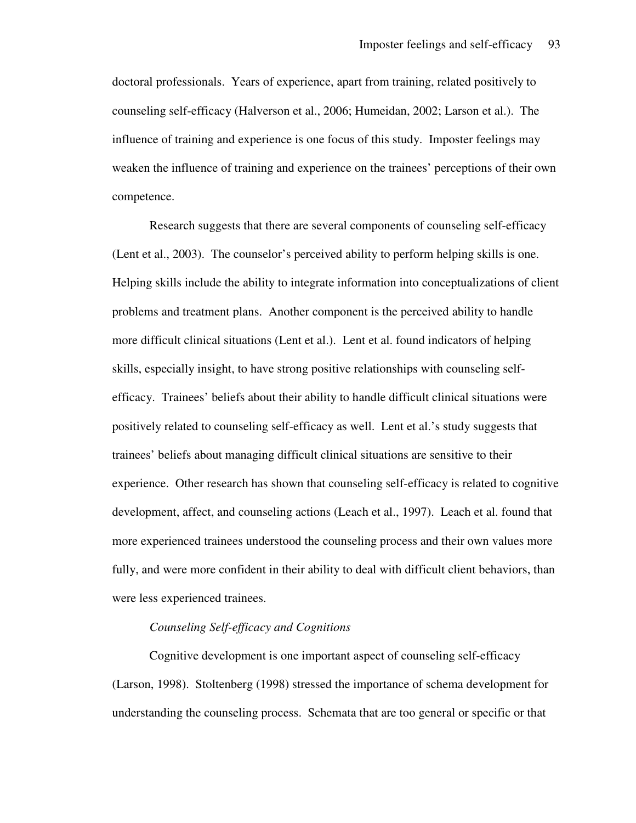doctoral professionals. Years of experience, apart from training, related positively to counseling self-efficacy (Halverson et al., 2006; Humeidan, 2002; Larson et al.). The influence of training and experience is one focus of this study. Imposter feelings may weaken the influence of training and experience on the trainees' perceptions of their own competence.

Research suggests that there are several components of counseling self-efficacy (Lent et al., 2003). The counselor's perceived ability to perform helping skills is one. Helping skills include the ability to integrate information into conceptualizations of client problems and treatment plans. Another component is the perceived ability to handle more difficult clinical situations (Lent et al.). Lent et al. found indicators of helping skills, especially insight, to have strong positive relationships with counseling selfefficacy. Trainees' beliefs about their ability to handle difficult clinical situations were positively related to counseling self-efficacy as well. Lent et al.'s study suggests that trainees' beliefs about managing difficult clinical situations are sensitive to their experience. Other research has shown that counseling self-efficacy is related to cognitive development, affect, and counseling actions (Leach et al., 1997). Leach et al. found that more experienced trainees understood the counseling process and their own values more fully, and were more confident in their ability to deal with difficult client behaviors, than were less experienced trainees.

# *Counseling Self-efficacy and Cognitions*

Cognitive development is one important aspect of counseling self-efficacy (Larson, 1998). Stoltenberg (1998) stressed the importance of schema development for understanding the counseling process. Schemata that are too general or specific or that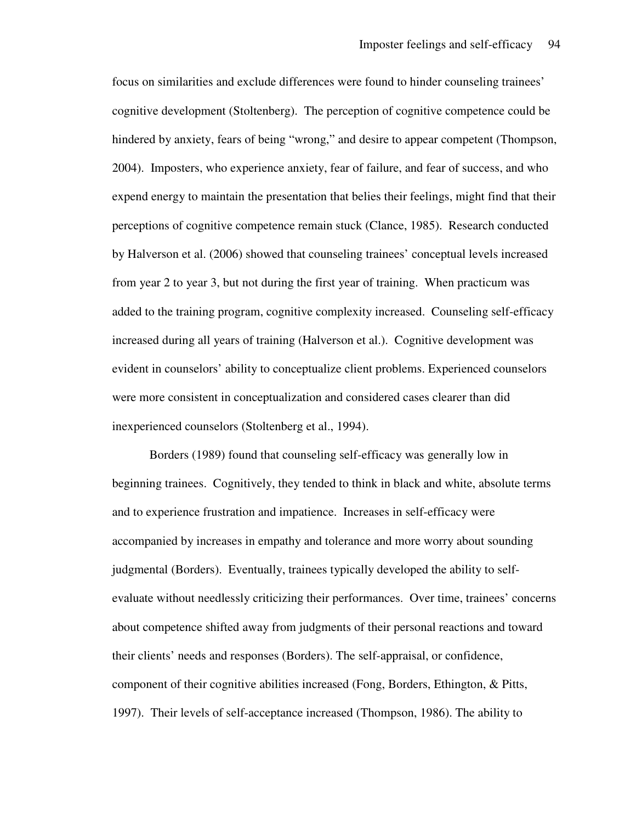focus on similarities and exclude differences were found to hinder counseling trainees' cognitive development (Stoltenberg). The perception of cognitive competence could be hindered by anxiety, fears of being "wrong," and desire to appear competent (Thompson, 2004). Imposters, who experience anxiety, fear of failure, and fear of success, and who expend energy to maintain the presentation that belies their feelings, might find that their perceptions of cognitive competence remain stuck (Clance, 1985). Research conducted by Halverson et al. (2006) showed that counseling trainees' conceptual levels increased from year 2 to year 3, but not during the first year of training. When practicum was added to the training program, cognitive complexity increased. Counseling self-efficacy increased during all years of training (Halverson et al.). Cognitive development was evident in counselors' ability to conceptualize client problems. Experienced counselors were more consistent in conceptualization and considered cases clearer than did inexperienced counselors (Stoltenberg et al., 1994).

Borders (1989) found that counseling self-efficacy was generally low in beginning trainees. Cognitively, they tended to think in black and white, absolute terms and to experience frustration and impatience. Increases in self-efficacy were accompanied by increases in empathy and tolerance and more worry about sounding judgmental (Borders). Eventually, trainees typically developed the ability to selfevaluate without needlessly criticizing their performances. Over time, trainees' concerns about competence shifted away from judgments of their personal reactions and toward their clients' needs and responses (Borders). The self-appraisal, or confidence, component of their cognitive abilities increased (Fong, Borders, Ethington, & Pitts, 1997). Their levels of self-acceptance increased (Thompson, 1986). The ability to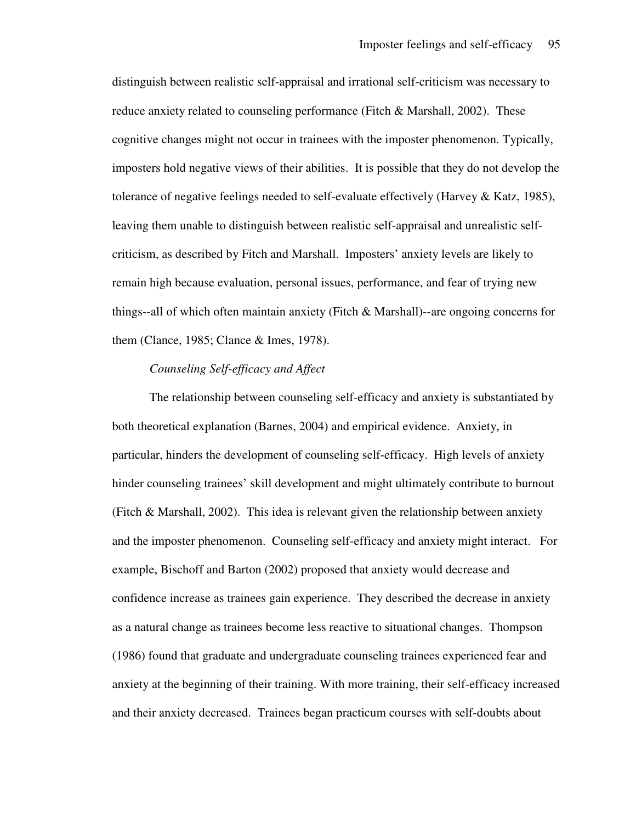distinguish between realistic self-appraisal and irrational self-criticism was necessary to reduce anxiety related to counseling performance (Fitch & Marshall, 2002). These cognitive changes might not occur in trainees with the imposter phenomenon. Typically, imposters hold negative views of their abilities. It is possible that they do not develop the tolerance of negative feelings needed to self-evaluate effectively (Harvey & Katz, 1985), leaving them unable to distinguish between realistic self-appraisal and unrealistic selfcriticism, as described by Fitch and Marshall. Imposters' anxiety levels are likely to remain high because evaluation, personal issues, performance, and fear of trying new things--all of which often maintain anxiety (Fitch & Marshall)--are ongoing concerns for them (Clance, 1985; Clance & Imes, 1978).

### *Counseling Self-efficacy and Affect*

The relationship between counseling self-efficacy and anxiety is substantiated by both theoretical explanation (Barnes, 2004) and empirical evidence. Anxiety, in particular, hinders the development of counseling self-efficacy. High levels of anxiety hinder counseling trainees' skill development and might ultimately contribute to burnout (Fitch & Marshall, 2002). This idea is relevant given the relationship between anxiety and the imposter phenomenon. Counseling self-efficacy and anxiety might interact. For example, Bischoff and Barton (2002) proposed that anxiety would decrease and confidence increase as trainees gain experience. They described the decrease in anxiety as a natural change as trainees become less reactive to situational changes. Thompson (1986) found that graduate and undergraduate counseling trainees experienced fear and anxiety at the beginning of their training. With more training, their self-efficacy increased and their anxiety decreased. Trainees began practicum courses with self-doubts about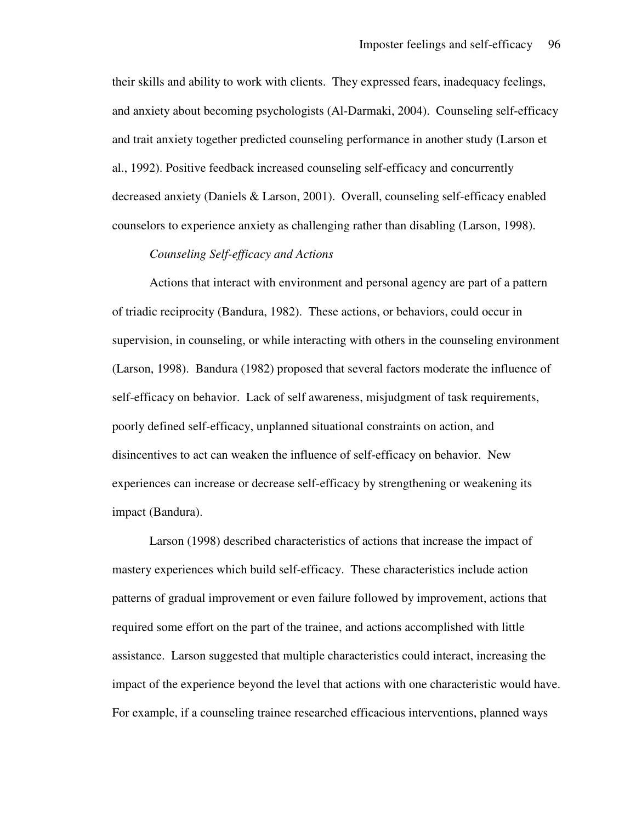their skills and ability to work with clients. They expressed fears, inadequacy feelings, and anxiety about becoming psychologists (Al-Darmaki, 2004). Counseling self-efficacy and trait anxiety together predicted counseling performance in another study (Larson et al., 1992). Positive feedback increased counseling self-efficacy and concurrently decreased anxiety (Daniels & Larson, 2001). Overall, counseling self-efficacy enabled counselors to experience anxiety as challenging rather than disabling (Larson, 1998).

## *Counseling Self-efficacy and Actions*

Actions that interact with environment and personal agency are part of a pattern of triadic reciprocity (Bandura, 1982). These actions, or behaviors, could occur in supervision, in counseling, or while interacting with others in the counseling environment (Larson, 1998). Bandura (1982) proposed that several factors moderate the influence of self-efficacy on behavior. Lack of self awareness, misjudgment of task requirements, poorly defined self-efficacy, unplanned situational constraints on action, and disincentives to act can weaken the influence of self-efficacy on behavior. New experiences can increase or decrease self-efficacy by strengthening or weakening its impact (Bandura).

Larson (1998) described characteristics of actions that increase the impact of mastery experiences which build self-efficacy. These characteristics include action patterns of gradual improvement or even failure followed by improvement, actions that required some effort on the part of the trainee, and actions accomplished with little assistance. Larson suggested that multiple characteristics could interact, increasing the impact of the experience beyond the level that actions with one characteristic would have. For example, if a counseling trainee researched efficacious interventions, planned ways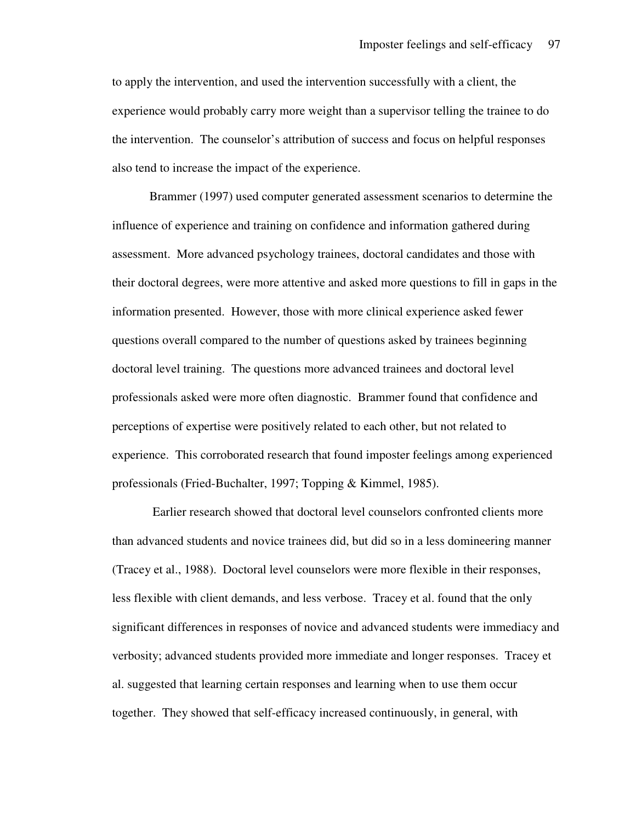to apply the intervention, and used the intervention successfully with a client, the experience would probably carry more weight than a supervisor telling the trainee to do the intervention. The counselor's attribution of success and focus on helpful responses also tend to increase the impact of the experience.

Brammer (1997) used computer generated assessment scenarios to determine the influence of experience and training on confidence and information gathered during assessment. More advanced psychology trainees, doctoral candidates and those with their doctoral degrees, were more attentive and asked more questions to fill in gaps in the information presented. However, those with more clinical experience asked fewer questions overall compared to the number of questions asked by trainees beginning doctoral level training. The questions more advanced trainees and doctoral level professionals asked were more often diagnostic. Brammer found that confidence and perceptions of expertise were positively related to each other, but not related to experience. This corroborated research that found imposter feelings among experienced professionals (Fried-Buchalter, 1997; Topping & Kimmel, 1985).

 Earlier research showed that doctoral level counselors confronted clients more than advanced students and novice trainees did, but did so in a less domineering manner (Tracey et al., 1988). Doctoral level counselors were more flexible in their responses, less flexible with client demands, and less verbose. Tracey et al. found that the only significant differences in responses of novice and advanced students were immediacy and verbosity; advanced students provided more immediate and longer responses. Tracey et al. suggested that learning certain responses and learning when to use them occur together. They showed that self-efficacy increased continuously, in general, with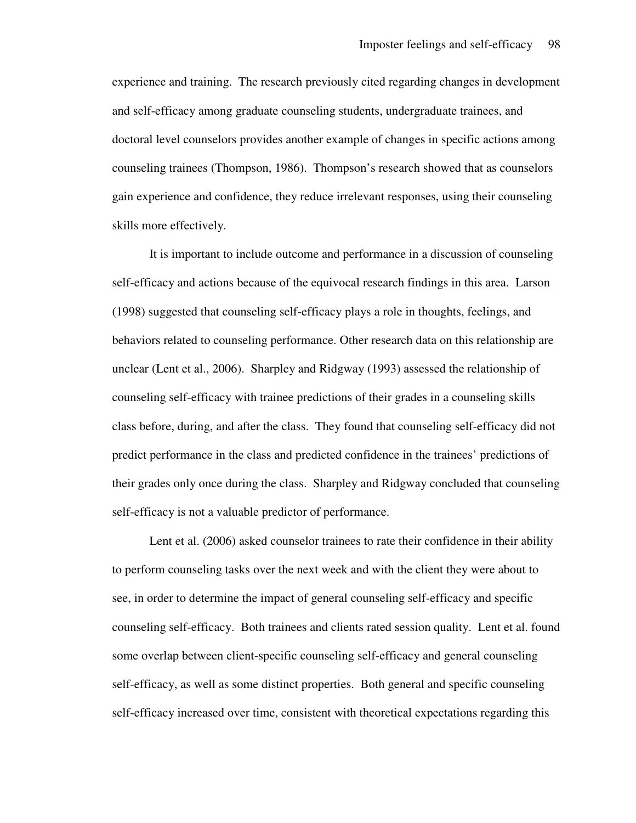experience and training. The research previously cited regarding changes in development and self-efficacy among graduate counseling students, undergraduate trainees, and doctoral level counselors provides another example of changes in specific actions among counseling trainees (Thompson, 1986). Thompson's research showed that as counselors gain experience and confidence, they reduce irrelevant responses, using their counseling skills more effectively.

It is important to include outcome and performance in a discussion of counseling self-efficacy and actions because of the equivocal research findings in this area. Larson (1998) suggested that counseling self-efficacy plays a role in thoughts, feelings, and behaviors related to counseling performance. Other research data on this relationship are unclear (Lent et al., 2006). Sharpley and Ridgway (1993) assessed the relationship of counseling self-efficacy with trainee predictions of their grades in a counseling skills class before, during, and after the class. They found that counseling self-efficacy did not predict performance in the class and predicted confidence in the trainees' predictions of their grades only once during the class. Sharpley and Ridgway concluded that counseling self-efficacy is not a valuable predictor of performance.

 Lent et al. (2006) asked counselor trainees to rate their confidence in their ability to perform counseling tasks over the next week and with the client they were about to see, in order to determine the impact of general counseling self-efficacy and specific counseling self-efficacy. Both trainees and clients rated session quality. Lent et al. found some overlap between client-specific counseling self-efficacy and general counseling self-efficacy, as well as some distinct properties. Both general and specific counseling self-efficacy increased over time, consistent with theoretical expectations regarding this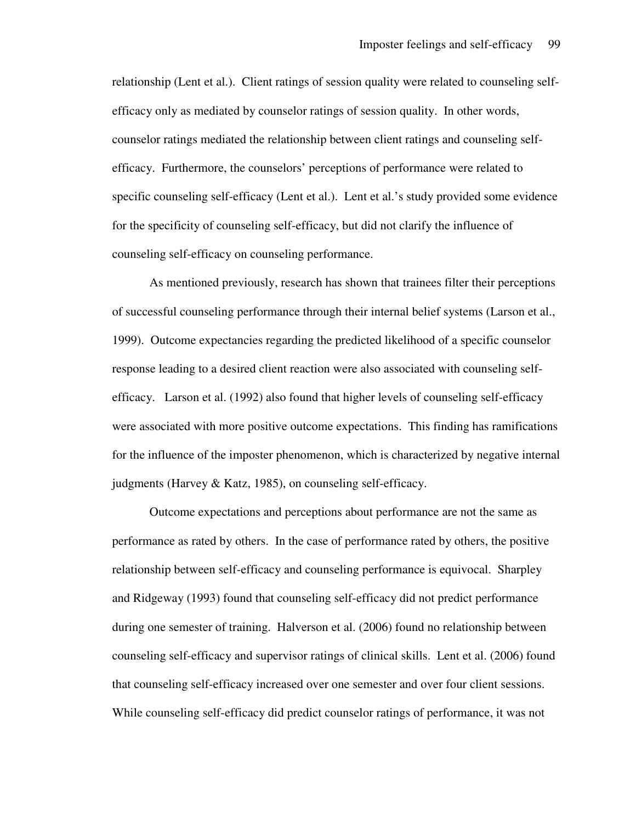relationship (Lent et al.). Client ratings of session quality were related to counseling selfefficacy only as mediated by counselor ratings of session quality. In other words, counselor ratings mediated the relationship between client ratings and counseling selfefficacy. Furthermore, the counselors' perceptions of performance were related to specific counseling self-efficacy (Lent et al.). Lent et al.'s study provided some evidence for the specificity of counseling self-efficacy, but did not clarify the influence of counseling self-efficacy on counseling performance.

As mentioned previously, research has shown that trainees filter their perceptions of successful counseling performance through their internal belief systems (Larson et al., 1999). Outcome expectancies regarding the predicted likelihood of a specific counselor response leading to a desired client reaction were also associated with counseling selfefficacy. Larson et al. (1992) also found that higher levels of counseling self-efficacy were associated with more positive outcome expectations. This finding has ramifications for the influence of the imposter phenomenon, which is characterized by negative internal judgments (Harvey & Katz, 1985), on counseling self-efficacy.

Outcome expectations and perceptions about performance are not the same as performance as rated by others. In the case of performance rated by others, the positive relationship between self-efficacy and counseling performance is equivocal. Sharpley and Ridgeway (1993) found that counseling self-efficacy did not predict performance during one semester of training. Halverson et al. (2006) found no relationship between counseling self-efficacy and supervisor ratings of clinical skills. Lent et al. (2006) found that counseling self-efficacy increased over one semester and over four client sessions. While counseling self-efficacy did predict counselor ratings of performance, it was not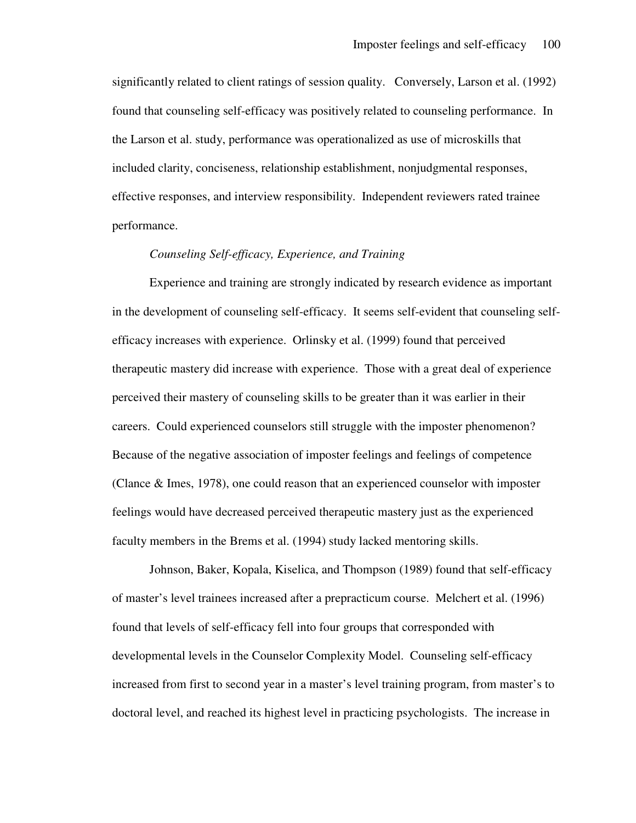significantly related to client ratings of session quality. Conversely, Larson et al. (1992) found that counseling self-efficacy was positively related to counseling performance. In the Larson et al. study, performance was operationalized as use of microskills that included clarity, conciseness, relationship establishment, nonjudgmental responses, effective responses, and interview responsibility. Independent reviewers rated trainee performance.

# *Counseling Self-efficacy, Experience, and Training*

Experience and training are strongly indicated by research evidence as important in the development of counseling self-efficacy. It seems self-evident that counseling selfefficacy increases with experience. Orlinsky et al. (1999) found that perceived therapeutic mastery did increase with experience. Those with a great deal of experience perceived their mastery of counseling skills to be greater than it was earlier in their careers. Could experienced counselors still struggle with the imposter phenomenon? Because of the negative association of imposter feelings and feelings of competence (Clance & Imes, 1978), one could reason that an experienced counselor with imposter feelings would have decreased perceived therapeutic mastery just as the experienced faculty members in the Brems et al. (1994) study lacked mentoring skills.

Johnson, Baker, Kopala, Kiselica, and Thompson (1989) found that self-efficacy of master's level trainees increased after a prepracticum course. Melchert et al. (1996) found that levels of self-efficacy fell into four groups that corresponded with developmental levels in the Counselor Complexity Model. Counseling self-efficacy increased from first to second year in a master's level training program, from master's to doctoral level, and reached its highest level in practicing psychologists. The increase in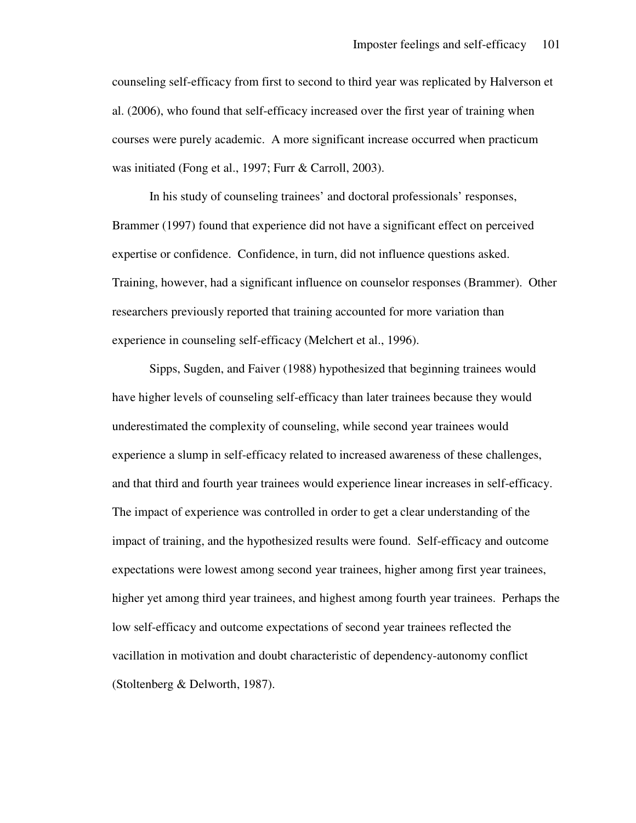counseling self-efficacy from first to second to third year was replicated by Halverson et al. (2006), who found that self-efficacy increased over the first year of training when courses were purely academic. A more significant increase occurred when practicum was initiated (Fong et al., 1997; Furr & Carroll, 2003).

In his study of counseling trainees' and doctoral professionals' responses, Brammer (1997) found that experience did not have a significant effect on perceived expertise or confidence. Confidence, in turn, did not influence questions asked. Training, however, had a significant influence on counselor responses (Brammer). Other researchers previously reported that training accounted for more variation than experience in counseling self-efficacy (Melchert et al., 1996).

Sipps, Sugden, and Faiver (1988) hypothesized that beginning trainees would have higher levels of counseling self-efficacy than later trainees because they would underestimated the complexity of counseling, while second year trainees would experience a slump in self-efficacy related to increased awareness of these challenges, and that third and fourth year trainees would experience linear increases in self-efficacy. The impact of experience was controlled in order to get a clear understanding of the impact of training, and the hypothesized results were found. Self-efficacy and outcome expectations were lowest among second year trainees, higher among first year trainees, higher yet among third year trainees, and highest among fourth year trainees. Perhaps the low self-efficacy and outcome expectations of second year trainees reflected the vacillation in motivation and doubt characteristic of dependency-autonomy conflict (Stoltenberg & Delworth, 1987).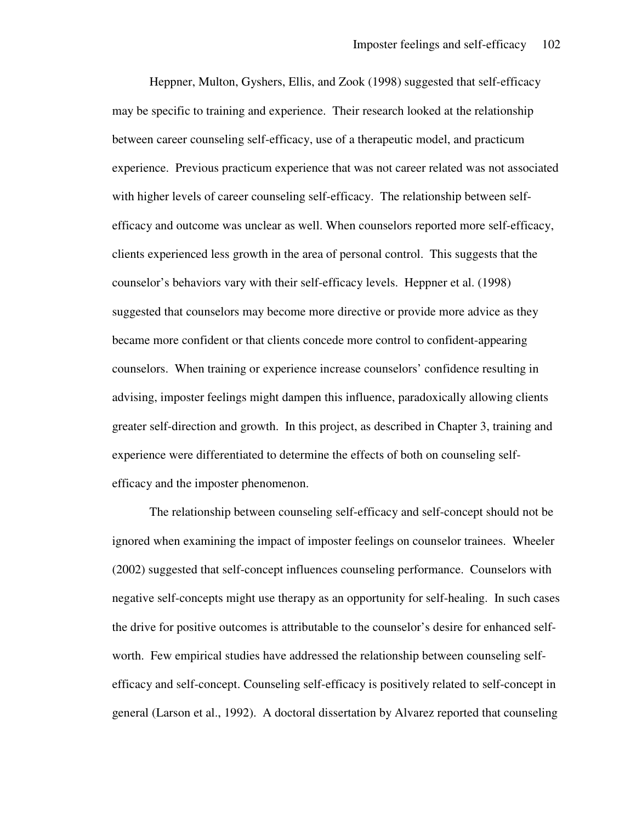Heppner, Multon, Gyshers, Ellis, and Zook (1998) suggested that self-efficacy may be specific to training and experience. Their research looked at the relationship between career counseling self-efficacy, use of a therapeutic model, and practicum experience. Previous practicum experience that was not career related was not associated with higher levels of career counseling self-efficacy. The relationship between selfefficacy and outcome was unclear as well. When counselors reported more self-efficacy, clients experienced less growth in the area of personal control. This suggests that the counselor's behaviors vary with their self-efficacy levels. Heppner et al. (1998) suggested that counselors may become more directive or provide more advice as they became more confident or that clients concede more control to confident-appearing counselors. When training or experience increase counselors' confidence resulting in advising, imposter feelings might dampen this influence, paradoxically allowing clients greater self-direction and growth. In this project, as described in Chapter 3, training and experience were differentiated to determine the effects of both on counseling selfefficacy and the imposter phenomenon.

The relationship between counseling self-efficacy and self-concept should not be ignored when examining the impact of imposter feelings on counselor trainees. Wheeler (2002) suggested that self-concept influences counseling performance. Counselors with negative self-concepts might use therapy as an opportunity for self-healing. In such cases the drive for positive outcomes is attributable to the counselor's desire for enhanced selfworth. Few empirical studies have addressed the relationship between counseling selfefficacy and self-concept. Counseling self-efficacy is positively related to self-concept in general (Larson et al., 1992). A doctoral dissertation by Alvarez reported that counseling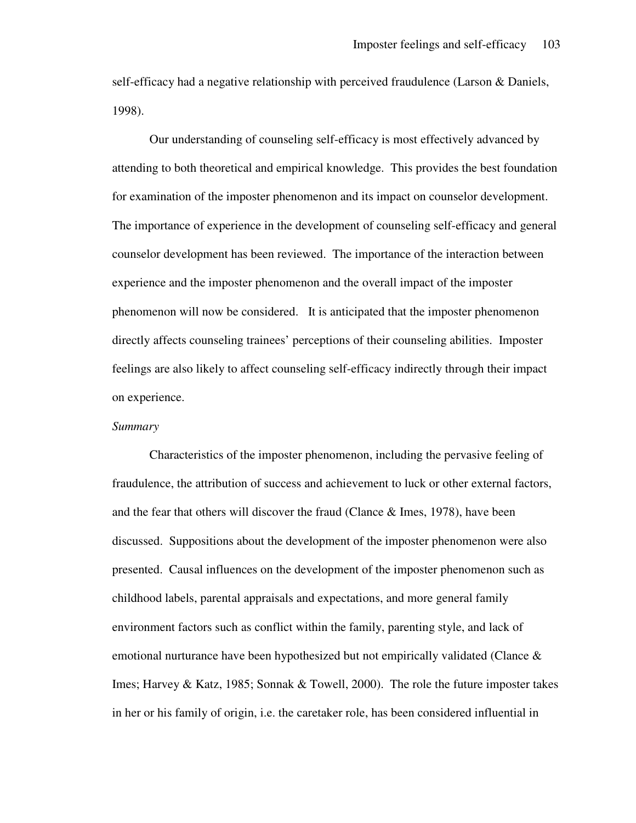self-efficacy had a negative relationship with perceived fraudulence (Larson & Daniels, 1998).

Our understanding of counseling self-efficacy is most effectively advanced by attending to both theoretical and empirical knowledge. This provides the best foundation for examination of the imposter phenomenon and its impact on counselor development. The importance of experience in the development of counseling self-efficacy and general counselor development has been reviewed. The importance of the interaction between experience and the imposter phenomenon and the overall impact of the imposter phenomenon will now be considered. It is anticipated that the imposter phenomenon directly affects counseling trainees' perceptions of their counseling abilities. Imposter feelings are also likely to affect counseling self-efficacy indirectly through their impact on experience.

# *Summary*

 Characteristics of the imposter phenomenon, including the pervasive feeling of fraudulence, the attribution of success and achievement to luck or other external factors, and the fear that others will discover the fraud (Clance & Imes, 1978), have been discussed. Suppositions about the development of the imposter phenomenon were also presented. Causal influences on the development of the imposter phenomenon such as childhood labels, parental appraisals and expectations, and more general family environment factors such as conflict within the family, parenting style, and lack of emotional nurturance have been hypothesized but not empirically validated (Clance & Imes; Harvey & Katz, 1985; Sonnak & Towell, 2000). The role the future imposter takes in her or his family of origin, i.e. the caretaker role, has been considered influential in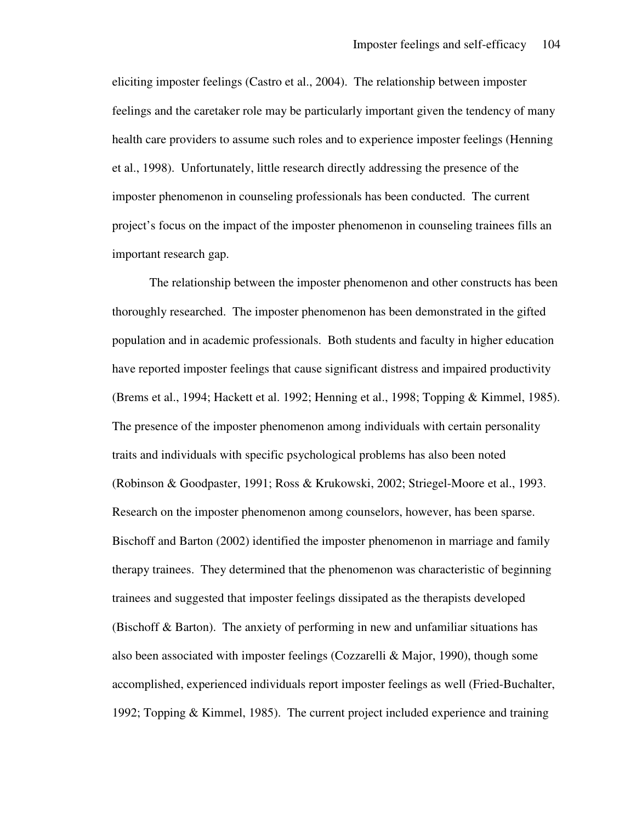eliciting imposter feelings (Castro et al., 2004). The relationship between imposter feelings and the caretaker role may be particularly important given the tendency of many health care providers to assume such roles and to experience imposter feelings (Henning et al., 1998). Unfortunately, little research directly addressing the presence of the imposter phenomenon in counseling professionals has been conducted. The current project's focus on the impact of the imposter phenomenon in counseling trainees fills an important research gap.

The relationship between the imposter phenomenon and other constructs has been thoroughly researched. The imposter phenomenon has been demonstrated in the gifted population and in academic professionals. Both students and faculty in higher education have reported imposter feelings that cause significant distress and impaired productivity (Brems et al., 1994; Hackett et al. 1992; Henning et al., 1998; Topping & Kimmel, 1985). The presence of the imposter phenomenon among individuals with certain personality traits and individuals with specific psychological problems has also been noted (Robinson & Goodpaster, 1991; Ross & Krukowski, 2002; Striegel-Moore et al., 1993. Research on the imposter phenomenon among counselors, however, has been sparse. Bischoff and Barton (2002) identified the imposter phenomenon in marriage and family therapy trainees. They determined that the phenomenon was characteristic of beginning trainees and suggested that imposter feelings dissipated as the therapists developed (Bischoff & Barton). The anxiety of performing in new and unfamiliar situations has also been associated with imposter feelings (Cozzarelli & Major, 1990), though some accomplished, experienced individuals report imposter feelings as well (Fried-Buchalter, 1992; Topping & Kimmel, 1985). The current project included experience and training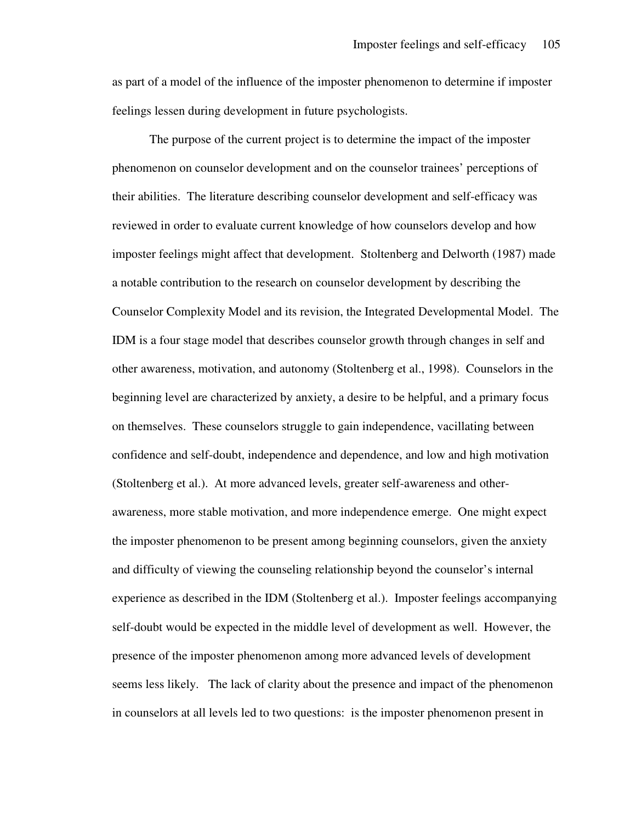as part of a model of the influence of the imposter phenomenon to determine if imposter feelings lessen during development in future psychologists.

 The purpose of the current project is to determine the impact of the imposter phenomenon on counselor development and on the counselor trainees' perceptions of their abilities. The literature describing counselor development and self-efficacy was reviewed in order to evaluate current knowledge of how counselors develop and how imposter feelings might affect that development. Stoltenberg and Delworth (1987) made a notable contribution to the research on counselor development by describing the Counselor Complexity Model and its revision, the Integrated Developmental Model. The IDM is a four stage model that describes counselor growth through changes in self and other awareness, motivation, and autonomy (Stoltenberg et al., 1998). Counselors in the beginning level are characterized by anxiety, a desire to be helpful, and a primary focus on themselves. These counselors struggle to gain independence, vacillating between confidence and self-doubt, independence and dependence, and low and high motivation (Stoltenberg et al.). At more advanced levels, greater self-awareness and otherawareness, more stable motivation, and more independence emerge. One might expect the imposter phenomenon to be present among beginning counselors, given the anxiety and difficulty of viewing the counseling relationship beyond the counselor's internal experience as described in the IDM (Stoltenberg et al.). Imposter feelings accompanying self-doubt would be expected in the middle level of development as well. However, the presence of the imposter phenomenon among more advanced levels of development seems less likely. The lack of clarity about the presence and impact of the phenomenon in counselors at all levels led to two questions: is the imposter phenomenon present in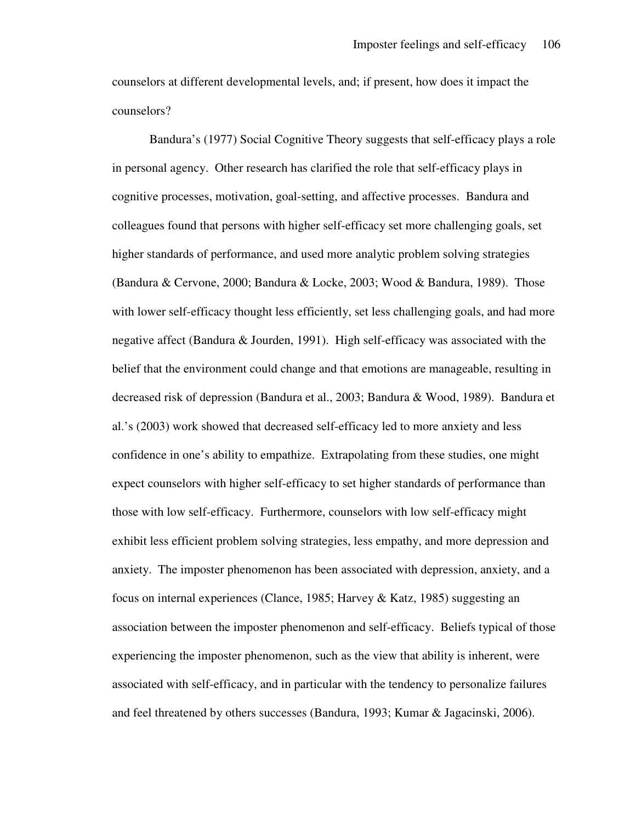counselors at different developmental levels, and; if present, how does it impact the counselors?

 Bandura's (1977) Social Cognitive Theory suggests that self-efficacy plays a role in personal agency. Other research has clarified the role that self-efficacy plays in cognitive processes, motivation, goal-setting, and affective processes. Bandura and colleagues found that persons with higher self-efficacy set more challenging goals, set higher standards of performance, and used more analytic problem solving strategies (Bandura & Cervone, 2000; Bandura & Locke, 2003; Wood & Bandura, 1989). Those with lower self-efficacy thought less efficiently, set less challenging goals, and had more negative affect (Bandura & Jourden, 1991). High self-efficacy was associated with the belief that the environment could change and that emotions are manageable, resulting in decreased risk of depression (Bandura et al., 2003; Bandura & Wood, 1989). Bandura et al.'s (2003) work showed that decreased self-efficacy led to more anxiety and less confidence in one's ability to empathize. Extrapolating from these studies, one might expect counselors with higher self-efficacy to set higher standards of performance than those with low self-efficacy. Furthermore, counselors with low self-efficacy might exhibit less efficient problem solving strategies, less empathy, and more depression and anxiety. The imposter phenomenon has been associated with depression, anxiety, and a focus on internal experiences (Clance, 1985; Harvey & Katz, 1985) suggesting an association between the imposter phenomenon and self-efficacy. Beliefs typical of those experiencing the imposter phenomenon, such as the view that ability is inherent, were associated with self-efficacy, and in particular with the tendency to personalize failures and feel threatened by others successes (Bandura, 1993; Kumar & Jagacinski, 2006).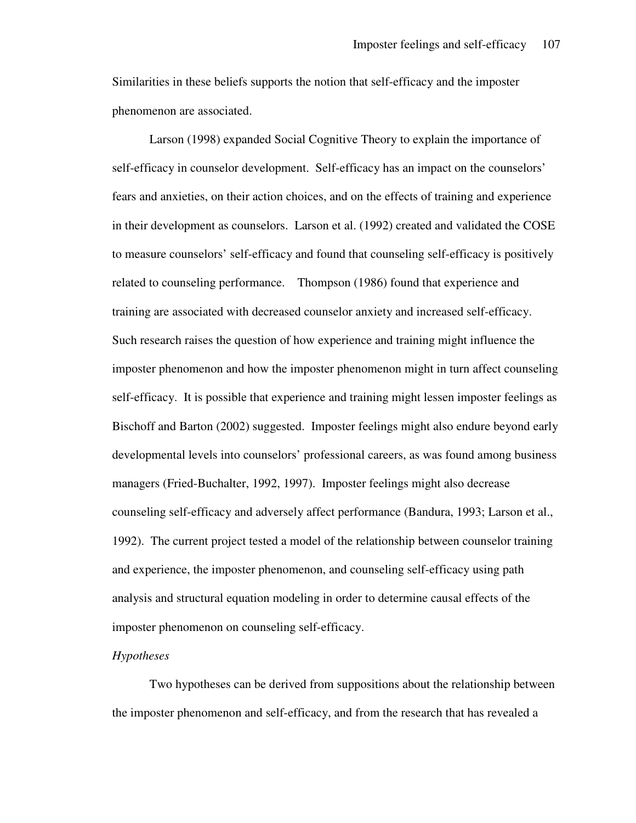Similarities in these beliefs supports the notion that self-efficacy and the imposter phenomenon are associated.

Larson (1998) expanded Social Cognitive Theory to explain the importance of self-efficacy in counselor development. Self-efficacy has an impact on the counselors' fears and anxieties, on their action choices, and on the effects of training and experience in their development as counselors. Larson et al. (1992) created and validated the COSE to measure counselors' self-efficacy and found that counseling self-efficacy is positively related to counseling performance. Thompson (1986) found that experience and training are associated with decreased counselor anxiety and increased self-efficacy. Such research raises the question of how experience and training might influence the imposter phenomenon and how the imposter phenomenon might in turn affect counseling self-efficacy. It is possible that experience and training might lessen imposter feelings as Bischoff and Barton (2002) suggested. Imposter feelings might also endure beyond early developmental levels into counselors' professional careers, as was found among business managers (Fried-Buchalter, 1992, 1997). Imposter feelings might also decrease counseling self-efficacy and adversely affect performance (Bandura, 1993; Larson et al., 1992). The current project tested a model of the relationship between counselor training and experience, the imposter phenomenon, and counseling self-efficacy using path analysis and structural equation modeling in order to determine causal effects of the imposter phenomenon on counseling self-efficacy.

## *Hypotheses*

Two hypotheses can be derived from suppositions about the relationship between the imposter phenomenon and self-efficacy, and from the research that has revealed a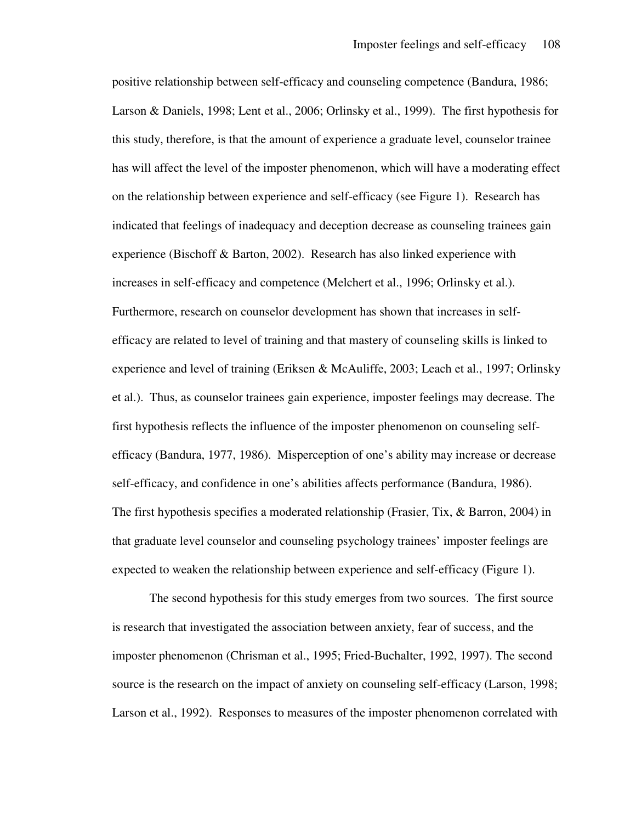positive relationship between self-efficacy and counseling competence (Bandura, 1986; Larson & Daniels, 1998; Lent et al., 2006; Orlinsky et al., 1999). The first hypothesis for this study, therefore, is that the amount of experience a graduate level, counselor trainee has will affect the level of the imposter phenomenon, which will have a moderating effect on the relationship between experience and self-efficacy (see Figure 1). Research has indicated that feelings of inadequacy and deception decrease as counseling trainees gain experience (Bischoff & Barton, 2002). Research has also linked experience with increases in self-efficacy and competence (Melchert et al., 1996; Orlinsky et al.). Furthermore, research on counselor development has shown that increases in selfefficacy are related to level of training and that mastery of counseling skills is linked to experience and level of training (Eriksen & McAuliffe, 2003; Leach et al., 1997; Orlinsky et al.). Thus, as counselor trainees gain experience, imposter feelings may decrease. The first hypothesis reflects the influence of the imposter phenomenon on counseling selfefficacy (Bandura, 1977, 1986). Misperception of one's ability may increase or decrease self-efficacy, and confidence in one's abilities affects performance (Bandura, 1986). The first hypothesis specifies a moderated relationship (Frasier, Tix, & Barron, 2004) in that graduate level counselor and counseling psychology trainees' imposter feelings are expected to weaken the relationship between experience and self-efficacy (Figure 1).

The second hypothesis for this study emerges from two sources. The first source is research that investigated the association between anxiety, fear of success, and the imposter phenomenon (Chrisman et al., 1995; Fried-Buchalter, 1992, 1997). The second source is the research on the impact of anxiety on counseling self-efficacy (Larson, 1998; Larson et al., 1992). Responses to measures of the imposter phenomenon correlated with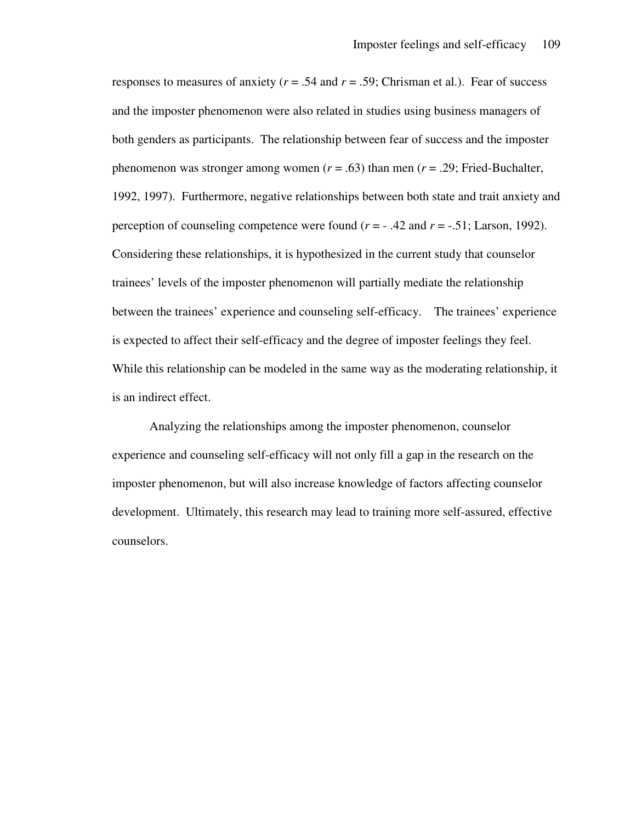responses to measures of anxiety ( $r = .54$  and  $r = .59$ ; Chrisman et al.). Fear of success and the imposter phenomenon were also related in studies using business managers of both genders as participants. The relationship between fear of success and the imposter phenomenon was stronger among women  $(r = .63)$  than men  $(r = .29)$ ; Fried-Buchalter, 1992, 1997). Furthermore, negative relationships between both state and trait anxiety and perception of counseling competence were found  $(r = -0.42)$  and  $r = -0.51$ ; Larson, 1992). Considering these relationships, it is hypothesized in the current study that counselor trainees' levels of the imposter phenomenon will partially mediate the relationship between the trainees' experience and counseling self-efficacy. The trainees' experience is expected to affect their self-efficacy and the degree of imposter feelings they feel. While this relationship can be modeled in the same way as the moderating relationship, it is an indirect effect.

 Analyzing the relationships among the imposter phenomenon, counselor experience and counseling self-efficacy will not only fill a gap in the research on the imposter phenomenon, but will also increase knowledge of factors affecting counselor development. Ultimately, this research may lead to training more self-assured, effective counselors.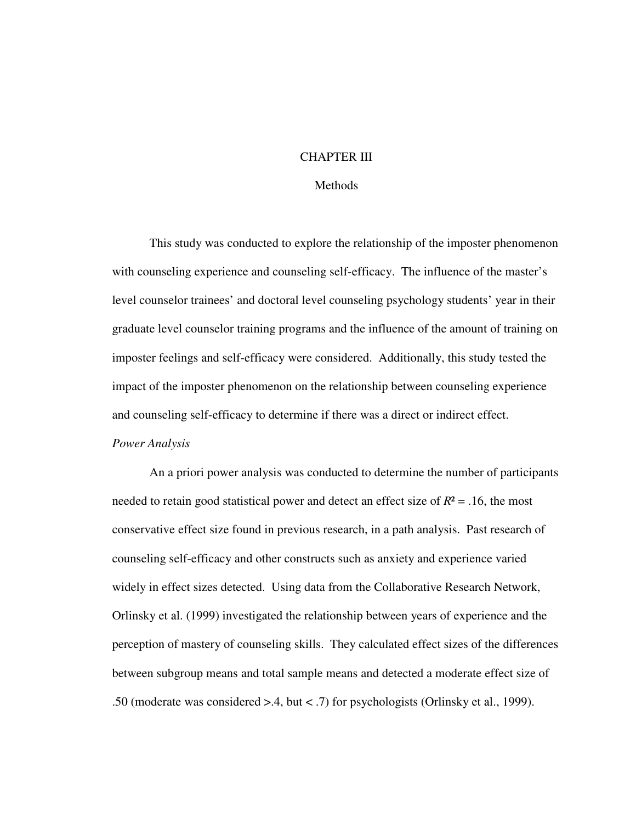## CHAPTER III

### Methods

This study was conducted to explore the relationship of the imposter phenomenon with counseling experience and counseling self-efficacy. The influence of the master's level counselor trainees' and doctoral level counseling psychology students' year in their graduate level counselor training programs and the influence of the amount of training on imposter feelings and self-efficacy were considered. Additionally, this study tested the impact of the imposter phenomenon on the relationship between counseling experience and counseling self-efficacy to determine if there was a direct or indirect effect.

## *Power Analysis*

An a priori power analysis was conducted to determine the number of participants needed to retain good statistical power and detect an effect size of  $R<sup>2</sup> = .16$ , the most conservative effect size found in previous research, in a path analysis. Past research of counseling self-efficacy and other constructs such as anxiety and experience varied widely in effect sizes detected. Using data from the Collaborative Research Network, Orlinsky et al. (1999) investigated the relationship between years of experience and the perception of mastery of counseling skills. They calculated effect sizes of the differences between subgroup means and total sample means and detected a moderate effect size of .50 (moderate was considered >.4, but < .7) for psychologists (Orlinsky et al., 1999).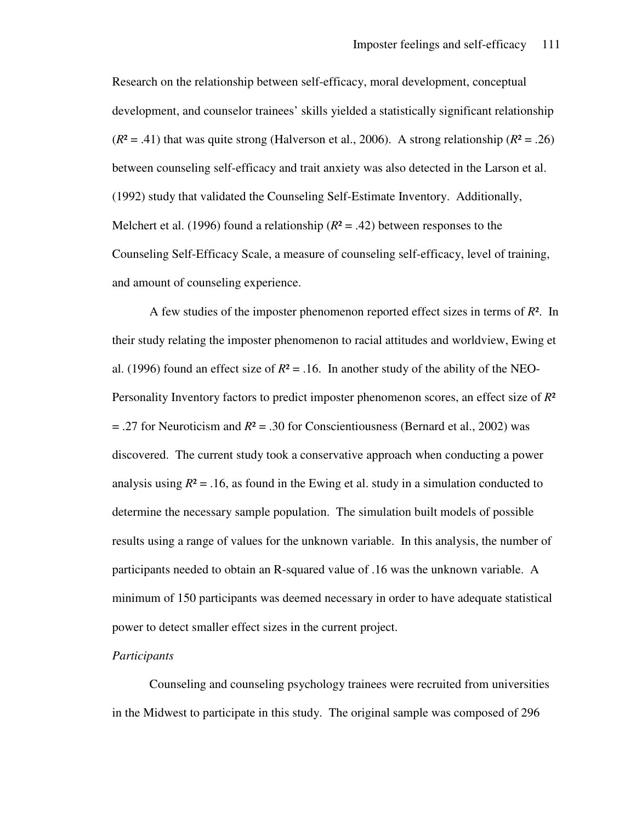Research on the relationship between self-efficacy, moral development, conceptual development, and counselor trainees' skills yielded a statistically significant relationship  $(R<sup>2</sup> = .41)$  that was quite strong (Halverson et al., 2006). A strong relationship ( $R<sup>2</sup> = .26$ ) between counseling self-efficacy and trait anxiety was also detected in the Larson et al. (1992) study that validated the Counseling Self-Estimate Inventory. Additionally, Melchert et al. (1996) found a relationship  $(R^2 = .42)$  between responses to the Counseling Self-Efficacy Scale, a measure of counseling self-efficacy, level of training, and amount of counseling experience.

A few studies of the imposter phenomenon reported effect sizes in terms of *R*². In their study relating the imposter phenomenon to racial attitudes and worldview, Ewing et al. (1996) found an effect size of  $R^2 = 0.16$ . In another study of the ability of the NEO-Personality Inventory factors to predict imposter phenomenon scores, an effect size of *R*² = .27 for Neuroticism and *R*² = .30 for Conscientiousness (Bernard et al., 2002) was discovered. The current study took a conservative approach when conducting a power analysis using  $R^2 = 0.16$ , as found in the Ewing et al. study in a simulation conducted to determine the necessary sample population. The simulation built models of possible results using a range of values for the unknown variable. In this analysis, the number of participants needed to obtain an R-squared value of .16 was the unknown variable. A minimum of 150 participants was deemed necessary in order to have adequate statistical power to detect smaller effect sizes in the current project.

#### *Participants*

 Counseling and counseling psychology trainees were recruited from universities in the Midwest to participate in this study. The original sample was composed of 296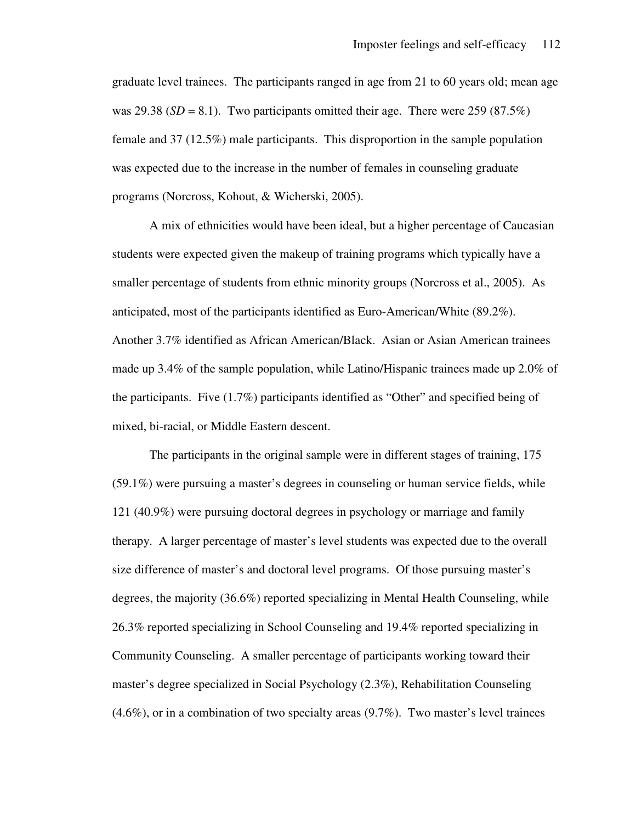graduate level trainees. The participants ranged in age from 21 to 60 years old; mean age was 29.38 ( $SD = 8.1$ ). Two participants omitted their age. There were 259 (87.5%) female and 37 (12.5%) male participants. This disproportion in the sample population was expected due to the increase in the number of females in counseling graduate programs (Norcross, Kohout, & Wicherski, 2005).

A mix of ethnicities would have been ideal, but a higher percentage of Caucasian students were expected given the makeup of training programs which typically have a smaller percentage of students from ethnic minority groups (Norcross et al., 2005). As anticipated, most of the participants identified as Euro-American/White (89.2%). Another 3.7% identified as African American/Black. Asian or Asian American trainees made up 3.4% of the sample population, while Latino/Hispanic trainees made up 2.0% of the participants. Five (1.7%) participants identified as "Other" and specified being of mixed, bi-racial, or Middle Eastern descent.

The participants in the original sample were in different stages of training, 175 (59.1%) were pursuing a master's degrees in counseling or human service fields, while 121 (40.9%) were pursuing doctoral degrees in psychology or marriage and family therapy. A larger percentage of master's level students was expected due to the overall size difference of master's and doctoral level programs. Of those pursuing master's degrees, the majority (36.6%) reported specializing in Mental Health Counseling, while 26.3% reported specializing in School Counseling and 19.4% reported specializing in Community Counseling. A smaller percentage of participants working toward their master's degree specialized in Social Psychology (2.3%), Rehabilitation Counseling  $(4.6\%)$ , or in a combination of two specialty areas  $(9.7\%)$ . Two master's level trainees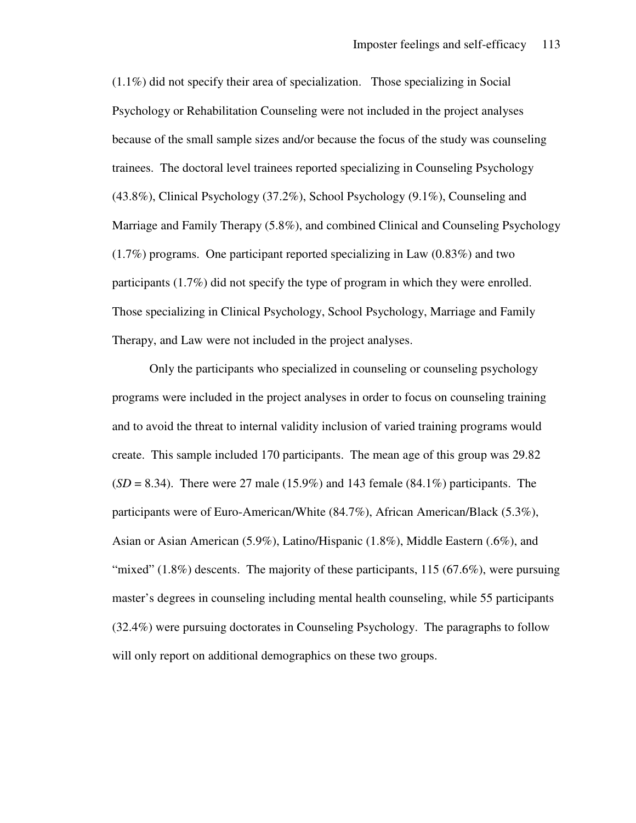(1.1%) did not specify their area of specialization. Those specializing in Social Psychology or Rehabilitation Counseling were not included in the project analyses because of the small sample sizes and/or because the focus of the study was counseling trainees. The doctoral level trainees reported specializing in Counseling Psychology (43.8%), Clinical Psychology (37.2%), School Psychology (9.1%), Counseling and Marriage and Family Therapy (5.8%), and combined Clinical and Counseling Psychology (1.7%) programs. One participant reported specializing in Law (0.83%) and two participants (1.7%) did not specify the type of program in which they were enrolled. Those specializing in Clinical Psychology, School Psychology, Marriage and Family Therapy, and Law were not included in the project analyses.

Only the participants who specialized in counseling or counseling psychology programs were included in the project analyses in order to focus on counseling training and to avoid the threat to internal validity inclusion of varied training programs would create. This sample included 170 participants. The mean age of this group was 29.82  $(SD = 8.34)$ . There were 27 male (15.9%) and 143 female (84.1%) participants. The participants were of Euro-American/White (84.7%), African American/Black (5.3%), Asian or Asian American (5.9%), Latino/Hispanic (1.8%), Middle Eastern (.6%), and "mixed"  $(1.8\%)$  descents. The majority of these participants, 115  $(67.6\%)$ , were pursuing master's degrees in counseling including mental health counseling, while 55 participants (32.4%) were pursuing doctorates in Counseling Psychology. The paragraphs to follow will only report on additional demographics on these two groups.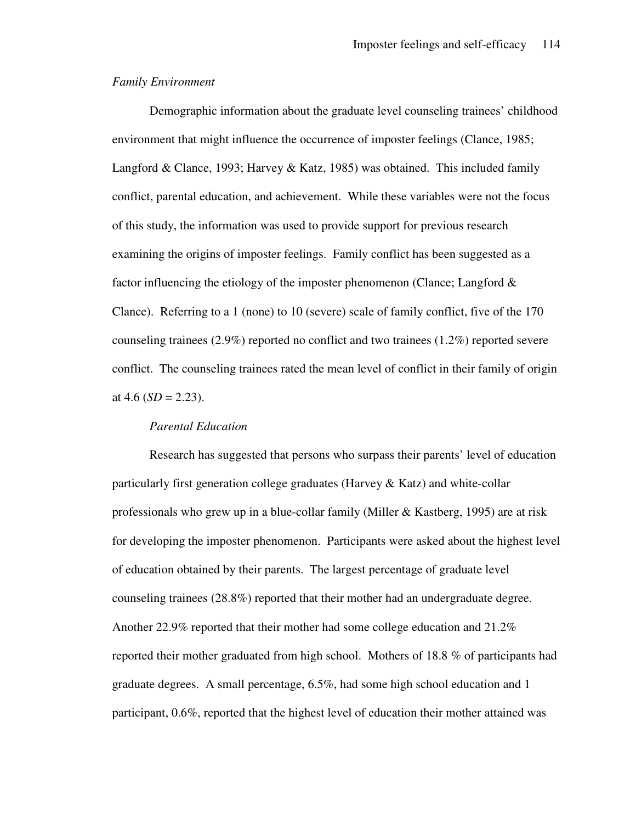## *Family Environment*

Demographic information about the graduate level counseling trainees' childhood environment that might influence the occurrence of imposter feelings (Clance, 1985; Langford & Clance, 1993; Harvey & Katz, 1985) was obtained. This included family conflict, parental education, and achievement. While these variables were not the focus of this study, the information was used to provide support for previous research examining the origins of imposter feelings. Family conflict has been suggested as a factor influencing the etiology of the imposter phenomenon (Clance; Langford & Clance). Referring to a 1 (none) to 10 (severe) scale of family conflict, five of the 170 counseling trainees  $(2.9\%)$  reported no conflict and two trainees  $(1.2\%)$  reported severe conflict. The counseling trainees rated the mean level of conflict in their family of origin at  $4.6$  (*SD* = 2.23).

## *Parental Education*

Research has suggested that persons who surpass their parents' level of education particularly first generation college graduates (Harvey  $\&$  Katz) and white-collar professionals who grew up in a blue-collar family (Miller & Kastberg, 1995) are at risk for developing the imposter phenomenon. Participants were asked about the highest level of education obtained by their parents. The largest percentage of graduate level counseling trainees (28.8%) reported that their mother had an undergraduate degree. Another 22.9% reported that their mother had some college education and 21.2% reported their mother graduated from high school. Mothers of 18.8 % of participants had graduate degrees. A small percentage, 6.5%, had some high school education and 1 participant, 0.6%, reported that the highest level of education their mother attained was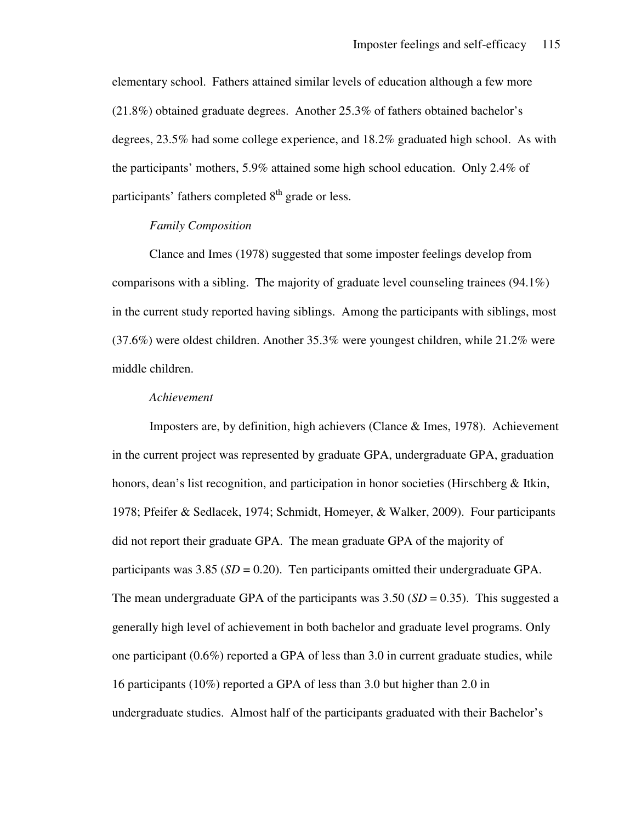elementary school. Fathers attained similar levels of education although a few more (21.8%) obtained graduate degrees. Another 25.3% of fathers obtained bachelor's degrees, 23.5% had some college experience, and 18.2% graduated high school. As with the participants' mothers, 5.9% attained some high school education. Only 2.4% of participants' fathers completed  $8<sup>th</sup>$  grade or less.

# *Family Composition*

Clance and Imes (1978) suggested that some imposter feelings develop from comparisons with a sibling. The majority of graduate level counseling trainees (94.1%) in the current study reported having siblings. Among the participants with siblings, most (37.6%) were oldest children. Another 35.3% were youngest children, while 21.2% were middle children.

#### *Achievement*

Imposters are, by definition, high achievers (Clance & Imes, 1978). Achievement in the current project was represented by graduate GPA, undergraduate GPA, graduation honors, dean's list recognition, and participation in honor societies (Hirschberg & Itkin, 1978; Pfeifer & Sedlacek, 1974; Schmidt, Homeyer, & Walker, 2009). Four participants did not report their graduate GPA. The mean graduate GPA of the majority of participants was  $3.85$  ( $SD = 0.20$ ). Ten participants omitted their undergraduate GPA. The mean undergraduate GPA of the participants was  $3.50$  (*SD* = 0.35). This suggested a generally high level of achievement in both bachelor and graduate level programs. Only one participant (0.6%) reported a GPA of less than 3.0 in current graduate studies, while 16 participants (10%) reported a GPA of less than 3.0 but higher than 2.0 in undergraduate studies. Almost half of the participants graduated with their Bachelor's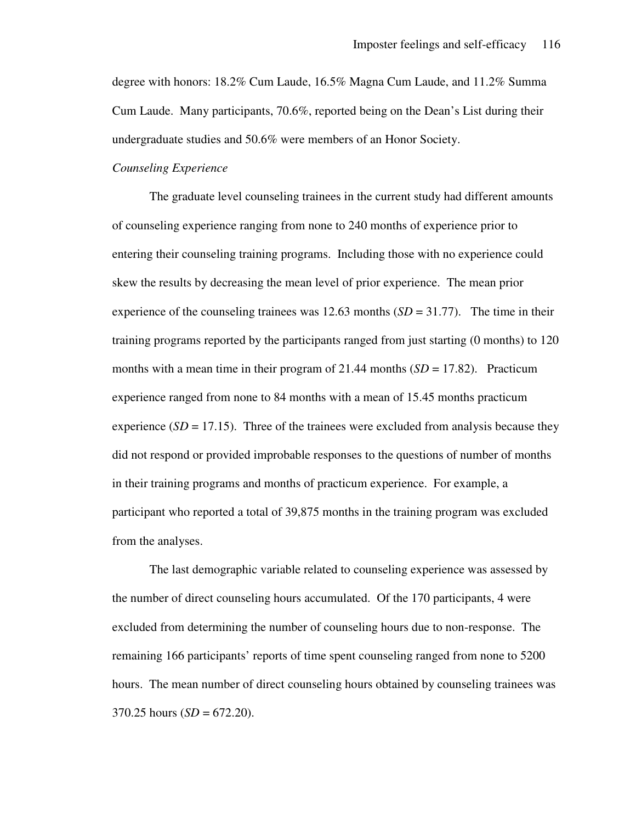degree with honors: 18.2% Cum Laude, 16.5% Magna Cum Laude, and 11.2% Summa Cum Laude. Many participants, 70.6%, reported being on the Dean's List during their undergraduate studies and 50.6% were members of an Honor Society.

# *Counseling Experience*

The graduate level counseling trainees in the current study had different amounts of counseling experience ranging from none to 240 months of experience prior to entering their counseling training programs. Including those with no experience could skew the results by decreasing the mean level of prior experience. The mean prior experience of the counseling trainees was  $12.63$  months  $(SD = 31.77)$ . The time in their training programs reported by the participants ranged from just starting (0 months) to 120 months with a mean time in their program of  $21.44$  months  $(SD = 17.82)$ . Practicum experience ranged from none to 84 months with a mean of 15.45 months practicum experience  $(SD = 17.15)$ . Three of the trainees were excluded from analysis because they did not respond or provided improbable responses to the questions of number of months in their training programs and months of practicum experience. For example, a participant who reported a total of 39,875 months in the training program was excluded from the analyses.

The last demographic variable related to counseling experience was assessed by the number of direct counseling hours accumulated. Of the 170 participants, 4 were excluded from determining the number of counseling hours due to non-response. The remaining 166 participants' reports of time spent counseling ranged from none to 5200 hours. The mean number of direct counseling hours obtained by counseling trainees was  $370.25$  hours  $(SD = 672.20)$ .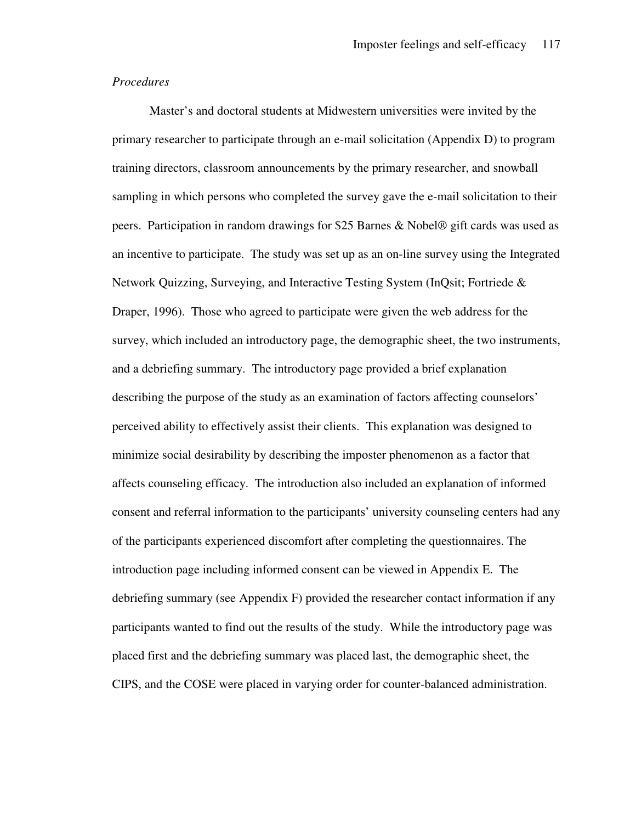# *Procedures*

 Master's and doctoral students at Midwestern universities were invited by the primary researcher to participate through an e-mail solicitation (Appendix D) to program training directors, classroom announcements by the primary researcher, and snowball sampling in which persons who completed the survey gave the e-mail solicitation to their peers. Participation in random drawings for \$25 Barnes & Nobel® gift cards was used as an incentive to participate. The study was set up as an on-line survey using the Integrated Network Quizzing, Surveying, and Interactive Testing System (InQsit; Fortriede & Draper, 1996). Those who agreed to participate were given the web address for the survey, which included an introductory page, the demographic sheet, the two instruments, and a debriefing summary. The introductory page provided a brief explanation describing the purpose of the study as an examination of factors affecting counselors' perceived ability to effectively assist their clients. This explanation was designed to minimize social desirability by describing the imposter phenomenon as a factor that affects counseling efficacy. The introduction also included an explanation of informed consent and referral information to the participants' university counseling centers had any of the participants experienced discomfort after completing the questionnaires. The introduction page including informed consent can be viewed in Appendix E. The debriefing summary (see Appendix F) provided the researcher contact information if any participants wanted to find out the results of the study. While the introductory page was placed first and the debriefing summary was placed last, the demographic sheet, the CIPS, and the COSE were placed in varying order for counter-balanced administration.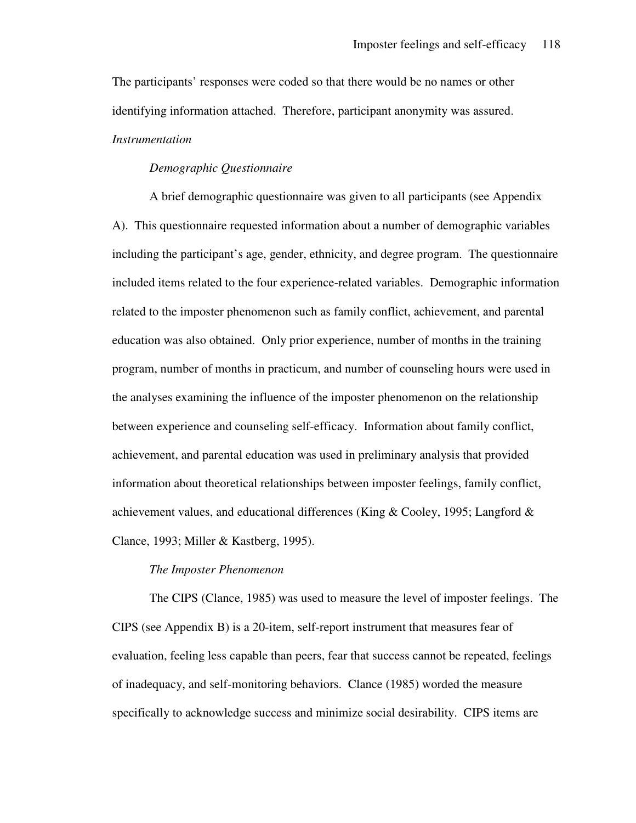The participants' responses were coded so that there would be no names or other identifying information attached. Therefore, participant anonymity was assured. *Instrumentation* 

# *Demographic Questionnaire*

A brief demographic questionnaire was given to all participants (see Appendix A). This questionnaire requested information about a number of demographic variables including the participant's age, gender, ethnicity, and degree program. The questionnaire included items related to the four experience-related variables. Demographic information related to the imposter phenomenon such as family conflict, achievement, and parental education was also obtained. Only prior experience, number of months in the training program, number of months in practicum, and number of counseling hours were used in the analyses examining the influence of the imposter phenomenon on the relationship between experience and counseling self-efficacy. Information about family conflict, achievement, and parental education was used in preliminary analysis that provided information about theoretical relationships between imposter feelings, family conflict, achievement values, and educational differences (King  $\&$  Cooley, 1995; Langford  $\&$ Clance, 1993; Miller & Kastberg, 1995).

## *The Imposter Phenomenon*

The CIPS (Clance, 1985) was used to measure the level of imposter feelings. The CIPS (see Appendix B) is a 20-item, self-report instrument that measures fear of evaluation, feeling less capable than peers, fear that success cannot be repeated, feelings of inadequacy, and self-monitoring behaviors. Clance (1985) worded the measure specifically to acknowledge success and minimize social desirability. CIPS items are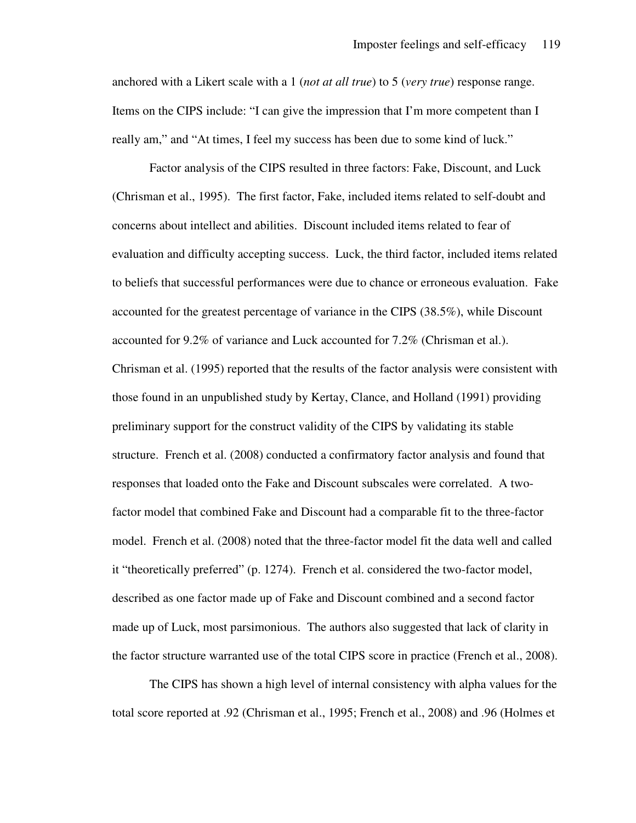anchored with a Likert scale with a 1 (*not at all true*) to 5 (*very true*) response range. Items on the CIPS include: "I can give the impression that I'm more competent than I really am," and "At times, I feel my success has been due to some kind of luck."

Factor analysis of the CIPS resulted in three factors: Fake, Discount, and Luck (Chrisman et al., 1995). The first factor, Fake, included items related to self-doubt and concerns about intellect and abilities. Discount included items related to fear of evaluation and difficulty accepting success. Luck, the third factor, included items related to beliefs that successful performances were due to chance or erroneous evaluation. Fake accounted for the greatest percentage of variance in the CIPS (38.5%), while Discount accounted for 9.2% of variance and Luck accounted for 7.2% (Chrisman et al.). Chrisman et al. (1995) reported that the results of the factor analysis were consistent with those found in an unpublished study by Kertay, Clance, and Holland (1991) providing preliminary support for the construct validity of the CIPS by validating its stable structure. French et al. (2008) conducted a confirmatory factor analysis and found that responses that loaded onto the Fake and Discount subscales were correlated. A twofactor model that combined Fake and Discount had a comparable fit to the three-factor model. French et al. (2008) noted that the three-factor model fit the data well and called it "theoretically preferred" (p. 1274). French et al. considered the two-factor model, described as one factor made up of Fake and Discount combined and a second factor made up of Luck, most parsimonious. The authors also suggested that lack of clarity in the factor structure warranted use of the total CIPS score in practice (French et al., 2008).

The CIPS has shown a high level of internal consistency with alpha values for the total score reported at .92 (Chrisman et al., 1995; French et al., 2008) and .96 (Holmes et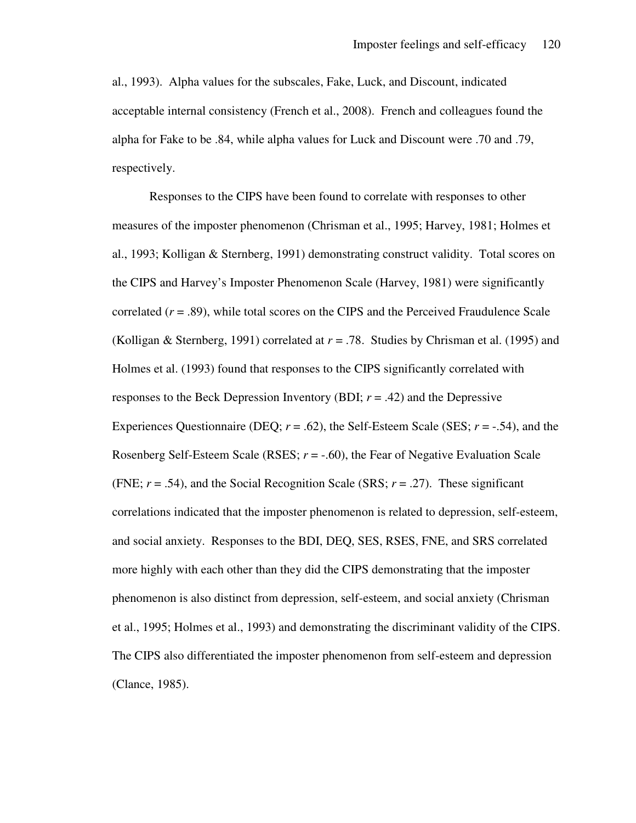al., 1993). Alpha values for the subscales, Fake, Luck, and Discount, indicated acceptable internal consistency (French et al., 2008). French and colleagues found the alpha for Fake to be .84, while alpha values for Luck and Discount were .70 and .79, respectively.

Responses to the CIPS have been found to correlate with responses to other measures of the imposter phenomenon (Chrisman et al., 1995; Harvey, 1981; Holmes et al., 1993; Kolligan & Sternberg, 1991) demonstrating construct validity. Total scores on the CIPS and Harvey's Imposter Phenomenon Scale (Harvey, 1981) were significantly correlated (*r* = .89), while total scores on the CIPS and the Perceived Fraudulence Scale (Kolligan & Sternberg, 1991) correlated at *r* = .78. Studies by Chrisman et al. (1995) and Holmes et al. (1993) found that responses to the CIPS significantly correlated with responses to the Beck Depression Inventory (BDI; *r* = .42) and the Depressive Experiences Questionnaire (DEQ;  $r = .62$ ), the Self-Esteem Scale (SES;  $r = -.54$ ), and the Rosenberg Self-Esteem Scale (RSES; *r* = -.60), the Fear of Negative Evaluation Scale (FNE; *r* = .54), and the Social Recognition Scale (SRS; *r* = .27). These significant correlations indicated that the imposter phenomenon is related to depression, self-esteem, and social anxiety. Responses to the BDI, DEQ, SES, RSES, FNE, and SRS correlated more highly with each other than they did the CIPS demonstrating that the imposter phenomenon is also distinct from depression, self-esteem, and social anxiety (Chrisman et al., 1995; Holmes et al., 1993) and demonstrating the discriminant validity of the CIPS. The CIPS also differentiated the imposter phenomenon from self-esteem and depression (Clance, 1985).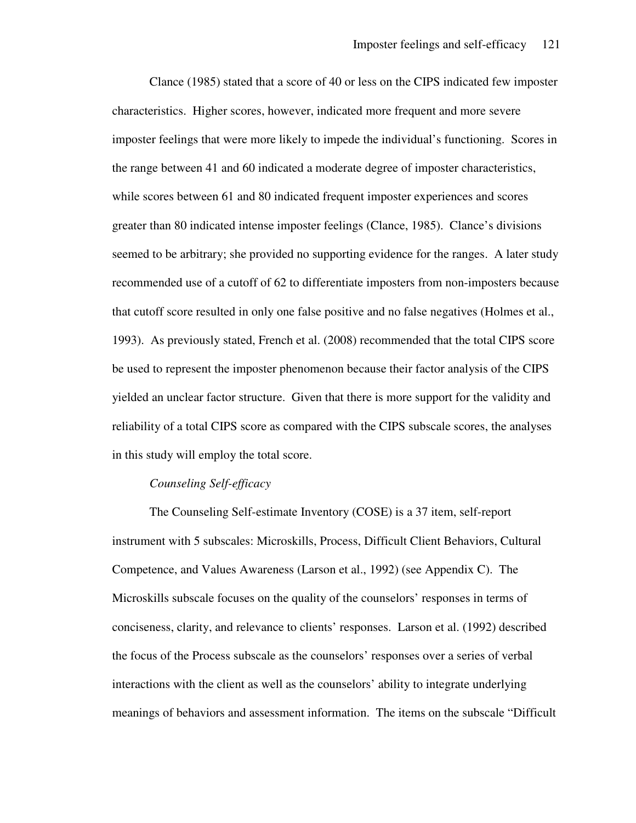Clance (1985) stated that a score of 40 or less on the CIPS indicated few imposter characteristics. Higher scores, however, indicated more frequent and more severe imposter feelings that were more likely to impede the individual's functioning. Scores in the range between 41 and 60 indicated a moderate degree of imposter characteristics, while scores between 61 and 80 indicated frequent imposter experiences and scores greater than 80 indicated intense imposter feelings (Clance, 1985). Clance's divisions seemed to be arbitrary; she provided no supporting evidence for the ranges. A later study recommended use of a cutoff of 62 to differentiate imposters from non-imposters because that cutoff score resulted in only one false positive and no false negatives (Holmes et al., 1993). As previously stated, French et al. (2008) recommended that the total CIPS score be used to represent the imposter phenomenon because their factor analysis of the CIPS yielded an unclear factor structure. Given that there is more support for the validity and reliability of a total CIPS score as compared with the CIPS subscale scores, the analyses in this study will employ the total score.

#### *Counseling Self-efficacy*

The Counseling Self-estimate Inventory (COSE) is a 37 item, self-report instrument with 5 subscales: Microskills, Process, Difficult Client Behaviors, Cultural Competence, and Values Awareness (Larson et al., 1992) (see Appendix C). The Microskills subscale focuses on the quality of the counselors' responses in terms of conciseness, clarity, and relevance to clients' responses. Larson et al. (1992) described the focus of the Process subscale as the counselors' responses over a series of verbal interactions with the client as well as the counselors' ability to integrate underlying meanings of behaviors and assessment information. The items on the subscale "Difficult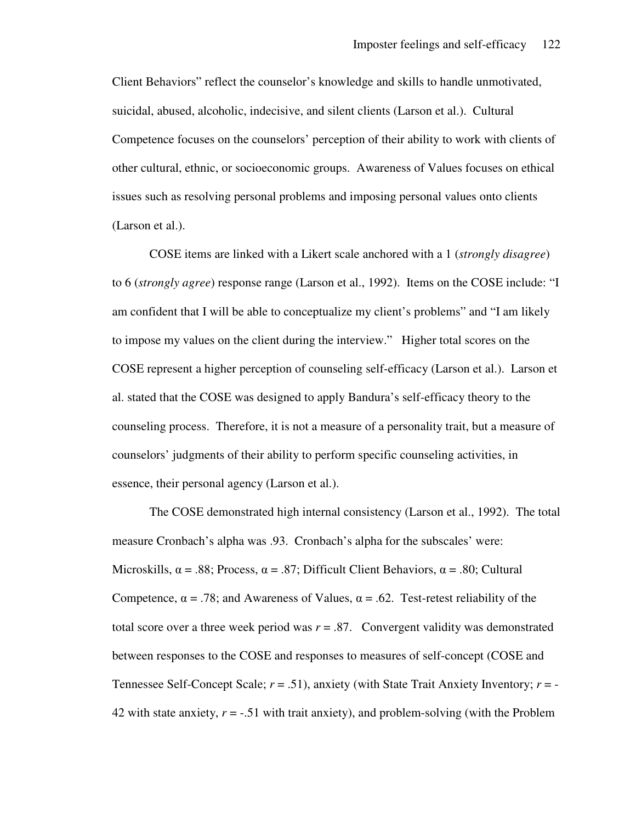Client Behaviors" reflect the counselor's knowledge and skills to handle unmotivated, suicidal, abused, alcoholic, indecisive, and silent clients (Larson et al.). Cultural Competence focuses on the counselors' perception of their ability to work with clients of other cultural, ethnic, or socioeconomic groups. Awareness of Values focuses on ethical issues such as resolving personal problems and imposing personal values onto clients (Larson et al.).

COSE items are linked with a Likert scale anchored with a 1 (*strongly disagree*) to 6 (*strongly agree*) response range (Larson et al., 1992). Items on the COSE include: "I am confident that I will be able to conceptualize my client's problems" and "I am likely to impose my values on the client during the interview." Higher total scores on the COSE represent a higher perception of counseling self-efficacy (Larson et al.). Larson et al. stated that the COSE was designed to apply Bandura's self-efficacy theory to the counseling process. Therefore, it is not a measure of a personality trait, but a measure of counselors' judgments of their ability to perform specific counseling activities, in essence, their personal agency (Larson et al.).

The COSE demonstrated high internal consistency (Larson et al., 1992). The total measure Cronbach's alpha was .93. Cronbach's alpha for the subscales' were: Microskills,  $\alpha = .88$ ; Process,  $\alpha = .87$ ; Difficult Client Behaviors,  $\alpha = .80$ ; Cultural Competence,  $\alpha = .78$ ; and Awareness of Values,  $\alpha = .62$ . Test-retest reliability of the total score over a three week period was  $r = .87$ . Convergent validity was demonstrated between responses to the COSE and responses to measures of self-concept (COSE and Tennessee Self-Concept Scale; *r* = .51), anxiety (with State Trait Anxiety Inventory; *r* = - 42 with state anxiety,  $r = -0.51$  with trait anxiety), and problem-solving (with the Problem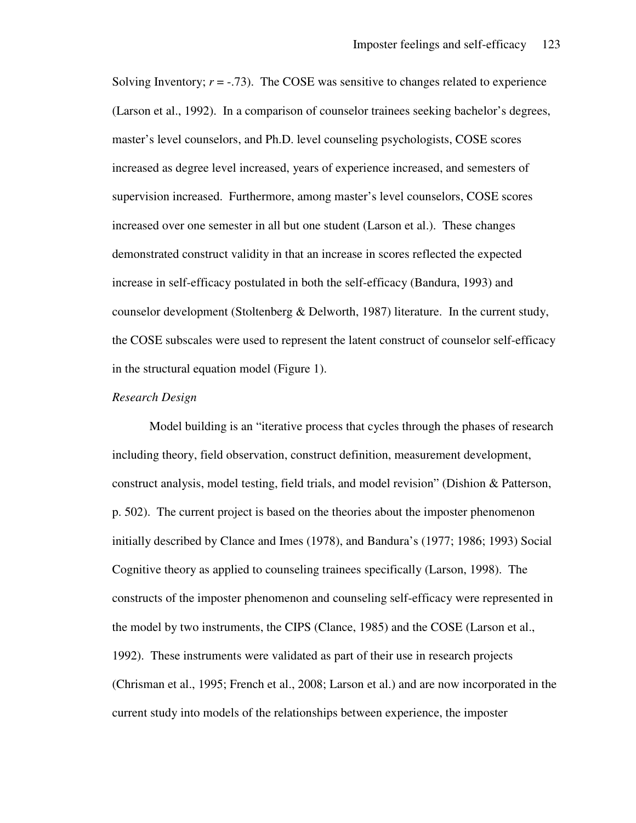Solving Inventory;  $r = -0.73$ ). The COSE was sensitive to changes related to experience (Larson et al., 1992). In a comparison of counselor trainees seeking bachelor's degrees, master's level counselors, and Ph.D. level counseling psychologists, COSE scores increased as degree level increased, years of experience increased, and semesters of supervision increased. Furthermore, among master's level counselors, COSE scores increased over one semester in all but one student (Larson et al.). These changes demonstrated construct validity in that an increase in scores reflected the expected increase in self-efficacy postulated in both the self-efficacy (Bandura, 1993) and counselor development (Stoltenberg  $&$  Delworth, 1987) literature. In the current study, the COSE subscales were used to represent the latent construct of counselor self-efficacy in the structural equation model (Figure 1).

### *Research Design*

Model building is an "iterative process that cycles through the phases of research including theory, field observation, construct definition, measurement development, construct analysis, model testing, field trials, and model revision" (Dishion & Patterson, p. 502). The current project is based on the theories about the imposter phenomenon initially described by Clance and Imes (1978), and Bandura's (1977; 1986; 1993) Social Cognitive theory as applied to counseling trainees specifically (Larson, 1998). The constructs of the imposter phenomenon and counseling self-efficacy were represented in the model by two instruments, the CIPS (Clance, 1985) and the COSE (Larson et al., 1992). These instruments were validated as part of their use in research projects (Chrisman et al., 1995; French et al., 2008; Larson et al.) and are now incorporated in the current study into models of the relationships between experience, the imposter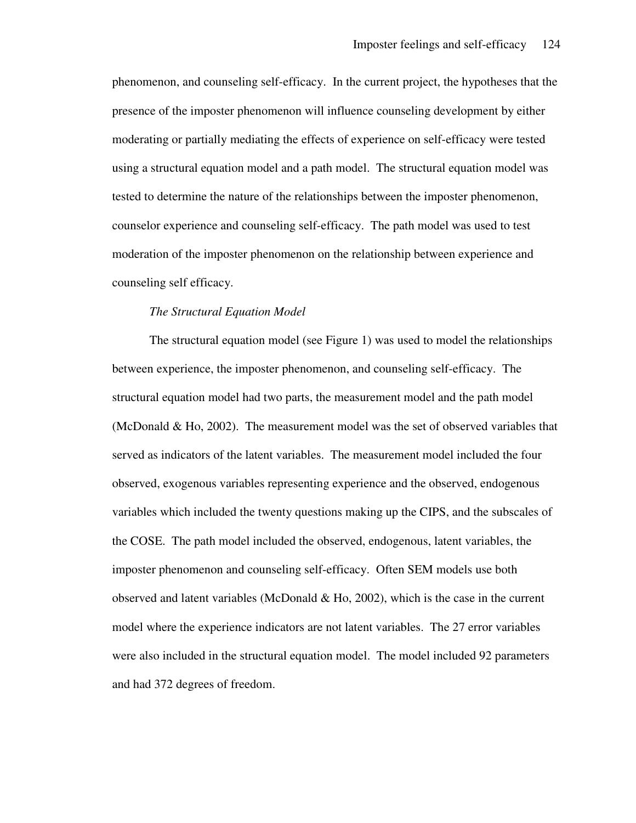phenomenon, and counseling self-efficacy. In the current project, the hypotheses that the presence of the imposter phenomenon will influence counseling development by either moderating or partially mediating the effects of experience on self-efficacy were tested using a structural equation model and a path model. The structural equation model was tested to determine the nature of the relationships between the imposter phenomenon, counselor experience and counseling self-efficacy. The path model was used to test moderation of the imposter phenomenon on the relationship between experience and counseling self efficacy.

## *The Structural Equation Model*

The structural equation model (see Figure 1) was used to model the relationships between experience, the imposter phenomenon, and counseling self-efficacy. The structural equation model had two parts, the measurement model and the path model (McDonald & Ho, 2002). The measurement model was the set of observed variables that served as indicators of the latent variables. The measurement model included the four observed, exogenous variables representing experience and the observed, endogenous variables which included the twenty questions making up the CIPS, and the subscales of the COSE. The path model included the observed, endogenous, latent variables, the imposter phenomenon and counseling self-efficacy. Often SEM models use both observed and latent variables (McDonald  $\&$  Ho, 2002), which is the case in the current model where the experience indicators are not latent variables. The 27 error variables were also included in the structural equation model. The model included 92 parameters and had 372 degrees of freedom.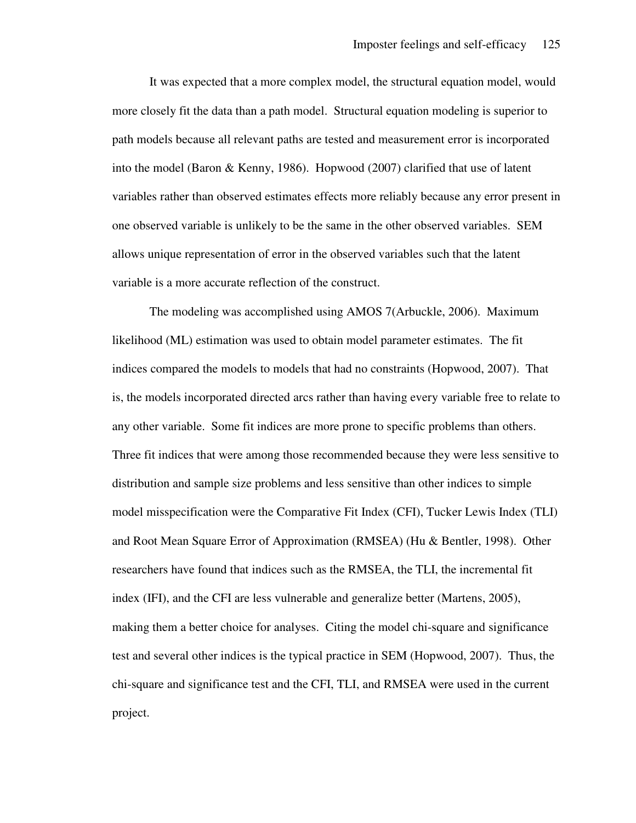It was expected that a more complex model, the structural equation model, would more closely fit the data than a path model. Structural equation modeling is superior to path models because all relevant paths are tested and measurement error is incorporated into the model (Baron & Kenny, 1986). Hopwood (2007) clarified that use of latent variables rather than observed estimates effects more reliably because any error present in one observed variable is unlikely to be the same in the other observed variables. SEM allows unique representation of error in the observed variables such that the latent variable is a more accurate reflection of the construct.

The modeling was accomplished using AMOS 7(Arbuckle, 2006). Maximum likelihood (ML) estimation was used to obtain model parameter estimates. The fit indices compared the models to models that had no constraints (Hopwood, 2007). That is, the models incorporated directed arcs rather than having every variable free to relate to any other variable. Some fit indices are more prone to specific problems than others. Three fit indices that were among those recommended because they were less sensitive to distribution and sample size problems and less sensitive than other indices to simple model misspecification were the Comparative Fit Index (CFI), Tucker Lewis Index (TLI) and Root Mean Square Error of Approximation (RMSEA) (Hu & Bentler, 1998). Other researchers have found that indices such as the RMSEA, the TLI, the incremental fit index (IFI), and the CFI are less vulnerable and generalize better (Martens, 2005), making them a better choice for analyses. Citing the model chi-square and significance test and several other indices is the typical practice in SEM (Hopwood, 2007). Thus, the chi-square and significance test and the CFI, TLI, and RMSEA were used in the current project.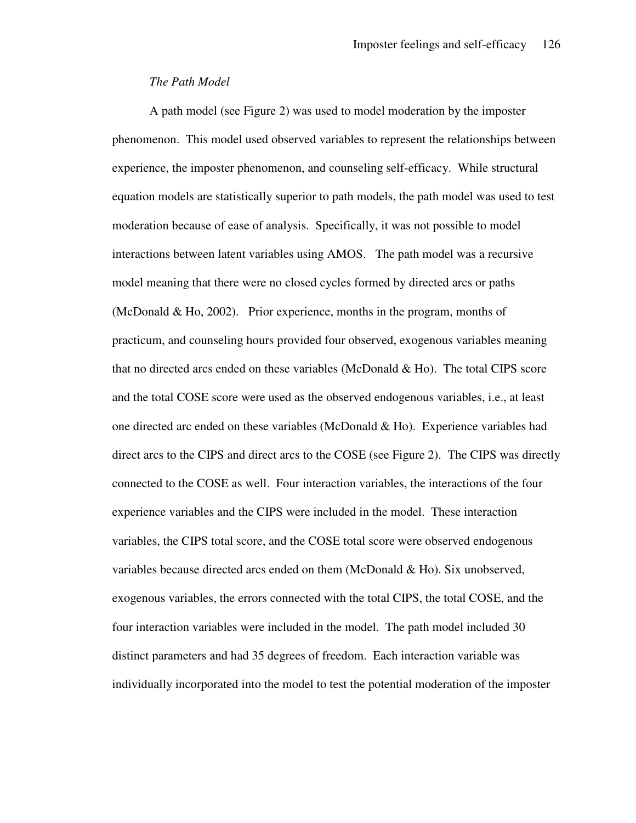## *The Path Model*

A path model (see Figure 2) was used to model moderation by the imposter phenomenon. This model used observed variables to represent the relationships between experience, the imposter phenomenon, and counseling self-efficacy. While structural equation models are statistically superior to path models, the path model was used to test moderation because of ease of analysis. Specifically, it was not possible to model interactions between latent variables using AMOS. The path model was a recursive model meaning that there were no closed cycles formed by directed arcs or paths (McDonald & Ho, 2002). Prior experience, months in the program, months of practicum, and counseling hours provided four observed, exogenous variables meaning that no directed arcs ended on these variables (McDonald & Ho). The total CIPS score and the total COSE score were used as the observed endogenous variables, i.e., at least one directed arc ended on these variables (McDonald & Ho). Experience variables had direct arcs to the CIPS and direct arcs to the COSE (see Figure 2). The CIPS was directly connected to the COSE as well. Four interaction variables, the interactions of the four experience variables and the CIPS were included in the model. These interaction variables, the CIPS total score, and the COSE total score were observed endogenous variables because directed arcs ended on them (McDonald & Ho). Six unobserved, exogenous variables, the errors connected with the total CIPS, the total COSE, and the four interaction variables were included in the model. The path model included 30 distinct parameters and had 35 degrees of freedom. Each interaction variable was individually incorporated into the model to test the potential moderation of the imposter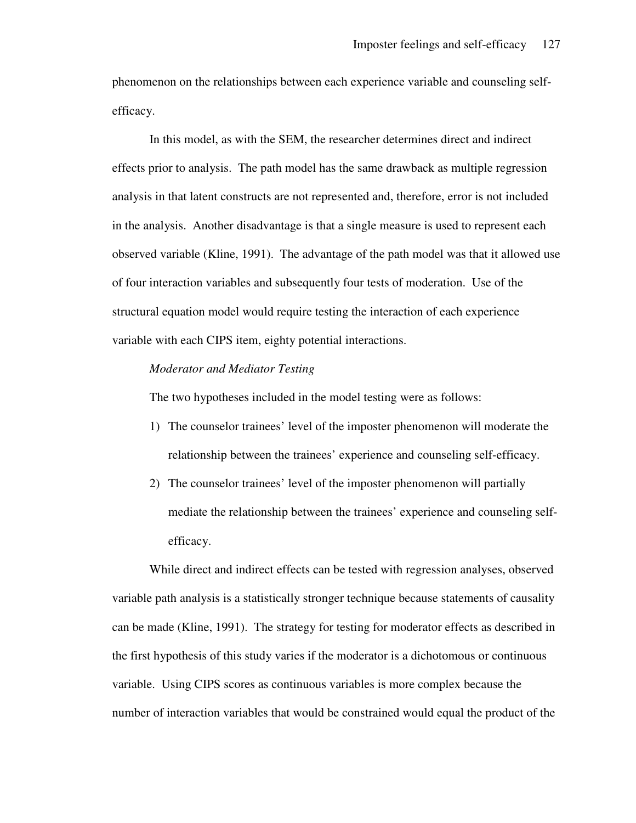phenomenon on the relationships between each experience variable and counseling selfefficacy.

In this model, as with the SEM, the researcher determines direct and indirect effects prior to analysis. The path model has the same drawback as multiple regression analysis in that latent constructs are not represented and, therefore, error is not included in the analysis. Another disadvantage is that a single measure is used to represent each observed variable (Kline, 1991). The advantage of the path model was that it allowed use of four interaction variables and subsequently four tests of moderation. Use of the structural equation model would require testing the interaction of each experience variable with each CIPS item, eighty potential interactions.

### *Moderator and Mediator Testing*

The two hypotheses included in the model testing were as follows:

- 1) The counselor trainees' level of the imposter phenomenon will moderate the relationship between the trainees' experience and counseling self-efficacy.
- 2) The counselor trainees' level of the imposter phenomenon will partially mediate the relationship between the trainees' experience and counseling selfefficacy.

While direct and indirect effects can be tested with regression analyses, observed variable path analysis is a statistically stronger technique because statements of causality can be made (Kline, 1991). The strategy for testing for moderator effects as described in the first hypothesis of this study varies if the moderator is a dichotomous or continuous variable. Using CIPS scores as continuous variables is more complex because the number of interaction variables that would be constrained would equal the product of the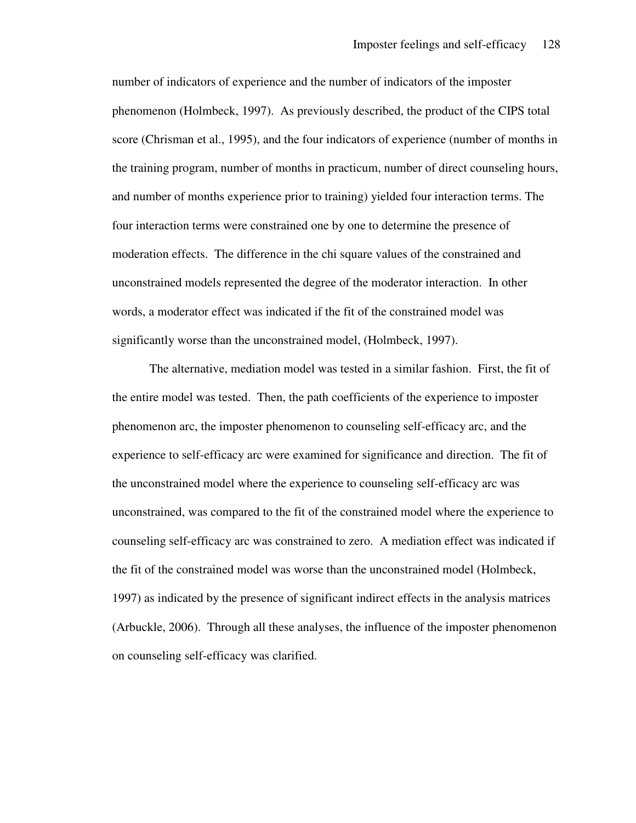number of indicators of experience and the number of indicators of the imposter phenomenon (Holmbeck, 1997). As previously described, the product of the CIPS total score (Chrisman et al., 1995), and the four indicators of experience (number of months in the training program, number of months in practicum, number of direct counseling hours, and number of months experience prior to training) yielded four interaction terms. The four interaction terms were constrained one by one to determine the presence of moderation effects. The difference in the chi square values of the constrained and unconstrained models represented the degree of the moderator interaction. In other words, a moderator effect was indicated if the fit of the constrained model was significantly worse than the unconstrained model, (Holmbeck, 1997).

The alternative, mediation model was tested in a similar fashion. First, the fit of the entire model was tested. Then, the path coefficients of the experience to imposter phenomenon arc, the imposter phenomenon to counseling self-efficacy arc, and the experience to self-efficacy arc were examined for significance and direction. The fit of the unconstrained model where the experience to counseling self-efficacy arc was unconstrained, was compared to the fit of the constrained model where the experience to counseling self-efficacy arc was constrained to zero. A mediation effect was indicated if the fit of the constrained model was worse than the unconstrained model (Holmbeck, 1997) as indicated by the presence of significant indirect effects in the analysis matrices (Arbuckle, 2006). Through all these analyses, the influence of the imposter phenomenon on counseling self-efficacy was clarified.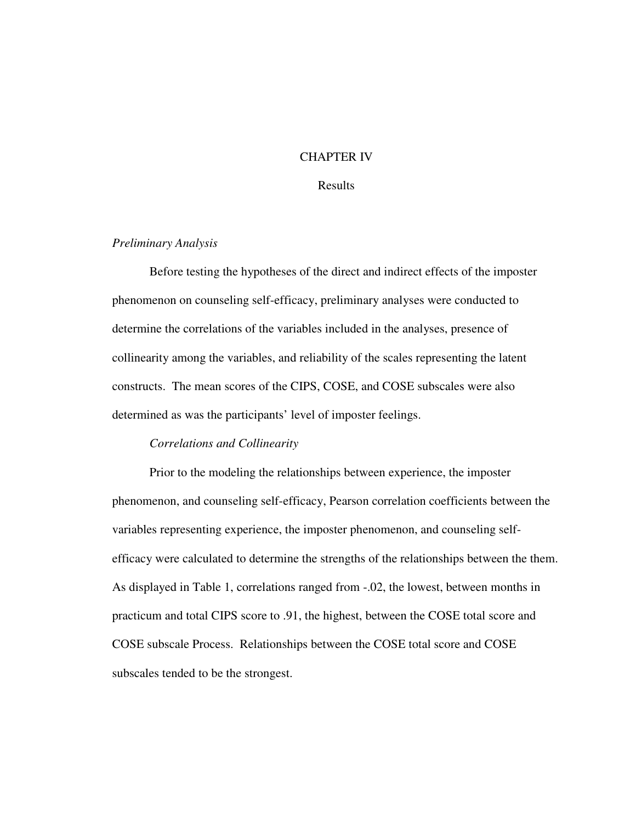# CHAPTER IV

### Results

# *Preliminary Analysis*

 Before testing the hypotheses of the direct and indirect effects of the imposter phenomenon on counseling self-efficacy, preliminary analyses were conducted to determine the correlations of the variables included in the analyses, presence of collinearity among the variables, and reliability of the scales representing the latent constructs. The mean scores of the CIPS, COSE, and COSE subscales were also determined as was the participants' level of imposter feelings.

#### *Correlations and Collinearity*

Prior to the modeling the relationships between experience, the imposter phenomenon, and counseling self-efficacy, Pearson correlation coefficients between the variables representing experience, the imposter phenomenon, and counseling selfefficacy were calculated to determine the strengths of the relationships between the them. As displayed in Table 1, correlations ranged from -.02, the lowest, between months in practicum and total CIPS score to .91, the highest, between the COSE total score and COSE subscale Process. Relationships between the COSE total score and COSE subscales tended to be the strongest.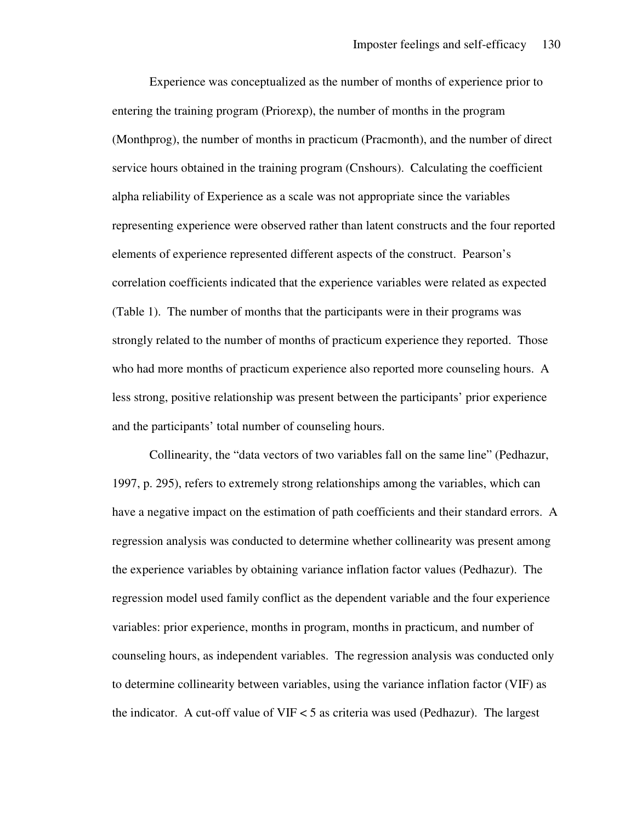Experience was conceptualized as the number of months of experience prior to entering the training program (Priorexp), the number of months in the program (Monthprog), the number of months in practicum (Pracmonth), and the number of direct service hours obtained in the training program (Cnshours). Calculating the coefficient alpha reliability of Experience as a scale was not appropriate since the variables representing experience were observed rather than latent constructs and the four reported elements of experience represented different aspects of the construct. Pearson's correlation coefficients indicated that the experience variables were related as expected (Table 1). The number of months that the participants were in their programs was strongly related to the number of months of practicum experience they reported. Those who had more months of practicum experience also reported more counseling hours. A less strong, positive relationship was present between the participants' prior experience and the participants' total number of counseling hours.

Collinearity, the "data vectors of two variables fall on the same line" (Pedhazur, 1997, p. 295), refers to extremely strong relationships among the variables, which can have a negative impact on the estimation of path coefficients and their standard errors. A regression analysis was conducted to determine whether collinearity was present among the experience variables by obtaining variance inflation factor values (Pedhazur). The regression model used family conflict as the dependent variable and the four experience variables: prior experience, months in program, months in practicum, and number of counseling hours, as independent variables. The regression analysis was conducted only to determine collinearity between variables, using the variance inflation factor (VIF) as the indicator. A cut-off value of  $VIF < 5$  as criteria was used (Pedhazur). The largest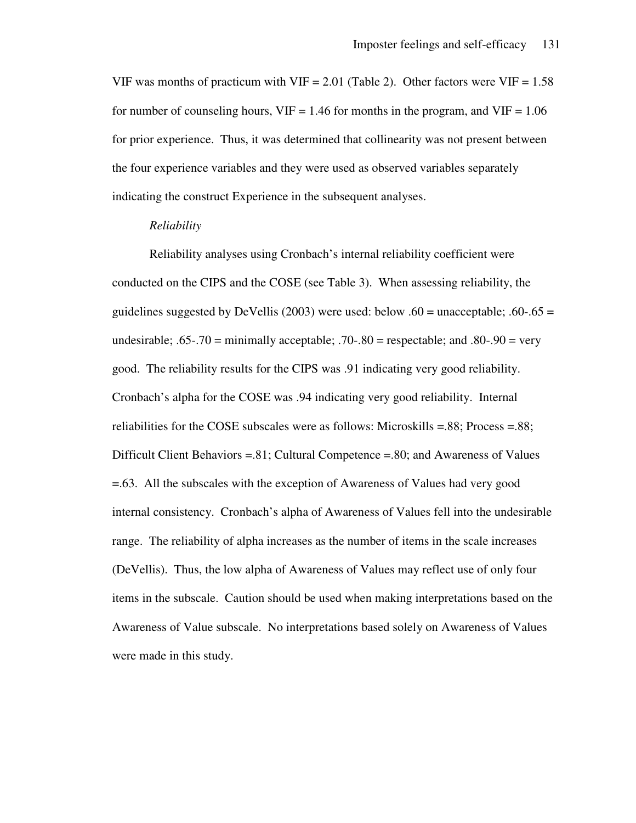VIF was months of practicum with VIF = 2.01 (Table 2). Other factors were VIF =  $1.58$ for number of counseling hours,  $VIF = 1.46$  for months in the program, and  $VIF = 1.06$ for prior experience. Thus, it was determined that collinearity was not present between the four experience variables and they were used as observed variables separately indicating the construct Experience in the subsequent analyses.

#### *Reliability*

Reliability analyses using Cronbach's internal reliability coefficient were conducted on the CIPS and the COSE (see Table 3). When assessing reliability, the guidelines suggested by DeVellis (2003) were used: below .60 = unacceptable; .60-.65 = undesirable;  $.65$ -.70 = minimally acceptable;  $.70$ -.80 = respectable; and  $.80$ -.90 = very good. The reliability results for the CIPS was .91 indicating very good reliability. Cronbach's alpha for the COSE was .94 indicating very good reliability. Internal reliabilities for the COSE subscales were as follows: Microskills =.88; Process =.88; Difficult Client Behaviors =.81; Cultural Competence =.80; and Awareness of Values =.63. All the subscales with the exception of Awareness of Values had very good internal consistency. Cronbach's alpha of Awareness of Values fell into the undesirable range. The reliability of alpha increases as the number of items in the scale increases (DeVellis). Thus, the low alpha of Awareness of Values may reflect use of only four items in the subscale. Caution should be used when making interpretations based on the Awareness of Value subscale. No interpretations based solely on Awareness of Values were made in this study.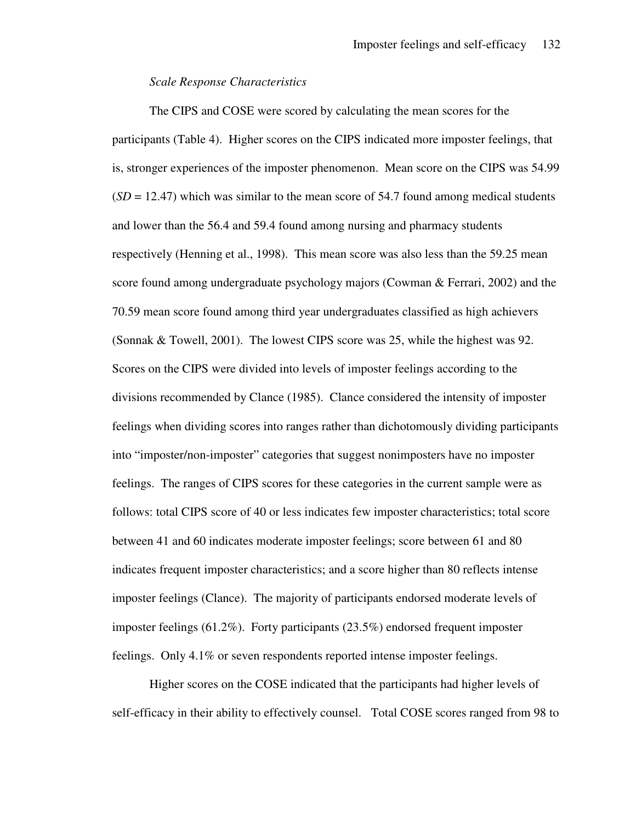# *Scale Response Characteristics*

The CIPS and COSE were scored by calculating the mean scores for the participants (Table 4). Higher scores on the CIPS indicated more imposter feelings, that is, stronger experiences of the imposter phenomenon. Mean score on the CIPS was 54.99  $(SD = 12.47)$  which was similar to the mean score of 54.7 found among medical students and lower than the 56.4 and 59.4 found among nursing and pharmacy students respectively (Henning et al., 1998). This mean score was also less than the 59.25 mean score found among undergraduate psychology majors (Cowman & Ferrari, 2002) and the 70.59 mean score found among third year undergraduates classified as high achievers (Sonnak & Towell, 2001). The lowest CIPS score was 25, while the highest was 92. Scores on the CIPS were divided into levels of imposter feelings according to the divisions recommended by Clance (1985). Clance considered the intensity of imposter feelings when dividing scores into ranges rather than dichotomously dividing participants into "imposter/non-imposter" categories that suggest nonimposters have no imposter feelings. The ranges of CIPS scores for these categories in the current sample were as follows: total CIPS score of 40 or less indicates few imposter characteristics; total score between 41 and 60 indicates moderate imposter feelings; score between 61 and 80 indicates frequent imposter characteristics; and a score higher than 80 reflects intense imposter feelings (Clance). The majority of participants endorsed moderate levels of imposter feelings (61.2%). Forty participants (23.5%) endorsed frequent imposter feelings. Only 4.1% or seven respondents reported intense imposter feelings.

Higher scores on the COSE indicated that the participants had higher levels of self-efficacy in their ability to effectively counsel. Total COSE scores ranged from 98 to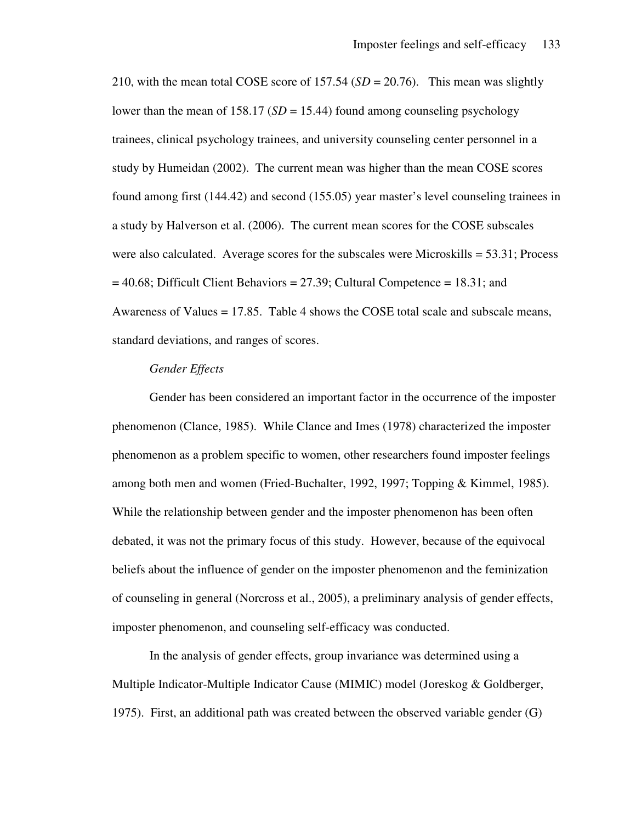210, with the mean total COSE score of  $157.54$  (*SD* = 20.76). This mean was slightly lower than the mean of  $158.17$  (*SD* = 15.44) found among counseling psychology trainees, clinical psychology trainees, and university counseling center personnel in a study by Humeidan (2002). The current mean was higher than the mean COSE scores found among first (144.42) and second (155.05) year master's level counseling trainees in a study by Halverson et al. (2006). The current mean scores for the COSE subscales were also calculated. Average scores for the subscales were Microskills = 53.31; Process  $=$  40.68; Difficult Client Behaviors  $=$  27.39; Cultural Competence  $=$  18.31; and Awareness of Values = 17.85. Table 4 shows the COSE total scale and subscale means, standard deviations, and ranges of scores.

### *Gender Effects*

Gender has been considered an important factor in the occurrence of the imposter phenomenon (Clance, 1985). While Clance and Imes (1978) characterized the imposter phenomenon as a problem specific to women, other researchers found imposter feelings among both men and women (Fried-Buchalter, 1992, 1997; Topping & Kimmel, 1985). While the relationship between gender and the imposter phenomenon has been often debated, it was not the primary focus of this study. However, because of the equivocal beliefs about the influence of gender on the imposter phenomenon and the feminization of counseling in general (Norcross et al., 2005), a preliminary analysis of gender effects, imposter phenomenon, and counseling self-efficacy was conducted.

In the analysis of gender effects, group invariance was determined using a Multiple Indicator-Multiple Indicator Cause (MIMIC) model (Joreskog & Goldberger, 1975). First, an additional path was created between the observed variable gender (G)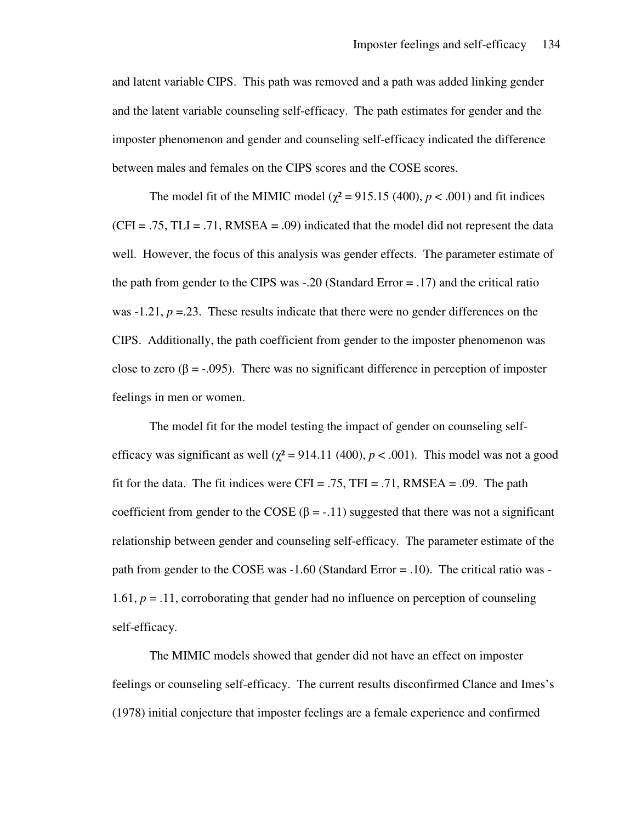and latent variable CIPS. This path was removed and a path was added linking gender and the latent variable counseling self-efficacy. The path estimates for gender and the imposter phenomenon and gender and counseling self-efficacy indicated the difference between males and females on the CIPS scores and the COSE scores.

The model fit of the MIMIC model ( $\chi^2$  = 915.15 (400), *p* < .001) and fit indices  $(CFI = .75, TLI = .71, RMSEA = .09)$  indicated that the model did not represent the data well. However, the focus of this analysis was gender effects. The parameter estimate of the path from gender to the CIPS was  $-.20$  (Standard Error  $= .17$ ) and the critical ratio was  $-1.21$ ,  $p = 23$ . These results indicate that there were no gender differences on the CIPS. Additionally, the path coefficient from gender to the imposter phenomenon was close to zero ( $\beta$  = -.095). There was no significant difference in perception of imposter feelings in men or women.

 The model fit for the model testing the impact of gender on counseling selfefficacy was significant as well ( $\chi^2$  = 914.11 (400),  $p < .001$ ). This model was not a good fit for the data. The fit indices were  $CFI = .75$ ,  $TFI = .71$ , RMSEA = .09. The path coefficient from gender to the COSE ( $\beta$  = -.11) suggested that there was not a significant relationship between gender and counseling self-efficacy. The parameter estimate of the path from gender to the COSE was -1.60 (Standard Error = .10). The critical ratio was -1.61,  $p = .11$ , corroborating that gender had no influence on perception of counseling self-efficacy.

The MIMIC models showed that gender did not have an effect on imposter feelings or counseling self-efficacy. The current results disconfirmed Clance and Imes's (1978) initial conjecture that imposter feelings are a female experience and confirmed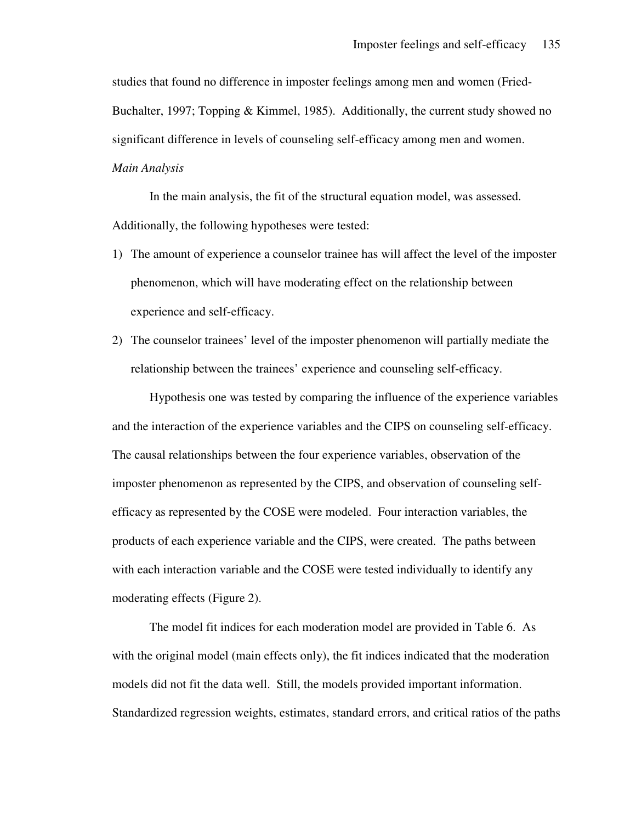studies that found no difference in imposter feelings among men and women (Fried-Buchalter, 1997; Topping & Kimmel, 1985). Additionally, the current study showed no significant difference in levels of counseling self-efficacy among men and women. *Main Analysis*

In the main analysis, the fit of the structural equation model, was assessed. Additionally, the following hypotheses were tested:

- 1) The amount of experience a counselor trainee has will affect the level of the imposter phenomenon, which will have moderating effect on the relationship between experience and self-efficacy.
- 2) The counselor trainees' level of the imposter phenomenon will partially mediate the relationship between the trainees' experience and counseling self-efficacy.

Hypothesis one was tested by comparing the influence of the experience variables and the interaction of the experience variables and the CIPS on counseling self-efficacy. The causal relationships between the four experience variables, observation of the imposter phenomenon as represented by the CIPS, and observation of counseling selfefficacy as represented by the COSE were modeled. Four interaction variables, the products of each experience variable and the CIPS, were created. The paths between with each interaction variable and the COSE were tested individually to identify any moderating effects (Figure 2).

The model fit indices for each moderation model are provided in Table 6. As with the original model (main effects only), the fit indices indicated that the moderation models did not fit the data well. Still, the models provided important information. Standardized regression weights, estimates, standard errors, and critical ratios of the paths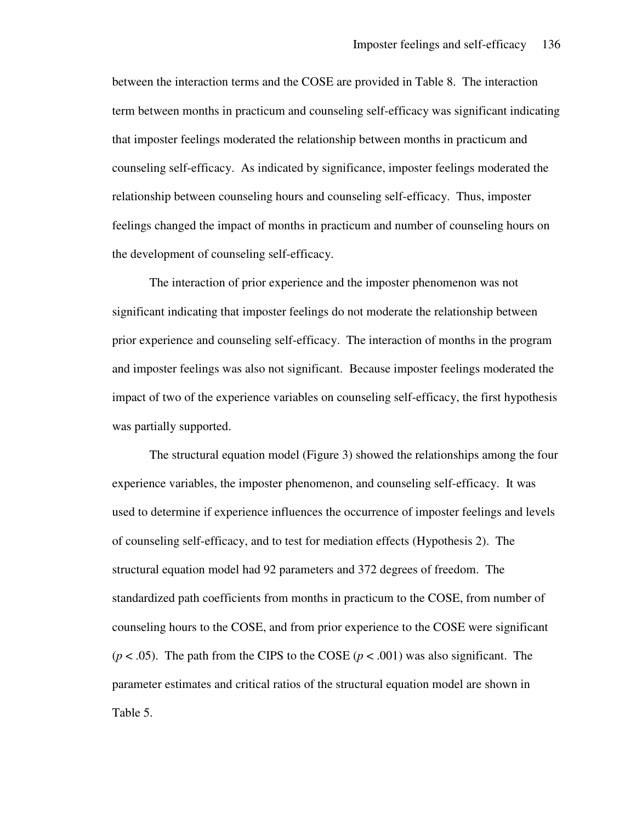between the interaction terms and the COSE are provided in Table 8. The interaction term between months in practicum and counseling self-efficacy was significant indicating that imposter feelings moderated the relationship between months in practicum and counseling self-efficacy. As indicated by significance, imposter feelings moderated the relationship between counseling hours and counseling self-efficacy. Thus, imposter feelings changed the impact of months in practicum and number of counseling hours on the development of counseling self-efficacy.

The interaction of prior experience and the imposter phenomenon was not significant indicating that imposter feelings do not moderate the relationship between prior experience and counseling self-efficacy. The interaction of months in the program and imposter feelings was also not significant. Because imposter feelings moderated the impact of two of the experience variables on counseling self-efficacy, the first hypothesis was partially supported.

The structural equation model (Figure 3) showed the relationships among the four experience variables, the imposter phenomenon, and counseling self-efficacy. It was used to determine if experience influences the occurrence of imposter feelings and levels of counseling self-efficacy, and to test for mediation effects (Hypothesis 2). The structural equation model had 92 parameters and 372 degrees of freedom. The standardized path coefficients from months in practicum to the COSE, from number of counseling hours to the COSE, and from prior experience to the COSE were significant  $(p < .05)$ . The path from the CIPS to the COSE  $(p < .001)$  was also significant. The parameter estimates and critical ratios of the structural equation model are shown in Table 5.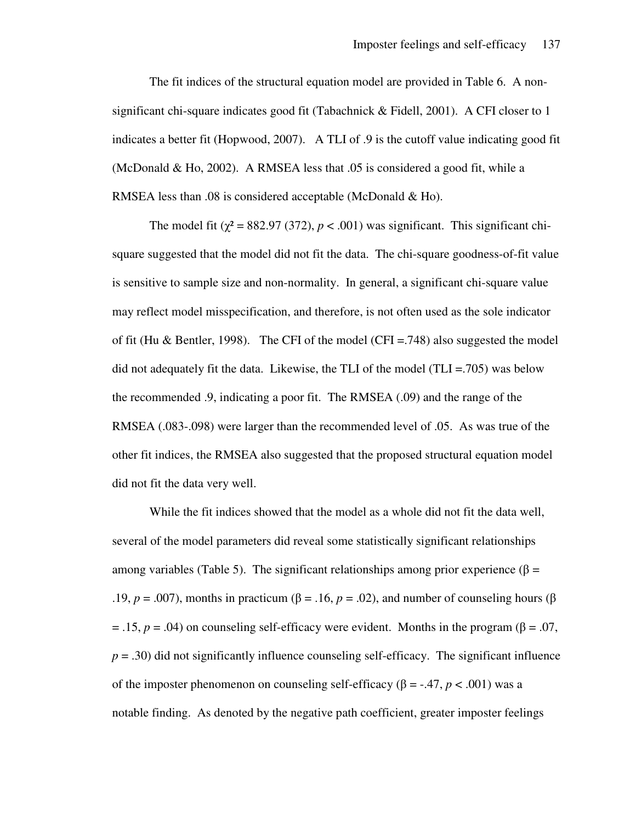The fit indices of the structural equation model are provided in Table 6. A nonsignificant chi-square indicates good fit (Tabachnick & Fidell, 2001). A CFI closer to 1 indicates a better fit (Hopwood, 2007). A TLI of .9 is the cutoff value indicating good fit (McDonald  $&$  Ho, 2002). A RMSEA less that  $.05$  is considered a good fit, while a RMSEA less than .08 is considered acceptable (McDonald & Ho).

The model fit ( $\chi^2$  = 882.97 (372),  $p < .001$ ) was significant. This significant chisquare suggested that the model did not fit the data. The chi-square goodness-of-fit value is sensitive to sample size and non-normality. In general, a significant chi-square value may reflect model misspecification, and therefore, is not often used as the sole indicator of fit (Hu & Bentler, 1998). The CFI of the model (CFI =  $.748$ ) also suggested the model did not adequately fit the data. Likewise, the TLI of the model (TLI =  $.705$ ) was below the recommended .9, indicating a poor fit. The RMSEA (.09) and the range of the RMSEA (.083-.098) were larger than the recommended level of .05. As was true of the other fit indices, the RMSEA also suggested that the proposed structural equation model did not fit the data very well.

While the fit indices showed that the model as a whole did not fit the data well, several of the model parameters did reveal some statistically significant relationships among variables (Table 5). The significant relationships among prior experience (β = .19,  $p = .007$ ), months in practicum ( $\beta = .16$ ,  $p = .02$ ), and number of counseling hours ( $\beta$ )  $= .15$ ,  $p = .04$ ) on counseling self-efficacy were evident. Months in the program ( $\beta = .07$ ,  $p = .30$ ) did not significantly influence counseling self-efficacy. The significant influence of the imposter phenomenon on counseling self-efficacy ( $\beta$  = -.47, *p* < .001) was a notable finding. As denoted by the negative path coefficient, greater imposter feelings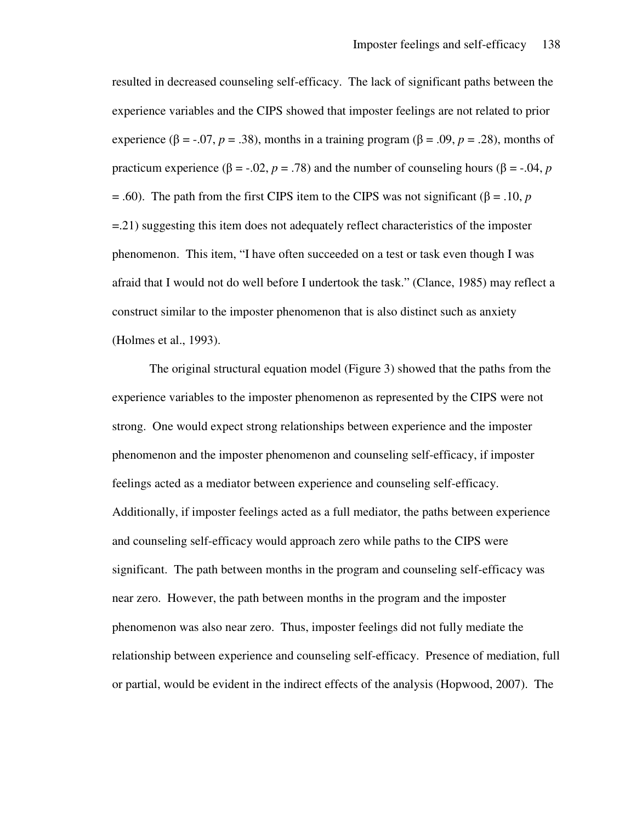resulted in decreased counseling self-efficacy. The lack of significant paths between the experience variables and the CIPS showed that imposter feelings are not related to prior experience ( $\beta = -0.07$ ,  $p = 0.38$ ), months in a training program ( $\beta = 0.09$ ,  $p = 0.28$ ), months of practicum experience ( $\beta = -0.02$ ,  $p = 0.78$ ) and the number of counseling hours ( $\beta = -0.04$ ,  $p = 0.04$ )  $=$  .60). The path from the first CIPS item to the CIPS was not significant ( $\beta = 0.10$ , *p* =.21) suggesting this item does not adequately reflect characteristics of the imposter phenomenon. This item, "I have often succeeded on a test or task even though I was afraid that I would not do well before I undertook the task." (Clance, 1985) may reflect a construct similar to the imposter phenomenon that is also distinct such as anxiety (Holmes et al., 1993).

The original structural equation model (Figure 3) showed that the paths from the experience variables to the imposter phenomenon as represented by the CIPS were not strong. One would expect strong relationships between experience and the imposter phenomenon and the imposter phenomenon and counseling self-efficacy, if imposter feelings acted as a mediator between experience and counseling self-efficacy. Additionally, if imposter feelings acted as a full mediator, the paths between experience and counseling self-efficacy would approach zero while paths to the CIPS were significant. The path between months in the program and counseling self-efficacy was near zero. However, the path between months in the program and the imposter phenomenon was also near zero. Thus, imposter feelings did not fully mediate the relationship between experience and counseling self-efficacy. Presence of mediation, full or partial, would be evident in the indirect effects of the analysis (Hopwood, 2007). The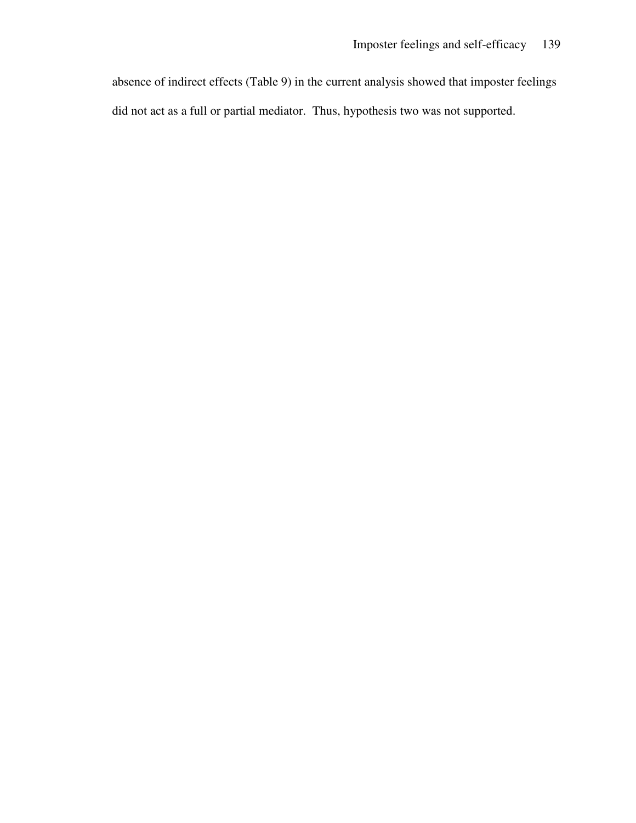absence of indirect effects (Table 9) in the current analysis showed that imposter feelings did not act as a full or partial mediator. Thus, hypothesis two was not supported.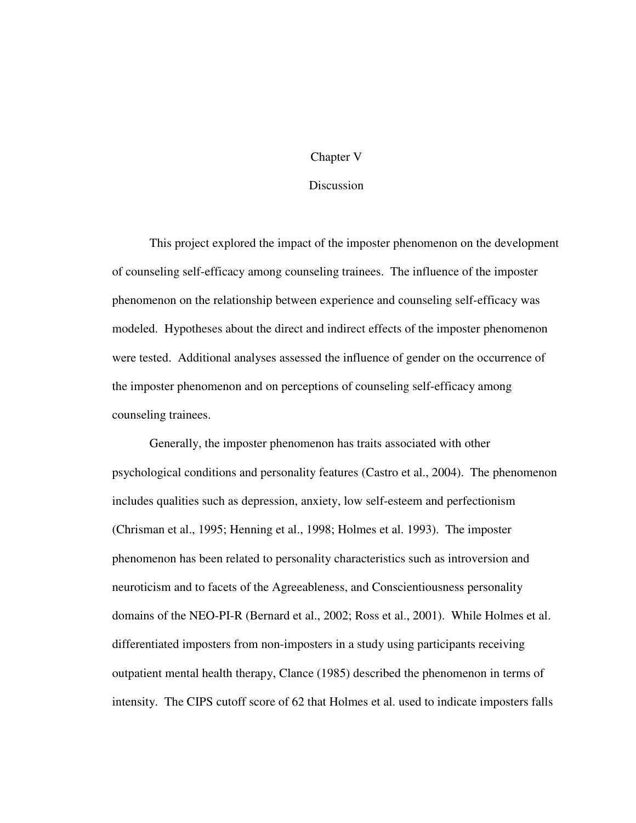# Chapter V

# **Discussion**

This project explored the impact of the imposter phenomenon on the development of counseling self-efficacy among counseling trainees. The influence of the imposter phenomenon on the relationship between experience and counseling self-efficacy was modeled. Hypotheses about the direct and indirect effects of the imposter phenomenon were tested. Additional analyses assessed the influence of gender on the occurrence of the imposter phenomenon and on perceptions of counseling self-efficacy among counseling trainees.

Generally, the imposter phenomenon has traits associated with other psychological conditions and personality features (Castro et al., 2004). The phenomenon includes qualities such as depression, anxiety, low self-esteem and perfectionism (Chrisman et al., 1995; Henning et al., 1998; Holmes et al. 1993). The imposter phenomenon has been related to personality characteristics such as introversion and neuroticism and to facets of the Agreeableness, and Conscientiousness personality domains of the NEO-PI-R (Bernard et al., 2002; Ross et al., 2001). While Holmes et al. differentiated imposters from non-imposters in a study using participants receiving outpatient mental health therapy, Clance (1985) described the phenomenon in terms of intensity. The CIPS cutoff score of 62 that Holmes et al. used to indicate imposters falls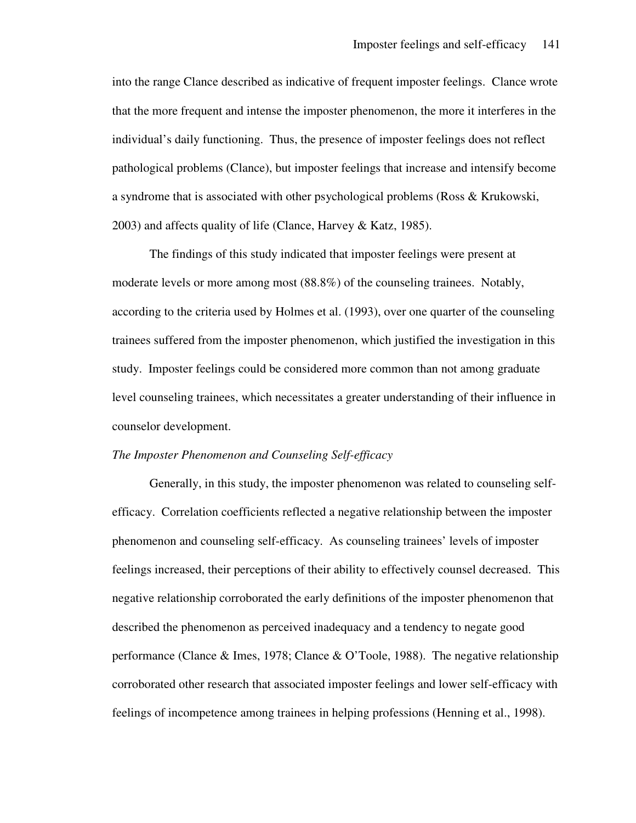into the range Clance described as indicative of frequent imposter feelings. Clance wrote that the more frequent and intense the imposter phenomenon, the more it interferes in the individual's daily functioning. Thus, the presence of imposter feelings does not reflect pathological problems (Clance), but imposter feelings that increase and intensify become a syndrome that is associated with other psychological problems (Ross & Krukowski, 2003) and affects quality of life (Clance, Harvey & Katz, 1985).

 The findings of this study indicated that imposter feelings were present at moderate levels or more among most (88.8%) of the counseling trainees. Notably, according to the criteria used by Holmes et al. (1993), over one quarter of the counseling trainees suffered from the imposter phenomenon, which justified the investigation in this study. Imposter feelings could be considered more common than not among graduate level counseling trainees, which necessitates a greater understanding of their influence in counselor development.

# *The Imposter Phenomenon and Counseling Self-efficacy*

Generally, in this study, the imposter phenomenon was related to counseling selfefficacy. Correlation coefficients reflected a negative relationship between the imposter phenomenon and counseling self-efficacy. As counseling trainees' levels of imposter feelings increased, their perceptions of their ability to effectively counsel decreased. This negative relationship corroborated the early definitions of the imposter phenomenon that described the phenomenon as perceived inadequacy and a tendency to negate good performance (Clance & Imes, 1978; Clance & O'Toole, 1988). The negative relationship corroborated other research that associated imposter feelings and lower self-efficacy with feelings of incompetence among trainees in helping professions (Henning et al., 1998).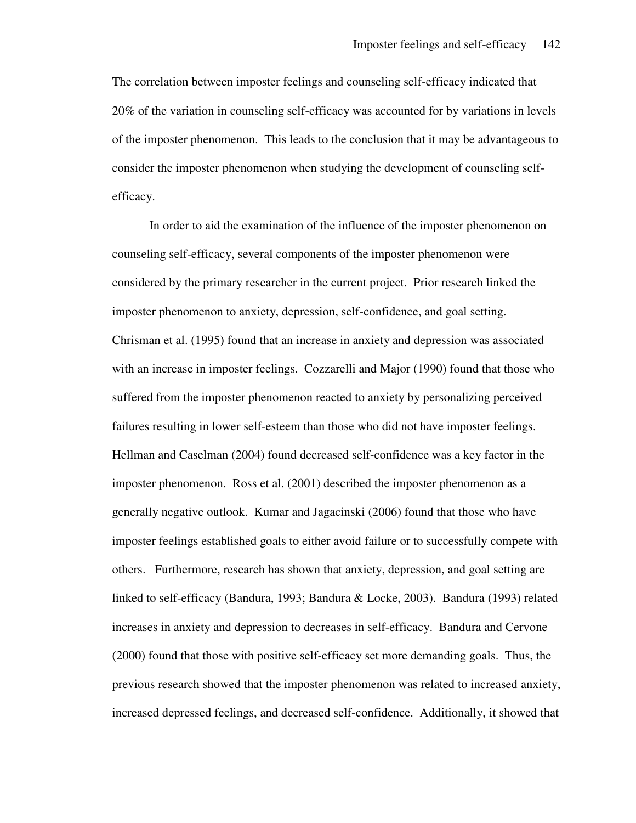The correlation between imposter feelings and counseling self-efficacy indicated that 20% of the variation in counseling self-efficacy was accounted for by variations in levels of the imposter phenomenon. This leads to the conclusion that it may be advantageous to consider the imposter phenomenon when studying the development of counseling selfefficacy.

In order to aid the examination of the influence of the imposter phenomenon on counseling self-efficacy, several components of the imposter phenomenon were considered by the primary researcher in the current project. Prior research linked the imposter phenomenon to anxiety, depression, self-confidence, and goal setting. Chrisman et al. (1995) found that an increase in anxiety and depression was associated with an increase in imposter feelings. Cozzarelli and Major (1990) found that those who suffered from the imposter phenomenon reacted to anxiety by personalizing perceived failures resulting in lower self-esteem than those who did not have imposter feelings. Hellman and Caselman (2004) found decreased self-confidence was a key factor in the imposter phenomenon. Ross et al. (2001) described the imposter phenomenon as a generally negative outlook. Kumar and Jagacinski (2006) found that those who have imposter feelings established goals to either avoid failure or to successfully compete with others. Furthermore, research has shown that anxiety, depression, and goal setting are linked to self-efficacy (Bandura, 1993; Bandura & Locke, 2003). Bandura (1993) related increases in anxiety and depression to decreases in self-efficacy. Bandura and Cervone (2000) found that those with positive self-efficacy set more demanding goals. Thus, the previous research showed that the imposter phenomenon was related to increased anxiety, increased depressed feelings, and decreased self-confidence. Additionally, it showed that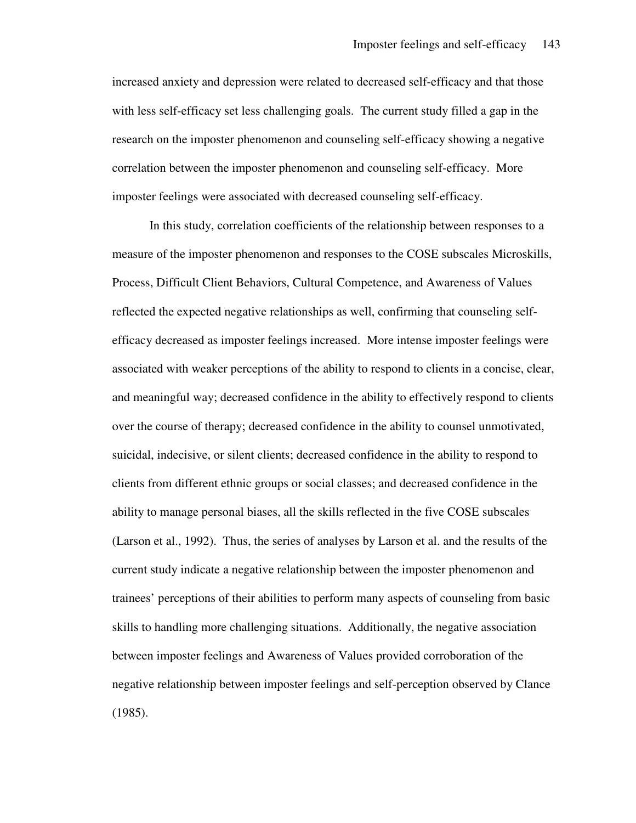increased anxiety and depression were related to decreased self-efficacy and that those with less self-efficacy set less challenging goals. The current study filled a gap in the research on the imposter phenomenon and counseling self-efficacy showing a negative correlation between the imposter phenomenon and counseling self-efficacy. More imposter feelings were associated with decreased counseling self-efficacy.

In this study, correlation coefficients of the relationship between responses to a measure of the imposter phenomenon and responses to the COSE subscales Microskills, Process, Difficult Client Behaviors, Cultural Competence, and Awareness of Values reflected the expected negative relationships as well, confirming that counseling selfefficacy decreased as imposter feelings increased. More intense imposter feelings were associated with weaker perceptions of the ability to respond to clients in a concise, clear, and meaningful way; decreased confidence in the ability to effectively respond to clients over the course of therapy; decreased confidence in the ability to counsel unmotivated, suicidal, indecisive, or silent clients; decreased confidence in the ability to respond to clients from different ethnic groups or social classes; and decreased confidence in the ability to manage personal biases, all the skills reflected in the five COSE subscales (Larson et al., 1992). Thus, the series of analyses by Larson et al. and the results of the current study indicate a negative relationship between the imposter phenomenon and trainees' perceptions of their abilities to perform many aspects of counseling from basic skills to handling more challenging situations. Additionally, the negative association between imposter feelings and Awareness of Values provided corroboration of the negative relationship between imposter feelings and self-perception observed by Clance (1985).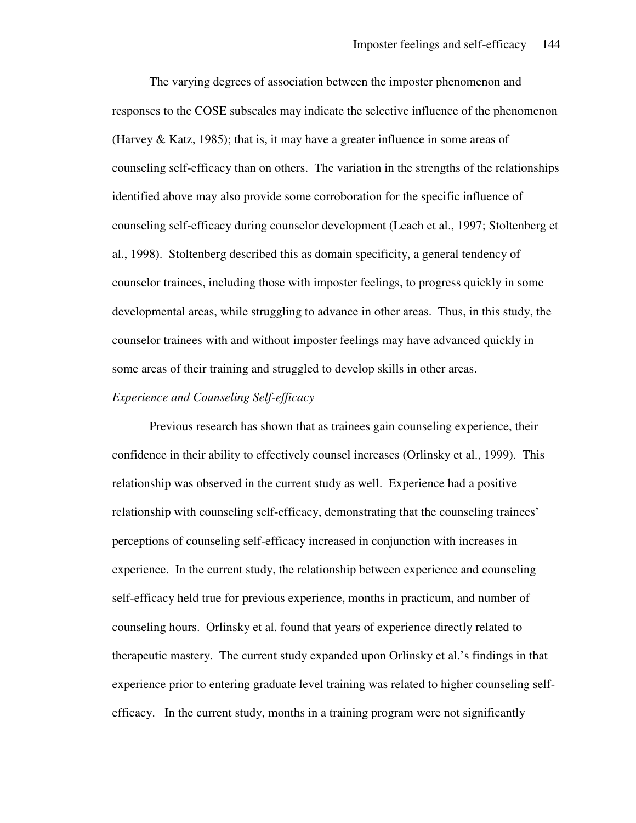The varying degrees of association between the imposter phenomenon and responses to the COSE subscales may indicate the selective influence of the phenomenon (Harvey & Katz, 1985); that is, it may have a greater influence in some areas of counseling self-efficacy than on others. The variation in the strengths of the relationships identified above may also provide some corroboration for the specific influence of counseling self-efficacy during counselor development (Leach et al., 1997; Stoltenberg et al., 1998). Stoltenberg described this as domain specificity, a general tendency of counselor trainees, including those with imposter feelings, to progress quickly in some developmental areas, while struggling to advance in other areas. Thus, in this study, the counselor trainees with and without imposter feelings may have advanced quickly in some areas of their training and struggled to develop skills in other areas.

### *Experience and Counseling Self-efficacy*

Previous research has shown that as trainees gain counseling experience, their confidence in their ability to effectively counsel increases (Orlinsky et al., 1999). This relationship was observed in the current study as well. Experience had a positive relationship with counseling self-efficacy, demonstrating that the counseling trainees' perceptions of counseling self-efficacy increased in conjunction with increases in experience. In the current study, the relationship between experience and counseling self-efficacy held true for previous experience, months in practicum, and number of counseling hours. Orlinsky et al. found that years of experience directly related to therapeutic mastery. The current study expanded upon Orlinsky et al.'s findings in that experience prior to entering graduate level training was related to higher counseling selfefficacy. In the current study, months in a training program were not significantly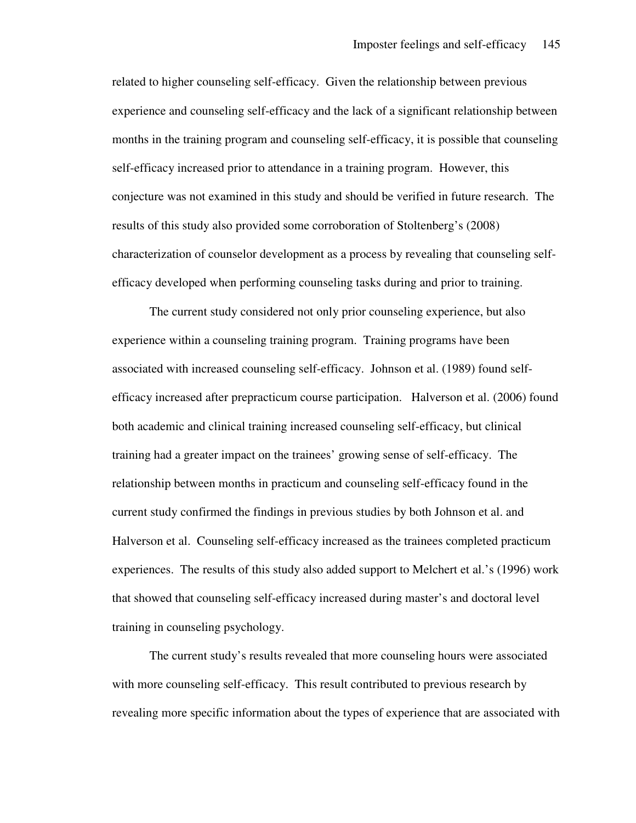related to higher counseling self-efficacy. Given the relationship between previous experience and counseling self-efficacy and the lack of a significant relationship between months in the training program and counseling self-efficacy, it is possible that counseling self-efficacy increased prior to attendance in a training program. However, this conjecture was not examined in this study and should be verified in future research. The results of this study also provided some corroboration of Stoltenberg's (2008) characterization of counselor development as a process by revealing that counseling selfefficacy developed when performing counseling tasks during and prior to training.

The current study considered not only prior counseling experience, but also experience within a counseling training program. Training programs have been associated with increased counseling self-efficacy. Johnson et al. (1989) found selfefficacy increased after prepracticum course participation. Halverson et al. (2006) found both academic and clinical training increased counseling self-efficacy, but clinical training had a greater impact on the trainees' growing sense of self-efficacy. The relationship between months in practicum and counseling self-efficacy found in the current study confirmed the findings in previous studies by both Johnson et al. and Halverson et al. Counseling self-efficacy increased as the trainees completed practicum experiences. The results of this study also added support to Melchert et al.'s (1996) work that showed that counseling self-efficacy increased during master's and doctoral level training in counseling psychology.

The current study's results revealed that more counseling hours were associated with more counseling self-efficacy. This result contributed to previous research by revealing more specific information about the types of experience that are associated with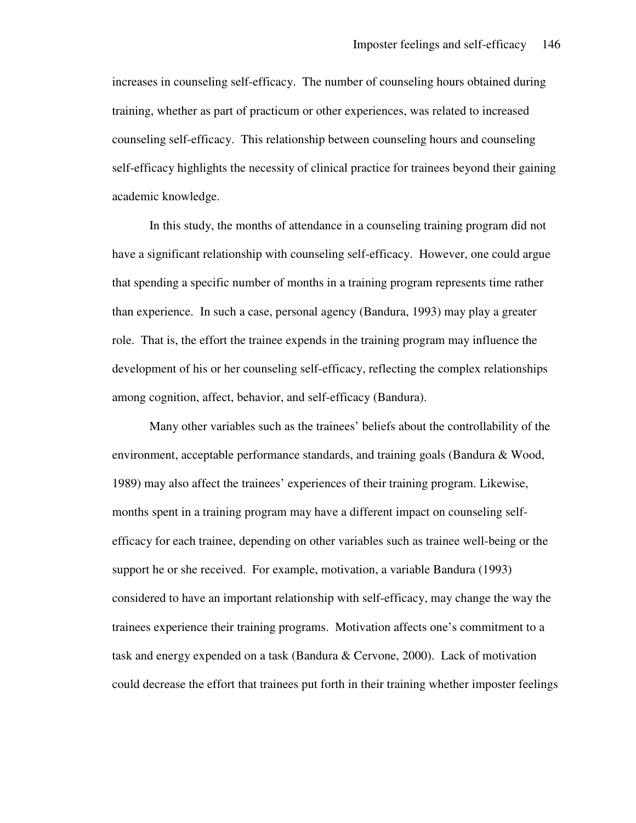increases in counseling self-efficacy. The number of counseling hours obtained during training, whether as part of practicum or other experiences, was related to increased counseling self-efficacy. This relationship between counseling hours and counseling self-efficacy highlights the necessity of clinical practice for trainees beyond their gaining academic knowledge.

In this study, the months of attendance in a counseling training program did not have a significant relationship with counseling self-efficacy. However, one could argue that spending a specific number of months in a training program represents time rather than experience. In such a case, personal agency (Bandura, 1993) may play a greater role. That is, the effort the trainee expends in the training program may influence the development of his or her counseling self-efficacy, reflecting the complex relationships among cognition, affect, behavior, and self-efficacy (Bandura).

Many other variables such as the trainees' beliefs about the controllability of the environment, acceptable performance standards, and training goals (Bandura & Wood, 1989) may also affect the trainees' experiences of their training program. Likewise, months spent in a training program may have a different impact on counseling selfefficacy for each trainee, depending on other variables such as trainee well-being or the support he or she received. For example, motivation, a variable Bandura (1993) considered to have an important relationship with self-efficacy, may change the way the trainees experience their training programs. Motivation affects one's commitment to a task and energy expended on a task (Bandura & Cervone, 2000). Lack of motivation could decrease the effort that trainees put forth in their training whether imposter feelings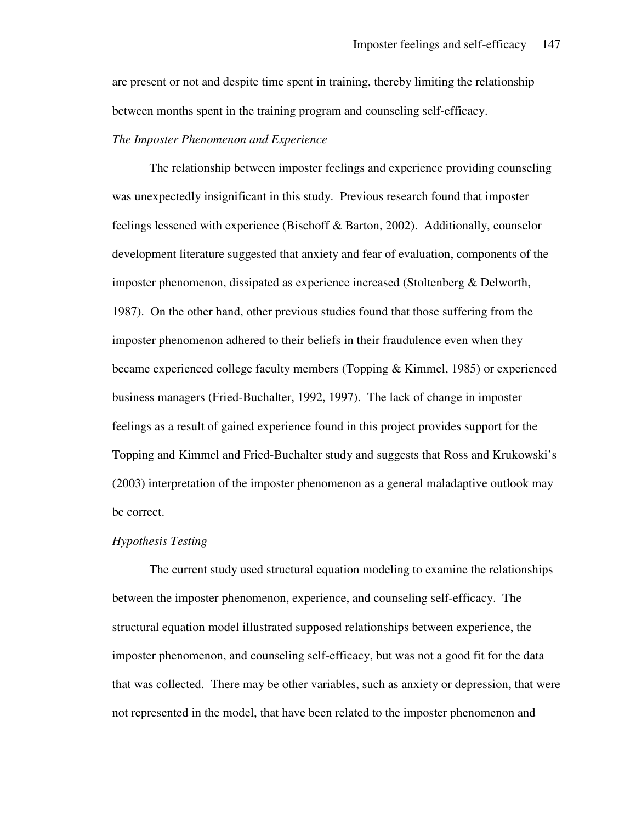are present or not and despite time spent in training, thereby limiting the relationship between months spent in the training program and counseling self-efficacy.

# *The Imposter Phenomenon and Experience*

The relationship between imposter feelings and experience providing counseling was unexpectedly insignificant in this study. Previous research found that imposter feelings lessened with experience (Bischoff & Barton, 2002). Additionally, counselor development literature suggested that anxiety and fear of evaluation, components of the imposter phenomenon, dissipated as experience increased (Stoltenberg & Delworth, 1987). On the other hand, other previous studies found that those suffering from the imposter phenomenon adhered to their beliefs in their fraudulence even when they became experienced college faculty members (Topping & Kimmel, 1985) or experienced business managers (Fried-Buchalter, 1992, 1997). The lack of change in imposter feelings as a result of gained experience found in this project provides support for the Topping and Kimmel and Fried-Buchalter study and suggests that Ross and Krukowski's (2003) interpretation of the imposter phenomenon as a general maladaptive outlook may be correct.

#### *Hypothesis Testing*

The current study used structural equation modeling to examine the relationships between the imposter phenomenon, experience, and counseling self-efficacy. The structural equation model illustrated supposed relationships between experience, the imposter phenomenon, and counseling self-efficacy, but was not a good fit for the data that was collected. There may be other variables, such as anxiety or depression, that were not represented in the model, that have been related to the imposter phenomenon and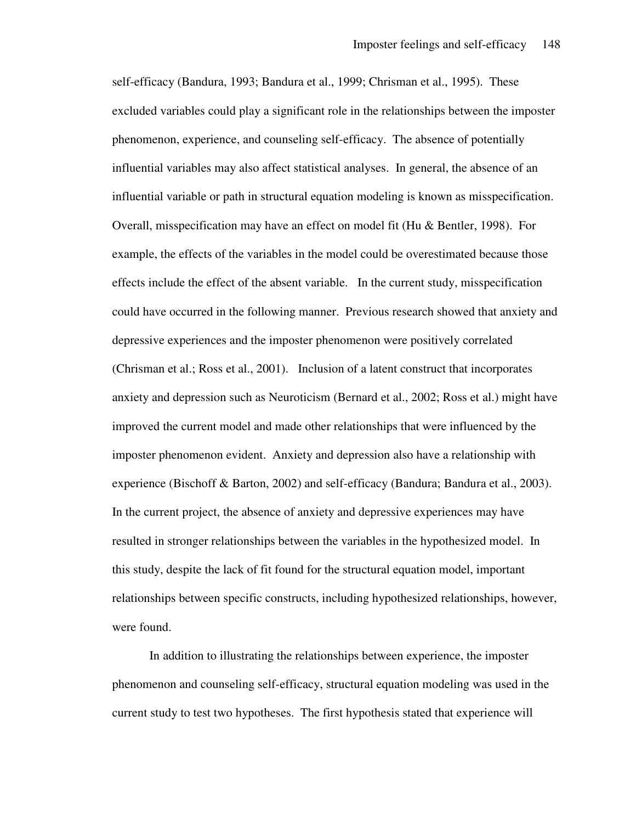self-efficacy (Bandura, 1993; Bandura et al., 1999; Chrisman et al., 1995). These excluded variables could play a significant role in the relationships between the imposter phenomenon, experience, and counseling self-efficacy. The absence of potentially influential variables may also affect statistical analyses. In general, the absence of an influential variable or path in structural equation modeling is known as misspecification. Overall, misspecification may have an effect on model fit (Hu & Bentler, 1998). For example, the effects of the variables in the model could be overestimated because those effects include the effect of the absent variable. In the current study, misspecification could have occurred in the following manner. Previous research showed that anxiety and depressive experiences and the imposter phenomenon were positively correlated (Chrisman et al.; Ross et al., 2001). Inclusion of a latent construct that incorporates anxiety and depression such as Neuroticism (Bernard et al., 2002; Ross et al.) might have improved the current model and made other relationships that were influenced by the imposter phenomenon evident. Anxiety and depression also have a relationship with experience (Bischoff & Barton, 2002) and self-efficacy (Bandura; Bandura et al., 2003). In the current project, the absence of anxiety and depressive experiences may have resulted in stronger relationships between the variables in the hypothesized model. In this study, despite the lack of fit found for the structural equation model, important relationships between specific constructs, including hypothesized relationships, however, were found.

In addition to illustrating the relationships between experience, the imposter phenomenon and counseling self-efficacy, structural equation modeling was used in the current study to test two hypotheses. The first hypothesis stated that experience will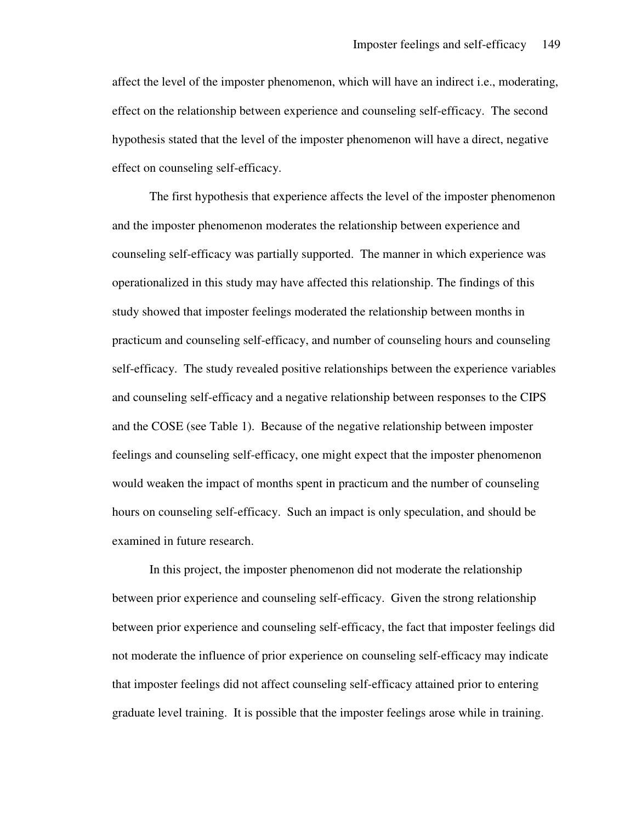affect the level of the imposter phenomenon, which will have an indirect i.e., moderating, effect on the relationship between experience and counseling self-efficacy. The second hypothesis stated that the level of the imposter phenomenon will have a direct, negative effect on counseling self-efficacy.

The first hypothesis that experience affects the level of the imposter phenomenon and the imposter phenomenon moderates the relationship between experience and counseling self-efficacy was partially supported. The manner in which experience was operationalized in this study may have affected this relationship. The findings of this study showed that imposter feelings moderated the relationship between months in practicum and counseling self-efficacy, and number of counseling hours and counseling self-efficacy. The study revealed positive relationships between the experience variables and counseling self-efficacy and a negative relationship between responses to the CIPS and the COSE (see Table 1). Because of the negative relationship between imposter feelings and counseling self-efficacy, one might expect that the imposter phenomenon would weaken the impact of months spent in practicum and the number of counseling hours on counseling self-efficacy. Such an impact is only speculation, and should be examined in future research.

In this project, the imposter phenomenon did not moderate the relationship between prior experience and counseling self-efficacy. Given the strong relationship between prior experience and counseling self-efficacy, the fact that imposter feelings did not moderate the influence of prior experience on counseling self-efficacy may indicate that imposter feelings did not affect counseling self-efficacy attained prior to entering graduate level training. It is possible that the imposter feelings arose while in training.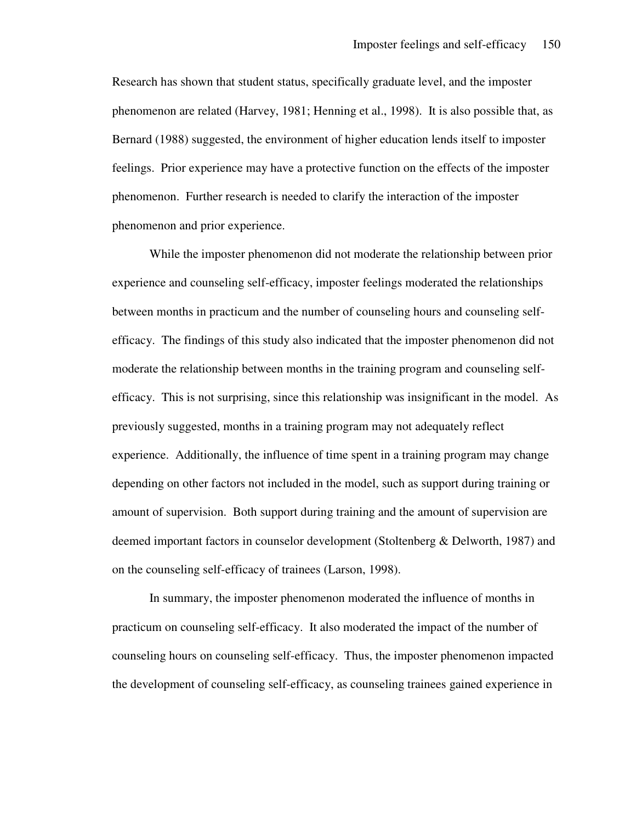Research has shown that student status, specifically graduate level, and the imposter phenomenon are related (Harvey, 1981; Henning et al., 1998). It is also possible that, as Bernard (1988) suggested, the environment of higher education lends itself to imposter feelings. Prior experience may have a protective function on the effects of the imposter phenomenon. Further research is needed to clarify the interaction of the imposter phenomenon and prior experience.

While the imposter phenomenon did not moderate the relationship between prior experience and counseling self-efficacy, imposter feelings moderated the relationships between months in practicum and the number of counseling hours and counseling selfefficacy. The findings of this study also indicated that the imposter phenomenon did not moderate the relationship between months in the training program and counseling selfefficacy. This is not surprising, since this relationship was insignificant in the model. As previously suggested, months in a training program may not adequately reflect experience. Additionally, the influence of time spent in a training program may change depending on other factors not included in the model, such as support during training or amount of supervision. Both support during training and the amount of supervision are deemed important factors in counselor development (Stoltenberg & Delworth, 1987) and on the counseling self-efficacy of trainees (Larson, 1998).

In summary, the imposter phenomenon moderated the influence of months in practicum on counseling self-efficacy. It also moderated the impact of the number of counseling hours on counseling self-efficacy. Thus, the imposter phenomenon impacted the development of counseling self-efficacy, as counseling trainees gained experience in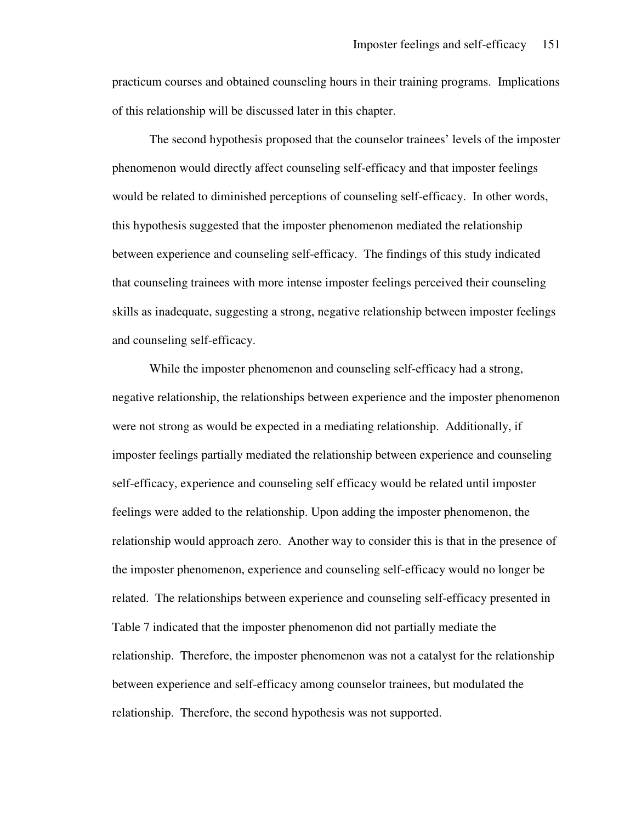practicum courses and obtained counseling hours in their training programs. Implications of this relationship will be discussed later in this chapter.

The second hypothesis proposed that the counselor trainees' levels of the imposter phenomenon would directly affect counseling self-efficacy and that imposter feelings would be related to diminished perceptions of counseling self-efficacy. In other words, this hypothesis suggested that the imposter phenomenon mediated the relationship between experience and counseling self-efficacy. The findings of this study indicated that counseling trainees with more intense imposter feelings perceived their counseling skills as inadequate, suggesting a strong, negative relationship between imposter feelings and counseling self-efficacy.

While the imposter phenomenon and counseling self-efficacy had a strong, negative relationship, the relationships between experience and the imposter phenomenon were not strong as would be expected in a mediating relationship. Additionally, if imposter feelings partially mediated the relationship between experience and counseling self-efficacy, experience and counseling self efficacy would be related until imposter feelings were added to the relationship. Upon adding the imposter phenomenon, the relationship would approach zero. Another way to consider this is that in the presence of the imposter phenomenon, experience and counseling self-efficacy would no longer be related. The relationships between experience and counseling self-efficacy presented in Table 7 indicated that the imposter phenomenon did not partially mediate the relationship. Therefore, the imposter phenomenon was not a catalyst for the relationship between experience and self-efficacy among counselor trainees, but modulated the relationship. Therefore, the second hypothesis was not supported.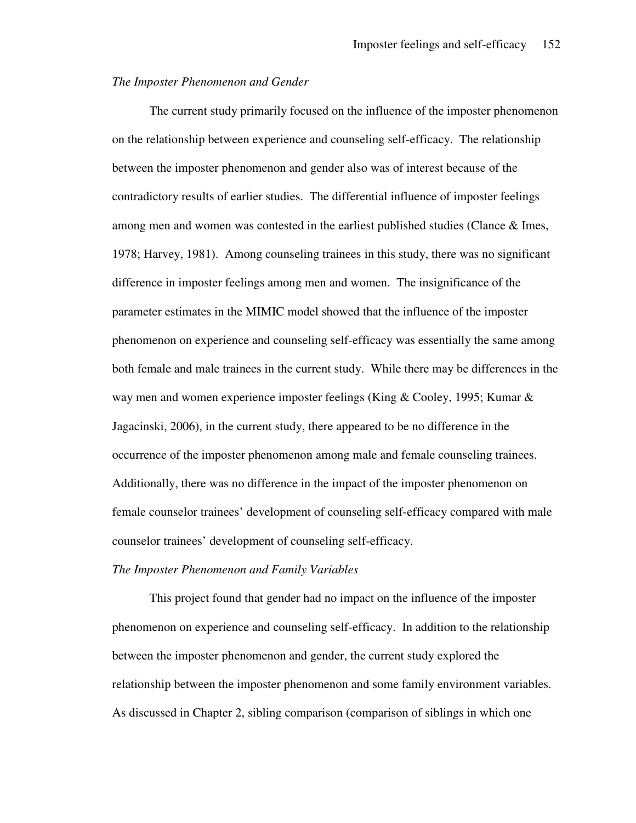# *The Imposter Phenomenon and Gender*

The current study primarily focused on the influence of the imposter phenomenon on the relationship between experience and counseling self-efficacy. The relationship between the imposter phenomenon and gender also was of interest because of the contradictory results of earlier studies. The differential influence of imposter feelings among men and women was contested in the earliest published studies (Clance  $\&$  Imes, 1978; Harvey, 1981). Among counseling trainees in this study, there was no significant difference in imposter feelings among men and women. The insignificance of the parameter estimates in the MIMIC model showed that the influence of the imposter phenomenon on experience and counseling self-efficacy was essentially the same among both female and male trainees in the current study. While there may be differences in the way men and women experience imposter feelings (King & Cooley, 1995; Kumar & Jagacinski, 2006), in the current study, there appeared to be no difference in the occurrence of the imposter phenomenon among male and female counseling trainees. Additionally, there was no difference in the impact of the imposter phenomenon on female counselor trainees' development of counseling self-efficacy compared with male counselor trainees' development of counseling self-efficacy.

### *The Imposter Phenomenon and Family Variables*

This project found that gender had no impact on the influence of the imposter phenomenon on experience and counseling self-efficacy. In addition to the relationship between the imposter phenomenon and gender, the current study explored the relationship between the imposter phenomenon and some family environment variables. As discussed in Chapter 2, sibling comparison (comparison of siblings in which one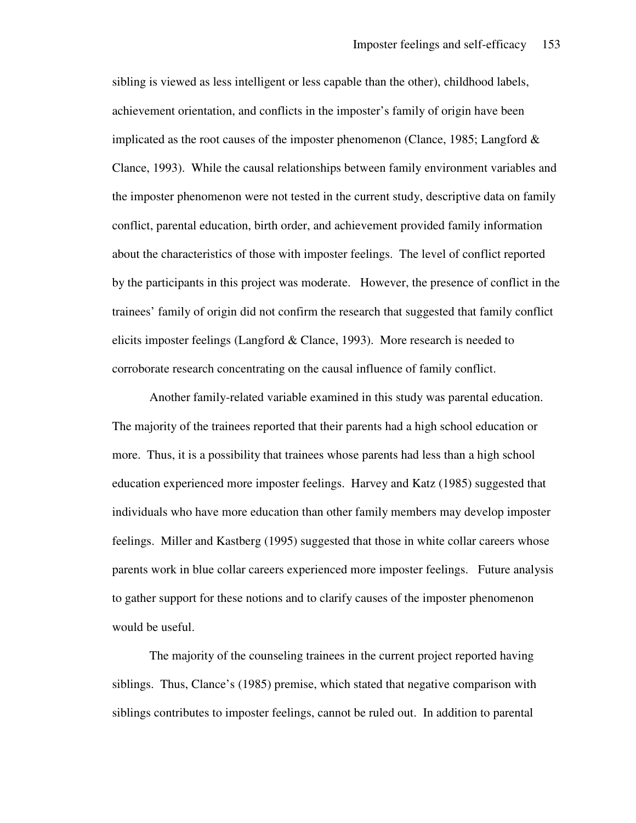sibling is viewed as less intelligent or less capable than the other), childhood labels, achievement orientation, and conflicts in the imposter's family of origin have been implicated as the root causes of the imposter phenomenon (Clance, 1985; Langford  $\&$ Clance, 1993). While the causal relationships between family environment variables and the imposter phenomenon were not tested in the current study, descriptive data on family conflict, parental education, birth order, and achievement provided family information about the characteristics of those with imposter feelings. The level of conflict reported by the participants in this project was moderate. However, the presence of conflict in the trainees' family of origin did not confirm the research that suggested that family conflict elicits imposter feelings (Langford & Clance, 1993). More research is needed to corroborate research concentrating on the causal influence of family conflict.

Another family-related variable examined in this study was parental education. The majority of the trainees reported that their parents had a high school education or more. Thus, it is a possibility that trainees whose parents had less than a high school education experienced more imposter feelings. Harvey and Katz (1985) suggested that individuals who have more education than other family members may develop imposter feelings. Miller and Kastberg (1995) suggested that those in white collar careers whose parents work in blue collar careers experienced more imposter feelings. Future analysis to gather support for these notions and to clarify causes of the imposter phenomenon would be useful.

The majority of the counseling trainees in the current project reported having siblings. Thus, Clance's (1985) premise, which stated that negative comparison with siblings contributes to imposter feelings, cannot be ruled out. In addition to parental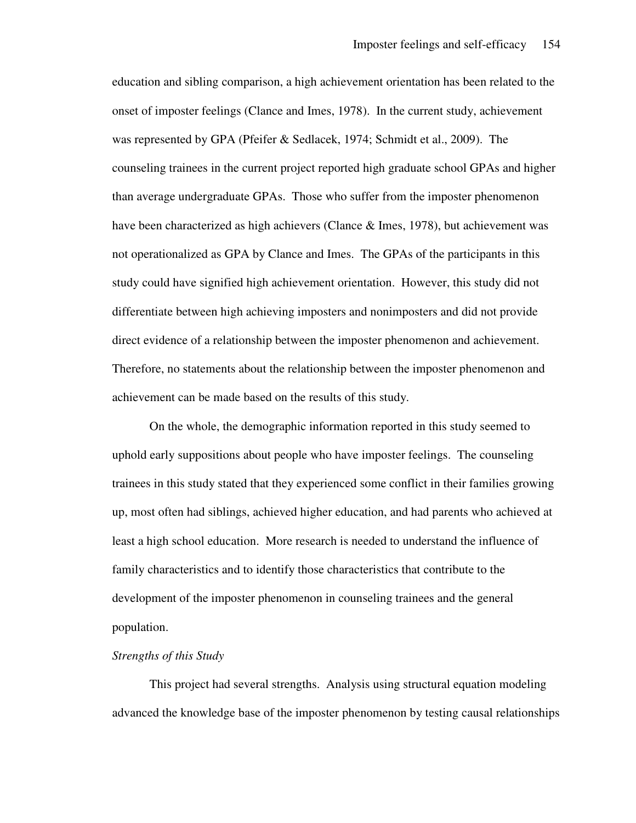education and sibling comparison, a high achievement orientation has been related to the onset of imposter feelings (Clance and Imes, 1978). In the current study, achievement was represented by GPA (Pfeifer & Sedlacek, 1974; Schmidt et al., 2009). The counseling trainees in the current project reported high graduate school GPAs and higher than average undergraduate GPAs. Those who suffer from the imposter phenomenon have been characterized as high achievers (Clance & Imes, 1978), but achievement was not operationalized as GPA by Clance and Imes. The GPAs of the participants in this study could have signified high achievement orientation. However, this study did not differentiate between high achieving imposters and nonimposters and did not provide direct evidence of a relationship between the imposter phenomenon and achievement. Therefore, no statements about the relationship between the imposter phenomenon and achievement can be made based on the results of this study.

On the whole, the demographic information reported in this study seemed to uphold early suppositions about people who have imposter feelings. The counseling trainees in this study stated that they experienced some conflict in their families growing up, most often had siblings, achieved higher education, and had parents who achieved at least a high school education. More research is needed to understand the influence of family characteristics and to identify those characteristics that contribute to the development of the imposter phenomenon in counseling trainees and the general population.

### *Strengths of this Study*

 This project had several strengths. Analysis using structural equation modeling advanced the knowledge base of the imposter phenomenon by testing causal relationships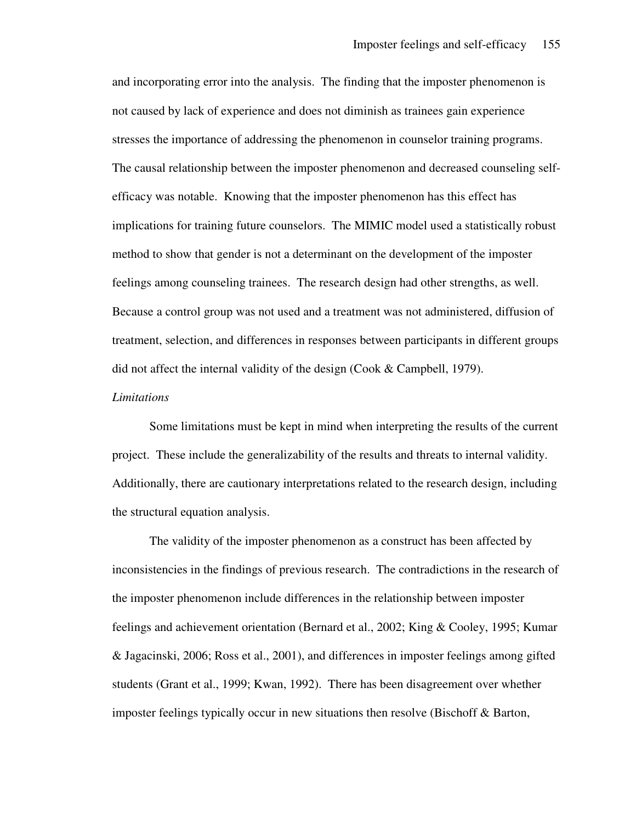and incorporating error into the analysis. The finding that the imposter phenomenon is not caused by lack of experience and does not diminish as trainees gain experience stresses the importance of addressing the phenomenon in counselor training programs. The causal relationship between the imposter phenomenon and decreased counseling selfefficacy was notable. Knowing that the imposter phenomenon has this effect has implications for training future counselors. The MIMIC model used a statistically robust method to show that gender is not a determinant on the development of the imposter feelings among counseling trainees. The research design had other strengths, as well. Because a control group was not used and a treatment was not administered, diffusion of treatment, selection, and differences in responses between participants in different groups did not affect the internal validity of the design (Cook & Campbell, 1979).

### *Limitations*

 Some limitations must be kept in mind when interpreting the results of the current project. These include the generalizability of the results and threats to internal validity. Additionally, there are cautionary interpretations related to the research design, including the structural equation analysis.

The validity of the imposter phenomenon as a construct has been affected by inconsistencies in the findings of previous research. The contradictions in the research of the imposter phenomenon include differences in the relationship between imposter feelings and achievement orientation (Bernard et al., 2002; King & Cooley, 1995; Kumar & Jagacinski, 2006; Ross et al., 2001), and differences in imposter feelings among gifted students (Grant et al., 1999; Kwan, 1992). There has been disagreement over whether imposter feelings typically occur in new situations then resolve (Bischoff & Barton,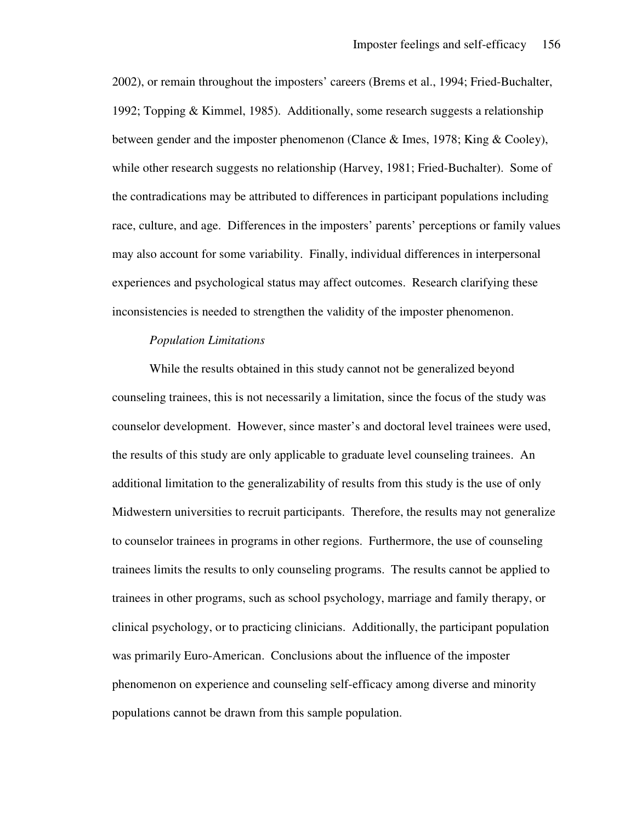2002), or remain throughout the imposters' careers (Brems et al., 1994; Fried-Buchalter, 1992; Topping & Kimmel, 1985). Additionally, some research suggests a relationship between gender and the imposter phenomenon (Clance & Imes, 1978; King & Cooley), while other research suggests no relationship (Harvey, 1981; Fried-Buchalter). Some of the contradications may be attributed to differences in participant populations including race, culture, and age. Differences in the imposters' parents' perceptions or family values may also account for some variability. Finally, individual differences in interpersonal experiences and psychological status may affect outcomes. Research clarifying these inconsistencies is needed to strengthen the validity of the imposter phenomenon.

# *Population Limitations*

While the results obtained in this study cannot not be generalized beyond counseling trainees, this is not necessarily a limitation, since the focus of the study was counselor development. However, since master's and doctoral level trainees were used, the results of this study are only applicable to graduate level counseling trainees. An additional limitation to the generalizability of results from this study is the use of only Midwestern universities to recruit participants. Therefore, the results may not generalize to counselor trainees in programs in other regions. Furthermore, the use of counseling trainees limits the results to only counseling programs. The results cannot be applied to trainees in other programs, such as school psychology, marriage and family therapy, or clinical psychology, or to practicing clinicians. Additionally, the participant population was primarily Euro-American. Conclusions about the influence of the imposter phenomenon on experience and counseling self-efficacy among diverse and minority populations cannot be drawn from this sample population.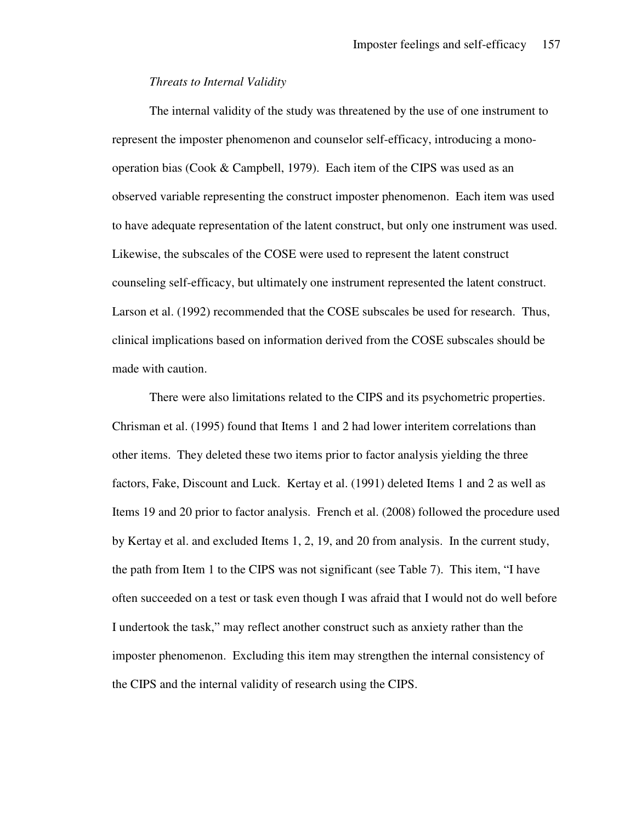# *Threats to Internal Validity*

The internal validity of the study was threatened by the use of one instrument to represent the imposter phenomenon and counselor self-efficacy, introducing a monooperation bias (Cook & Campbell, 1979). Each item of the CIPS was used as an observed variable representing the construct imposter phenomenon. Each item was used to have adequate representation of the latent construct, but only one instrument was used. Likewise, the subscales of the COSE were used to represent the latent construct counseling self-efficacy, but ultimately one instrument represented the latent construct. Larson et al. (1992) recommended that the COSE subscales be used for research. Thus, clinical implications based on information derived from the COSE subscales should be made with caution.

There were also limitations related to the CIPS and its psychometric properties. Chrisman et al. (1995) found that Items 1 and 2 had lower interitem correlations than other items. They deleted these two items prior to factor analysis yielding the three factors, Fake, Discount and Luck. Kertay et al. (1991) deleted Items 1 and 2 as well as Items 19 and 20 prior to factor analysis. French et al. (2008) followed the procedure used by Kertay et al. and excluded Items 1, 2, 19, and 20 from analysis. In the current study, the path from Item 1 to the CIPS was not significant (see Table 7). This item, "I have often succeeded on a test or task even though I was afraid that I would not do well before I undertook the task," may reflect another construct such as anxiety rather than the imposter phenomenon. Excluding this item may strengthen the internal consistency of the CIPS and the internal validity of research using the CIPS.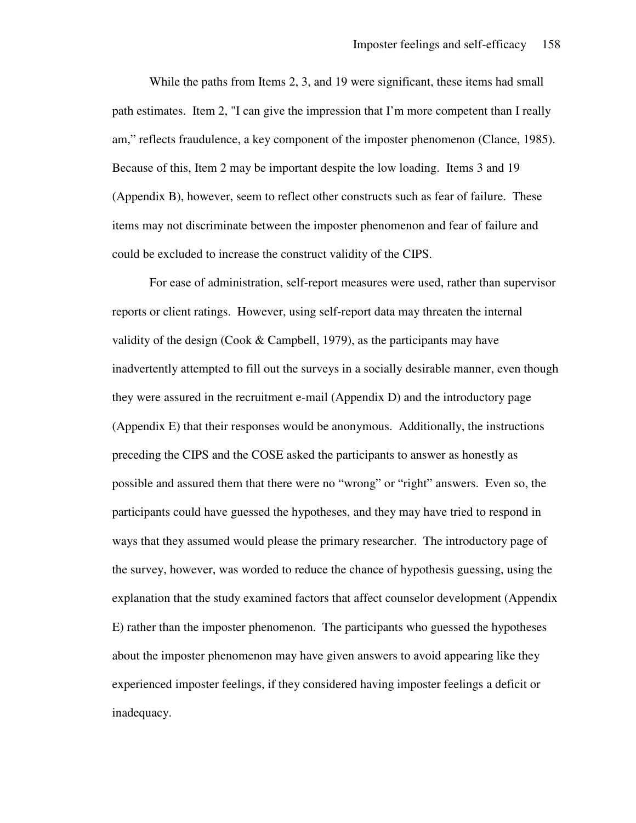While the paths from Items 2, 3, and 19 were significant, these items had small path estimates. Item 2, "I can give the impression that I'm more competent than I really am," reflects fraudulence, a key component of the imposter phenomenon (Clance, 1985). Because of this, Item 2 may be important despite the low loading. Items 3 and 19 (Appendix B), however, seem to reflect other constructs such as fear of failure. These items may not discriminate between the imposter phenomenon and fear of failure and could be excluded to increase the construct validity of the CIPS.

For ease of administration, self-report measures were used, rather than supervisor reports or client ratings. However, using self-report data may threaten the internal validity of the design (Cook & Campbell, 1979), as the participants may have inadvertently attempted to fill out the surveys in a socially desirable manner, even though they were assured in the recruitment e-mail (Appendix D) and the introductory page (Appendix E) that their responses would be anonymous. Additionally, the instructions preceding the CIPS and the COSE asked the participants to answer as honestly as possible and assured them that there were no "wrong" or "right" answers. Even so, the participants could have guessed the hypotheses, and they may have tried to respond in ways that they assumed would please the primary researcher. The introductory page of the survey, however, was worded to reduce the chance of hypothesis guessing, using the explanation that the study examined factors that affect counselor development (Appendix E) rather than the imposter phenomenon. The participants who guessed the hypotheses about the imposter phenomenon may have given answers to avoid appearing like they experienced imposter feelings, if they considered having imposter feelings a deficit or inadequacy.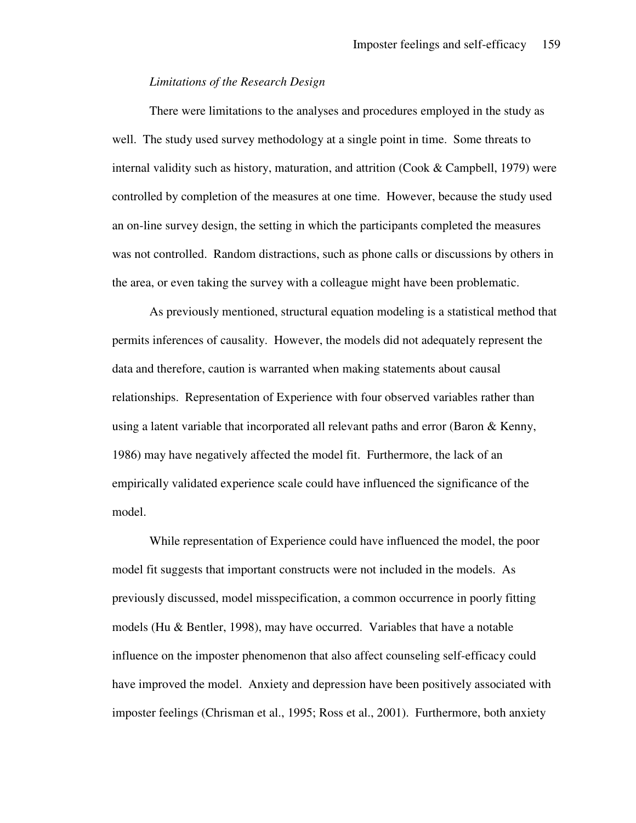# *Limitations of the Research Design*

There were limitations to the analyses and procedures employed in the study as well. The study used survey methodology at a single point in time. Some threats to internal validity such as history, maturation, and attrition (Cook & Campbell, 1979) were controlled by completion of the measures at one time. However, because the study used an on-line survey design, the setting in which the participants completed the measures was not controlled. Random distractions, such as phone calls or discussions by others in the area, or even taking the survey with a colleague might have been problematic.

As previously mentioned, structural equation modeling is a statistical method that permits inferences of causality. However, the models did not adequately represent the data and therefore, caution is warranted when making statements about causal relationships. Representation of Experience with four observed variables rather than using a latent variable that incorporated all relevant paths and error (Baron & Kenny, 1986) may have negatively affected the model fit. Furthermore, the lack of an empirically validated experience scale could have influenced the significance of the model.

While representation of Experience could have influenced the model, the poor model fit suggests that important constructs were not included in the models. As previously discussed, model misspecification, a common occurrence in poorly fitting models (Hu & Bentler, 1998), may have occurred. Variables that have a notable influence on the imposter phenomenon that also affect counseling self-efficacy could have improved the model. Anxiety and depression have been positively associated with imposter feelings (Chrisman et al., 1995; Ross et al., 2001). Furthermore, both anxiety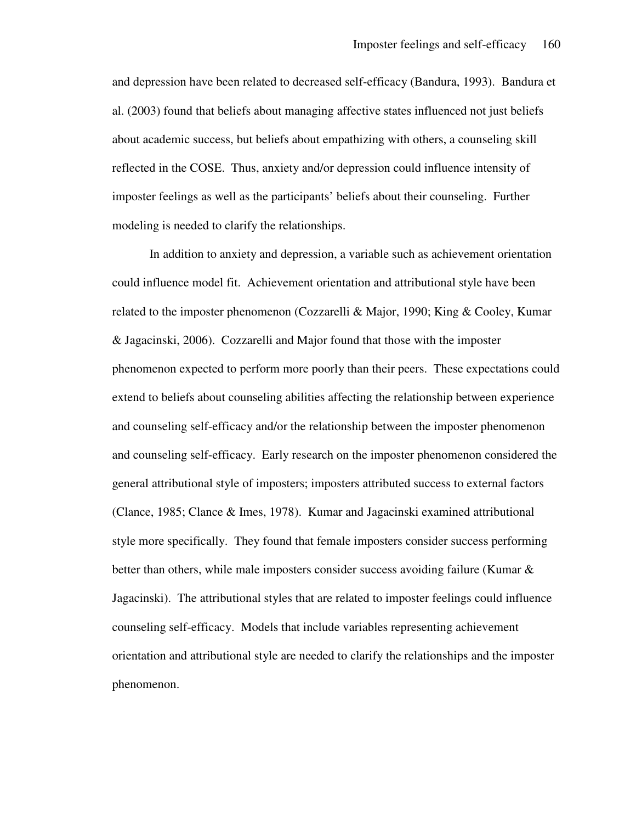and depression have been related to decreased self-efficacy (Bandura, 1993). Bandura et al. (2003) found that beliefs about managing affective states influenced not just beliefs about academic success, but beliefs about empathizing with others, a counseling skill reflected in the COSE. Thus, anxiety and/or depression could influence intensity of imposter feelings as well as the participants' beliefs about their counseling. Further modeling is needed to clarify the relationships.

In addition to anxiety and depression, a variable such as achievement orientation could influence model fit. Achievement orientation and attributional style have been related to the imposter phenomenon (Cozzarelli & Major, 1990; King & Cooley, Kumar & Jagacinski, 2006). Cozzarelli and Major found that those with the imposter phenomenon expected to perform more poorly than their peers. These expectations could extend to beliefs about counseling abilities affecting the relationship between experience and counseling self-efficacy and/or the relationship between the imposter phenomenon and counseling self-efficacy. Early research on the imposter phenomenon considered the general attributional style of imposters; imposters attributed success to external factors (Clance, 1985; Clance & Imes, 1978). Kumar and Jagacinski examined attributional style more specifically. They found that female imposters consider success performing better than others, while male imposters consider success avoiding failure (Kumar & Jagacinski). The attributional styles that are related to imposter feelings could influence counseling self-efficacy. Models that include variables representing achievement orientation and attributional style are needed to clarify the relationships and the imposter phenomenon.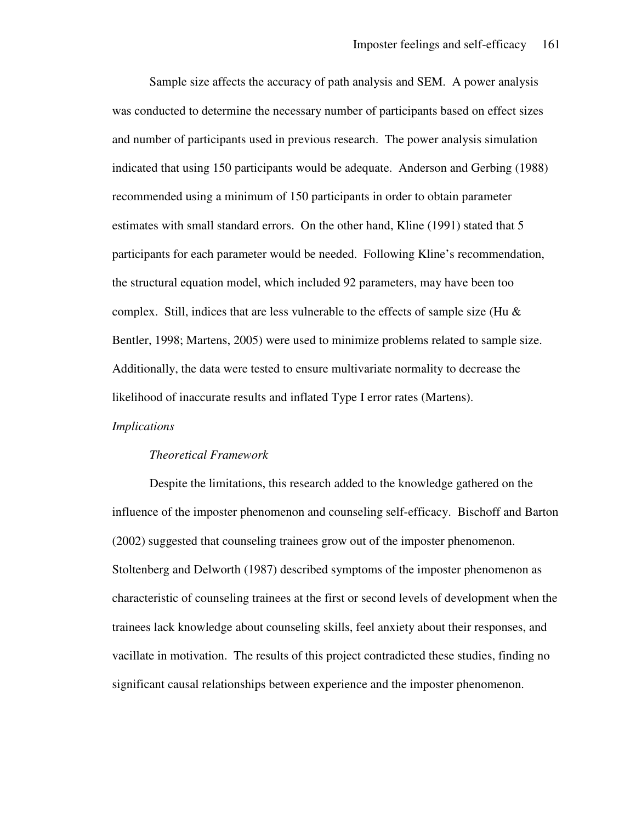Sample size affects the accuracy of path analysis and SEM. A power analysis was conducted to determine the necessary number of participants based on effect sizes and number of participants used in previous research. The power analysis simulation indicated that using 150 participants would be adequate. Anderson and Gerbing (1988) recommended using a minimum of 150 participants in order to obtain parameter estimates with small standard errors. On the other hand, Kline (1991) stated that 5 participants for each parameter would be needed. Following Kline's recommendation, the structural equation model, which included 92 parameters, may have been too complex. Still, indices that are less vulnerable to the effects of sample size (Hu  $\&$ Bentler, 1998; Martens, 2005) were used to minimize problems related to sample size. Additionally, the data were tested to ensure multivariate normality to decrease the likelihood of inaccurate results and inflated Type I error rates (Martens).

#### *Implications*

#### *Theoretical Framework*

Despite the limitations, this research added to the knowledge gathered on the influence of the imposter phenomenon and counseling self-efficacy. Bischoff and Barton (2002) suggested that counseling trainees grow out of the imposter phenomenon. Stoltenberg and Delworth (1987) described symptoms of the imposter phenomenon as characteristic of counseling trainees at the first or second levels of development when the trainees lack knowledge about counseling skills, feel anxiety about their responses, and vacillate in motivation. The results of this project contradicted these studies, finding no significant causal relationships between experience and the imposter phenomenon.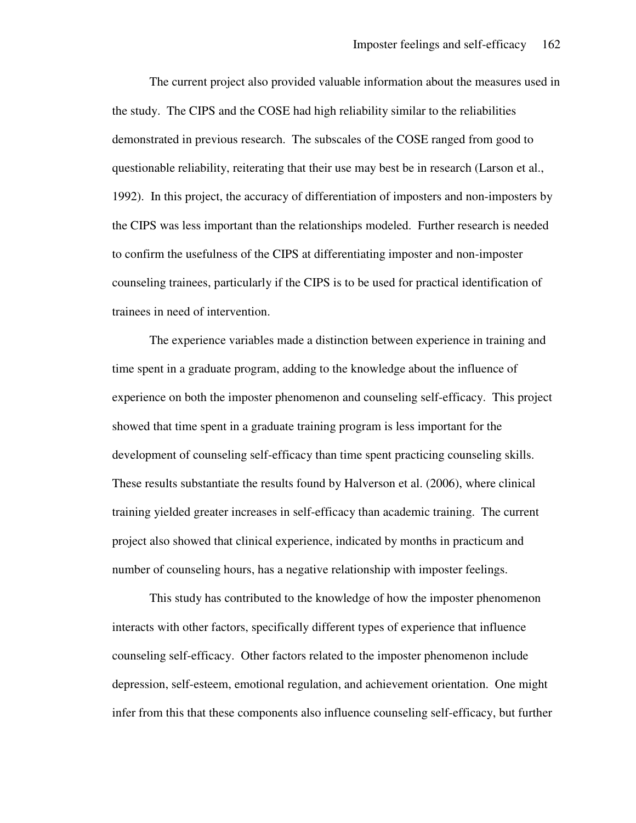The current project also provided valuable information about the measures used in the study. The CIPS and the COSE had high reliability similar to the reliabilities demonstrated in previous research. The subscales of the COSE ranged from good to questionable reliability, reiterating that their use may best be in research (Larson et al., 1992). In this project, the accuracy of differentiation of imposters and non-imposters by the CIPS was less important than the relationships modeled. Further research is needed to confirm the usefulness of the CIPS at differentiating imposter and non-imposter counseling trainees, particularly if the CIPS is to be used for practical identification of trainees in need of intervention.

The experience variables made a distinction between experience in training and time spent in a graduate program, adding to the knowledge about the influence of experience on both the imposter phenomenon and counseling self-efficacy. This project showed that time spent in a graduate training program is less important for the development of counseling self-efficacy than time spent practicing counseling skills. These results substantiate the results found by Halverson et al. (2006), where clinical training yielded greater increases in self-efficacy than academic training. The current project also showed that clinical experience, indicated by months in practicum and number of counseling hours, has a negative relationship with imposter feelings.

This study has contributed to the knowledge of how the imposter phenomenon interacts with other factors, specifically different types of experience that influence counseling self-efficacy. Other factors related to the imposter phenomenon include depression, self-esteem, emotional regulation, and achievement orientation. One might infer from this that these components also influence counseling self-efficacy, but further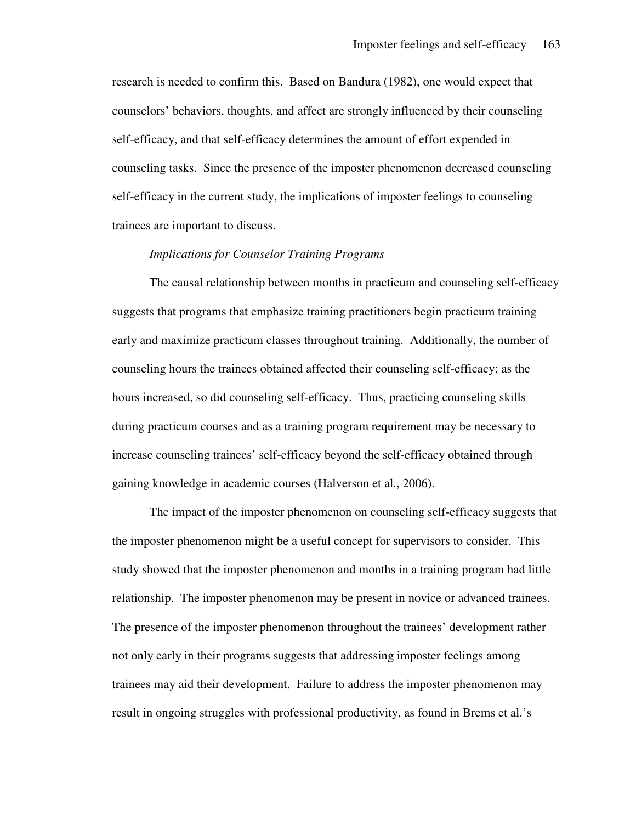research is needed to confirm this. Based on Bandura (1982), one would expect that counselors' behaviors, thoughts, and affect are strongly influenced by their counseling self-efficacy, and that self-efficacy determines the amount of effort expended in counseling tasks. Since the presence of the imposter phenomenon decreased counseling self-efficacy in the current study, the implications of imposter feelings to counseling trainees are important to discuss.

# *Implications for Counselor Training Programs*

The causal relationship between months in practicum and counseling self-efficacy suggests that programs that emphasize training practitioners begin practicum training early and maximize practicum classes throughout training. Additionally, the number of counseling hours the trainees obtained affected their counseling self-efficacy; as the hours increased, so did counseling self-efficacy. Thus, practicing counseling skills during practicum courses and as a training program requirement may be necessary to increase counseling trainees' self-efficacy beyond the self-efficacy obtained through gaining knowledge in academic courses (Halverson et al., 2006).

The impact of the imposter phenomenon on counseling self-efficacy suggests that the imposter phenomenon might be a useful concept for supervisors to consider. This study showed that the imposter phenomenon and months in a training program had little relationship. The imposter phenomenon may be present in novice or advanced trainees. The presence of the imposter phenomenon throughout the trainees' development rather not only early in their programs suggests that addressing imposter feelings among trainees may aid their development. Failure to address the imposter phenomenon may result in ongoing struggles with professional productivity, as found in Brems et al.'s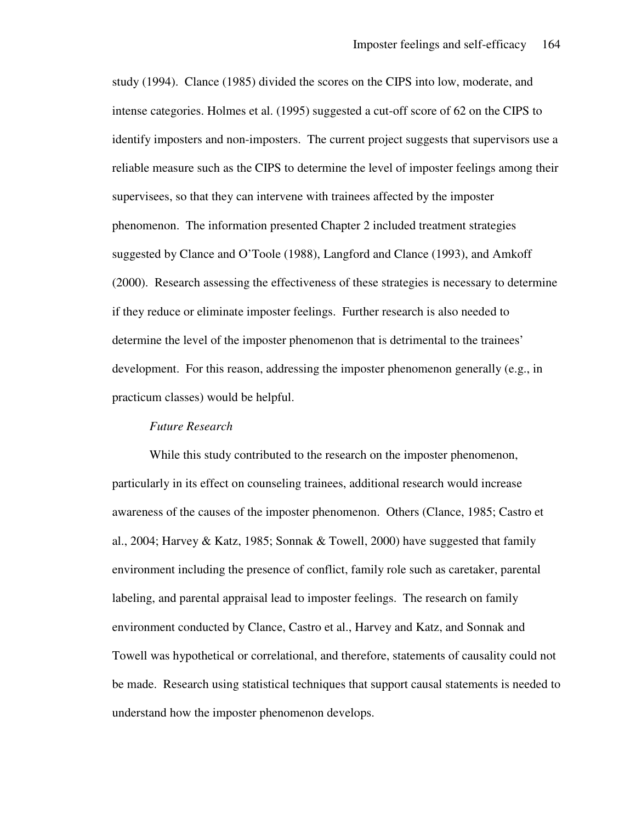study (1994). Clance (1985) divided the scores on the CIPS into low, moderate, and intense categories. Holmes et al. (1995) suggested a cut-off score of 62 on the CIPS to identify imposters and non-imposters. The current project suggests that supervisors use a reliable measure such as the CIPS to determine the level of imposter feelings among their supervisees, so that they can intervene with trainees affected by the imposter phenomenon. The information presented Chapter 2 included treatment strategies suggested by Clance and O'Toole (1988), Langford and Clance (1993), and Amkoff (2000). Research assessing the effectiveness of these strategies is necessary to determine if they reduce or eliminate imposter feelings. Further research is also needed to determine the level of the imposter phenomenon that is detrimental to the trainees' development. For this reason, addressing the imposter phenomenon generally (e.g., in practicum classes) would be helpful.

### *Future Research*

 While this study contributed to the research on the imposter phenomenon, particularly in its effect on counseling trainees, additional research would increase awareness of the causes of the imposter phenomenon. Others (Clance, 1985; Castro et al., 2004; Harvey & Katz, 1985; Sonnak & Towell, 2000) have suggested that family environment including the presence of conflict, family role such as caretaker, parental labeling, and parental appraisal lead to imposter feelings. The research on family environment conducted by Clance, Castro et al., Harvey and Katz, and Sonnak and Towell was hypothetical or correlational, and therefore, statements of causality could not be made. Research using statistical techniques that support causal statements is needed to understand how the imposter phenomenon develops.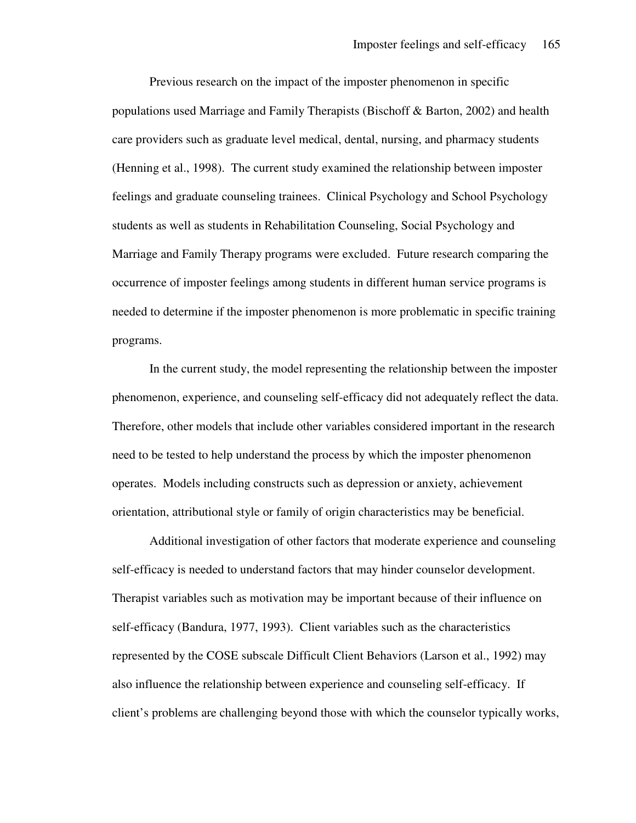Previous research on the impact of the imposter phenomenon in specific populations used Marriage and Family Therapists (Bischoff & Barton, 2002) and health care providers such as graduate level medical, dental, nursing, and pharmacy students (Henning et al., 1998). The current study examined the relationship between imposter feelings and graduate counseling trainees. Clinical Psychology and School Psychology students as well as students in Rehabilitation Counseling, Social Psychology and Marriage and Family Therapy programs were excluded. Future research comparing the occurrence of imposter feelings among students in different human service programs is needed to determine if the imposter phenomenon is more problematic in specific training programs.

 In the current study, the model representing the relationship between the imposter phenomenon, experience, and counseling self-efficacy did not adequately reflect the data. Therefore, other models that include other variables considered important in the research need to be tested to help understand the process by which the imposter phenomenon operates. Models including constructs such as depression or anxiety, achievement orientation, attributional style or family of origin characteristics may be beneficial.

 Additional investigation of other factors that moderate experience and counseling self-efficacy is needed to understand factors that may hinder counselor development. Therapist variables such as motivation may be important because of their influence on self-efficacy (Bandura, 1977, 1993). Client variables such as the characteristics represented by the COSE subscale Difficult Client Behaviors (Larson et al., 1992) may also influence the relationship between experience and counseling self-efficacy. If client's problems are challenging beyond those with which the counselor typically works,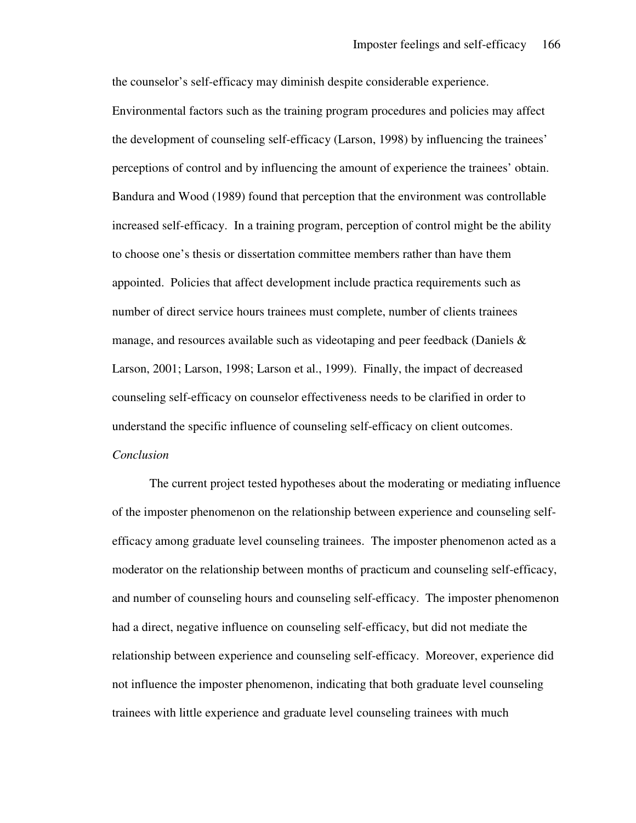the counselor's self-efficacy may diminish despite considerable experience.

Environmental factors such as the training program procedures and policies may affect the development of counseling self-efficacy (Larson, 1998) by influencing the trainees' perceptions of control and by influencing the amount of experience the trainees' obtain. Bandura and Wood (1989) found that perception that the environment was controllable increased self-efficacy. In a training program, perception of control might be the ability to choose one's thesis or dissertation committee members rather than have them appointed. Policies that affect development include practica requirements such as number of direct service hours trainees must complete, number of clients trainees manage, and resources available such as videotaping and peer feedback (Daniels & Larson, 2001; Larson, 1998; Larson et al., 1999). Finally, the impact of decreased counseling self-efficacy on counselor effectiveness needs to be clarified in order to understand the specific influence of counseling self-efficacy on client outcomes. *Conclusion* 

The current project tested hypotheses about the moderating or mediating influence of the imposter phenomenon on the relationship between experience and counseling selfefficacy among graduate level counseling trainees. The imposter phenomenon acted as a moderator on the relationship between months of practicum and counseling self-efficacy, and number of counseling hours and counseling self-efficacy. The imposter phenomenon had a direct, negative influence on counseling self-efficacy, but did not mediate the relationship between experience and counseling self-efficacy. Moreover, experience did not influence the imposter phenomenon, indicating that both graduate level counseling trainees with little experience and graduate level counseling trainees with much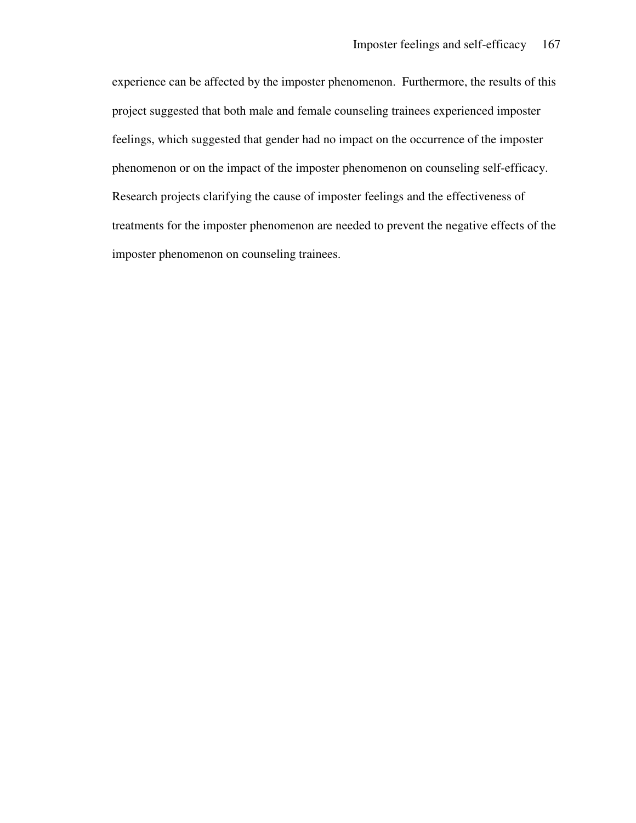experience can be affected by the imposter phenomenon. Furthermore, the results of this project suggested that both male and female counseling trainees experienced imposter feelings, which suggested that gender had no impact on the occurrence of the imposter phenomenon or on the impact of the imposter phenomenon on counseling self-efficacy. Research projects clarifying the cause of imposter feelings and the effectiveness of treatments for the imposter phenomenon are needed to prevent the negative effects of the imposter phenomenon on counseling trainees.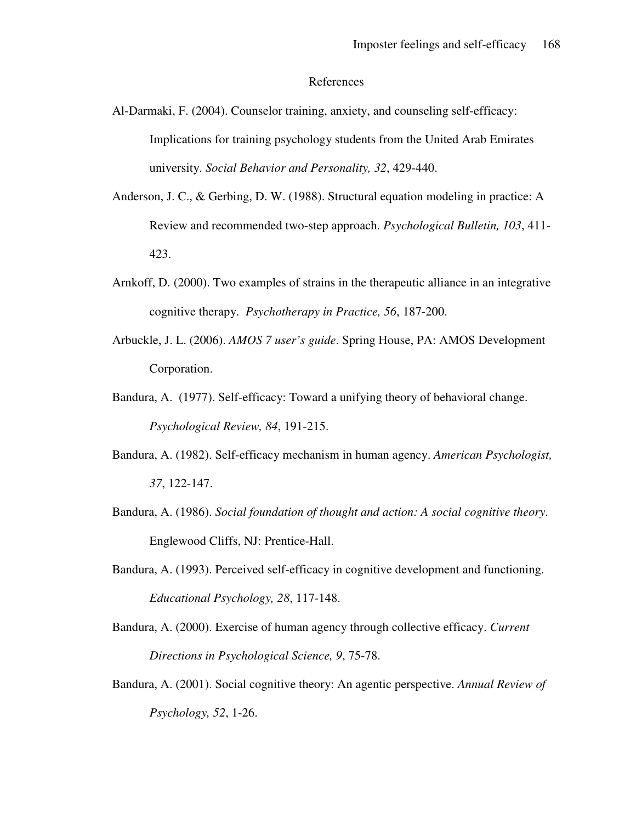#### References

- Al-Darmaki, F. (2004). Counselor training, anxiety, and counseling self-efficacy: Implications for training psychology students from the United Arab Emirates university. *Social Behavior and Personality, 32*, 429-440.
- Anderson, J. C., & Gerbing, D. W. (1988). Structural equation modeling in practice: A Review and recommended two-step approach. *Psychological Bulletin, 103*, 411- 423.
- Arnkoff, D. (2000). Two examples of strains in the therapeutic alliance in an integrative cognitive therapy. *Psychotherapy in Practice, 56*, 187-200.
- Arbuckle, J. L. (2006). *AMOS 7 user's guide*. Spring House, PA: AMOS Development Corporation.
- Bandura, A. (1977). Self-efficacy: Toward a unifying theory of behavioral change. *Psychological Review, 84*, 191-215.
- Bandura, A. (1982). Self-efficacy mechanism in human agency. *American Psychologist, 37*, 122-147.
- Bandura, A. (1986). *Social foundation of thought and action: A social cognitive theory*. Englewood Cliffs, NJ: Prentice-Hall.
- Bandura, A. (1993). Perceived self-efficacy in cognitive development and functioning. *Educational Psychology, 28*, 117-148.
- Bandura, A. (2000). Exercise of human agency through collective efficacy. *Current Directions in Psychological Science, 9*, 75-78.
- Bandura, A. (2001). Social cognitive theory: An agentic perspective. *Annual Review of Psychology, 52*, 1-26.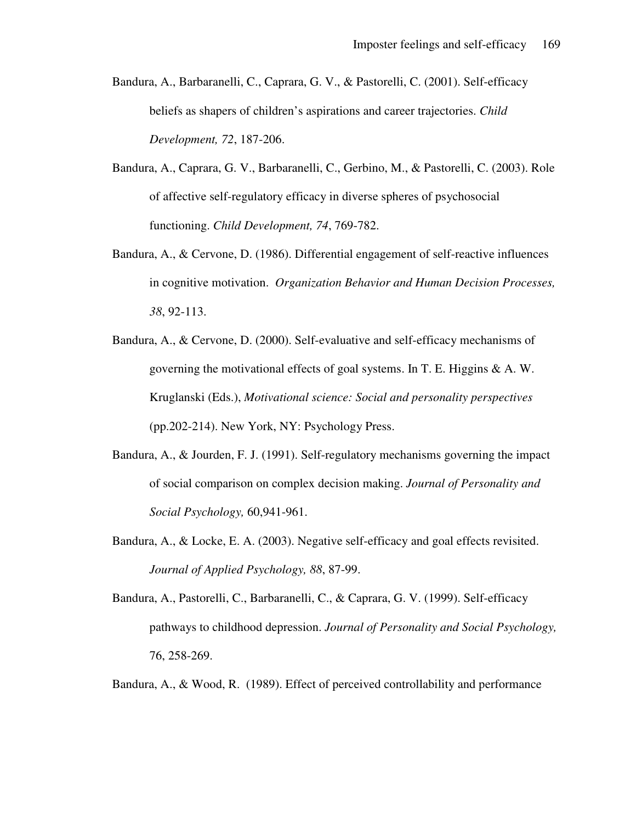- Bandura, A., Barbaranelli, C., Caprara, G. V., & Pastorelli, C. (2001). Self-efficacy beliefs as shapers of children's aspirations and career trajectories. *Child Development, 72*, 187-206.
- Bandura, A., Caprara, G. V., Barbaranelli, C., Gerbino, M., & Pastorelli, C. (2003). Role of affective self-regulatory efficacy in diverse spheres of psychosocial functioning. *Child Development, 74*, 769-782.
- Bandura, A., & Cervone, D. (1986). Differential engagement of self-reactive influences in cognitive motivation. *Organization Behavior and Human Decision Processes, 38*, 92-113.
- Bandura, A., & Cervone, D. (2000). Self-evaluative and self-efficacy mechanisms of governing the motivational effects of goal systems. In T. E. Higgins & A. W. Kruglanski (Eds.), *Motivational science: Social and personality perspectives*  (pp.202-214). New York, NY: Psychology Press.
- Bandura, A., & Jourden, F. J. (1991). Self-regulatory mechanisms governing the impact of social comparison on complex decision making. *Journal of Personality and Social Psychology,* 60,941-961.
- Bandura, A., & Locke, E. A. (2003). Negative self-efficacy and goal effects revisited. *Journal of Applied Psychology, 88*, 87-99.
- Bandura, A., Pastorelli, C., Barbaranelli, C., & Caprara, G. V. (1999). Self-efficacy pathways to childhood depression. *Journal of Personality and Social Psychology,* 76, 258-269.

Bandura, A., & Wood, R. (1989). Effect of perceived controllability and performance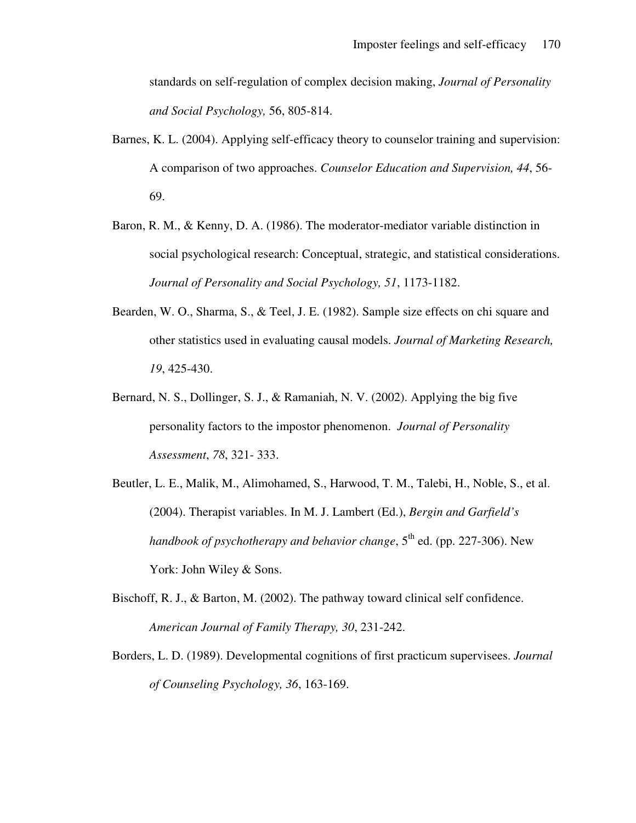standards on self-regulation of complex decision making, *Journal of Personality and Social Psychology,* 56, 805-814.

- Barnes, K. L. (2004). Applying self-efficacy theory to counselor training and supervision: A comparison of two approaches. *Counselor Education and Supervision, 44*, 56- 69.
- Baron, R. M., & Kenny, D. A. (1986). The moderator-mediator variable distinction in social psychological research: Conceptual, strategic, and statistical considerations. *Journal of Personality and Social Psychology, 51*, 1173-1182.
- Bearden, W. O., Sharma, S., & Teel, J. E. (1982). Sample size effects on chi square and other statistics used in evaluating causal models. *Journal of Marketing Research, 19*, 425-430.
- Bernard, N. S., Dollinger, S. J., & Ramaniah, N. V. (2002). Applying the big five personality factors to the impostor phenomenon. *Journal of Personality Assessment*, *78*, 321- 333.
- Beutler, L. E., Malik, M., Alimohamed, S., Harwood, T. M., Talebi, H., Noble, S., et al. (2004). Therapist variables. In M. J. Lambert (Ed.), *Bergin and Garfield's handbook of psychotherapy and behavior change*, 5<sup>th</sup> ed. (pp. 227-306). New York: John Wiley & Sons.
- Bischoff, R. J., & Barton, M. (2002). The pathway toward clinical self confidence. *American Journal of Family Therapy, 30*, 231-242.
- Borders, L. D. (1989). Developmental cognitions of first practicum supervisees. *Journal of Counseling Psychology, 36*, 163-169.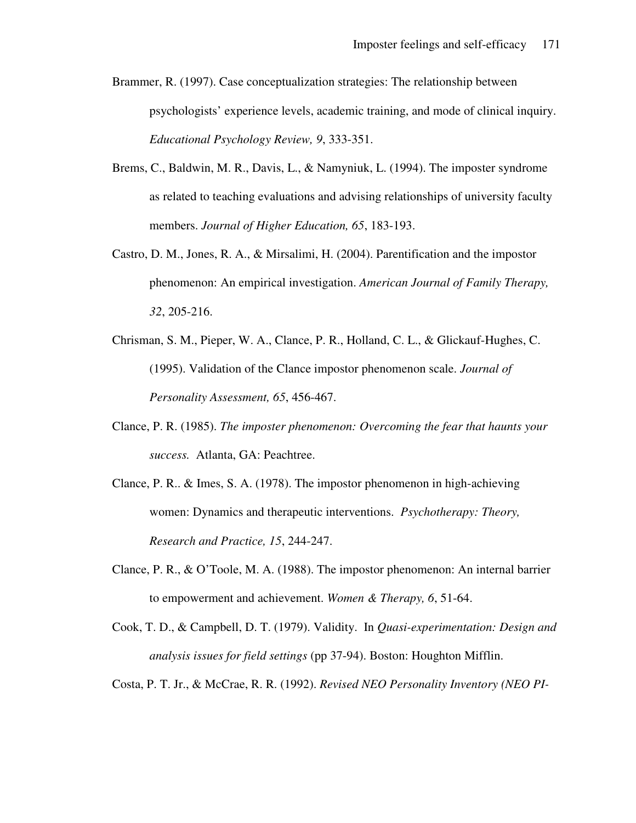- Brammer, R. (1997). Case conceptualization strategies: The relationship between psychologists' experience levels, academic training, and mode of clinical inquiry. *Educational Psychology Review, 9*, 333-351.
- Brems, C., Baldwin, M. R., Davis, L., & Namyniuk, L. (1994). The imposter syndrome as related to teaching evaluations and advising relationships of university faculty members. *Journal of Higher Education, 65*, 183-193.
- Castro, D. M., Jones, R. A., & Mirsalimi, H. (2004). Parentification and the impostor phenomenon: An empirical investigation. *American Journal of Family Therapy, 32*, 205-216.
- Chrisman, S. M., Pieper, W. A., Clance, P. R., Holland, C. L., & Glickauf-Hughes, C. (1995). Validation of the Clance impostor phenomenon scale. *Journal of Personality Assessment, 65*, 456-467.
- Clance, P. R. (1985). *The imposter phenomenon: Overcoming the fear that haunts your success.* Atlanta, GA: Peachtree.
- Clance, P. R.. & Imes, S. A. (1978). The impostor phenomenon in high-achieving women: Dynamics and therapeutic interventions. *Psychotherapy: Theory, Research and Practice, 15*, 244-247.
- Clance, P. R., & O'Toole, M. A. (1988). The impostor phenomenon: An internal barrier to empowerment and achievement. *Women & Therapy, 6*, 51-64.
- Cook, T. D., & Campbell, D. T. (1979). Validity. In *Quasi-experimentation: Design and analysis issues for field settings* (pp 37-94). Boston: Houghton Mifflin.
- Costa, P. T. Jr., & McCrae, R. R. (1992). *Revised NEO Personality Inventory (NEO PI-*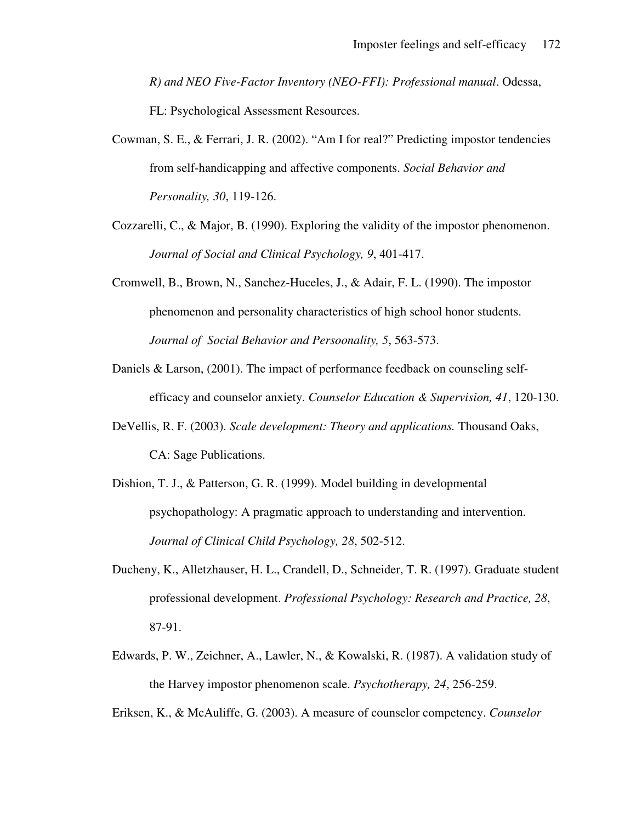*R) and NEO Five-Factor Inventory (NEO-FFI): Professional manual*. Odessa, FL: Psychological Assessment Resources.

- Cowman, S. E., & Ferrari, J. R. (2002). "Am I for real?" Predicting impostor tendencies from self-handicapping and affective components. *Social Behavior and Personality, 30*, 119-126.
- Cozzarelli, C., & Major, B. (1990). Exploring the validity of the impostor phenomenon. *Journal of Social and Clinical Psychology, 9*, 401-417.
- Cromwell, B., Brown, N., Sanchez-Huceles, J., & Adair, F. L. (1990). The impostor phenomenon and personality characteristics of high school honor students. *Journal of Social Behavior and Persoonality, 5*, 563-573.
- Daniels & Larson, (2001). The impact of performance feedback on counseling selfefficacy and counselor anxiety. *Counselor Education & Supervision, 41*, 120-130.
- DeVellis, R. F. (2003). *Scale development: Theory and applications.* Thousand Oaks, CA: Sage Publications.
- Dishion, T. J., & Patterson, G. R. (1999). Model building in developmental psychopathology: A pragmatic approach to understanding and intervention. *Journal of Clinical Child Psychology, 28*, 502-512.
- Ducheny, K., Alletzhauser, H. L., Crandell, D., Schneider, T. R. (1997). Graduate student professional development. *Professional Psychology: Research and Practice, 28*, 87-91.
- Edwards, P. W., Zeichner, A., Lawler, N., & Kowalski, R. (1987). A validation study of the Harvey impostor phenomenon scale. *Psychotherapy, 24*, 256-259.
- Eriksen, K., & McAuliffe, G. (2003). A measure of counselor competency. *Counselor*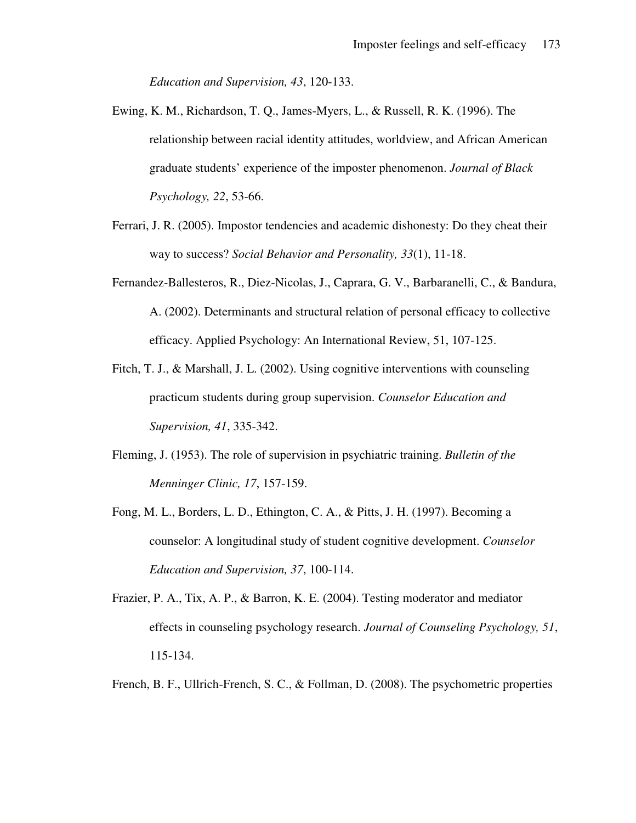*Education and Supervision, 43*, 120-133.

- Ewing, K. M., Richardson, T. Q., James-Myers, L., & Russell, R. K. (1996). The relationship between racial identity attitudes, worldview, and African American graduate students' experience of the imposter phenomenon. *Journal of Black Psychology, 22*, 53-66.
- Ferrari, J. R. (2005). Impostor tendencies and academic dishonesty: Do they cheat their way to success? *Social Behavior and Personality, 33*(1), 11-18.
- Fernandez-Ballesteros, R., Diez-Nicolas, J., Caprara, G. V., Barbaranelli, C., & Bandura, A. (2002). Determinants and structural relation of personal efficacy to collective efficacy. Applied Psychology: An International Review, 51, 107-125.
- Fitch, T. J., & Marshall, J. L. (2002). Using cognitive interventions with counseling practicum students during group supervision. *Counselor Education and Supervision, 41*, 335-342.
- Fleming, J. (1953). The role of supervision in psychiatric training. *Bulletin of the Menninger Clinic, 17*, 157-159.
- Fong, M. L., Borders, L. D., Ethington, C. A., & Pitts, J. H. (1997). Becoming a counselor: A longitudinal study of student cognitive development. *Counselor Education and Supervision, 37*, 100-114.
- Frazier, P. A., Tix, A. P., & Barron, K. E. (2004). Testing moderator and mediator effects in counseling psychology research. *Journal of Counseling Psychology, 51*, 115-134.
- French, B. F., Ullrich-French, S. C., & Follman, D. (2008). The psychometric properties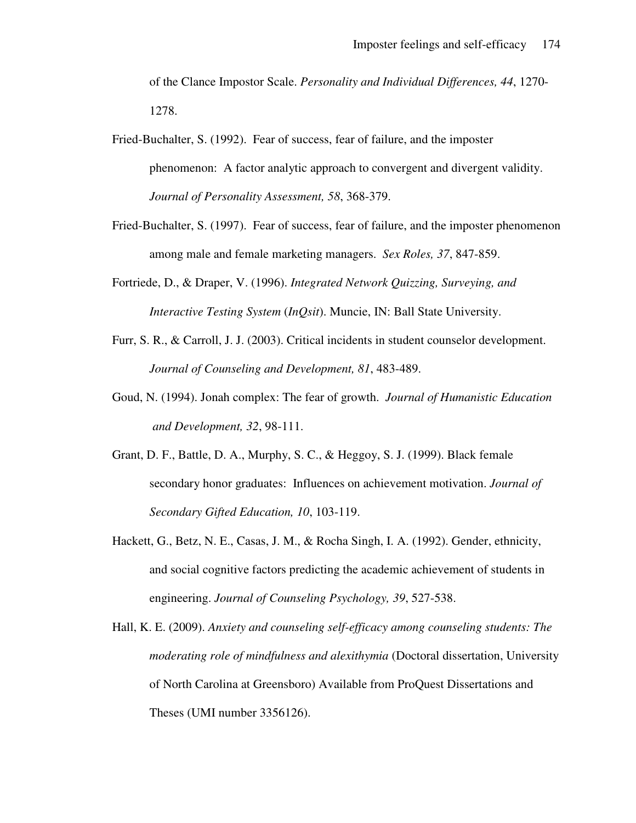of the Clance Impostor Scale. *Personality and Individual Differences, 44*, 1270- 1278.

Fried-Buchalter, S. (1992). Fear of success, fear of failure, and the imposter phenomenon: A factor analytic approach to convergent and divergent validity. *Journal of Personality Assessment, 58*, 368-379.

- Fried-Buchalter, S. (1997). Fear of success, fear of failure, and the imposter phenomenon among male and female marketing managers. *Sex Roles, 37*, 847-859.
- Fortriede, D., & Draper, V. (1996). *Integrated Network Quizzing, Surveying, and Interactive Testing System (InQsit)*. Muncie, IN: Ball State University.
- Furr, S. R., & Carroll, J. J. (2003). Critical incidents in student counselor development. *Journal of Counseling and Development, 81*, 483-489.
- Goud, N. (1994). Jonah complex: The fear of growth. *Journal of Humanistic Education and Development, 32*, 98-111.
- Grant, D. F., Battle, D. A., Murphy, S. C., & Heggoy, S. J. (1999). Black female secondary honor graduates: Influences on achievement motivation. *Journal of Secondary Gifted Education, 10*, 103-119.
- Hackett, G., Betz, N. E., Casas, J. M., & Rocha Singh, I. A. (1992). Gender, ethnicity, and social cognitive factors predicting the academic achievement of students in engineering. *Journal of Counseling Psychology, 39*, 527-538.

Hall, K. E. (2009). *Anxiety and counseling self-efficacy among counseling students: The moderating role of mindfulness and alexithymia* (Doctoral dissertation, University of North Carolina at Greensboro) Available from ProQuest Dissertations and Theses (UMI number 3356126).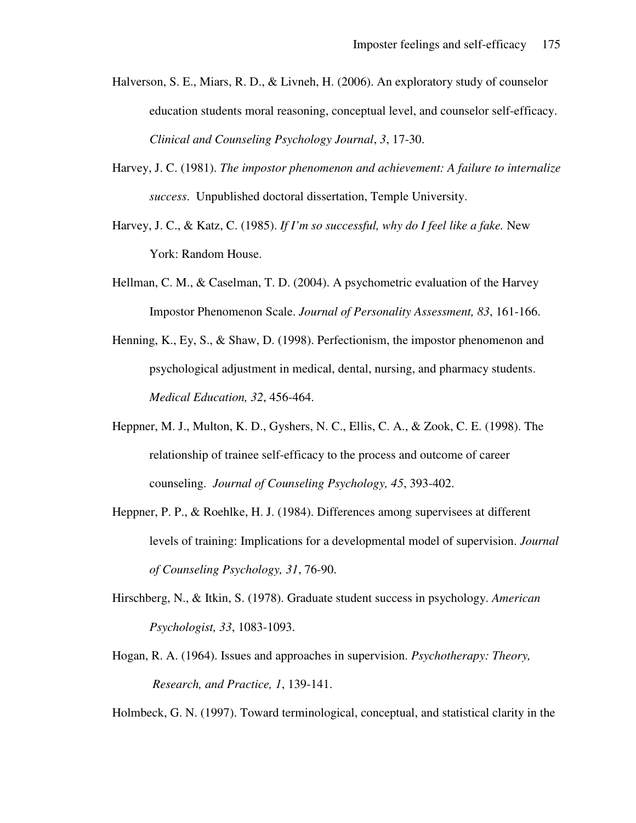- Halverson, S. E., Miars, R. D., & Livneh, H. (2006). An exploratory study of counselor education students moral reasoning, conceptual level, and counselor self-efficacy.  *Clinical and Counseling Psychology Journal*, *3*, 17-30.
- Harvey, J. C. (1981). *The impostor phenomenon and achievement: A failure to internalize success*. Unpublished doctoral dissertation, Temple University.
- Harvey, J. C., & Katz, C. (1985). *If I'm so successful, why do I feel like a fake.* New York: Random House.
- Hellman, C. M., & Caselman, T. D. (2004). A psychometric evaluation of the Harvey Impostor Phenomenon Scale. *Journal of Personality Assessment, 83*, 161-166.
- Henning, K., Ey, S., & Shaw, D. (1998). Perfectionism, the impostor phenomenon and psychological adjustment in medical, dental, nursing, and pharmacy students. *Medical Education, 32*, 456-464.
- Heppner, M. J., Multon, K. D., Gyshers, N. C., Ellis, C. A., & Zook, C. E. (1998). The relationship of trainee self-efficacy to the process and outcome of career counseling. *Journal of Counseling Psychology, 45*, 393-402.
- Heppner, P. P., & Roehlke, H. J. (1984). Differences among supervisees at different levels of training: Implications for a developmental model of supervision. *Journal of Counseling Psychology, 31*, 76-90.
- Hirschberg, N., & Itkin, S. (1978). Graduate student success in psychology. *American Psychologist, 33*, 1083-1093.
- Hogan, R. A. (1964). Issues and approaches in supervision. *Psychotherapy: Theory, Research, and Practice, 1*, 139-141.

Holmbeck, G. N. (1997). Toward terminological, conceptual, and statistical clarity in the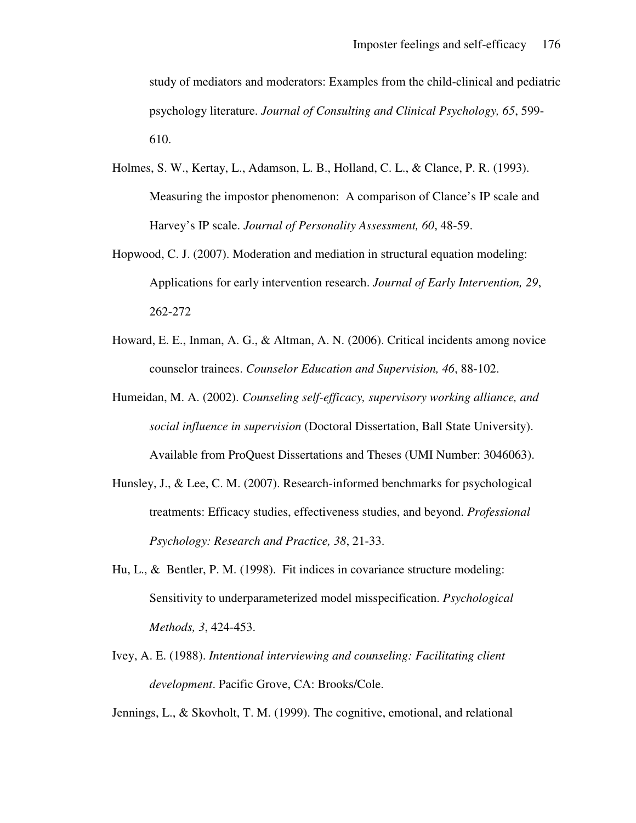study of mediators and moderators: Examples from the child-clinical and pediatric psychology literature. *Journal of Consulting and Clinical Psychology, 65*, 599- 610.

- Holmes, S. W., Kertay, L., Adamson, L. B., Holland, C. L., & Clance, P. R. (1993). Measuring the impostor phenomenon: A comparison of Clance's IP scale and Harvey's IP scale. *Journal of Personality Assessment, 60*, 48-59.
- Hopwood, C. J. (2007). Moderation and mediation in structural equation modeling: Applications for early intervention research. *Journal of Early Intervention, 29*, 262-272
- Howard, E. E., Inman, A. G., & Altman, A. N. (2006). Critical incidents among novice counselor trainees. *Counselor Education and Supervision, 46*, 88-102.
- Humeidan, M. A. (2002). *Counseling self-efficacy, supervisory working alliance, and social influence in supervision* (Doctoral Dissertation, Ball State University). Available from ProQuest Dissertations and Theses (UMI Number: 3046063).
- Hunsley, J., & Lee, C. M. (2007). Research-informed benchmarks for psychological treatments: Efficacy studies, effectiveness studies, and beyond. *Professional Psychology: Research and Practice, 38*, 21-33.
- Hu, L., & Bentler, P. M. (1998). Fit indices in covariance structure modeling: Sensitivity to underparameterized model misspecification. *Psychological Methods, 3*, 424-453.
- Ivey, A. E. (1988). *Intentional interviewing and counseling: Facilitating client development*. Pacific Grove, CA: Brooks/Cole.

Jennings, L., & Skovholt, T. M. (1999). The cognitive, emotional, and relational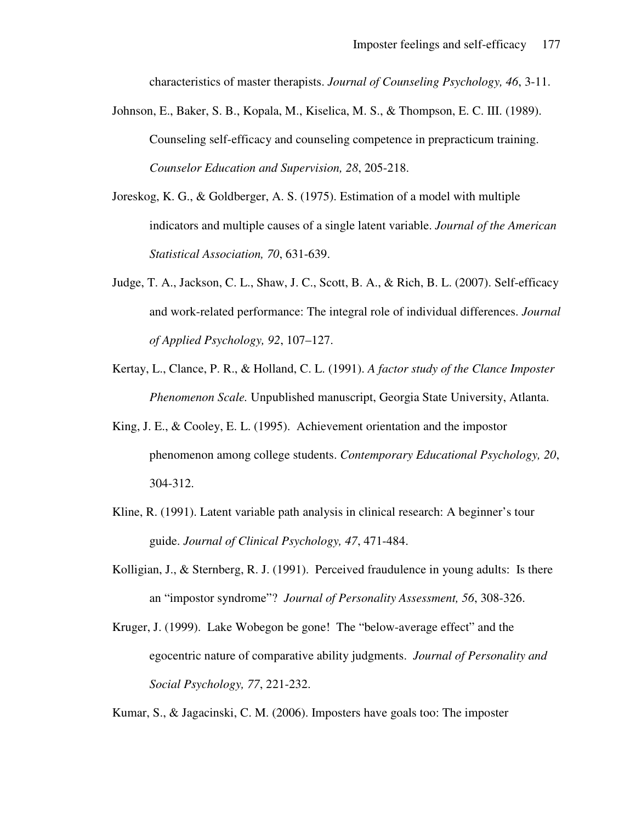characteristics of master therapists. *Journal of Counseling Psychology, 46*, 3-11.

- Johnson, E., Baker, S. B., Kopala, M., Kiselica, M. S., & Thompson, E. C. III. (1989). Counseling self-efficacy and counseling competence in prepracticum training. *Counselor Education and Supervision, 28*, 205-218.
- Joreskog, K. G., & Goldberger, A. S. (1975). Estimation of a model with multiple indicators and multiple causes of a single latent variable. *Journal of the American Statistical Association, 70*, 631-639.
- Judge, T. A., Jackson, C. L., Shaw, J. C., Scott, B. A., & Rich, B. L. (2007). Self-efficacy and work-related performance: The integral role of individual differences. *Journal of Applied Psychology, 92*, 107–127.
- Kertay, L., Clance, P. R., & Holland, C. L. (1991). *A factor study of the Clance Imposter Phenomenon Scale.* Unpublished manuscript, Georgia State University, Atlanta.
- King, J. E., & Cooley, E. L. (1995). Achievement orientation and the impostor phenomenon among college students. *Contemporary Educational Psychology, 20*, 304-312.
- Kline, R. (1991). Latent variable path analysis in clinical research: A beginner's tour guide. *Journal of Clinical Psychology, 47*, 471-484.
- Kolligian, J., & Sternberg, R. J. (1991). Perceived fraudulence in young adults: Is there an "impostor syndrome"? *Journal of Personality Assessment, 56*, 308-326.
- Kruger, J. (1999). Lake Wobegon be gone! The "below-average effect" and the egocentric nature of comparative ability judgments. *Journal of Personality and Social Psychology, 77*, 221-232.

Kumar, S., & Jagacinski, C. M. (2006). Imposters have goals too: The imposter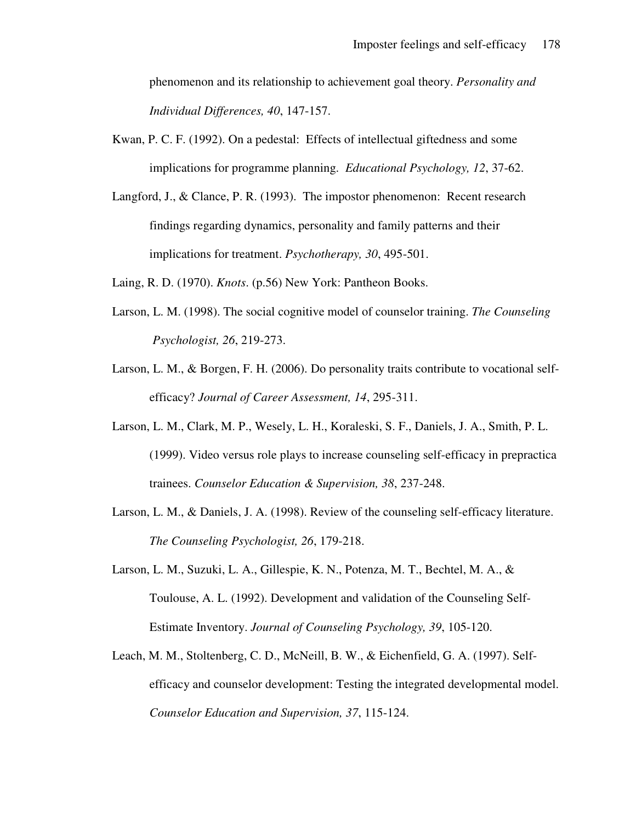phenomenon and its relationship to achievement goal theory. *Personality and Individual Differences, 40*, 147-157.

- Kwan, P. C. F. (1992). On a pedestal: Effects of intellectual giftedness and some implications for programme planning. *Educational Psychology, 12*, 37-62.
- Langford, J., & Clance, P. R. (1993). The impostor phenomenon: Recent research findings regarding dynamics, personality and family patterns and their implications for treatment. *Psychotherapy, 30*, 495-501.
- Laing, R. D. (1970). *Knots*. (p.56) New York: Pantheon Books.
- Larson, L. M. (1998). The social cognitive model of counselor training. *The Counseling Psychologist, 26*, 219-273.
- Larson, L. M., & Borgen, F. H. (2006). Do personality traits contribute to vocational self efficacy? *Journal of Career Assessment, 14*, 295-311.
- Larson, L. M., Clark, M. P., Wesely, L. H., Koraleski, S. F., Daniels, J. A., Smith, P. L. (1999). Video versus role plays to increase counseling self-efficacy in prepractica trainees. *Counselor Education & Supervision, 38*, 237-248.
- Larson, L. M., & Daniels, J. A. (1998). Review of the counseling self-efficacy literature. *The Counseling Psychologist, 26*, 179-218.
- Larson, L. M., Suzuki, L. A., Gillespie, K. N., Potenza, M. T., Bechtel, M. A., & Toulouse, A. L. (1992). Development and validation of the Counseling Self-Estimate Inventory. *Journal of Counseling Psychology, 39*, 105-120.
- Leach, M. M., Stoltenberg, C. D., McNeill, B. W., & Eichenfield, G. A. (1997). Selfefficacy and counselor development: Testing the integrated developmental model. *Counselor Education and Supervision, 37*, 115-124.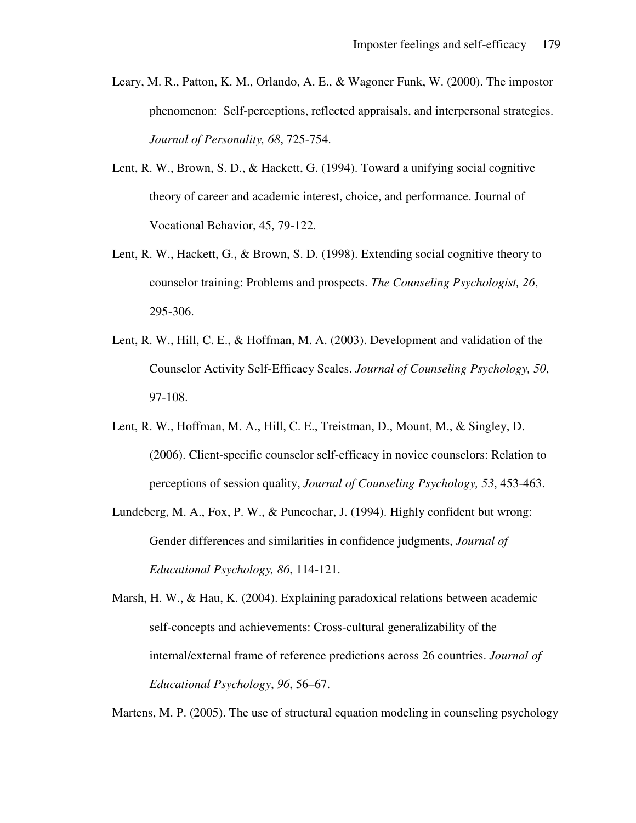- Leary, M. R., Patton, K. M., Orlando, A. E., & Wagoner Funk, W. (2000). The impostor phenomenon: Self-perceptions, reflected appraisals, and interpersonal strategies. *Journal of Personality, 68*, 725-754.
- Lent, R. W., Brown, S. D., & Hackett, G. (1994). Toward a unifying social cognitive theory of career and academic interest, choice, and performance. Journal of Vocational Behavior, 45, 79-122.
- Lent, R. W., Hackett, G., & Brown, S. D. (1998). Extending social cognitive theory to counselor training: Problems and prospects. *The Counseling Psychologist, 26*, 295-306.
- Lent, R. W., Hill, C. E., & Hoffman, M. A. (2003). Development and validation of the Counselor Activity Self-Efficacy Scales. *Journal of Counseling Psychology, 50*, 97-108.
- Lent, R. W., Hoffman, M. A., Hill, C. E., Treistman, D., Mount, M., & Singley, D. (2006). Client-specific counselor self-efficacy in novice counselors: Relation to perceptions of session quality, *Journal of Counseling Psychology, 53*, 453-463.
- Lundeberg, M. A., Fox, P. W., & Puncochar, J. (1994). Highly confident but wrong: Gender differences and similarities in confidence judgments, *Journal of Educational Psychology, 86*, 114-121.

Marsh, H. W., & Hau, K. (2004). Explaining paradoxical relations between academic self-concepts and achievements: Cross-cultural generalizability of the internal/external frame of reference predictions across 26 countries. *Journal of Educational Psychology*, *96*, 56–67.

Martens, M. P. (2005). The use of structural equation modeling in counseling psychology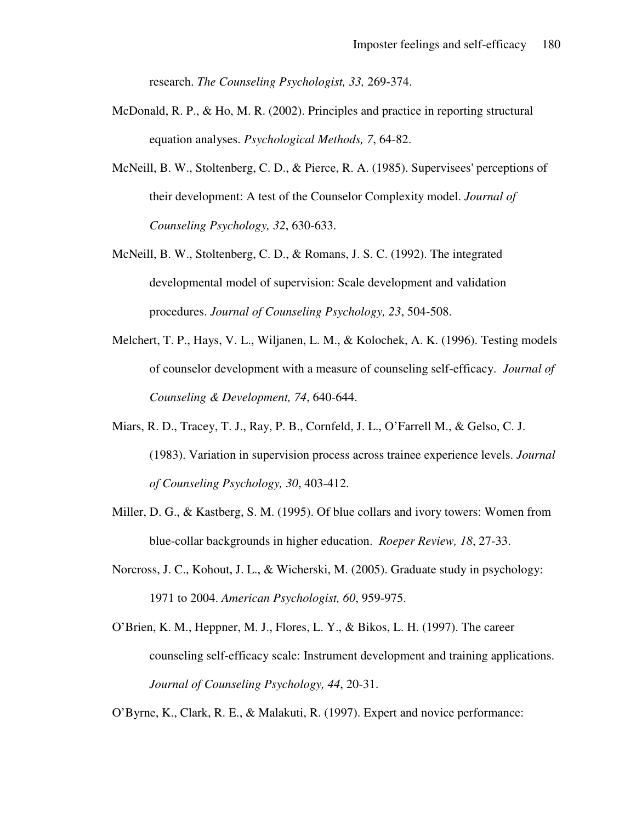research. *The Counseling Psychologist, 33,* 269-374.

- McDonald, R. P., & Ho, M. R. (2002). Principles and practice in reporting structural equation analyses. *Psychological Methods, 7*, 64-82.
- McNeill, B. W., Stoltenberg, C. D., & Pierce, R. A. (1985). Supervisees' perceptions of their development: A test of the Counselor Complexity model. *Journal of Counseling Psychology, 32*, 630-633.
- McNeill, B. W., Stoltenberg, C. D., & Romans, J. S. C. (1992). The integrated developmental model of supervision: Scale development and validation procedures. *Journal of Counseling Psychology, 23*, 504-508.
- Melchert, T. P., Hays, V. L., Wiljanen, L. M., & Kolochek, A. K. (1996). Testing models of counselor development with a measure of counseling self-efficacy. *Journal of Counseling & Development, 74*, 640-644.
- Miars, R. D., Tracey, T. J., Ray, P. B., Cornfeld, J. L., O'Farrell M., & Gelso, C. J. (1983). Variation in supervision process across trainee experience levels. *Journal of Counseling Psychology, 30*, 403-412.
- Miller, D. G., & Kastberg, S. M. (1995). Of blue collars and ivory towers: Women from blue-collar backgrounds in higher education. *Roeper Review, 18*, 27-33.
- Norcross, J. C., Kohout, J. L., & Wicherski, M. (2005). Graduate study in psychology: 1971 to 2004. *American Psychologist, 60*, 959-975.
- O'Brien, K. M., Heppner, M. J., Flores, L. Y., & Bikos, L. H. (1997). The career counseling self-efficacy scale: Instrument development and training applications. *Journal of Counseling Psychology, 44*, 20-31.

O'Byrne, K., Clark, R. E., & Malakuti, R. (1997). Expert and novice performance: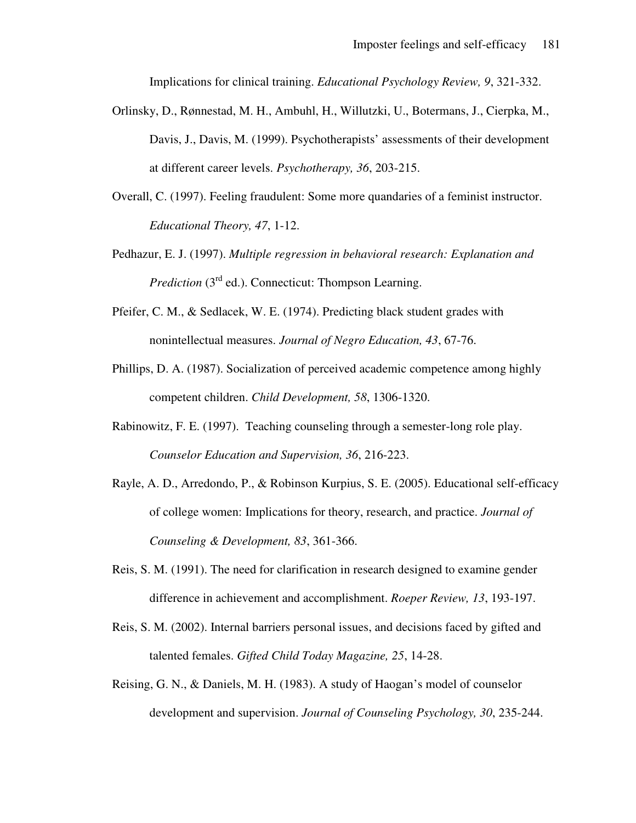Implications for clinical training. *Educational Psychology Review, 9*, 321-332.

- Orlinsky, D., Rønnestad, M. H., Ambuhl, H., Willutzki, U., Botermans, J., Cierpka, M., Davis, J., Davis, M. (1999). Psychotherapists' assessments of their development at different career levels. *Psychotherapy, 36*, 203-215.
- Overall, C. (1997). Feeling fraudulent: Some more quandaries of a feminist instructor. *Educational Theory, 47*, 1-12.
- Pedhazur, E. J. (1997). *Multiple regression in behavioral research: Explanation and Prediction* (3<sup>rd</sup> ed.). Connecticut: Thompson Learning.
- Pfeifer, C. M., & Sedlacek, W. E. (1974). Predicting black student grades with nonintellectual measures. *Journal of Negro Education, 43*, 67-76.
- Phillips, D. A. (1987). Socialization of perceived academic competence among highly competent children. *Child Development, 58*, 1306-1320.
- Rabinowitz, F. E. (1997). Teaching counseling through a semester-long role play. *Counselor Education and Supervision, 36*, 216-223.
- Rayle, A. D., Arredondo, P., & Robinson Kurpius, S. E. (2005). Educational self-efficacy of college women: Implications for theory, research, and practice. *Journal of Counseling & Development, 83*, 361-366.
- Reis, S. M. (1991). The need for clarification in research designed to examine gender difference in achievement and accomplishment. *Roeper Review, 13*, 193-197.
- Reis, S. M. (2002). Internal barriers personal issues, and decisions faced by gifted and talented females. *Gifted Child Today Magazine, 25*, 14-28.
- Reising, G. N., & Daniels, M. H. (1983). A study of Haogan's model of counselor development and supervision. *Journal of Counseling Psychology, 30*, 235-244.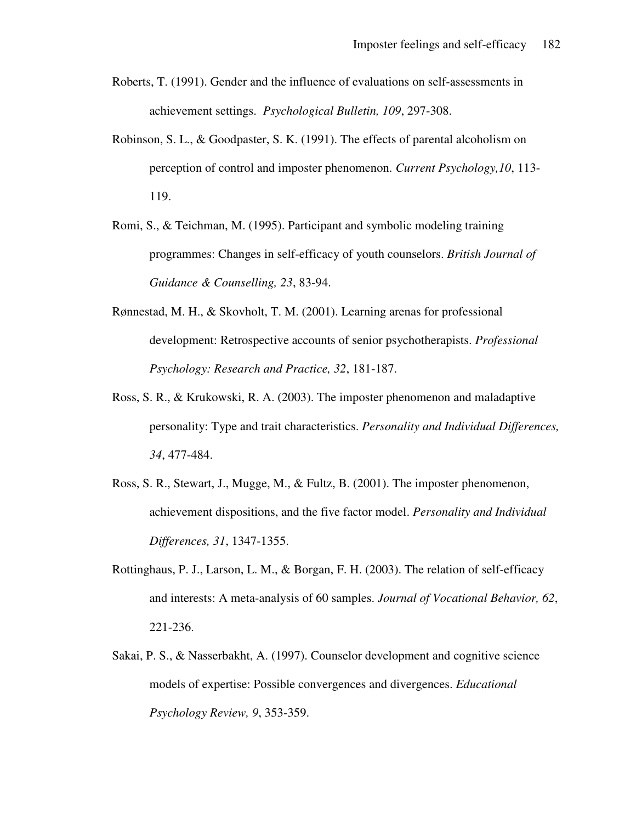- Roberts, T. (1991). Gender and the influence of evaluations on self-assessments in achievement settings. *Psychological Bulletin, 109*, 297-308.
- Robinson, S. L., & Goodpaster, S. K. (1991). The effects of parental alcoholism on perception of control and imposter phenomenon. *Current Psychology,10*, 113- 119.
- Romi, S., & Teichman, M. (1995). Participant and symbolic modeling training programmes: Changes in self-efficacy of youth counselors. *British Journal of Guidance & Counselling, 23*, 83-94.
- Rønnestad, M. H., & Skovholt, T. M. (2001). Learning arenas for professional development: Retrospective accounts of senior psychotherapists. *Professional Psychology: Research and Practice, 32*, 181-187.
- Ross, S. R., & Krukowski, R. A. (2003). The imposter phenomenon and maladaptive personality: Type and trait characteristics. *Personality and Individual Differences, 34*, 477-484.
- Ross, S. R., Stewart, J., Mugge, M., & Fultz, B. (2001). The imposter phenomenon, achievement dispositions, and the five factor model. *Personality and Individual Differences, 31*, 1347-1355.
- Rottinghaus, P. J., Larson, L. M., & Borgan, F. H. (2003). The relation of self-efficacy and interests: A meta-analysis of 60 samples. *Journal of Vocational Behavior, 62*, 221-236.
- Sakai, P. S., & Nasserbakht, A. (1997). Counselor development and cognitive science models of expertise: Possible convergences and divergences. *Educational Psychology Review, 9*, 353-359.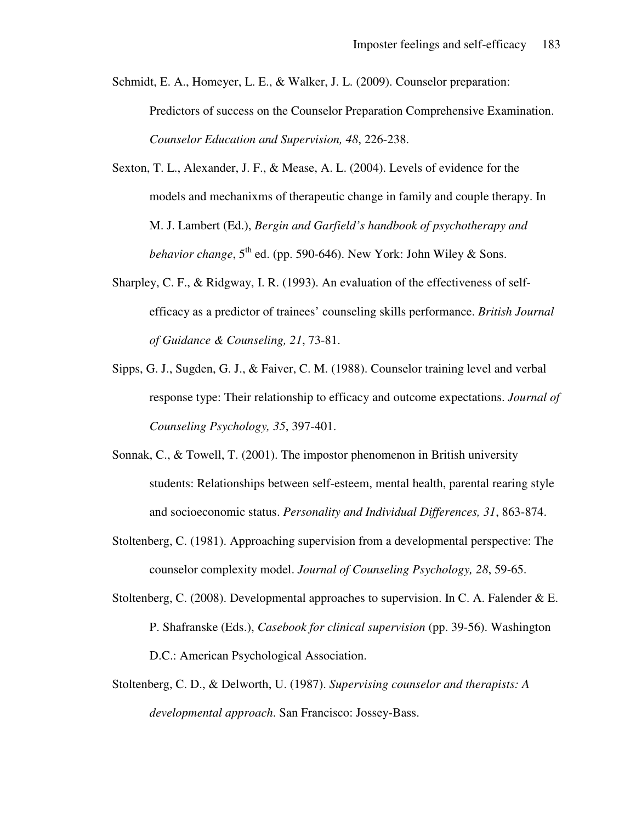- Schmidt, E. A., Homeyer, L. E., & Walker, J. L. (2009). Counselor preparation: Predictors of success on the Counselor Preparation Comprehensive Examination. *Counselor Education and Supervision, 48*, 226-238.
- Sexton, T. L., Alexander, J. F., & Mease, A. L. (2004). Levels of evidence for the models and mechanixms of therapeutic change in family and couple therapy. In M. J. Lambert (Ed.), *Bergin and Garfield's handbook of psychotherapy and behavior change*,  $5<sup>th</sup>$  ed. (pp. 590-646). New York: John Wiley & Sons.
- Sharpley, C. F., & Ridgway, I. R. (1993). An evaluation of the effectiveness of selfefficacy as a predictor of trainees' counseling skills performance. *British Journal of Guidance & Counseling, 21*, 73-81.
- Sipps, G. J., Sugden, G. J., & Faiver, C. M. (1988). Counselor training level and verbal response type: Their relationship to efficacy and outcome expectations. *Journal of Counseling Psychology, 35*, 397-401.
- Sonnak, C., & Towell, T. (2001). The impostor phenomenon in British university students: Relationships between self-esteem, mental health, parental rearing style and socioeconomic status. *Personality and Individual Differences, 31*, 863-874.
- Stoltenberg, C. (1981). Approaching supervision from a developmental perspective: The counselor complexity model. *Journal of Counseling Psychology, 28*, 59-65.
- Stoltenberg, C. (2008). Developmental approaches to supervision. In C. A. Falender  $\& E$ . P. Shafranske (Eds.), *Casebook for clinical supervision* (pp. 39-56). Washington D.C.: American Psychological Association.
- Stoltenberg, C. D., & Delworth, U. (1987). *Supervising counselor and therapists: A developmental approach*. San Francisco: Jossey-Bass.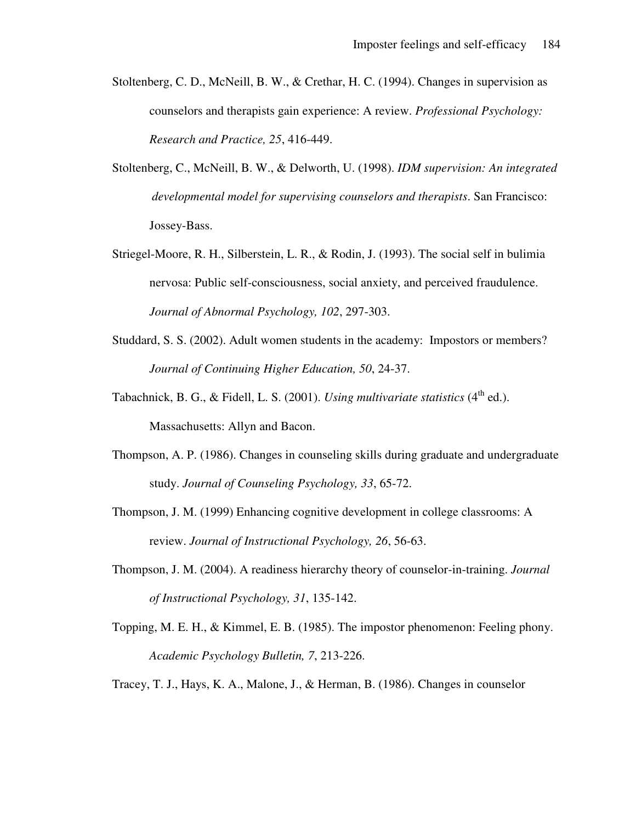- Stoltenberg, C. D., McNeill, B. W., & Crethar, H. C. (1994). Changes in supervision as counselors and therapists gain experience: A review. *Professional Psychology: Research and Practice, 25*, 416-449.
- Stoltenberg, C., McNeill, B. W., & Delworth, U. (1998). *IDM supervision: An integrated developmental model for supervising counselors and therapists*. San Francisco: Jossey-Bass.
- Striegel-Moore, R. H., Silberstein, L. R., & Rodin, J. (1993). The social self in bulimia nervosa: Public self-consciousness, social anxiety, and perceived fraudulence. *Journal of Abnormal Psychology, 102*, 297-303.
- Studdard, S. S. (2002). Adult women students in the academy: Impostors or members? *Journal of Continuing Higher Education, 50*, 24-37.
- Tabachnick, B. G., & Fidell, L. S. (2001). *Using multivariate statistics*  $(4<sup>th</sup>$  ed.). Massachusetts: Allyn and Bacon.
- Thompson, A. P. (1986). Changes in counseling skills during graduate and undergraduate study. *Journal of Counseling Psychology, 33*, 65-72.
- Thompson, J. M. (1999) Enhancing cognitive development in college classrooms: A review. *Journal of Instructional Psychology, 26*, 56-63.
- Thompson, J. M. (2004). A readiness hierarchy theory of counselor-in-training. *Journal of Instructional Psychology, 31*, 135-142.
- Topping, M. E. H., & Kimmel, E. B. (1985). The impostor phenomenon: Feeling phony. *Academic Psychology Bulletin, 7*, 213-226.
- Tracey, T. J., Hays, K. A., Malone, J., & Herman, B. (1986). Changes in counselor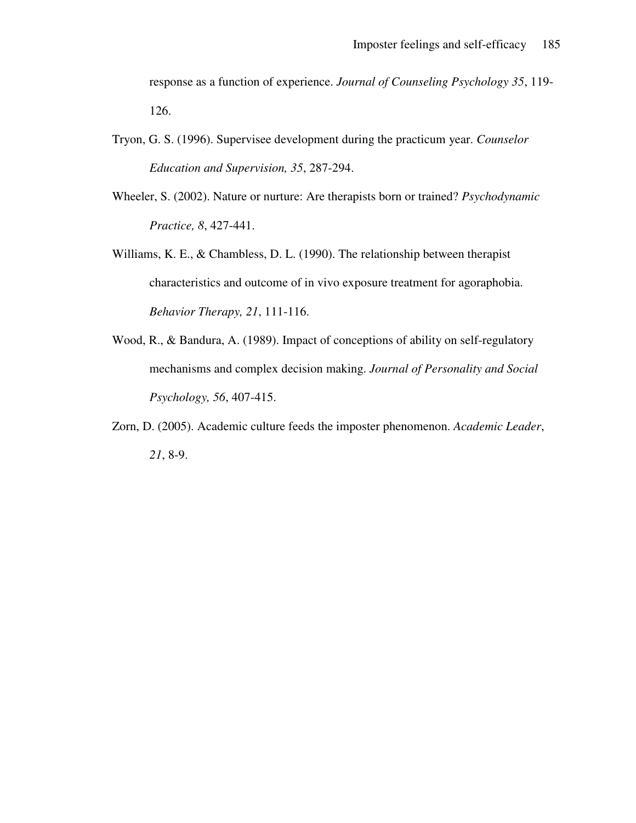response as a function of experience. *Journal of Counseling Psychology 35*, 119- 126.

- Tryon, G. S. (1996). Supervisee development during the practicum year. *Counselor Education and Supervision, 35*, 287-294.
- Wheeler, S. (2002). Nature or nurture: Are therapists born or trained? *Psychodynamic Practice, 8*, 427-441.
- Williams, K. E., & Chambless, D. L. (1990). The relationship between therapist characteristics and outcome of in vivo exposure treatment for agoraphobia. *Behavior Therapy, 21*, 111-116.
- Wood, R., & Bandura, A. (1989). Impact of conceptions of ability on self-regulatory mechanisms and complex decision making. *Journal of Personality and Social Psychology, 56*, 407-415.
- Zorn, D. (2005). Academic culture feeds the imposter phenomenon. *Academic Leader*, *21*, 8-9.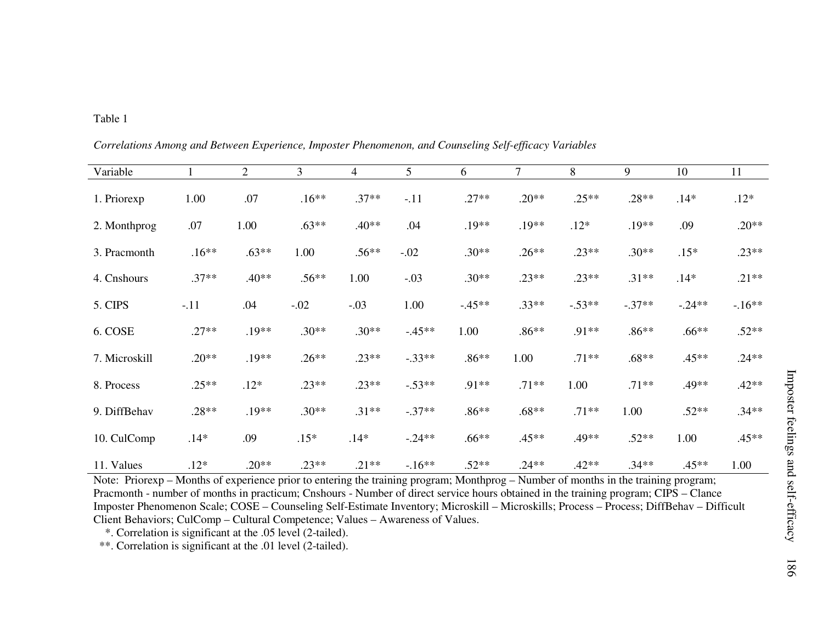| Variable      |         | $\overline{2}$ | $\mathfrak{Z}$ | 4       | 5        | 6       | 7       | 8        | 9        | 10       | 11      |
|---------------|---------|----------------|----------------|---------|----------|---------|---------|----------|----------|----------|---------|
| 1. Priorexp   | 1.00    | .07            | $.16**$        | $.37**$ | $-.11$   | $.27**$ | $.20**$ | $.25**$  | $.28**$  | $.14*$   | $.12*$  |
| 2. Monthprog  | .07     | 1.00           | $.63**$        | $.40**$ | .04      | $.19**$ | $.19**$ | $.12*$   | $.19**$  | .09      | $.20**$ |
| 3. Pracmonth  | $.16**$ | $.63**$        | 1.00           | $.56**$ | $-.02$   | $.30**$ | $.26**$ | $.23**$  | $.30**$  | $.15*$   | $.23**$ |
| 4. Cnshours   | $.37**$ | $.40**$        | $.56**$        | 1.00    | $-.03$   | $.30**$ | $.23**$ | $.23**$  | $.31**$  | $.14*$   | $.21**$ |
| 5. CIPS       | $-.11$  | .04            | $-.02$         | $-.03$  | 1.00     | $-45**$ | $.33**$ | $-.53**$ | $-.37**$ | $-.24**$ | $-16**$ |
| 6. COSE       | $.27**$ | $.19**$        | $.30**$        | $.30**$ | $-.45**$ | 1.00    | $.86**$ | $.91**$  | $.86**$  | $.66**$  | $.52**$ |
| 7. Microskill | $.20**$ | $.19**$        | $.26**$        | $.23**$ | $-.33**$ | $.86**$ | 1.00    | $.71**$  | $.68**$  | $.45**$  | $.24**$ |
| 8. Process    | $.25**$ | $.12*$         | $.23**$        | $.23**$ | $-.53**$ | $.91**$ | $.71**$ | 1.00     | $.71**$  | .49**    | $.42**$ |
| 9. DiffBehav  | $.28**$ | $.19**$        | $.30**$        | $.31**$ | $-.37**$ | $.86**$ | $.68**$ | $.71**$  | 1.00     | $.52**$  | $.34**$ |
| 10. CulComp   | $.14*$  | .09            | $.15*$         | $.14*$  | $-.24**$ | $.66**$ | $.45**$ | .49**    | $.52**$  | 1.00     | $.45**$ |
| 11. Values    | $.12*$  | $.20**$        | $.23**$        | $.21**$ | $-16**$  | $.52**$ | $.24**$ | $.42**$  | $.34**$  | $.45**$  | 1.00    |

*Correlations Among and Between Experience, Imposter Phenomenon, and Counseling Self-efficacy Variables*

Note: Priorexp – Months of experience prior to entering the training program; Monthprog – Number of months in the training program; Pracmonth - number of months in practicum; Cnshours - Number of direct service hours obtained in the training program; CIPS – Clance Imposter Phenomenon Scale; COSE – Counseling Self-Estimate Inventory; Microskill – Microskills; Process – Process; DiffBehav – Difficult Client Behaviors; CulComp – Cultural Competence; Values – Awareness of Values.

\*. Correlation is significant at the .05 level (2-tailed).

\*\*. Correlation is significant at the .01 level (2-tailed).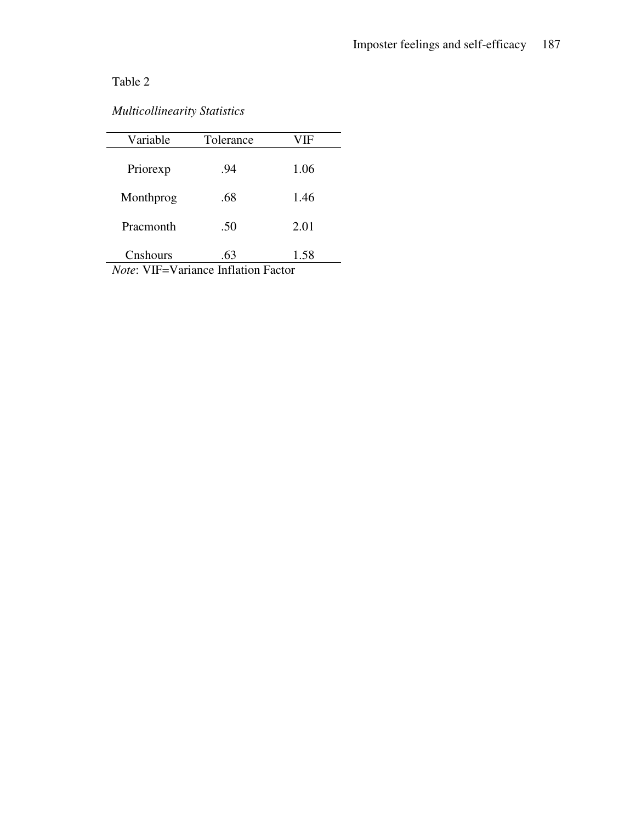*Multicollinearity Statistics* 

| Variable                            | Tolerance | VIF  |  |  |  |  |  |  |
|-------------------------------------|-----------|------|--|--|--|--|--|--|
| Priorexp                            | .94       | 1.06 |  |  |  |  |  |  |
| Monthprog                           | .68       | 1.46 |  |  |  |  |  |  |
| Pracmonth                           | .50       | 2.01 |  |  |  |  |  |  |
| Cnshours                            | .63       | 1.58 |  |  |  |  |  |  |
| Note: VIF=Variance Inflation Factor |           |      |  |  |  |  |  |  |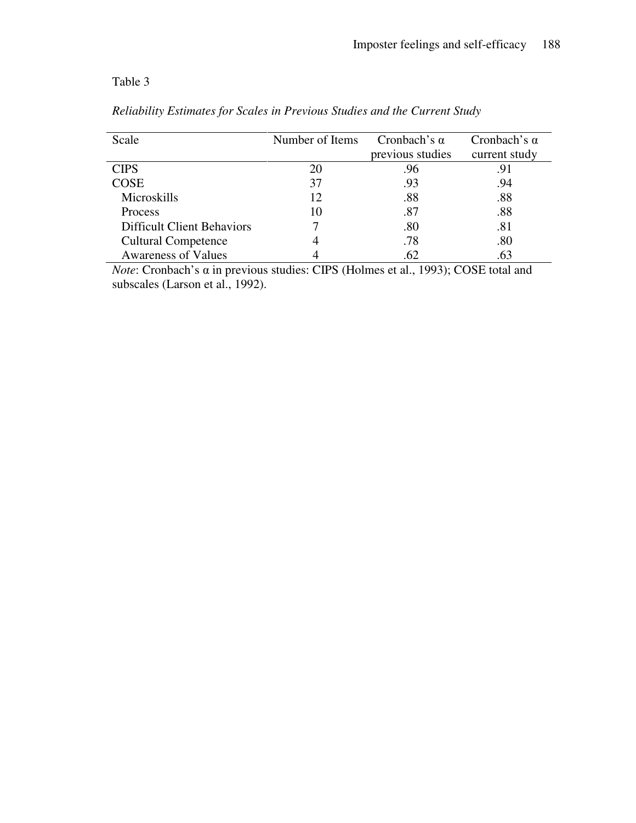| Scale                             | Number of Items | Cronbach's $\alpha$ | Cronbach's $\alpha$ |
|-----------------------------------|-----------------|---------------------|---------------------|
|                                   |                 | previous studies    | current study       |
| <b>CIPS</b>                       | 20              | .96                 | .91                 |
| <b>COSE</b>                       | 37              | .93                 | .94                 |
| Microskills                       | 12              | .88                 | .88                 |
| <b>Process</b>                    |                 | .87                 | .88                 |
| <b>Difficult Client Behaviors</b> |                 | .80                 | .81                 |
| <b>Cultural Competence</b>        |                 | .78                 | .80                 |
| <b>Awareness of Values</b>        |                 |                     | .63                 |

*Reliability Estimates for Scales in Previous Studies and the Current Study* 

*Note*: Cronbach's α in previous studies: CIPS (Holmes et al., 1993); COSE total and subscales (Larson et al., 1992).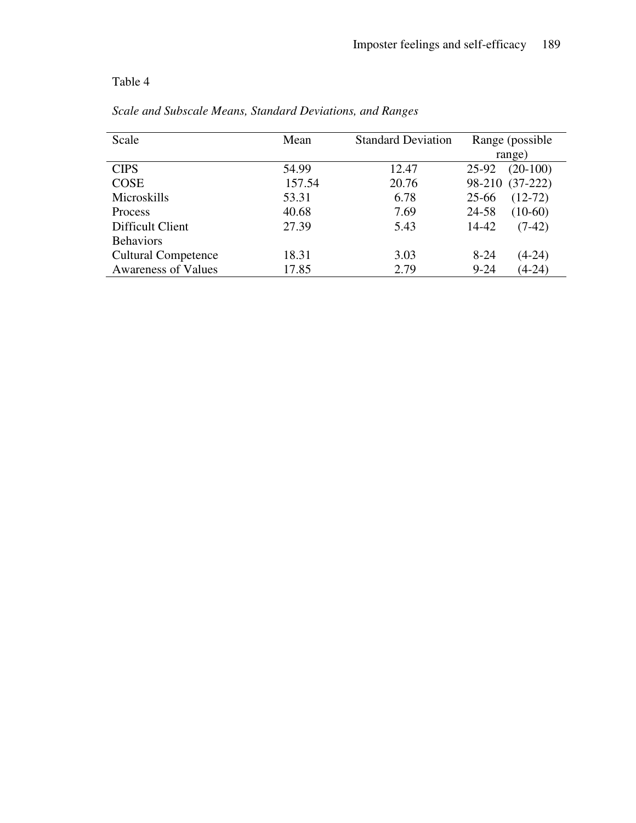| Scale<br>Mean              |        | <b>Standard Deviation</b> | Range (possible)<br>range) |  |  |
|----------------------------|--------|---------------------------|----------------------------|--|--|
| <b>CIPS</b>                | 54.99  | 12.47                     | $(20-100)$<br>25-92        |  |  |
| <b>COSE</b>                | 157.54 | 20.76                     | 98-210 (37-222)            |  |  |
| <b>Microskills</b>         | 53.31  | 6.78                      | $(12-72)$<br>25-66         |  |  |
| Process                    | 40.68  | 7.69                      | 24-58<br>$(10-60)$         |  |  |
| Difficult Client           | 27.39  | 5.43                      | 14-42<br>$(7-42)$          |  |  |
| <b>Behaviors</b>           |        |                           |                            |  |  |
| <b>Cultural Competence</b> | 18.31  | 3.03                      | $8 - 24$<br>$(4-24)$       |  |  |
| <b>Awareness of Values</b> | 17.85  | 2.79                      | $(4-24)$<br>$9 - 24$       |  |  |

*Scale and Subscale Means, Standard Deviations, and Ranges*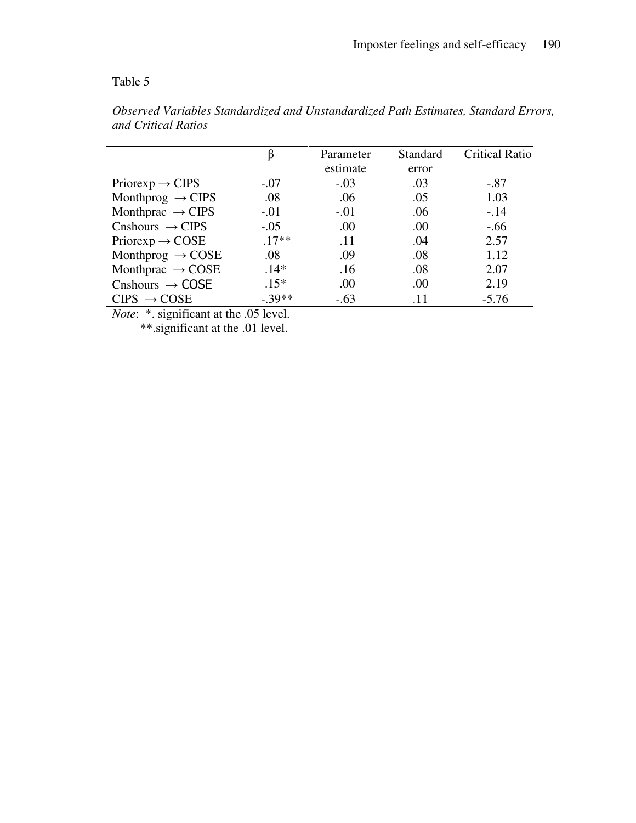|                              |         | Parameter<br>estimate | Standard<br>error | <b>Critical Ratio</b> |
|------------------------------|---------|-----------------------|-------------------|-----------------------|
| $Priorexp \rightarrow CIPS$  | $-.07$  | $-.03$                | .03               | $-.87$                |
| Monthprog $\rightarrow$ CIPS | .08     | .06                   | .05               | 1.03                  |
| Monthprac $\rightarrow$ CIPS | $-.01$  | $-.01$                | .06               | $-.14$                |
| Cnshours $\rightarrow$ CIPS  | $-.05$  | .00                   | .00               | $-.66$                |
| Priorexp $\rightarrow$ COSE  | $.17**$ | .11                   | .04               | 2.57                  |
| Monthprog $\rightarrow$ COSE | .08     | .09                   | .08               | 1.12                  |
| Monthprac $\rightarrow$ COSE | $.14*$  | .16                   | .08               | 2.07                  |
| Cnshours $\rightarrow$ COSE  | $.15*$  | .00                   | .00               | 2.19                  |
| $CIPS \rightarrow COSE$      | $-39**$ | $-.63$                | .11               | $-5.76$               |

*Observed Variables Standardized and Unstandardized Path Estimates, Standard Errors, and Critical Ratios* 

*Note*: \*. significant at the .05 level.

\*\*.significant at the .01 level.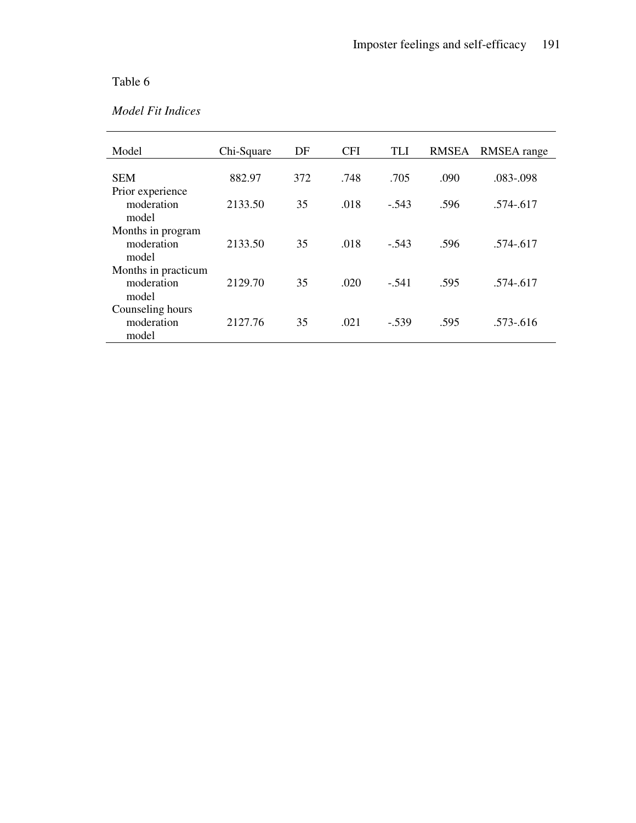## *Model Fit Indices*

| Model                                      | Chi-Square | DF  | <b>CFI</b> | TLI     | <b>RMSEA</b> | RMSEA range  |
|--------------------------------------------|------------|-----|------------|---------|--------------|--------------|
| <b>SEM</b>                                 | 882.97     | 372 | .748       | .705    | .090         | .083-.098    |
| Prior experience<br>moderation<br>model    | 2133.50    | 35  | .018       | $-543$  | .596         | .574-.617    |
| Months in program<br>moderation<br>model   | 2133.50    | 35  | .018       | $-543$  | .596         | .574-.617    |
| Months in practicum<br>moderation<br>model | 2129.70    | 35  | .020       | $-541$  | .595         | .574-.617    |
| Counseling hours<br>moderation<br>model    | 2127.76    | 35  | .021       | $-.539$ | .595         | $.573 - 616$ |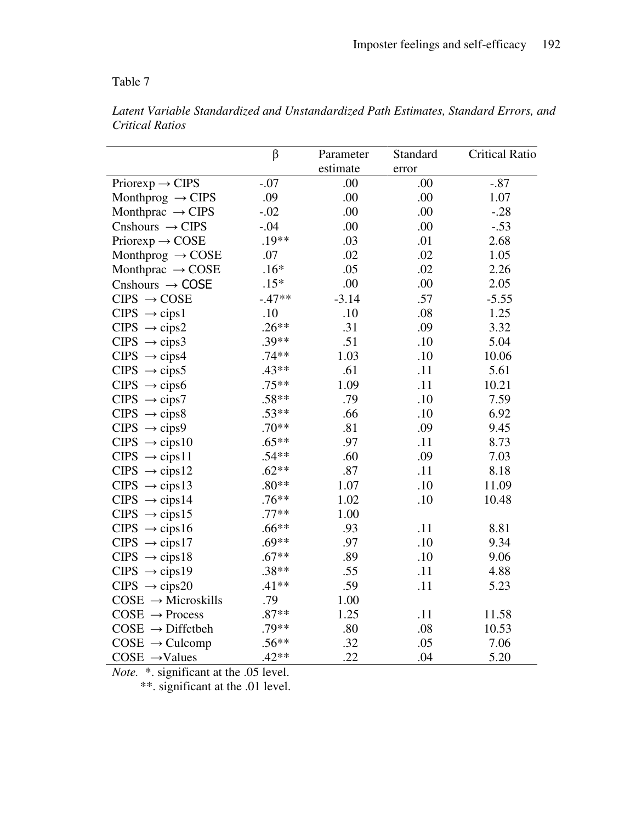|                              | $\beta$  | Parameter | Standard | <b>Critical Ratio</b> |
|------------------------------|----------|-----------|----------|-----------------------|
|                              |          | estimate  | error    |                       |
| Priorexp $\rightarrow$ CIPS  | $-.07$   | .00       | .00      | $-.87$                |
| Monthprog $\rightarrow$ CIPS | .09      | .00       | .00      | 1.07                  |
| Monthprac $\rightarrow$ CIPS | $-.02$   | .00       | .00      | $-.28$                |
| Cnshours $\rightarrow$ CIPS  | $-.04$   | .00       | .00      | $-.53$                |
| Priorexp $\rightarrow$ COSE  | .19**    | .03       | .01      | 2.68                  |
| Monthprog $\rightarrow$ COSE | .07      | .02       | .02      | 1.05                  |
| Monthprac $\rightarrow$ COSE | $.16*$   | .05       | .02      | 2.26                  |
| Cnshours $\rightarrow$ COSE  | $.15*$   | .00       | .00      | 2.05                  |
| $CIPS \rightarrow COSE$      | $-.47**$ | $-3.14$   | .57      | $-5.55$               |
| $CIPS \rightarrow cips1$     | .10      | .10       | .08      | 1.25                  |
| $CIPS \rightarrow cips2$     | $.26**$  | .31       | .09      | 3.32                  |
| $CIPS \rightarrow cips3$     | $.39**$  | .51       | .10      | 5.04                  |
| $CIPS \rightarrow cips4$     | $.74**$  | 1.03      | .10      | 10.06                 |
| $CIPS \rightarrow cips5$     | $.43**$  | .61       | .11      | 5.61                  |
| $CIPS \rightarrow cips6$     | $.75***$ | 1.09      | .11      | 10.21                 |
| $CIPS \rightarrow cips7$     | $.58**$  | .79       | .10      | 7.59                  |
| $CIPS \rightarrow cips8$     | $.53**$  | .66       | .10      | 6.92                  |
| $CIPS \rightarrow cips9$     | $.70**$  | .81       | .09      | 9.45                  |
| $CIPS \rightarrow cips10$    | $.65***$ | .97       | .11      | 8.73                  |
| $CIPS \rightarrow cips11$    | $.54**$  | .60       | .09      | 7.03                  |
| $CIPS \rightarrow cips12$    | $.62**$  | .87       | .11      | 8.18                  |
| $CIPS \rightarrow cips13$    | $.80**$  | 1.07      | .10      | 11.09                 |
| $CIPS \rightarrow cips14$    | $.76**$  | 1.02      | .10      | 10.48                 |
| $CIPS \rightarrow cips15$    | $.77**$  | 1.00      |          |                       |
| $CIPS \rightarrow cips16$    | $.66**$  | .93       | .11      | 8.81                  |
| $CIPS \rightarrow cips17$    | $.69**$  | .97       | .10      | 9.34                  |
| $CIPS \rightarrow cips18$    | $.67**$  | .89       | .10      | 9.06                  |
| $CIPS \rightarrow cips19$    | $.38**$  | .55       | .11      | 4.88                  |
| $CIPS \rightarrow cips20$    | $.41**$  | .59       | .11      | 5.23                  |
| $COSE \rightarrow Microsoft$ | .79      | 1.00      |          |                       |
| $COSE \rightarrow Process$   | $.87**$  | 1.25      | .11      | 11.58                 |
| $COSE \rightarrow Diffctbeh$ | $.79**$  | .80       | .08      | 10.53                 |
| $COSE \rightarrow Culcomp$   | $.56**$  | .32       | .05      | 7.06                  |
| $COSE \rightarrow Values$    | $.42**$  | .22       | .04      | 5.20                  |

*Latent Variable Standardized and Unstandardized Path Estimates, Standard Errors, and Critical Ratios* 

*Note.* \*. significant at the .05 level.

\*\*. significant at the .01 level.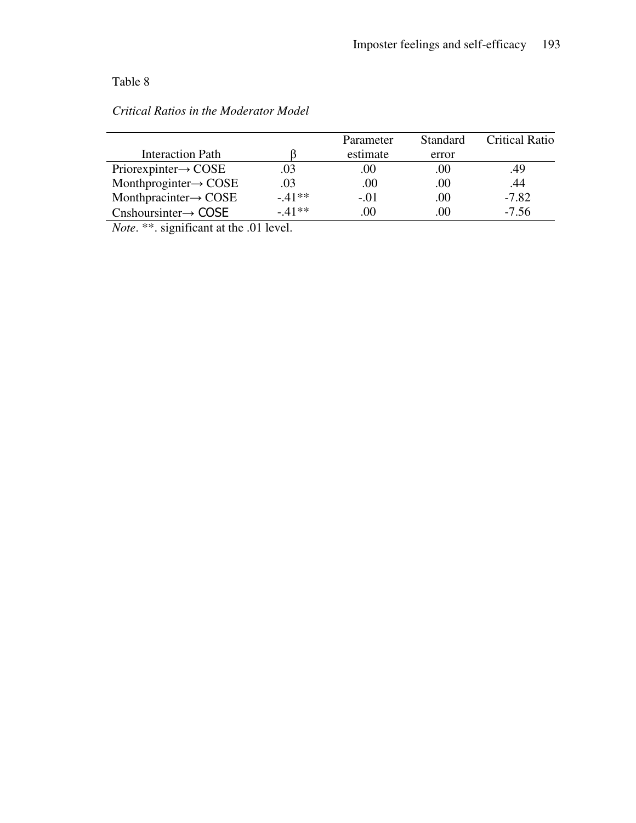|                                   |         | Parameter | Standard | <b>Critical Ratio</b> |
|-----------------------------------|---------|-----------|----------|-----------------------|
| <b>Interaction Path</b>           |         | estimate  | error    |                       |
| $Priorexpinter \rightarrow COSE$  | .03     | .00       | .00      | .49                   |
| Monthproginter $\rightarrow$ COSE | .03     | .00       | .00      | .44                   |
| Monthpracinter $\rightarrow$ COSE | $-41**$ | $-.01$    | .00      | $-7.82$               |
| $Chshoursinter \rightarrow COSE$  | $-41**$ | 00        | .00      | $-7.56$               |

## *Critical Ratios in the Moderator Model*

*Note*. \*\*. significant at the .01 level.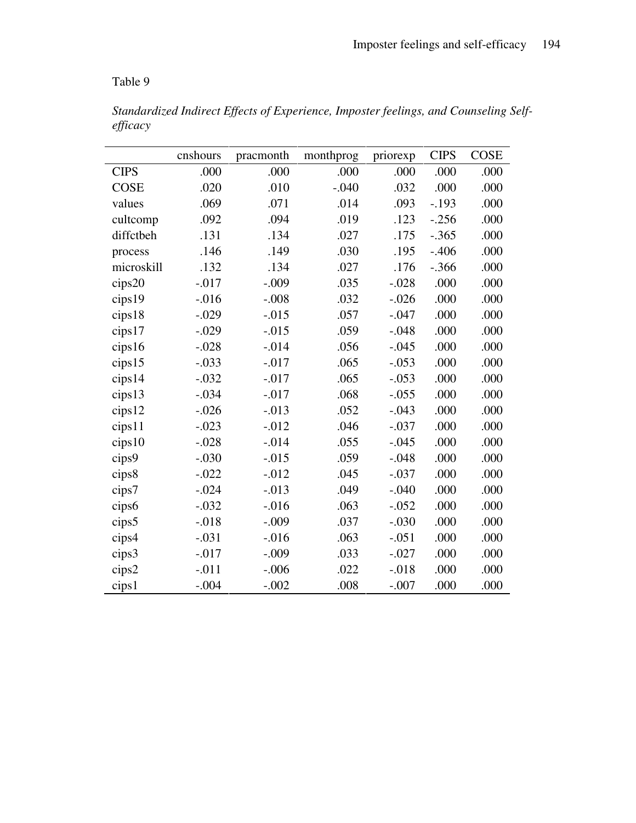|             | cnshours | pracmonth | monthprog | priorexp | <b>CIPS</b> | <b>COSE</b> |
|-------------|----------|-----------|-----------|----------|-------------|-------------|
| <b>CIPS</b> | .000     | .000      | .000      | .000     | .000        | .000        |
| <b>COSE</b> | .020     | .010      | $-.040$   | .032     | .000        | .000        |
| values      | .069     | .071      | .014      | .093     | $-.193$     | .000        |
| cultcomp    | .092     | .094      | .019      | .123     | $-.256$     | .000        |
| diffctbeh   | .131     | .134      | .027      | .175     | $-.365$     | .000        |
| process     | .146     | .149      | .030      | .195     | $-.406$     | .000        |
| microskill  | .132     | .134      | .027      | .176     | $-.366$     | .000        |
| cips20      | $-0.017$ | $-.009$   | .035      | $-.028$  | .000        | .000        |
| cips19      | $-0.016$ | $-.008$   | .032      | $-.026$  | .000        | .000        |
| cips18      | $-.029$  | $-.015$   | .057      | $-.047$  | .000        | .000        |
| cips17      | $-.029$  | $-.015$   | .059      | $-.048$  | .000        | .000        |
| cips16      | $-.028$  | $-.014$   | .056      | $-.045$  | .000        | .000        |
| cips15      | $-.033$  | $-.017$   | .065      | $-.053$  | .000        | .000        |
| cips14      | $-.032$  | $-.017$   | .065      | $-.053$  | .000        | .000        |
| cips13      | $-.034$  | $-.017$   | .068      | $-.055$  | .000        | .000        |
| cips12      | $-.026$  | $-.013$   | .052      | $-.043$  | .000        | .000        |
| cips11      | $-.023$  | $-.012$   | .046      | $-.037$  | .000        | .000        |
| cips10      | $-.028$  | $-0.014$  | .055      | $-.045$  | .000        | .000        |
| cips9       | $-.030$  | $-.015$   | .059      | $-.048$  | .000        | .000        |
| cips8       | $-.022$  | $-0.012$  | .045      | $-.037$  | .000        | .000        |
| cips7       | $-.024$  | $-.013$   | .049      | $-.040$  | .000        | .000        |
| cips6       | $-.032$  | $-0.016$  | .063      | $-.052$  | .000        | .000        |
| cips5       | $-0.018$ | $-.009$   | .037      | $-.030$  | .000        | .000        |
| cips4       | $-.031$  | $-0.016$  | .063      | $-.051$  | .000        | .000        |
| cips3       | $-0.017$ | $-.009$   | .033      | $-.027$  | .000        | .000        |
| cips2       | $-.011$  | $-.006$   | .022      | $-.018$  | .000        | .000        |
| cips1       | $-.004$  | $-.002$   | .008      | $-.007$  | .000        | .000        |

*Standardized Indirect Effects of Experience, Imposter feelings, and Counseling Selfefficacy*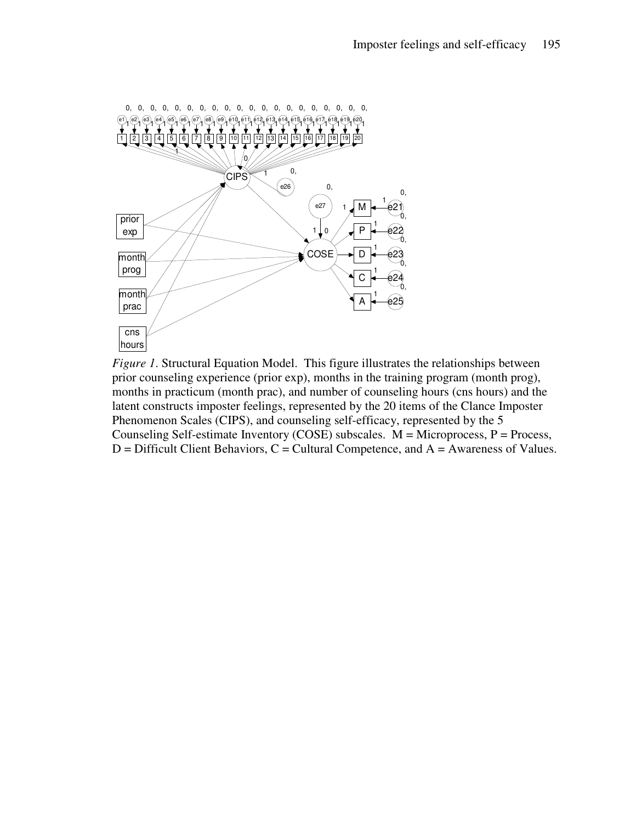

*Figure 1*. Structural Equation Model. This figure illustrates the relationships between prior counseling experience (prior exp), months in the training program (month prog), months in practicum (month prac), and number of counseling hours (cns hours) and the latent constructs imposter feelings, represented by the 20 items of the Clance Imposter Phenomenon Scales (CIPS), and counseling self-efficacy, represented by the 5 Counseling Self-estimate Inventory (COSE) subscales.  $M =$ Microprocess, P = Process,  $D =$  Difficult Client Behaviors,  $C =$  Cultural Competence, and  $A =$  Awareness of Values.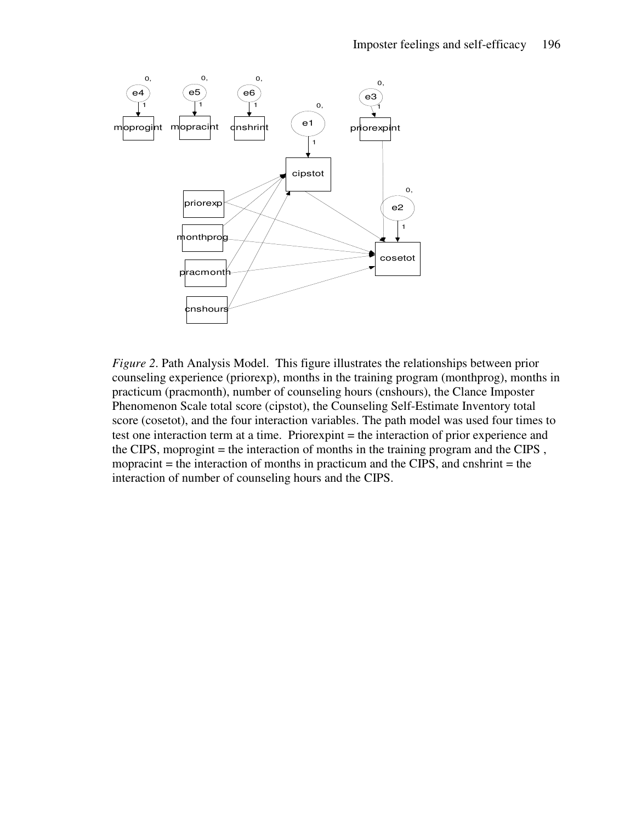

*Figure 2*. Path Analysis Model. This figure illustrates the relationships between prior counseling experience (priorexp), months in the training program (monthprog), months in practicum (pracmonth), number of counseling hours (cnshours), the Clance Imposter Phenomenon Scale total score (cipstot), the Counseling Self-Estimate Inventory total score (cosetot), and the four interaction variables. The path model was used four times to test one interaction term at a time. Priorexpint = the interaction of prior experience and the CIPS, moprogint = the interaction of months in the training program and the CIPS , mopracint  $=$  the interaction of months in practicum and the CIPS, and cnshrint  $=$  the interaction of number of counseling hours and the CIPS.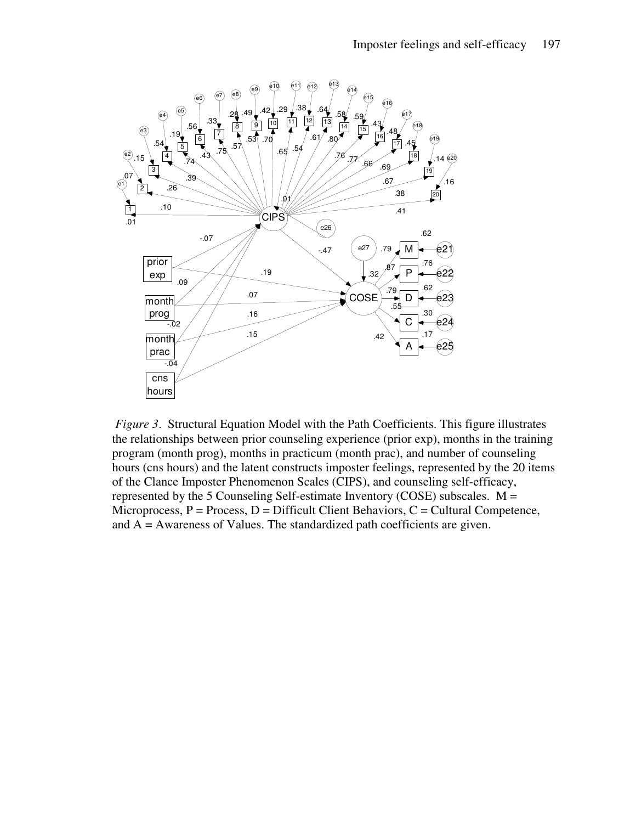

*Figure 3.* Structural Equation Model with the Path Coefficients. This figure illustrates the relationships between prior counseling experience (prior exp), months in the training program (month prog), months in practicum (month prac), and number of counseling hours (cns hours) and the latent constructs imposter feelings, represented by the 20 items of the Clance Imposter Phenomenon Scales (CIPS), and counseling self-efficacy, represented by the 5 Counseling Self-estimate Inventory (COSE) subscales.  $M =$ Microprocess,  $P = Process$ ,  $D = Difficult Client Behavior$ ,  $C = Cultural Conference$ , and  $A =$  Awareness of Values. The standardized path coefficients are given.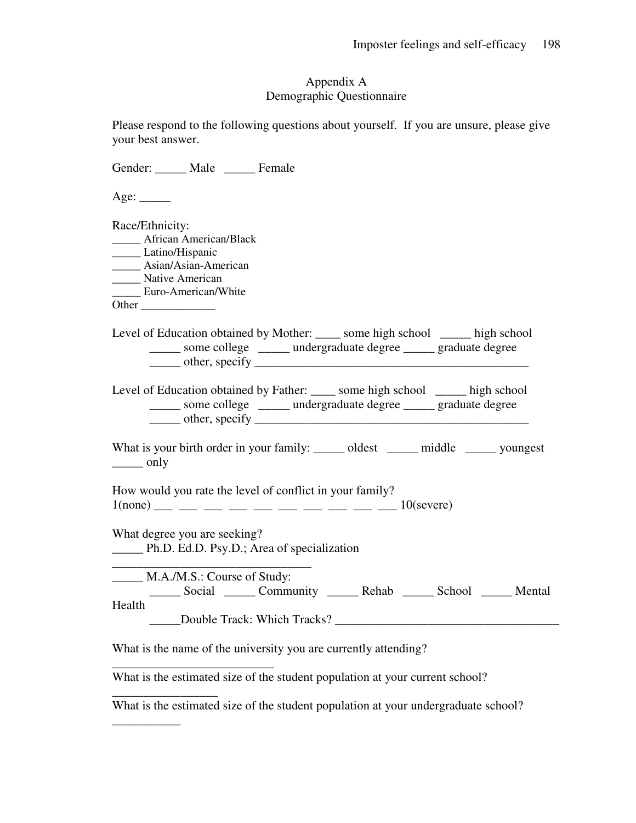### Appendix A Demographic Questionnaire

Please respond to the following questions about yourself. If you are unsure, please give your best answer.

Gender: \_\_\_\_\_\_ Male \_\_\_\_\_\_ Female  $Age:$ Race/Ethnicity: \_\_\_\_\_ African American/Black \_\_\_\_\_ Latino/Hispanic \_\_\_\_\_ Asian/Asian-American \_\_\_\_\_ Native American \_\_\_\_\_ Euro-American/White Other  $\Box$ Level of Education obtained by Mother: \_\_\_\_\_ some high school \_\_\_\_\_\_ high school \_\_\_\_\_ some college \_\_\_\_\_ undergraduate degree \_\_\_\_\_ graduate degree  $\frac{\text{other}}{\text{other}}$ , specify  $\frac{\text{other}}{\text{other}}$ Level of Education obtained by Father: \_\_\_\_\_ some high school \_\_\_\_\_\_ high school \_\_\_\_\_ some college \_\_\_\_\_ undergraduate degree \_\_\_\_\_ graduate degree  $\frac{1}{\sqrt{2}}$  other, specify  $\frac{1}{\sqrt{2}}$  other, specify  $\frac{1}{\sqrt{2}}$ What is your birth order in your family: \_\_\_\_\_\_ oldest \_\_\_\_\_\_ middle \_\_\_\_\_\_ youngest  $\frac{1}{\sqrt{2}}$  only How would you rate the level of conflict in your family?  $1(\text{none})$  \_\_\_ \_\_ \_\_ \_\_ \_\_ \_\_ \_\_ \_\_ \_\_ \_\_ \_\_ \_\_ 10(severe) What degree you are seeking? \_\_\_\_\_ Ph.D. Ed.D. Psy.D.; Area of specialization \_\_\_\_\_\_\_\_\_\_\_\_\_\_\_\_\_\_\_\_\_\_\_\_\_\_\_\_\_\_\_\_ \_\_\_\_\_ M.A./M.S.: Course of Study: \_\_\_\_\_ Social \_\_\_\_\_ Community \_\_\_\_\_ Rehab \_\_\_\_\_ School \_\_\_\_\_ Mental Health \_\_\_\_\_Double Track: Which Tracks? \_\_\_\_\_\_\_\_\_\_\_\_\_\_\_\_\_\_\_\_\_\_\_\_\_\_\_\_\_\_\_\_\_\_\_\_ What is the name of the university you are currently attending? \_\_\_\_\_\_\_\_\_\_\_\_\_\_\_\_\_\_\_\_\_\_\_\_\_\_ What is the estimated size of the student population at your current school? \_\_\_\_\_\_\_\_\_\_\_\_\_\_\_\_\_ What is the estimated size of the student population at your undergraduate school? \_\_\_\_\_\_\_\_\_\_\_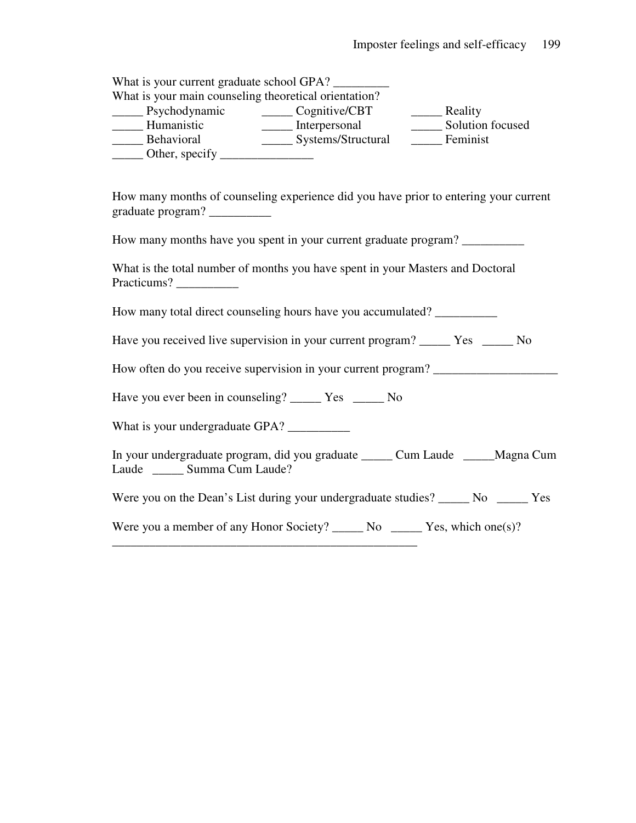| What is your current graduate school GPA?                                                                             |                       |                                                                                    |
|-----------------------------------------------------------------------------------------------------------------------|-----------------------|------------------------------------------------------------------------------------|
| What is your main counseling theoretical orientation?                                                                 |                       |                                                                                    |
| Psychodynamic Cognitive/CBT                                                                                           |                       |                                                                                    |
|                                                                                                                       | _______ Interpersonal | ______ Solution focused                                                            |
| ______ Behavioral _________________ Systems/Structural _________ Feminist                                             |                       |                                                                                    |
| $\frac{1}{2}$ Other, specify $\frac{1}{2}$                                                                            |                       |                                                                                    |
|                                                                                                                       |                       |                                                                                    |
| How many months of counseling experience did you have prior to entering your current<br>graduate program? ___________ |                       |                                                                                    |
| How many months have you spent in your current graduate program?                                                      |                       |                                                                                    |
| What is the total number of months you have spent in your Masters and Doctoral<br>Practicums?                         |                       |                                                                                    |
| How many total direct counseling hours have you accumulated?                                                          |                       |                                                                                    |
| Have you received live supervision in your current program? _______ Yes _______ No                                    |                       |                                                                                    |
|                                                                                                                       |                       | How often do you receive supervision in your current program?                      |
| Have you ever been in counseling? ________ Yes ________ No                                                            |                       |                                                                                    |
| What is your undergraduate GPA?                                                                                       |                       |                                                                                    |
| Laude _______ Summa Cum Laude?                                                                                        |                       | In your undergraduate program, did you graduate _______ Cum Laude ______ Magna Cum |
| Were you on the Dean's List during your undergraduate studies? ______ No ______ Yes                                   |                       |                                                                                    |
| Were you a member of any Honor Society? _______ No ________ Yes, which one(s)?                                        |                       |                                                                                    |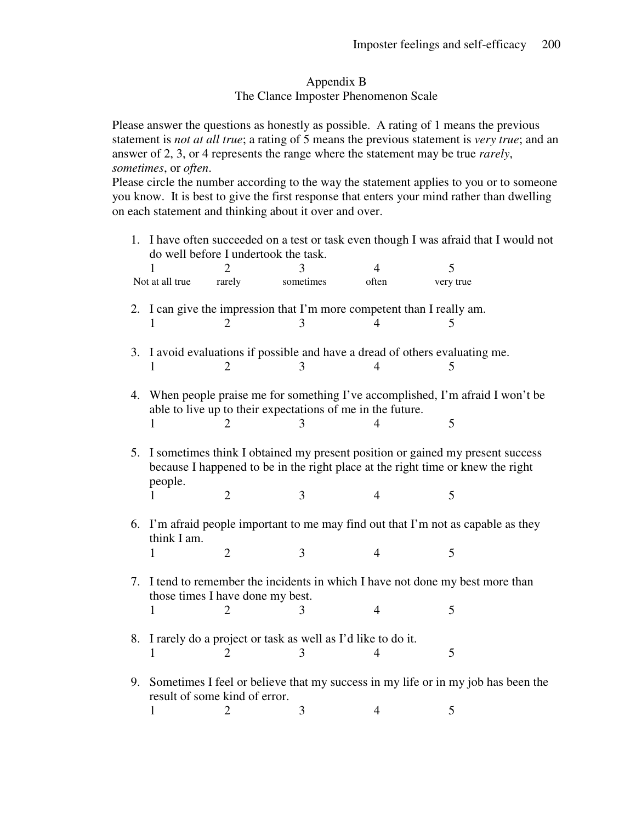### Appendix B The Clance Imposter Phenomenon Scale

Please answer the questions as honestly as possible. A rating of 1 means the previous statement is *not at all true*; a rating of 5 means the previous statement is *very true*; and an answer of 2, 3, or 4 represents the range where the statement may be true *rarely*, *sometimes*, or *often*.

Please circle the number according to the way the statement applies to you or to someone you know. It is best to give the first response that enters your mind rather than dwelling on each statement and thinking about it over and over.

1. I have often succeeded on a test or task even though I was afraid that I would not do well before I undertook the task.  $1 \t 2 \t 3 \t 4 \t 5$ Not at all true rarely sometimes often very true 2. I can give the impression that I'm more competent than I really am.  $1 \t 2 \t 3 \t 4 \t 5$ 3. I avoid evaluations if possible and have a dread of others evaluating me.  $1 \t 2 \t 3 \t 4 \t 5$ 4. When people praise me for something I've accomplished, I'm afraid I won't be able to live up to their expectations of me in the future.  $1 \t 2 \t 3 \t 4 \t 5$ 5. I sometimes think I obtained my present position or gained my present success because I happened to be in the right place at the right time or knew the right people.  $1 \t 2 \t 3 \t 4 \t 5$ 6. I'm afraid people important to me may find out that I'm not as capable as they think I am.  $1 \t 2 \t 3 \t 4 \t 5$ 7. I tend to remember the incidents in which I have not done my best more than those times I have done my best.  $1 \t 2 \t 3 \t 4 \t 5$ 8. I rarely do a project or task as well as I'd like to do it.  $1 \t 2 \t 3 \t 4 \t 5$ 9. Sometimes I feel or believe that my success in my life or in my job has been the result of some kind of error.  $1 \t 2 \t 3 \t 4 \t 5$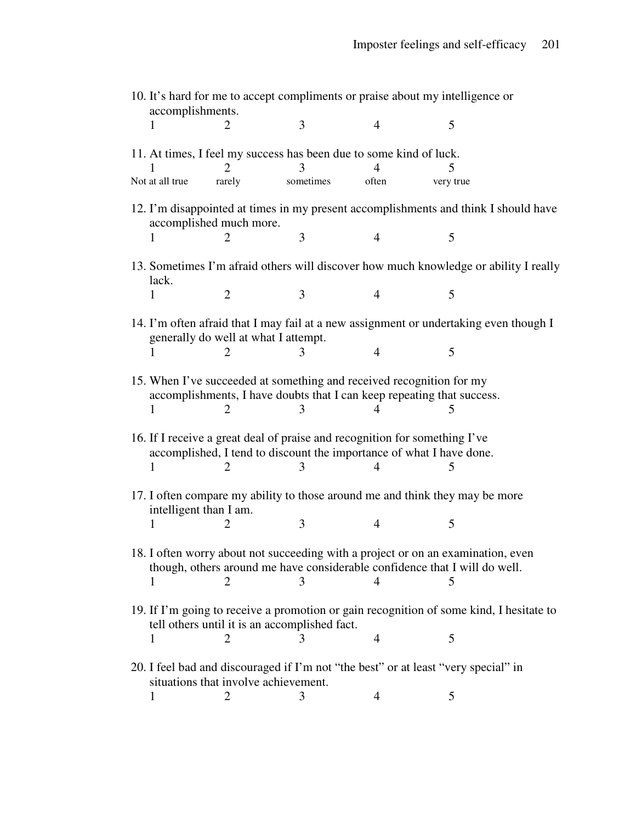|                         |                                               | 10. It's hard for me to accept compliments or praise about my intelligence or                                                                       |                |                                                                                                                                                                     |
|-------------------------|-----------------------------------------------|-----------------------------------------------------------------------------------------------------------------------------------------------------|----------------|---------------------------------------------------------------------------------------------------------------------------------------------------------------------|
| accomplishments.<br>1   | 2                                             | 3                                                                                                                                                   | 4              | 5                                                                                                                                                                   |
|                         |                                               | 11. At times, I feel my success has been due to some kind of luck.                                                                                  |                |                                                                                                                                                                     |
|                         |                                               |                                                                                                                                                     |                | 5                                                                                                                                                                   |
| Not at all true         | rarely                                        | sometimes                                                                                                                                           | often          | very true                                                                                                                                                           |
| accomplished much more. |                                               |                                                                                                                                                     |                | 12. I'm disappointed at times in my present accomplishments and think I should have                                                                                 |
| 1                       | 2                                             | 3                                                                                                                                                   | $\overline{4}$ | 5                                                                                                                                                                   |
| lack.                   |                                               |                                                                                                                                                     |                | 13. Sometimes I'm afraid others will discover how much knowledge or ability I really                                                                                |
| 1                       | $\overline{2}$                                | 3                                                                                                                                                   | $\overline{4}$ | 5                                                                                                                                                                   |
|                         | generally do well at what I attempt.          |                                                                                                                                                     |                | 14. I'm often afraid that I may fail at a new assignment or undertaking even though I                                                                               |
| 1                       |                                               | 3                                                                                                                                                   | $\overline{4}$ | 5                                                                                                                                                                   |
| 1                       | 2                                             | 15. When I've succeeded at something and received recognition for my<br>accomplishments, I have doubts that I can keep repeating that success.<br>3 | 4              | 5                                                                                                                                                                   |
|                         |                                               | 16. If I receive a great deal of praise and recognition for something I've<br>accomplished, I tend to discount the importance of what I have done.  | 4              | 5                                                                                                                                                                   |
| intelligent than I am.  |                                               |                                                                                                                                                     |                | 17. I often compare my ability to those around me and think they may be more                                                                                        |
| $\mathbf{1}$            | 2                                             | 3                                                                                                                                                   | $\overline{4}$ | 5                                                                                                                                                                   |
|                         | 2                                             | 3                                                                                                                                                   | 4              | 18. I often worry about not succeeding with a project or on an examination, even<br>though, others around me have considerable confidence that I will do well.<br>5 |
|                         | tell others until it is an accomplished fact. |                                                                                                                                                     |                | 19. If I'm going to receive a promotion or gain recognition of some kind, I hesitate to                                                                             |
|                         |                                               | 3                                                                                                                                                   | 4              | 5                                                                                                                                                                   |
|                         | situations that involve achievement.          |                                                                                                                                                     |                | 20. I feel bad and discouraged if I'm not "the best" or at least "very special" in                                                                                  |
| 1                       | 2                                             | 3                                                                                                                                                   | 4              | 5                                                                                                                                                                   |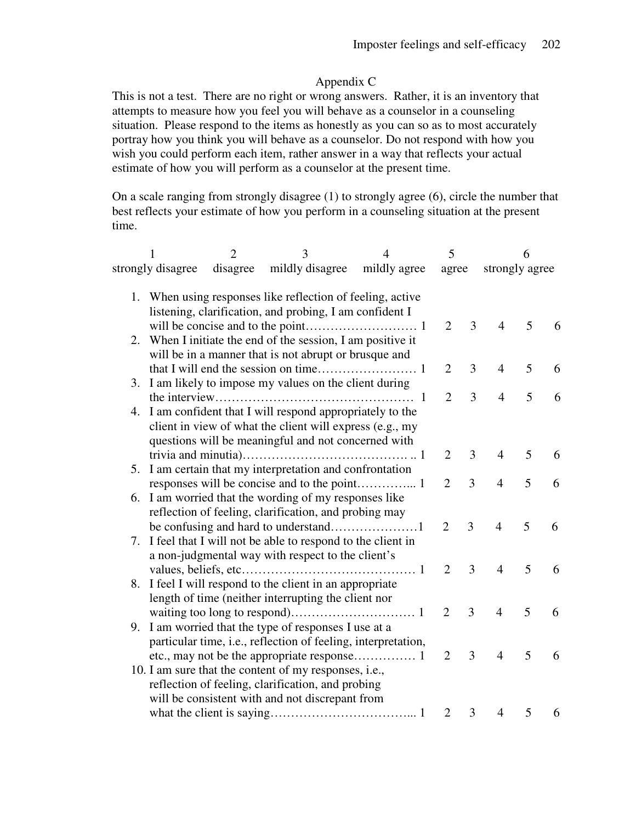### Appendix C

This is not a test. There are no right or wrong answers. Rather, it is an inventory that attempts to measure how you feel you will behave as a counselor in a counseling situation. Please respond to the items as honestly as you can so as to most accurately portray how you think you will behave as a counselor. Do not respond with how you wish you could perform each item, rather answer in a way that reflects your actual estimate of how you will perform as a counselor at the present time.

On a scale ranging from strongly disagree (1) to strongly agree (6), circle the number that best reflects your estimate of how you perform in a counseling situation at the present time.

|    | 1                 | $\overline{2}$ | 3                                                                                                                     | $\overline{4}$ | 5              |                |                          | 6 |   |
|----|-------------------|----------------|-----------------------------------------------------------------------------------------------------------------------|----------------|----------------|----------------|--------------------------|---|---|
|    | strongly disagree | disagree       | mildly disagree                                                                                                       | mildly agree   | agree          |                | strongly agree           |   |   |
|    |                   |                | 1. When using responses like reflection of feeling, active<br>listening, clarification, and probing, I am confident I |                |                |                |                          |   |   |
|    |                   |                |                                                                                                                       |                | $\overline{2}$ | 3              | $\overline{4}$           | 5 | 6 |
| 2. |                   |                | When I initiate the end of the session, I am positive it<br>will be in a manner that is not abrupt or brusque and     |                |                |                |                          |   |   |
|    |                   |                |                                                                                                                       |                | $\overline{2}$ | 3              | $\overline{4}$           | 5 | 6 |
| 3. |                   |                | I am likely to impose my values on the client during                                                                  |                |                |                |                          |   |   |
|    |                   |                |                                                                                                                       |                | $\overline{2}$ | 3              | $\overline{\mathcal{A}}$ | 5 | 6 |
|    |                   |                | 4. I am confident that I will respond appropriately to the                                                            |                |                |                |                          |   |   |
|    |                   |                | client in view of what the client will express (e.g., my<br>questions will be meaningful and not concerned with       |                |                |                |                          |   |   |
|    |                   |                |                                                                                                                       |                | $\overline{2}$ | 3              | $\overline{4}$           | 5 | 6 |
| 5. |                   |                | I am certain that my interpretation and confrontation                                                                 |                |                |                |                          |   |   |
|    |                   |                |                                                                                                                       |                | $\overline{2}$ | $\overline{3}$ | 4                        | 5 | 6 |
|    |                   |                | 6. I am worried that the wording of my responses like                                                                 |                |                |                |                          |   |   |
|    |                   |                | reflection of feeling, clarification, and probing may                                                                 |                |                |                |                          |   |   |
|    |                   |                |                                                                                                                       |                | $\overline{2}$ | $\overline{3}$ | $\overline{4}$           | 5 | 6 |
| 7. |                   |                | I feel that I will not be able to respond to the client in                                                            |                |                |                |                          |   |   |
|    |                   |                | a non-judgmental way with respect to the client's                                                                     |                |                |                |                          |   |   |
|    |                   |                |                                                                                                                       |                | $\overline{2}$ | 3              | $\overline{4}$           | 5 | 6 |
| 8. |                   |                | I feel I will respond to the client in an appropriate                                                                 |                |                |                |                          |   |   |
|    |                   |                | length of time (neither interrupting the client nor                                                                   |                |                |                |                          |   |   |
|    |                   |                |                                                                                                                       |                | $\overline{2}$ | 3              | $\overline{4}$           | 5 | 6 |
|    |                   |                | 9. I am worried that the type of responses I use at a                                                                 |                |                |                |                          |   |   |
|    |                   |                | particular time, i.e., reflection of feeling, interpretation,                                                         |                |                |                |                          |   |   |
|    |                   |                |                                                                                                                       |                | $\overline{2}$ | 3              | $\overline{4}$           | 5 | 6 |
|    |                   |                | 10. I am sure that the content of my responses, i.e.,                                                                 |                |                |                |                          |   |   |
|    |                   |                | reflection of feeling, clarification, and probing                                                                     |                |                |                |                          |   |   |
|    |                   |                | will be consistent with and not discrepant from                                                                       |                |                |                |                          |   |   |
|    |                   |                |                                                                                                                       |                | $\overline{2}$ | 3              | $\overline{4}$           | 5 | 6 |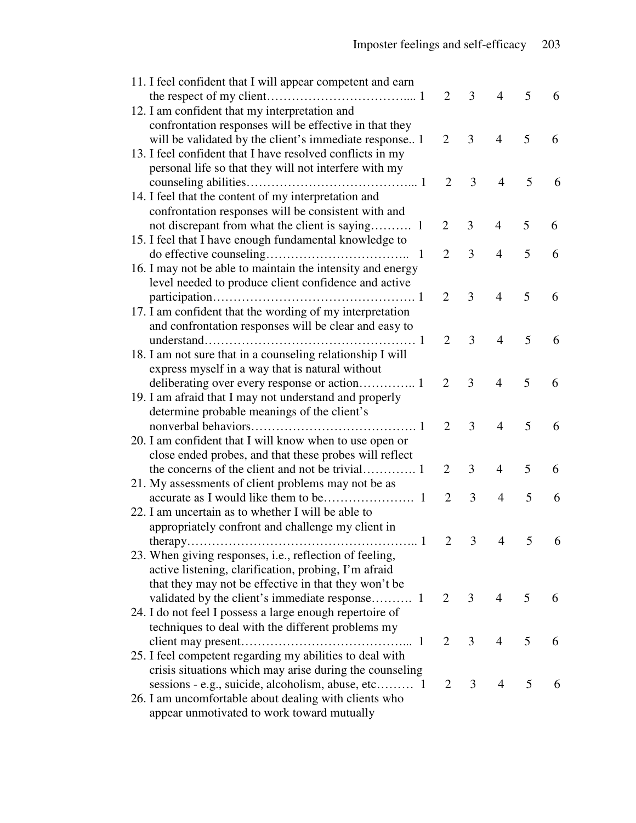| 11. I feel confident that I will appear competent and earn |                |                |                    |   |   |
|------------------------------------------------------------|----------------|----------------|--------------------|---|---|
|                                                            | 2              | 3              | 4                  | 5 | 6 |
| 12. I am confident that my interpretation and              |                |                |                    |   |   |
| confrontation responses will be effective in that they     |                |                |                    |   |   |
| will be validated by the client's immediate response 1     | 2              | 3              | $\overline{4}$     | 5 | 6 |
| 13. I feel confident that I have resolved conflicts in my  |                |                |                    |   |   |
| personal life so that they will not interfere with my      |                |                |                    |   |   |
|                                                            | 2              | 3              | $\overline{4}$     | 5 | 6 |
| 14. I feel that the content of my interpretation and       |                |                |                    |   |   |
| confrontation responses will be consistent with and        |                |                |                    |   |   |
| not discrepant from what the client is saying 1            | 2              | 3              | $\overline{4}$     | 5 | 6 |
| 15. I feel that I have enough fundamental knowledge to     |                |                |                    |   |   |
|                                                            | 2              | 3              | $\overline{4}$     | 5 | 6 |
| 16. I may not be able to maintain the intensity and energy |                |                |                    |   |   |
| level needed to produce client confidence and active       |                |                |                    |   |   |
|                                                            | $\overline{2}$ | 3              | $\overline{4}$     | 5 | 6 |
| 17. I am confident that the wording of my interpretation   |                |                |                    |   |   |
| and confrontation responses will be clear and easy to      |                |                |                    |   |   |
|                                                            | 2              | 3              | 4                  | 5 | 6 |
| 18. I am not sure that in a counseling relationship I will |                |                |                    |   |   |
| express myself in a way that is natural without            |                |                |                    |   |   |
|                                                            | $\overline{2}$ | 3              | 4                  | 5 | 6 |
| 19. I am afraid that I may not understand and properly     |                |                |                    |   |   |
| determine probable meanings of the client's                |                |                |                    |   |   |
|                                                            | $\overline{2}$ | 3              | 4                  | 5 | 6 |
| 20. I am confident that I will know when to use open or    |                |                |                    |   |   |
| close ended probes, and that these probes will reflect     |                |                |                    |   |   |
|                                                            | 2              | 3              | 4                  | 5 | 6 |
| 21. My assessments of client problems may not be as        |                |                |                    |   |   |
|                                                            | $\overline{2}$ | 3              | $\overline{4}$     | 5 | 6 |
| 22. I am uncertain as to whether I will be able to         |                |                |                    |   |   |
| appropriately confront and challenge my client in          |                |                |                    |   |   |
| . 1<br>therefore                                           | 2              |                | $3 \t 4 \t 5 \t 6$ |   |   |
| 23. When giving responses, i.e., reflection of feeling,    |                |                |                    |   |   |
| active listening, clarification, probing, I'm afraid       |                |                |                    |   |   |
| that they may not be effective in that they won't be       |                |                |                    |   |   |
|                                                            | $\overline{2}$ | $\mathfrak{Z}$ | $\overline{4}$     | 5 | 6 |
| 24. I do not feel I possess a large enough repertoire of   |                |                |                    |   |   |
| techniques to deal with the different problems my          |                |                |                    |   |   |
|                                                            | $\overline{2}$ | $\overline{3}$ | $\overline{4}$     | 5 | 6 |
| 25. I feel competent regarding my abilities to deal with   |                |                |                    |   |   |
| crisis situations which may arise during the counseling    |                |                |                    |   |   |
|                                                            | 2              | 3              | 4                  | 5 | 6 |
| 26. I am uncomfortable about dealing with clients who      |                |                |                    |   |   |
| appear unmotivated to work toward mutually                 |                |                |                    |   |   |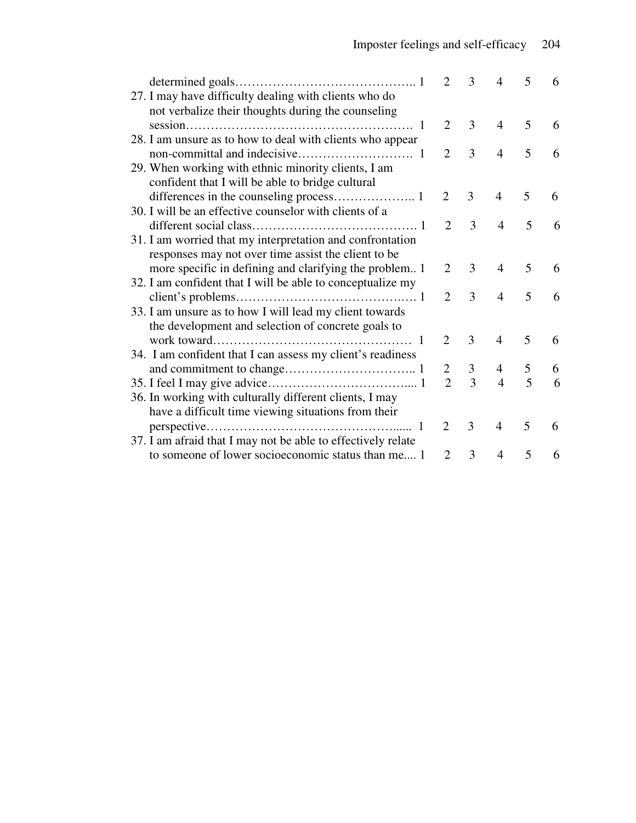| determined goals<br>. 1                                      | 2                           | 3                        | 4              | 5 | 6 |
|--------------------------------------------------------------|-----------------------------|--------------------------|----------------|---|---|
| 27. I may have difficulty dealing with clients who do        |                             |                          |                |   |   |
| not verbalize their thoughts during the counseling           |                             |                          |                |   |   |
|                                                              | $\mathcal{D}_{\mathcal{L}}$ | 3                        | 4              | 5 | 6 |
| 28. I am unsure as to how to deal with clients who appear    |                             |                          |                |   |   |
|                                                              | 2                           | 3                        | 4              | 5 | 6 |
| 29. When working with ethnic minority clients, I am          |                             |                          |                |   |   |
| confident that I will be able to bridge cultural             |                             |                          |                |   |   |
|                                                              | 2                           | 3                        | $\overline{4}$ | 5 | 6 |
| 30. I will be an effective counselor with clients of a       |                             |                          |                |   |   |
|                                                              | $\mathcal{D}_{\mathcal{L}}$ | 3                        | $\overline{4}$ | 5 | 6 |
| 31. I am worried that my interpretation and confrontation    |                             |                          |                |   |   |
| responses may not over time assist the client to be          |                             |                          |                |   |   |
| more specific in defining and clarifying the problem 1       | 2                           | 3                        | 4              | 5 | 6 |
| 32. I am confident that I will be able to conceptualize my   |                             |                          |                |   |   |
|                                                              | $\mathcal{D}_{\mathcal{L}}$ | 3                        | $\overline{4}$ | 5 | 6 |
| 33. I am unsure as to how I will lead my client towards      |                             |                          |                |   |   |
| the development and selection of concrete goals to           |                             |                          |                |   |   |
|                                                              | $\mathcal{D}_{\mathcal{L}}$ | 3                        | 4              | 5 | 6 |
| 34. I am confident that I can assess my client's readiness   |                             |                          |                |   |   |
|                                                              | 2                           | $\mathfrak{Z}$           | 4              | 5 | 6 |
|                                                              | $\overline{2}$              | $\overline{\mathcal{E}}$ | $\overline{4}$ | 5 | 6 |
| 36. In working with culturally different clients, I may      |                             |                          |                |   |   |
| have a difficult time viewing situations from their          |                             |                          |                |   |   |
|                                                              | 2                           | 3                        | $\overline{4}$ | 5 | 6 |
| 37. I am afraid that I may not be able to effectively relate |                             |                          |                |   |   |
| to someone of lower socioeconomic status than me 1           | 2                           | 3                        | 4              | 5 | 6 |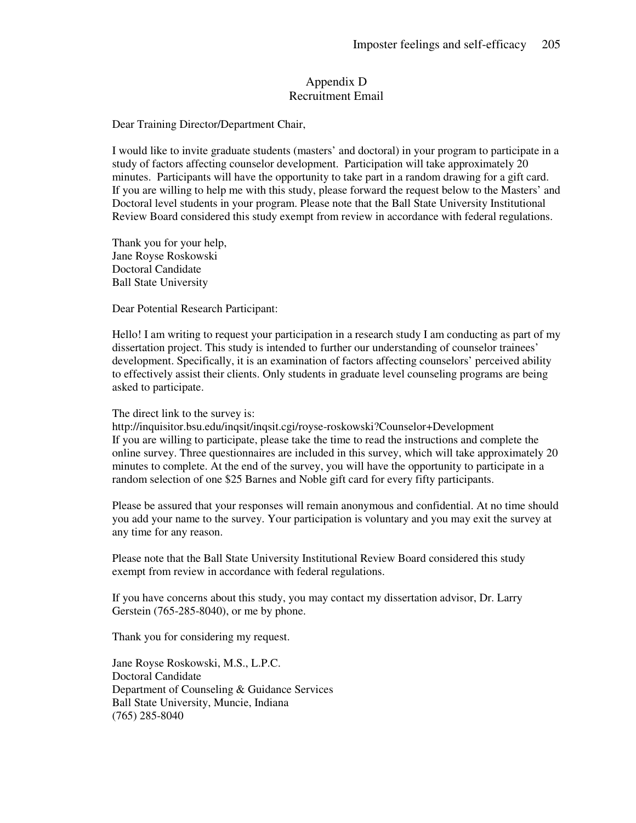## Appendix D Recruitment Email

Dear Training Director/Department Chair,

I would like to invite graduate students (masters' and doctoral) in your program to participate in a study of factors affecting counselor development. Participation will take approximately 20 minutes. Participants will have the opportunity to take part in a random drawing for a gift card. If you are willing to help me with this study, please forward the request below to the Masters' and Doctoral level students in your program. Please note that the Ball State University Institutional Review Board considered this study exempt from review in accordance with federal regulations.

Thank you for your help, Jane Royse Roskowski Doctoral Candidate Ball State University

Dear Potential Research Participant:

Hello! I am writing to request your participation in a research study I am conducting as part of my dissertation project. This study is intended to further our understanding of counselor trainees' development. Specifically, it is an examination of factors affecting counselors' perceived ability to effectively assist their clients. Only students in graduate level counseling programs are being asked to participate.

The direct link to the survey is:

http://inquisitor.bsu.edu/inqsit/inqsit.cgi/royse-roskowski?Counselor+Development If you are willing to participate, please take the time to read the instructions and complete the online survey. Three questionnaires are included in this survey, which will take approximately 20 minutes to complete. At the end of the survey, you will have the opportunity to participate in a random selection of one \$25 Barnes and Noble gift card for every fifty participants.

Please be assured that your responses will remain anonymous and confidential. At no time should you add your name to the survey. Your participation is voluntary and you may exit the survey at any time for any reason.

Please note that the Ball State University Institutional Review Board considered this study exempt from review in accordance with federal regulations.

If you have concerns about this study, you may contact my dissertation advisor, Dr. Larry Gerstein (765-285-8040), or me by phone.

Thank you for considering my request.

Jane Royse Roskowski, M.S., L.P.C. Doctoral Candidate Department of Counseling & Guidance Services Ball State University, Muncie, Indiana (765) 285-8040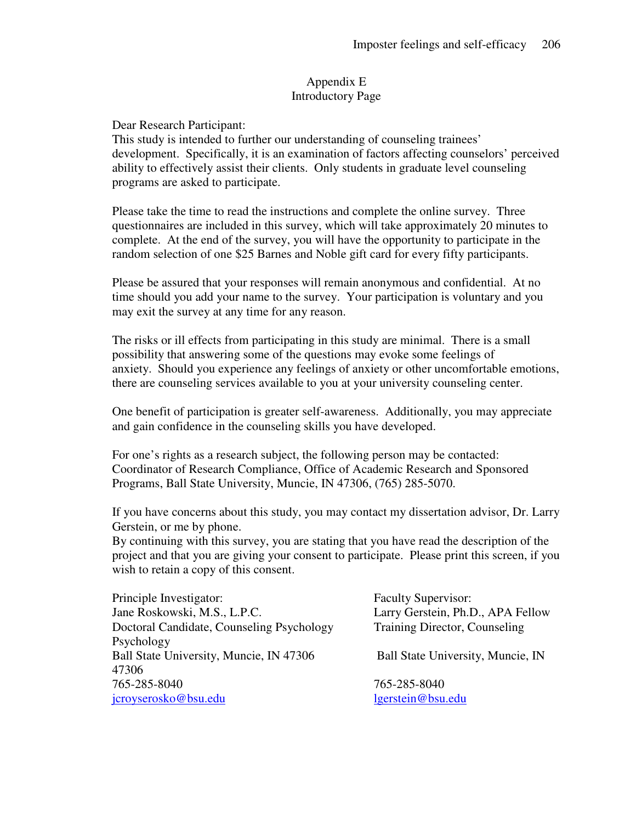## Appendix E Introductory Page

Dear Research Participant:

This study is intended to further our understanding of counseling trainees' development. Specifically, it is an examination of factors affecting counselors' perceived ability to effectively assist their clients. Only students in graduate level counseling programs are asked to participate.

Please take the time to read the instructions and complete the online survey. Three questionnaires are included in this survey, which will take approximately 20 minutes to complete. At the end of the survey, you will have the opportunity to participate in the random selection of one \$25 Barnes and Noble gift card for every fifty participants.

Please be assured that your responses will remain anonymous and confidential. At no time should you add your name to the survey. Your participation is voluntary and you may exit the survey at any time for any reason.

The risks or ill effects from participating in this study are minimal. There is a small possibility that answering some of the questions may evoke some feelings of anxiety. Should you experience any feelings of anxiety or other uncomfortable emotions, there are counseling services available to you at your university counseling center.

One benefit of participation is greater self-awareness. Additionally, you may appreciate and gain confidence in the counseling skills you have developed.

For one's rights as a research subject, the following person may be contacted: Coordinator of Research Compliance, Office of Academic Research and Sponsored Programs, Ball State University, Muncie, IN 47306, (765) 285-5070.

If you have concerns about this study, you may contact my dissertation advisor, Dr. Larry Gerstein, or me by phone.

By continuing with this survey, you are stating that you have read the description of the project and that you are giving your consent to participate. Please print this screen, if you wish to retain a copy of this consent.

| Principle Investigator:                   | <b>Faculty Supervisor:</b>        |
|-------------------------------------------|-----------------------------------|
| Jane Roskowski, M.S., L.P.C.              | Larry Gerstein, Ph.D., APA Fellow |
| Doctoral Candidate, Counseling Psychology | Training Director, Counseling     |
| Psychology                                |                                   |
| Ball State University, Muncie, IN 47306   | Ball State University, Muncie, IN |
| 47306                                     |                                   |
| 765-285-8040                              | 765-285-8040                      |
| jcroyserosko@bsu.edu                      | lgerstein@bsu.edu                 |